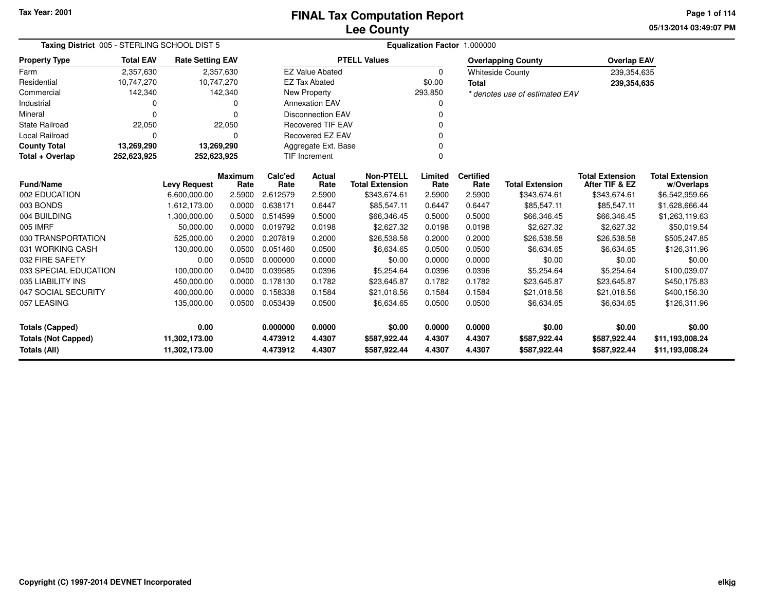### **Lee CountyFINAL Tax Computation Report**

**05/13/2014 03:49:07 PM Page 1 of 114**

|                            | Taxing District 005 - STERLING SCHOOL DIST 5 |                         |                        |                 | Equalization Factor 1.000000     |                                            |                 |                          |                                |                                          |                                      |  |  |  |
|----------------------------|----------------------------------------------|-------------------------|------------------------|-----------------|----------------------------------|--------------------------------------------|-----------------|--------------------------|--------------------------------|------------------------------------------|--------------------------------------|--|--|--|
| <b>Property Type</b>       | <b>Total EAV</b>                             | <b>Rate Setting EAV</b> |                        |                 |                                  | <b>PTELL Values</b>                        |                 |                          | <b>Overlapping County</b>      | <b>Overlap EAV</b>                       |                                      |  |  |  |
| Farm                       | 2,357,630                                    |                         | 2,357,630              |                 | <b>EZ Value Abated</b>           |                                            | $\Omega$        |                          | <b>Whiteside County</b>        | 239,354,635                              |                                      |  |  |  |
| Residential                | 10,747,270                                   | 10,747,270              |                        |                 | <b>EZ Tax Abated</b>             |                                            | \$0.00          | <b>Total</b>             |                                | 239,354,635                              |                                      |  |  |  |
| Commercial                 | 142,340                                      |                         | 142,340                |                 | New Property                     |                                            | 293,850         |                          | * denotes use of estimated EAV |                                          |                                      |  |  |  |
| Industrial                 | 0                                            |                         | O                      |                 | <b>Annexation EAV</b>            |                                            | 0               |                          |                                |                                          |                                      |  |  |  |
| Mineral                    | $\Omega$                                     |                         | $\Omega$               |                 | <b>Disconnection EAV</b>         |                                            | 0               |                          |                                |                                          |                                      |  |  |  |
| <b>State Railroad</b>      | 22,050                                       |                         | 22,050                 |                 | <b>Recovered TIF EAV</b>         |                                            |                 |                          |                                |                                          |                                      |  |  |  |
| Local Railroad             | 0                                            |                         | $\Omega$               |                 | Recovered EZ EAV                 |                                            |                 |                          |                                |                                          |                                      |  |  |  |
| <b>County Total</b>        | 13,269,290                                   | 13,269,290              |                        |                 | Aggregate Ext. Base<br>0         |                                            |                 |                          |                                |                                          |                                      |  |  |  |
| Total + Overlap            | 252,623,925                                  | 252,623,925             |                        |                 | <b>TIF Increment</b><br>$\Omega$ |                                            |                 |                          |                                |                                          |                                      |  |  |  |
| <b>Fund/Name</b>           |                                              | <b>Levy Request</b>     | <b>Maximum</b><br>Rate | Calc'ed<br>Rate | <b>Actual</b><br>Rate            | <b>Non-PTELL</b><br><b>Total Extension</b> | Limited<br>Rate | <b>Certified</b><br>Rate | <b>Total Extension</b>         | <b>Total Extension</b><br>After TIF & EZ | <b>Total Extension</b><br>w/Overlaps |  |  |  |
| 002 EDUCATION              |                                              | 6,600,000.00            | 2.5900                 | 2.612579        | 2.5900                           | \$343,674.61                               | 2.5900          | 2.5900                   | \$343,674.61                   | \$343,674.61                             | \$6,542,959.66                       |  |  |  |
| 003 BONDS                  |                                              | 1,612,173.00            | 0.0000                 | 0.638171        | 0.6447                           | \$85,547.11                                | 0.6447          | 0.6447                   | \$85,547.11                    | \$85,547.11                              | \$1,628,666.44                       |  |  |  |
| 004 BUILDING               |                                              | 1,300,000.00            | 0.5000                 | 0.514599        | 0.5000                           | \$66,346.45                                | 0.5000          | 0.5000                   | \$66,346.45                    | \$66,346.45                              | \$1,263,119.63                       |  |  |  |
| 005 IMRF                   |                                              | 50,000.00               | 0.0000                 | 0.019792        | 0.0198                           | \$2,627.32                                 | 0.0198          | 0.0198                   | \$2,627.32                     | \$2,627.32                               | \$50,019.54                          |  |  |  |
| 030 TRANSPORTATION         |                                              | 525,000.00              | 0.2000                 | 0.207819        | 0.2000                           | \$26,538.58                                | 0.2000          | 0.2000                   | \$26,538.58                    | \$26,538.58                              | \$505,247.85                         |  |  |  |
| 031 WORKING CASH           |                                              | 130,000.00              | 0.0500                 | 0.051460        | 0.0500                           | \$6,634.65                                 | 0.0500          | 0.0500                   | \$6,634.65                     | \$6,634.65                               | \$126,311.96                         |  |  |  |
| 032 FIRE SAFETY            |                                              | 0.00                    | 0.0500                 | 0.000000        | 0.0000                           | \$0.00                                     | 0.0000          | 0.0000                   | \$0.00                         | \$0.00                                   | \$0.00                               |  |  |  |
| 033 SPECIAL EDUCATION      |                                              | 100,000.00              | 0.0400                 | 0.039585        | 0.0396                           | \$5,254.64                                 | 0.0396          | 0.0396                   | \$5,254.64                     | \$5,254.64                               | \$100,039.07                         |  |  |  |
| 035 LIABILITY INS          |                                              | 450,000.00              | 0.0000                 | 0.178130        | 0.1782                           | \$23,645.87                                | 0.1782          | 0.1782                   | \$23,645.87                    | \$23,645.87                              | \$450,175.83                         |  |  |  |
| 047 SOCIAL SECURITY        |                                              | 400,000.00              | 0.0000                 | 0.158338        | 0.1584                           | \$21,018.56                                | 0.1584          | 0.1584                   | \$21,018.56                    | \$21,018.56                              | \$400,156.30                         |  |  |  |
| 057 LEASING                |                                              | 135,000.00              | 0.0500                 | 0.053439        | 0.0500                           | \$6,634.65                                 | 0.0500          | 0.0500                   | \$6,634.65                     | \$6,634.65                               | \$126,311.96                         |  |  |  |
| <b>Totals (Capped)</b>     |                                              | 0.00                    |                        | 0.000000        | 0.0000                           | \$0.00                                     | 0.0000          | 0.0000                   | \$0.00                         | \$0.00                                   | \$0.00                               |  |  |  |
| <b>Totals (Not Capped)</b> |                                              | 11,302,173.00           |                        | 4.473912        | 4.4307                           | \$587,922.44                               | 4.4307          | 4.4307                   | \$587,922.44                   | \$587,922.44                             | \$11,193,008.24                      |  |  |  |
| <b>Totals (All)</b>        |                                              | 11,302,173.00           |                        | 4.473912        | 4.4307                           | \$587,922.44                               | 4.4307          | 4.4307                   | \$587,922.44                   | \$587,922.44                             | \$11,193,008.24                      |  |  |  |

۰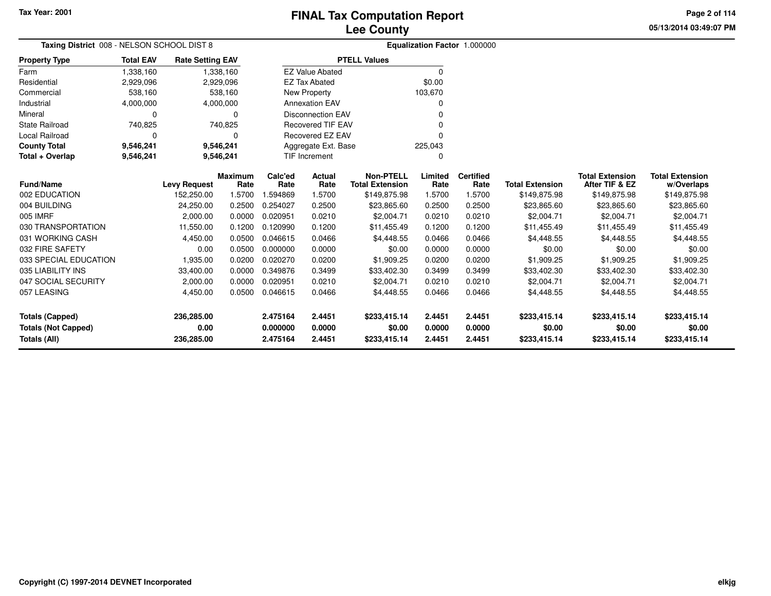**05/13/2014 03:49:07 PM Page 2 of 114**

| Taxing District 008 - NELSON SCHOOL DIST 8 |                  |                         |                        | Equalization Factor 1.000000 |                          |                                            |                  |                          |                        |                                          |                                      |
|--------------------------------------------|------------------|-------------------------|------------------------|------------------------------|--------------------------|--------------------------------------------|------------------|--------------------------|------------------------|------------------------------------------|--------------------------------------|
| <b>Property Type</b>                       | <b>Total EAV</b> | <b>Rate Setting EAV</b> |                        |                              |                          | <b>PTELL Values</b>                        |                  |                          |                        |                                          |                                      |
| Farm                                       | 1,338,160        |                         | 1,338,160              |                              | <b>EZ Value Abated</b>   |                                            | $\Omega$         |                          |                        |                                          |                                      |
| Residential                                | 2,929,096        |                         | 2,929,096              |                              | <b>EZ Tax Abated</b>     |                                            | \$0.00           |                          |                        |                                          |                                      |
| Commercial                                 | 538,160          |                         | 538,160                |                              | New Property             |                                            | 103,670          |                          |                        |                                          |                                      |
| Industrial                                 | 4,000,000        |                         | 4,000,000              |                              | <b>Annexation EAV</b>    |                                            |                  |                          |                        |                                          |                                      |
| Mineral                                    | 0                |                         | 0                      |                              | <b>Disconnection EAV</b> |                                            |                  |                          |                        |                                          |                                      |
| State Railroad                             | 740,825          |                         | 740,825                |                              | <b>Recovered TIF EAV</b> |                                            |                  |                          |                        |                                          |                                      |
| <b>Local Railroad</b>                      | $\Omega$         |                         | 0                      |                              | Recovered EZ EAV         |                                            |                  |                          |                        |                                          |                                      |
| <b>County Total</b>                        | 9,546,241        |                         | 9,546,241              |                              | Aggregate Ext. Base      |                                            | 225,043          |                          |                        |                                          |                                      |
| Total + Overlap                            | 9,546,241        |                         | 9,546,241              |                              | <b>TIF Increment</b>     |                                            | $\Omega$         |                          |                        |                                          |                                      |
| <b>Fund/Name</b>                           |                  | <b>Levy Request</b>     | <b>Maximum</b><br>Rate | Calc'ed<br>Rate              | Actual<br>Rate           | <b>Non-PTELL</b><br><b>Total Extension</b> | Limited<br>Rate  | <b>Certified</b><br>Rate | <b>Total Extension</b> | <b>Total Extension</b><br>After TIF & EZ | <b>Total Extension</b><br>w/Overlaps |
| 002 EDUCATION                              |                  | 152,250.00              | 1.5700                 | 1.594869                     | 1.5700                   | \$149,875.98                               | 1.5700           | 1.5700                   | \$149,875.98           | \$149,875.98                             | \$149,875.98                         |
| 004 BUILDING                               |                  | 24,250.00               | 0.2500                 | 0.254027                     | 0.2500                   | \$23,865.60                                | 0.2500           | 0.2500                   | \$23,865.60            | \$23,865.60                              | \$23,865.60                          |
| 005 IMRF                                   |                  | 2,000.00                | 0.0000                 | 0.020951                     | 0.0210                   | \$2,004.71                                 | 0.0210           | 0.0210                   | \$2,004.71             | \$2,004.71                               | \$2,004.71                           |
| 030 TRANSPORTATION                         |                  | 11,550.00               | 0.1200                 | 0.120990                     | 0.1200                   | \$11,455.49                                | 0.1200           | 0.1200                   | \$11,455.49            | \$11,455.49                              | \$11,455.49                          |
| 031 WORKING CASH                           |                  | 4,450.00                | 0.0500                 | 0.046615                     | 0.0466                   | \$4,448.55                                 | 0.0466           | 0.0466                   | \$4,448.55             | \$4,448.55                               | \$4,448.55                           |
| 032 FIRE SAFETY                            |                  | 0.00                    | 0.0500                 | 0.000000                     | 0.0000                   | \$0.00                                     | 0.0000           | 0.0000                   | \$0.00                 | \$0.00                                   | \$0.00                               |
| 033 SPECIAL EDUCATION                      |                  | 1,935.00                | 0.0200                 | 0.020270                     | 0.0200                   | \$1,909.25                                 | 0.0200           | 0.0200                   | \$1,909.25             | \$1,909.25                               | \$1,909.25                           |
| 035 LIABILITY INS                          |                  | 33,400.00               | 0.0000                 | 0.349876                     | 0.3499                   | \$33,402.30                                | 0.3499           | 0.3499                   | \$33,402.30            | \$33,402.30                              | \$33,402.30                          |
| 047 SOCIAL SECURITY                        |                  | 2,000.00                | 0.0000                 | 0.020951                     | 0.0210                   | \$2,004.71                                 | 0.0210           | 0.0210                   | \$2,004.71             | \$2,004.71                               | \$2,004.71                           |
| 057 LEASING                                |                  | 4,450.00                | 0.0500                 | 0.046615                     | 0.0466                   | \$4,448.55                                 | 0.0466           | 0.0466                   | \$4,448.55             | \$4,448.55                               | \$4,448.55                           |
| <b>Totals (Capped)</b>                     |                  | 236,285.00              |                        | 2.475164                     | 2.4451                   | \$233,415.14                               | 2.4451           | 2.4451                   | \$233,415.14           | \$233,415.14                             | \$233,415.14                         |
| <b>Totals (Not Capped)</b><br>Totals (All) |                  | 0.00<br>236,285.00      |                        | 0.000000<br>2.475164         | 0.0000<br>2.4451         | \$0.00<br>\$233,415.14                     | 0.0000<br>2.4451 | 0.0000<br>2.4451         | \$0.00<br>\$233,415.14 | \$0.00<br>\$233,415.14                   | \$0.00<br>\$233,415.14               |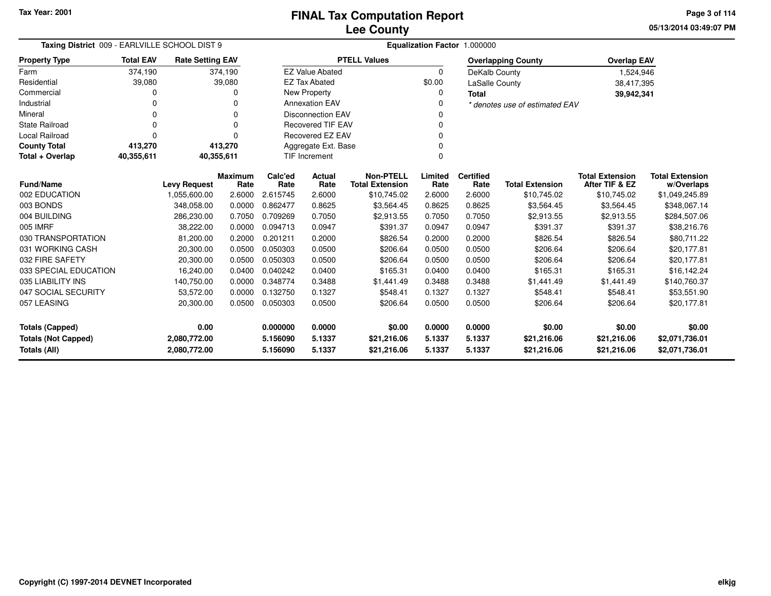**05/13/2014 03:49:07 PMPage 3 of 114**

| Taxing District 009 - EARLVILLE SCHOOL DIST 9                    |                  |                         |                | Equalization Factor 1.000000  |                                  |                        |             |                       |                                |                        |                        |  |  |
|------------------------------------------------------------------|------------------|-------------------------|----------------|-------------------------------|----------------------------------|------------------------|-------------|-----------------------|--------------------------------|------------------------|------------------------|--|--|
| <b>Property Type</b>                                             | <b>Total EAV</b> | <b>Rate Setting EAV</b> |                |                               |                                  | <b>PTELL Values</b>    |             |                       | <b>Overlapping County</b>      | <b>Overlap EAV</b>     |                        |  |  |
| Farm                                                             | 374,190          |                         | 374,190        |                               | <b>EZ Value Abated</b>           |                        | $\Omega$    | DeKalb County         |                                | 1,524,946              |                        |  |  |
| Residential                                                      | 39,080           |                         | 39,080         |                               | <b>EZ Tax Abated</b>             |                        | \$0.00      | <b>LaSalle County</b> |                                | 38,417,395             |                        |  |  |
| Commercial                                                       | 0                |                         | 0              |                               | New Property                     |                        | 0           | <b>Total</b>          |                                | 39,942,341             |                        |  |  |
| Industrial                                                       | 0                |                         | 0              |                               | <b>Annexation EAV</b><br>0       |                        |             |                       | * denotes use of estimated EAV |                        |                        |  |  |
| Mineral                                                          | 0                |                         | 0              | <b>Disconnection EAV</b><br>0 |                                  |                        |             |                       |                                |                        |                        |  |  |
| <b>State Railroad</b>                                            | 0                |                         | 0              | <b>Recovered TIF EAV</b><br>0 |                                  |                        |             |                       |                                |                        |                        |  |  |
| Local Railroad                                                   | 0                |                         | 0              |                               | Recovered EZ EAV<br>$\Omega$     |                        |             |                       |                                |                        |                        |  |  |
| <b>County Total</b>                                              | 413,270          |                         | 413,270        |                               | Aggregate Ext. Base<br>0         |                        |             |                       |                                |                        |                        |  |  |
| Total + Overlap                                                  | 40,355,611       | 40,355,611              |                |                               | <b>TIF Increment</b><br>$\Omega$ |                        |             |                       |                                |                        |                        |  |  |
|                                                                  |                  |                         | <b>Maximum</b> | Calc'ed                       | Actual                           | <b>Non-PTELL</b>       | Limited     | <b>Certified</b>      |                                | <b>Total Extension</b> | <b>Total Extension</b> |  |  |
| <b>Fund/Name</b>                                                 |                  | <b>Levy Request</b>     | Rate           | Rate                          | Rate                             | <b>Total Extension</b> | Rate        | Rate                  | <b>Total Extension</b>         | After TIF & EZ         | w/Overlaps             |  |  |
| 002 EDUCATION                                                    |                  | 1,055,600.00            | 2.6000         | 2.615745                      | 2.6000                           | \$10,745.02            | 2.6000      | 2.6000                | \$10,745.02                    | \$10,745.02            | \$1,049,245.89         |  |  |
| 003 BONDS                                                        |                  | 348,058.00              | 0.0000         | 0.862477                      | 0.8625                           | \$3,564.45             | 0.8625      | 0.8625                | \$3,564.45                     | \$3,564.45             | \$348,067.14           |  |  |
| 004 BUILDING                                                     |                  | 286,230.00              | 0.7050         | 0.709269                      | 0.7050                           | \$2,913.55             | 0.7050      | 0.7050                | \$2,913.55                     | \$2,913.55             | \$284,507.06           |  |  |
| 005 IMRF                                                         |                  | 38,222.00               | 0.0000         | 0.094713                      | 0.0947                           | \$391.37               | 0.0947      | 0.0947                | \$391.37                       | \$391.37               | \$38,216.76            |  |  |
| 030 TRANSPORTATION                                               |                  | 81,200.00               | 0.2000         | 0.201211                      | 0.2000                           | \$826.54               | 0.2000      | 0.2000                | \$826.54                       | \$826.54               | \$80,711.22            |  |  |
| 031 WORKING CASH                                                 |                  | 20,300.00               | 0.0500         | 0.050303                      | 0.0500                           | \$206.64               | 0.0500      | 0.0500                | \$206.64                       | \$206.64               | \$20,177.81            |  |  |
| 032 FIRE SAFETY                                                  |                  | 20,300.00               | 0.0500         | 0.050303                      | 0.0500                           | \$206.64               | 0.0500      | 0.0500                | \$206.64                       | \$206.64               | \$20,177.81            |  |  |
| 033 SPECIAL EDUCATION                                            |                  | 16,240.00               | 0.0400         | 0.040242                      | 0.0400                           | \$165.31               | 0.0400      | 0.0400                | \$165.31                       | \$165.31               | \$16,142.24            |  |  |
| 035 LIABILITY INS                                                |                  | 140,750.00              | 0.0000         | 0.348774                      | 0.3488                           | \$1,441.49             | 0.3488      | 0.3488                | \$1,441.49                     | \$1,441.49             | \$140,760.37           |  |  |
| 047 SOCIAL SECURITY                                              |                  | 53,572.00               | 0.0000         | 0.132750                      | 0.1327                           | \$548.41               | 0.1327      | 0.1327                | \$548.41                       | \$548.41               | \$53,551.90            |  |  |
| 057 LEASING                                                      |                  | 20,300.00               | 0.0500         | 0.050303                      | 0.0500                           | \$206.64               | 0.0500      | 0.0500                | \$206.64                       | \$206.64               | \$20,177.81            |  |  |
| 0.00<br>Totals (Capped)                                          |                  | 0.000000                | 0.0000         | \$0.00                        | 0.0000                           | 0.0000                 | \$0.00      | \$0.00                | \$0.00                         |                        |                        |  |  |
| 5.1337<br><b>Totals (Not Capped)</b><br>2,080,772.00<br>5.156090 |                  |                         | \$21,216.06    | 5.1337                        | 5.1337                           | \$21,216.06            | \$21,216.06 | \$2,071,736.01        |                                |                        |                        |  |  |
| Totals (All)                                                     |                  | 2,080,772.00            |                | 5.156090                      | 5.1337                           | \$21,216.06            | 5.1337      | 5.1337                | \$21,216.06                    | \$21,216.06            | \$2,071,736.01         |  |  |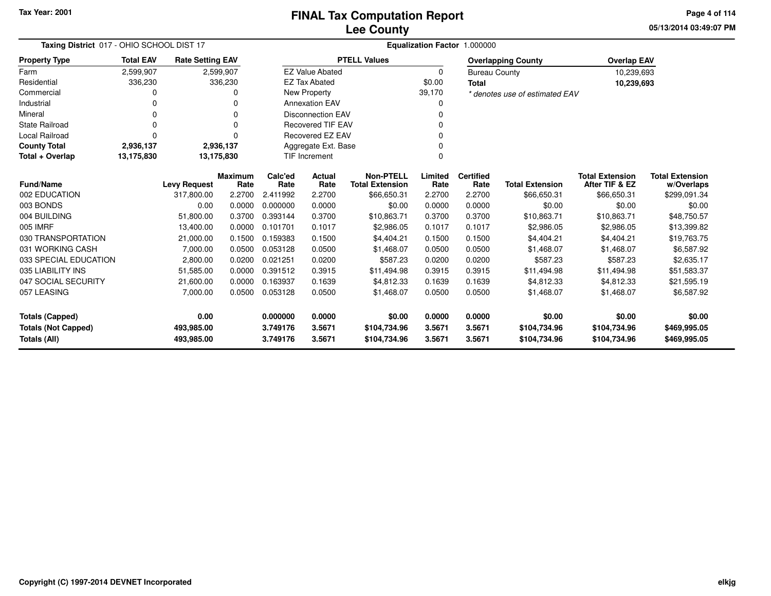**05/13/2014 03:49:07 PMPage 4 of 114**

| Taxing District 017 - OHIO SCHOOL DIST 17  |                  |                          |            | Equalization Factor 1.000000 |                          |                              |                  |                      |                                |                              |                              |  |
|--------------------------------------------|------------------|--------------------------|------------|------------------------------|--------------------------|------------------------------|------------------|----------------------|--------------------------------|------------------------------|------------------------------|--|
| <b>Property Type</b>                       | <b>Total EAV</b> | <b>Rate Setting EAV</b>  |            |                              |                          | <b>PTELL Values</b>          |                  |                      | <b>Overlapping County</b>      | <b>Overlap EAV</b>           |                              |  |
| Farm                                       | 2,599,907        |                          | 2,599,907  |                              | <b>EZ Value Abated</b>   |                              | $\Omega$         | <b>Bureau County</b> |                                | 10,239,693                   |                              |  |
| Residential                                | 336,230          |                          | 336,230    |                              | <b>EZ Tax Abated</b>     |                              | \$0.00           | <b>Total</b>         |                                | 10,239,693                   |                              |  |
| Commercial                                 | 0                |                          |            |                              | New Property<br>39,170   |                              |                  |                      | * denotes use of estimated EAV |                              |                              |  |
| Industrial                                 | ი                |                          | O          |                              | <b>Annexation EAV</b>    |                              |                  |                      |                                |                              |                              |  |
| Mineral                                    |                  |                          | $\Omega$   |                              | <b>Disconnection EAV</b> |                              |                  |                      |                                |                              |                              |  |
| <b>State Railroad</b>                      | $\Omega$         |                          |            | <b>Recovered TIF EAV</b>     |                          |                              |                  |                      |                                |                              |                              |  |
| Local Railroad                             | 0                |                          | $\Omega$   | <b>Recovered EZ EAV</b>      |                          |                              |                  |                      |                                |                              |                              |  |
| <b>County Total</b>                        | 2,936,137        |                          | 2,936,137  | Aggregate Ext. Base          |                          |                              |                  |                      |                                |                              |                              |  |
| Total + Overlap                            | 13,175,830       |                          | 13,175,830 |                              | <b>TIF Increment</b>     |                              | O                |                      |                                |                              |                              |  |
|                                            |                  |                          | Maximum    | Calc'ed                      | Actual                   | <b>Non-PTELL</b>             | Limited          | <b>Certified</b>     |                                | <b>Total Extension</b>       | <b>Total Extension</b>       |  |
| <b>Fund/Name</b>                           |                  | <b>Levy Request</b>      | Rate       | Rate<br>2.411992             | Rate                     | <b>Total Extension</b>       | Rate             | Rate<br>2.2700       | <b>Total Extension</b>         | After TIF & EZ               | w/Overlaps                   |  |
| 002 EDUCATION                              |                  | 317,800.00               | 2.2700     |                              | 2.2700                   | \$66,650.31                  | 2.2700           |                      | \$66,650.31                    | \$66,650.31                  | \$299,091.34                 |  |
| 003 BONDS                                  |                  | 0.00                     | 0.0000     | 0.000000                     | 0.0000                   | \$0.00                       | 0.0000           | 0.0000               | \$0.00                         | \$0.00                       | \$0.00                       |  |
| 004 BUILDING                               |                  | 51,800.00                | 0.3700     | 0.393144                     | 0.3700                   | \$10,863.71                  | 0.3700           | 0.3700               | \$10,863.71                    | \$10,863.71                  | \$48,750.57                  |  |
| 005 IMRF                                   |                  | 13.400.00                | 0.0000     | 0.101701                     | 0.1017                   | \$2,986.05                   | 0.1017           | 0.1017               | \$2,986.05                     | \$2,986.05                   | \$13,399.82                  |  |
| 030 TRANSPORTATION                         |                  | 21,000.00                | 0.1500     | 0.159383                     | 0.1500                   | \$4,404.21                   | 0.1500           | 0.1500               | \$4,404.21                     | \$4,404.21                   | \$19,763.75                  |  |
| 031 WORKING CASH                           |                  | 7,000.00                 | 0.0500     | 0.053128                     | 0.0500                   | \$1,468.07                   | 0.0500           | 0.0500               | \$1,468.07                     | \$1,468.07                   | \$6,587.92                   |  |
| 033 SPECIAL EDUCATION                      |                  | 2,800.00                 | 0.0200     | 0.021251                     | 0.0200                   | \$587.23                     | 0.0200           | 0.0200               | \$587.23                       | \$587.23                     | \$2,635.17                   |  |
| 035 LIABILITY INS                          |                  | 51,585.00                | 0.0000     | 0.391512                     | 0.3915                   | \$11,494.98                  | 0.3915           | 0.3915               | \$11,494.98                    | \$11,494.98                  | \$51,583.37                  |  |
| 047 SOCIAL SECURITY                        |                  | 21,600.00                | 0.0000     | 0.163937                     | 0.1639                   | \$4,812.33                   | 0.1639           | 0.1639               | \$4,812.33                     | \$4,812.33                   | \$21,595.19                  |  |
| 057 LEASING                                |                  | 7,000.00                 | 0.0500     | 0.053128                     | 0.0500                   | \$1,468.07                   | 0.0500           | 0.0500               | \$1,468.07                     | \$1,468.07                   | \$6,587.92                   |  |
| <b>Totals (Capped)</b>                     |                  | 0.00                     |            | 0.000000                     | 0.0000                   | \$0.00                       | 0.0000           | 0.0000               | \$0.00                         | \$0.00                       | \$0.00                       |  |
| <b>Totals (Not Capped)</b><br>Totals (All) |                  | 493,985.00<br>493,985.00 |            | 3.749176<br>3.749176         | 3.5671<br>3.5671         | \$104,734.96<br>\$104,734.96 | 3.5671<br>3.5671 | 3.5671<br>3.5671     | \$104,734.96<br>\$104,734.96   | \$104,734.96<br>\$104,734.96 | \$469,995.05<br>\$469,995.05 |  |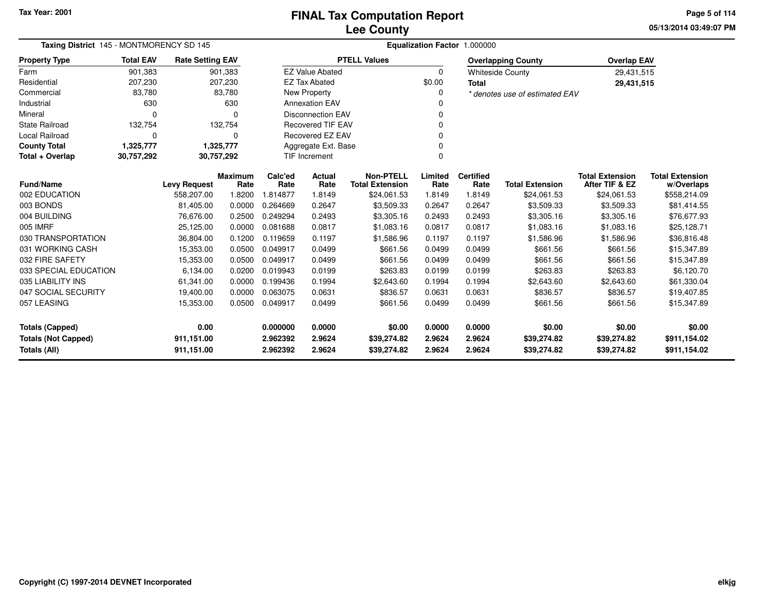**05/13/2014 03:49:07 PMPage 5 of 114**

| Taxing District 145 - MONTMORENCY SD 145 |                  |                         |                        |                 |                          |                                            |                 | Equalization Factor 1.000000 |                                |                                          |                                      |  |
|------------------------------------------|------------------|-------------------------|------------------------|-----------------|--------------------------|--------------------------------------------|-----------------|------------------------------|--------------------------------|------------------------------------------|--------------------------------------|--|
| <b>Property Type</b>                     | <b>Total EAV</b> | <b>Rate Setting EAV</b> |                        |                 |                          | <b>PTELL Values</b>                        |                 |                              | <b>Overlapping County</b>      | <b>Overlap EAV</b>                       |                                      |  |
| Farm                                     | 901,383          |                         | 901,383                |                 | <b>EZ Value Abated</b>   |                                            | 0               |                              | <b>Whiteside County</b>        | 29,431,515                               |                                      |  |
| Residential                              | 207,230          |                         | 207,230                |                 | <b>EZ Tax Abated</b>     |                                            | \$0.00          | <b>Total</b>                 |                                | 29,431,515                               |                                      |  |
| Commercial                               | 83,780           |                         | 83,780                 |                 | New Property             |                                            | 0               |                              | * denotes use of estimated EAV |                                          |                                      |  |
| Industrial                               | 630              |                         | 630                    |                 | <b>Annexation EAV</b>    |                                            |                 |                              |                                |                                          |                                      |  |
| Mineral                                  | $\Omega$         |                         | $\Omega$               |                 | <b>Disconnection EAV</b> |                                            | 0               |                              |                                |                                          |                                      |  |
| State Railroad                           | 132,754          |                         | 132,754                |                 | <b>Recovered TIF EAV</b> |                                            | $\mathbf 0$     |                              |                                |                                          |                                      |  |
| <b>Local Railroad</b>                    | 0                |                         | $\Omega$               |                 | <b>Recovered EZ EAV</b>  |                                            | $\Omega$        |                              |                                |                                          |                                      |  |
| <b>County Total</b>                      | 1,325,777        |                         | 1,325,777              |                 | Aggregate Ext. Base      |                                            | $\mathbf 0$     |                              |                                |                                          |                                      |  |
| Total + Overlap                          | 30,757,292       | 30,757,292              |                        |                 | <b>TIF Increment</b>     |                                            | $\mathbf 0$     |                              |                                |                                          |                                      |  |
| <b>Fund/Name</b>                         |                  | <b>Levy Request</b>     | <b>Maximum</b><br>Rate | Calc'ed<br>Rate | Actual<br>Rate           | <b>Non-PTELL</b><br><b>Total Extension</b> | Limited<br>Rate | <b>Certified</b><br>Rate     | <b>Total Extension</b>         | <b>Total Extension</b><br>After TIF & EZ | <b>Total Extension</b><br>w/Overlaps |  |
| 002 EDUCATION                            |                  | 558,207.00              | 1.8200                 | 1.814877        | 1.8149                   | \$24,061.53                                | 1.8149          | 1.8149                       | \$24,061.53                    | \$24,061.53                              | \$558,214.09                         |  |
| 003 BONDS                                |                  | 81,405.00               | 0.0000                 | 0.264669        | 0.2647                   | \$3,509.33                                 | 0.2647          | 0.2647                       | \$3,509.33                     | \$3,509.33                               | \$81,414.55                          |  |
| 004 BUILDING                             |                  | 76,676.00               | 0.2500                 | 0.249294        | 0.2493                   | \$3,305.16                                 | 0.2493          | 0.2493                       | \$3,305.16                     | \$3,305.16                               | \$76,677.93                          |  |
| 005 IMRF                                 |                  | 25,125.00               | 0.0000                 | 0.081688        | 0.0817                   | \$1,083.16                                 | 0.0817          | 0.0817                       | \$1,083.16                     | \$1,083.16                               | \$25,128.71                          |  |
| 030 TRANSPORTATION                       |                  | 36,804.00               | 0.1200                 | 0.119659        | 0.1197                   | \$1,586.96                                 | 0.1197          | 0.1197                       | \$1,586.96                     | \$1,586.96                               | \$36,816.48                          |  |
| 031 WORKING CASH                         |                  | 15,353.00               | 0.0500                 | 0.049917        | 0.0499                   | \$661.56                                   | 0.0499          | 0.0499                       | \$661.56                       | \$661.56                                 | \$15,347.89                          |  |
| 032 FIRE SAFETY                          |                  | 15,353.00               | 0.0500                 | 0.049917        | 0.0499                   | \$661.56                                   | 0.0499          | 0.0499                       | \$661.56                       | \$661.56                                 | \$15,347.89                          |  |
| 033 SPECIAL EDUCATION                    |                  | 6,134.00                | 0.0200                 | 0.019943        | 0.0199                   | \$263.83                                   | 0.0199          | 0.0199                       | \$263.83                       | \$263.83                                 | \$6,120.70                           |  |
| 035 LIABILITY INS                        |                  | 61,341.00               | 0.0000                 | 0.199436        | 0.1994                   | \$2,643.60                                 | 0.1994          | 0.1994                       | \$2,643.60                     | \$2,643.60                               | \$61,330.04                          |  |
| 047 SOCIAL SECURITY                      |                  | 19,400.00               | 0.0000                 | 0.063075        | 0.0631                   | \$836.57                                   | 0.0631          | 0.0631                       | \$836.57                       | \$836.57                                 | \$19,407.85                          |  |
| 057 LEASING                              |                  | 15,353.00               | 0.0500                 | 0.049917        | 0.0499                   | \$661.56                                   | 0.0499          | 0.0499                       | \$661.56                       | \$661.56                                 | \$15,347.89                          |  |
| <b>Totals (Capped)</b>                   |                  | 0.00                    |                        | 0.000000        | 0.0000                   | \$0.00                                     | 0.0000          | 0.0000                       | \$0.00                         | \$0.00                                   | \$0.00                               |  |
| <b>Totals (Not Capped)</b>               |                  | 911,151.00              |                        | 2.962392        | 2.9624                   | \$39,274.82                                | 2.9624          | 2.9624                       | \$39,274.82                    | \$39,274.82                              | \$911,154.02                         |  |
| Totals (All)                             |                  | 911,151.00              |                        | 2.962392        | 2.9624                   | \$39,274.82                                | 2.9624          | 2.9624                       | \$39,274.82                    | \$39,274.82                              | \$911,154.02                         |  |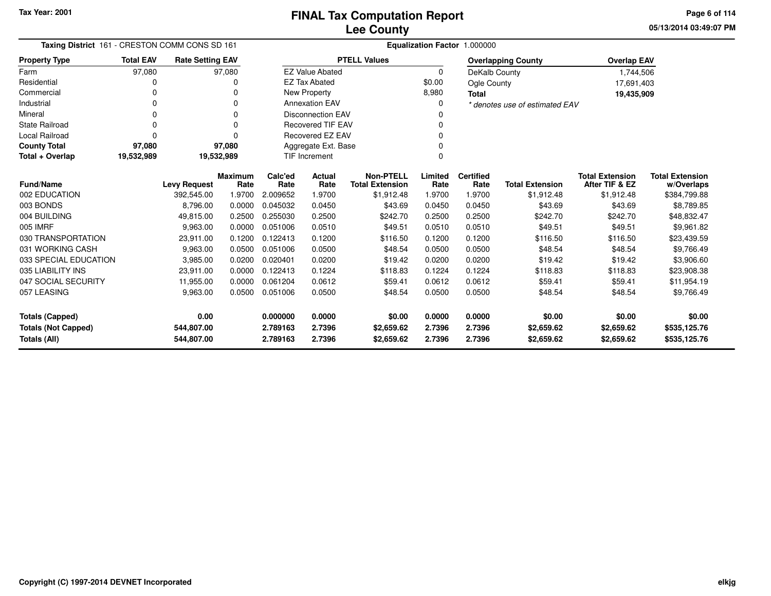**05/13/2014 03:49:07 PMPage 6 of 114**

| Taxing District 161 - CRESTON COMM CONS SD 161 |                  |                         |                        | Equalization Factor 1.000000 |                              |                                            |                 |                          |                                |                                          |                                      |  |  |
|------------------------------------------------|------------------|-------------------------|------------------------|------------------------------|------------------------------|--------------------------------------------|-----------------|--------------------------|--------------------------------|------------------------------------------|--------------------------------------|--|--|
| <b>Property Type</b>                           | <b>Total EAV</b> | <b>Rate Setting EAV</b> |                        |                              |                              | <b>PTELL Values</b>                        |                 |                          | <b>Overlapping County</b>      | <b>Overlap EAV</b>                       |                                      |  |  |
| Farm                                           | 97,080           |                         | 97,080                 |                              | <b>EZ Value Abated</b>       |                                            | 0               | DeKalb County            |                                | 1,744,506                                |                                      |  |  |
| Residential                                    | 0                |                         | 0                      |                              | <b>EZ Tax Abated</b>         |                                            | \$0.00          | Ogle County              |                                | 17,691,403                               |                                      |  |  |
| Commercial                                     | 0                |                         | 0                      |                              | <b>New Property</b><br>8,980 |                                            |                 |                          |                                | 19,435,909                               |                                      |  |  |
| Industrial                                     | 0                |                         | O                      | <b>Annexation EAV</b><br>0   |                              |                                            |                 |                          | * denotes use of estimated EAV |                                          |                                      |  |  |
| Mineral                                        | $\Omega$         |                         | 0                      | <b>Disconnection EAV</b>     |                              |                                            |                 |                          |                                |                                          |                                      |  |  |
| <b>State Railroad</b>                          | $\Omega$         |                         | ŋ                      | <b>Recovered TIF EAV</b>     |                              |                                            |                 |                          |                                |                                          |                                      |  |  |
| <b>Local Railroad</b>                          | $\Omega$         |                         | ŋ                      | <b>Recovered EZ EAV</b>      |                              |                                            |                 |                          |                                |                                          |                                      |  |  |
| <b>County Total</b>                            | 97,080           |                         | 97,080                 | Aggregate Ext. Base          |                              |                                            |                 |                          |                                |                                          |                                      |  |  |
| Total + Overlap                                | 19,532,989       |                         | 19,532,989             |                              | TIF Increment                |                                            | $\Omega$        |                          |                                |                                          |                                      |  |  |
| <b>Fund/Name</b>                               |                  | <b>Levy Request</b>     | <b>Maximum</b><br>Rate | Calc'ed<br>Rate              | Actual<br>Rate               | <b>Non-PTELL</b><br><b>Total Extension</b> | Limited<br>Rate | <b>Certified</b><br>Rate | <b>Total Extension</b>         | <b>Total Extension</b><br>After TIF & EZ | <b>Total Extension</b><br>w/Overlaps |  |  |
| 002 EDUCATION                                  |                  | 392,545.00              | 1.9700                 | 2.009652                     | 1.9700                       | \$1,912.48                                 | 1.9700          | 1.9700                   | \$1,912.48                     | \$1,912.48                               | \$384,799.88                         |  |  |
| 003 BONDS                                      |                  | 8,796.00                | 0.0000                 | 0.045032                     | 0.0450                       | \$43.69                                    | 0.0450          | 0.0450                   | \$43.69                        | \$43.69                                  | \$8,789.85                           |  |  |
| 004 BUILDING                                   |                  | 49,815.00               | 0.2500                 | 0.255030                     | 0.2500                       | \$242.70                                   | 0.2500          | 0.2500                   | \$242.70                       | \$242.70                                 | \$48,832.47                          |  |  |
| 005 IMRF                                       |                  | 9,963.00                | 0.0000                 | 0.051006                     | 0.0510                       | \$49.51                                    | 0.0510          | 0.0510                   | \$49.51                        | \$49.51                                  | \$9,961.82                           |  |  |
| 030 TRANSPORTATION                             |                  | 23,911.00               | 0.1200                 | 0.122413                     | 0.1200                       | \$116.50                                   | 0.1200          | 0.1200                   | \$116.50                       | \$116.50                                 | \$23,439.59                          |  |  |
| 031 WORKING CASH                               |                  | 9,963.00                | 0.0500                 | 0.051006                     | 0.0500                       | \$48.54                                    | 0.0500          | 0.0500                   | \$48.54                        | \$48.54                                  | \$9,766.49                           |  |  |
| 033 SPECIAL EDUCATION                          |                  | 3,985.00                | 0.0200                 | 0.020401                     | 0.0200                       | \$19.42                                    | 0.0200          | 0.0200                   | \$19.42                        | \$19.42                                  | \$3,906.60                           |  |  |
| 035 LIABILITY INS                              |                  | 23,911.00               | 0.0000                 | 0.122413                     | 0.1224                       | \$118.83                                   | 0.1224          | 0.1224                   | \$118.83                       | \$118.83                                 | \$23,908.38                          |  |  |
| 047 SOCIAL SECURITY                            |                  | 11,955.00               | 0.0000                 | 0.061204                     | 0.0612                       | \$59.41                                    | 0.0612          | 0.0612                   | \$59.41                        | \$59.41                                  | \$11,954.19                          |  |  |
| 057 LEASING                                    |                  | 9,963.00                | 0.0500                 | 0.051006                     | 0.0500                       | \$48.54                                    | 0.0500          | 0.0500                   | \$48.54                        | \$48.54                                  | \$9,766.49                           |  |  |
| <b>Totals (Capped)</b>                         |                  | 0.00                    |                        | 0.000000                     | 0.0000                       | \$0.00                                     | 0.0000          | 0.0000                   | \$0.00                         | \$0.00                                   | \$0.00                               |  |  |
| <b>Totals (Not Capped)</b>                     |                  | 544,807.00              |                        | 2.789163                     | 2.7396                       | \$2,659.62                                 | 2.7396          | 2.7396                   | \$2,659.62                     | \$2,659.62                               | \$535,125.76                         |  |  |
| <b>Totals (All)</b>                            |                  | 544,807.00              |                        | 2.789163                     | 2.7396                       | \$2,659.62                                 | 2.7396          | 2.7396                   | \$2,659.62                     | \$2,659.62                               | \$535,125.76                         |  |  |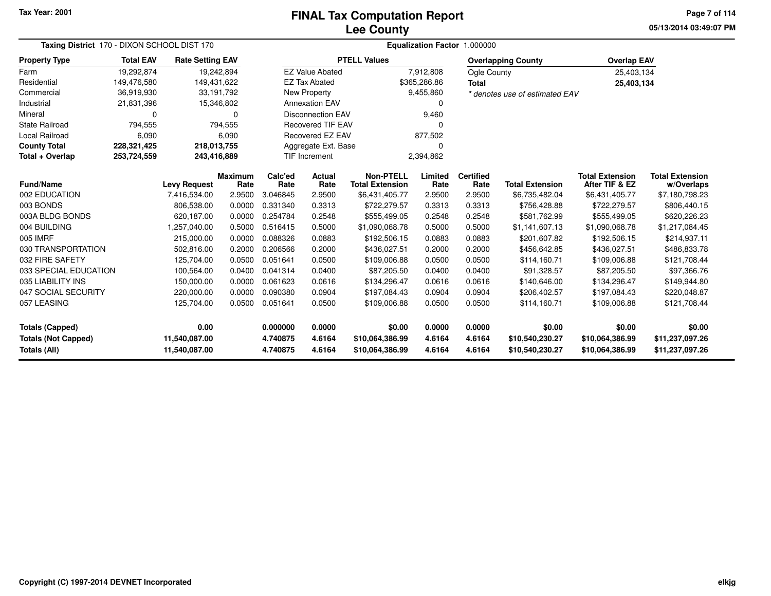# **Lee CountyFINAL Tax Computation Report**

**05/13/2014 03:49:07 PM Page 7 of 114**

| Taxing District 170 - DIXON SCHOOL DIST 170 |                  |                                     |                 | Equalization Factor 1.000000 |                                 |                                            |                  |                          |                                    |                                          |                                    |  |  |
|---------------------------------------------|------------------|-------------------------------------|-----------------|------------------------------|---------------------------------|--------------------------------------------|------------------|--------------------------|------------------------------------|------------------------------------------|------------------------------------|--|--|
| <b>Property Type</b>                        | <b>Total EAV</b> | <b>Rate Setting EAV</b>             |                 |                              |                                 | <b>PTELL Values</b>                        |                  |                          | <b>Overlapping County</b>          | <b>Overlap EAV</b>                       |                                    |  |  |
| Farm                                        | 19,292,874       | 19,242,894                          |                 |                              | <b>EZ Value Abated</b>          |                                            | 7,912,808        | Ogle County              |                                    | 25,403,134                               |                                    |  |  |
| Residential                                 | 149,476,580      | 149,431,622                         |                 |                              | <b>EZ Tax Abated</b>            |                                            | \$365,286.86     | <b>Total</b>             |                                    | 25,403,134                               |                                    |  |  |
| Commercial                                  | 36,919,930       | 33,191,792                          |                 |                              | New Property                    |                                            | 9,455,860        |                          | * denotes use of estimated EAV     |                                          |                                    |  |  |
| Industrial                                  | 21,831,396       | 15,346,802                          |                 |                              | <b>Annexation EAV</b>           |                                            | 0                |                          |                                    |                                          |                                    |  |  |
| Mineral                                     | 0                |                                     | $\Omega$        |                              | <b>Disconnection EAV</b>        |                                            | 9,460            |                          |                                    |                                          |                                    |  |  |
| <b>State Railroad</b>                       | 794,555          |                                     | 794,555         |                              | <b>Recovered TIF EAV</b>        |                                            | $\Omega$         |                          |                                    |                                          |                                    |  |  |
| Local Railroad                              | 6,090            |                                     | 6,090           |                              | Recovered EZ EAV                |                                            | 877,502          |                          |                                    |                                          |                                    |  |  |
| <b>County Total</b>                         | 228,321,425      | 218,013,755                         |                 |                              | Aggregate Ext. Base<br>$\Omega$ |                                            |                  |                          |                                    |                                          |                                    |  |  |
| Total + Overlap                             | 253,724,559      | 243,416,889                         |                 |                              | <b>TIF Increment</b>            |                                            | 2,394,862        |                          |                                    |                                          |                                    |  |  |
| Fund/Name                                   |                  |                                     | Maximum<br>Rate | Calc'ed<br>Rate              | Actual<br>Rate                  | <b>Non-PTELL</b><br><b>Total Extension</b> | Limited<br>Rate  | <b>Certified</b><br>Rate | <b>Total Extension</b>             | <b>Total Extension</b><br>After TIF & EZ | <b>Total Extension</b>             |  |  |
| 002 EDUCATION                               |                  | <b>Levy Request</b><br>7,416,534.00 | 2.9500          | 3.046845                     | 2.9500                          | \$6,431,405.77                             | 2.9500           | 2.9500                   | \$6,735,482.04                     | \$6,431,405.77                           | w/Overlaps<br>\$7,180,798.23       |  |  |
| 003 BONDS                                   |                  | 806,538.00                          | 0.0000          | 0.331340                     | 0.3313                          | \$722,279.57                               | 0.3313           | 0.3313                   | \$756,428.88                       | \$722,279.57                             | \$806,440.15                       |  |  |
| 003A BLDG BONDS                             |                  | 620,187.00                          | 0.0000          | 0.254784                     | 0.2548                          | \$555,499.05                               | 0.2548           | 0.2548                   | \$581,762.99                       | \$555,499.05                             | \$620,226.23                       |  |  |
| 004 BUILDING                                |                  | 1.257.040.00                        | 0.5000          | 0.516415                     | 0.5000                          | \$1,090,068.78                             | 0.5000           | 0.5000                   | \$1.141.607.13                     | \$1,090,068.78                           | \$1,217,084.45                     |  |  |
| 005 IMRF                                    |                  | 215,000.00                          | 0.0000          | 0.088326                     | 0.0883                          | \$192,506.15                               | 0.0883           | 0.0883                   | \$201,607.82                       | \$192,506.15                             | \$214,937.11                       |  |  |
| 030 TRANSPORTATION                          |                  | 502.816.00                          | 0.2000          | 0.206566                     | 0.2000                          | \$436,027.51                               | 0.2000           | 0.2000                   | \$456,642.85                       | \$436,027.51                             | \$486,833.78                       |  |  |
| 032 FIRE SAFETY                             |                  | 125,704.00                          | 0.0500          | 0.051641                     | 0.0500                          | \$109,006.88                               | 0.0500           | 0.0500                   | \$114,160.71                       | \$109,006.88                             | \$121,708.44                       |  |  |
| 033 SPECIAL EDUCATION                       |                  | 100,564.00                          | 0.0400          | 0.041314                     | 0.0400                          | \$87,205.50                                | 0.0400           | 0.0400                   | \$91,328.57                        | \$87,205.50                              | \$97,366.76                        |  |  |
| 035 LIABILITY INS                           |                  | 150,000.00                          | 0.0000          | 0.061623                     | 0.0616                          | \$134,296.47                               | 0.0616           | 0.0616                   | \$140,646.00                       | \$134,296.47                             | \$149,944.80                       |  |  |
| 047 SOCIAL SECURITY                         |                  | 220,000.00                          | 0.0000          | 0.090380                     | 0.0904                          | \$197,084.43                               | 0.0904           | 0.0904                   | \$206,402.57                       | \$197,084.43                             | \$220,048.87                       |  |  |
| 057 LEASING                                 |                  | 125,704.00                          | 0.0500          | 0.051641                     | 0.0500                          | \$109,006.88                               | 0.0500           | 0.0500                   | \$114,160.71                       | \$109,006.88                             | \$121,708.44                       |  |  |
| <b>Totals (Capped)</b>                      |                  | 0.00                                |                 | 0.000000                     | 0.0000                          | \$0.00                                     | 0.0000           | 0.0000                   | \$0.00                             | \$0.00                                   | \$0.00                             |  |  |
| <b>Totals (Not Capped)</b><br>Totals (All)  |                  | 11,540,087.00<br>11,540,087.00      |                 | 4.740875<br>4.740875         | 4.6164<br>4.6164                | \$10,064,386.99<br>\$10,064,386.99         | 4.6164<br>4.6164 | 4.6164<br>4.6164         | \$10,540,230.27<br>\$10,540,230.27 | \$10,064,386.99<br>\$10,064,386.99       | \$11,237,097.26<br>\$11,237,097.26 |  |  |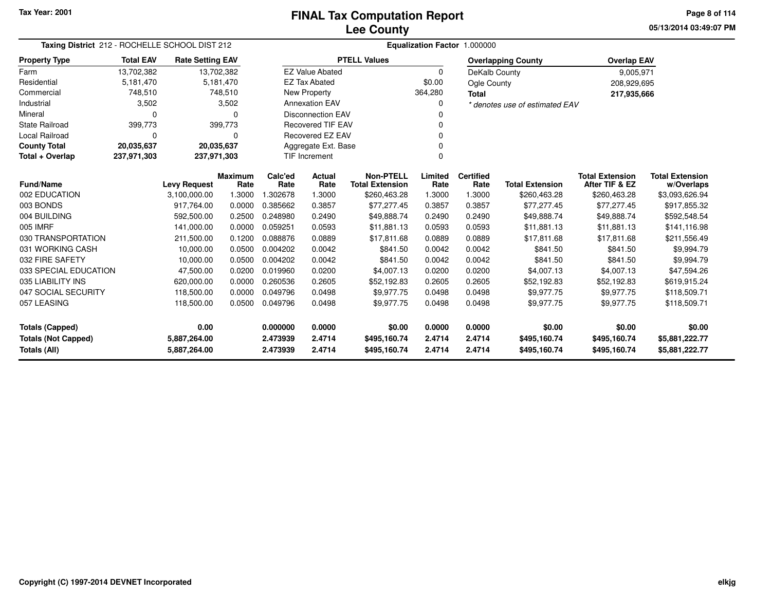**05/13/2014 03:49:07 PMPage 8 of 114**

| Taxing District 212 - ROCHELLE SCHOOL DIST 212 |                  |                         |                        | Equalization Factor 1.000000 |                                                              |                                            |                 |                          |                           |                                          |                                      |  |
|------------------------------------------------|------------------|-------------------------|------------------------|------------------------------|--------------------------------------------------------------|--------------------------------------------|-----------------|--------------------------|---------------------------|------------------------------------------|--------------------------------------|--|
| <b>Property Type</b>                           | <b>Total EAV</b> | <b>Rate Setting EAV</b> |                        |                              |                                                              | <b>PTELL Values</b>                        |                 |                          | <b>Overlapping County</b> | <b>Overlap EAV</b>                       |                                      |  |
| Farm                                           | 13,702,382       | 13,702,382              |                        |                              | <b>EZ Value Abated</b>                                       |                                            | $\Omega$        | DeKalb County            |                           | 9,005,971                                |                                      |  |
| Residential                                    | 5,181,470        |                         | 5,181,470              |                              | <b>EZ Tax Abated</b>                                         |                                            | \$0.00          | Ogle County              |                           | 208,929,695                              |                                      |  |
| Commercial                                     | 748,510          |                         | 748,510                |                              | New Property                                                 |                                            | 364,280         | <b>Total</b>             |                           | 217,935,666                              |                                      |  |
| Industrial                                     | 3,502            |                         | 3,502                  |                              | <b>Annexation EAV</b><br>0<br>* denotes use of estimated EAV |                                            |                 |                          |                           |                                          |                                      |  |
| Mineral                                        | $\Omega$         |                         | 0                      |                              | <b>Disconnection EAV</b>                                     |                                            |                 |                          |                           |                                          |                                      |  |
| <b>State Railroad</b>                          | 399,773          |                         | 399,773                |                              | <b>Recovered TIF EAV</b>                                     |                                            |                 |                          |                           |                                          |                                      |  |
| Local Railroad                                 | $\Omega$         |                         | $\Omega$               |                              | <b>Recovered EZ EAV</b>                                      |                                            | ŋ               |                          |                           |                                          |                                      |  |
| <b>County Total</b>                            | 20,035,637       | 20,035,637              |                        |                              | Aggregate Ext. Base                                          |                                            |                 |                          |                           |                                          |                                      |  |
| Total + Overlap                                | 237,971,303      | 237,971,303             |                        |                              | <b>TIF Increment</b>                                         |                                            | $\Omega$        |                          |                           |                                          |                                      |  |
| <b>Fund/Name</b>                               |                  | <b>Levy Request</b>     | <b>Maximum</b><br>Rate | Calc'ed<br>Rate              | Actual<br>Rate                                               | <b>Non-PTELL</b><br><b>Total Extension</b> | Limited<br>Rate | <b>Certified</b><br>Rate | <b>Total Extension</b>    | <b>Total Extension</b><br>After TIF & EZ | <b>Total Extension</b><br>w/Overlaps |  |
| 002 EDUCATION                                  |                  | 3,100,000.00            | 1.3000                 | 1.302678                     | 1.3000                                                       | \$260,463.28                               | 1.3000          | 1.3000                   | \$260,463.28              | \$260,463.28                             | \$3,093,626.94                       |  |
| 003 BONDS                                      |                  | 917,764.00              | 0.0000                 | 0.385662                     | 0.3857                                                       | \$77,277.45                                | 0.3857          | 0.3857                   | \$77,277.45               | \$77,277.45                              | \$917,855.32                         |  |
| 004 BUILDING                                   |                  | 592,500.00              | 0.2500                 | 0.248980                     | 0.2490                                                       | \$49,888.74                                | 0.2490          | 0.2490                   | \$49,888.74               | \$49,888.74                              | \$592,548.54                         |  |
| 005 IMRF                                       |                  | 141,000.00              | 0.0000                 | 0.059251                     | 0.0593                                                       | \$11.881.13                                | 0.0593          | 0.0593                   | \$11.881.13               | \$11,881.13                              | \$141,116.98                         |  |
| 030 TRANSPORTATION                             |                  | 211,500.00              | 0.1200                 | 0.088876                     | 0.0889                                                       | \$17,811.68                                | 0.0889          | 0.0889                   | \$17,811.68               | \$17,811.68                              | \$211,556.49                         |  |
| 031 WORKING CASH                               |                  | 10,000.00               | 0.0500                 | 0.004202                     | 0.0042                                                       | \$841.50                                   | 0.0042          | 0.0042                   | \$841.50                  | \$841.50                                 | \$9,994.79                           |  |
| 032 FIRE SAFETY                                |                  | 10,000.00               | 0.0500                 | 0.004202                     | 0.0042                                                       | \$841.50                                   | 0.0042          | 0.0042                   | \$841.50                  | \$841.50                                 | \$9,994.79                           |  |
| 033 SPECIAL EDUCATION                          |                  | 47,500.00               | 0.0200                 | 0.019960                     | 0.0200                                                       | \$4,007.13                                 | 0.0200          | 0.0200                   | \$4,007.13                | \$4,007.13                               | \$47,594.26                          |  |
| 035 LIABILITY INS                              |                  | 620,000.00              | 0.0000                 | 0.260536                     | 0.2605                                                       | \$52,192.83                                | 0.2605          | 0.2605                   | \$52,192.83               | \$52,192.83                              | \$619,915.24                         |  |
| 047 SOCIAL SECURITY                            |                  | 118,500.00              | 0.0000                 | 0.049796                     | 0.0498                                                       | \$9,977.75                                 | 0.0498          | 0.0498                   | \$9,977.75                | \$9,977.75                               | \$118,509.71                         |  |
| 057 LEASING                                    |                  | 118,500.00              | 0.0500                 | 0.049796                     | 0.0498                                                       | \$9,977.75                                 | 0.0498          | 0.0498                   | \$9,977.75                | \$9,977.75                               | \$118,509.71                         |  |
| 0.00<br><b>Totals (Capped)</b>                 |                  |                         |                        | 0.000000                     | 0.0000                                                       | \$0.00                                     | 0.0000          | 0.0000                   | \$0.00                    | \$0.00                                   | \$0.00                               |  |
| <b>Totals (Not Capped)</b><br>5,887,264.00     |                  |                         | 2.473939               | 2.4714                       | \$495,160.74                                                 | 2.4714                                     | 2.4714          | \$495,160.74             | \$495,160.74              | \$5,881,222.77                           |                                      |  |
| <b>Totals (All)</b>                            |                  | 5,887,264.00            |                        | 2.473939                     | 2.4714                                                       | \$495,160.74                               | 2.4714          | 2.4714                   | \$495,160.74              | \$495,160.74                             | \$5,881,222.77                       |  |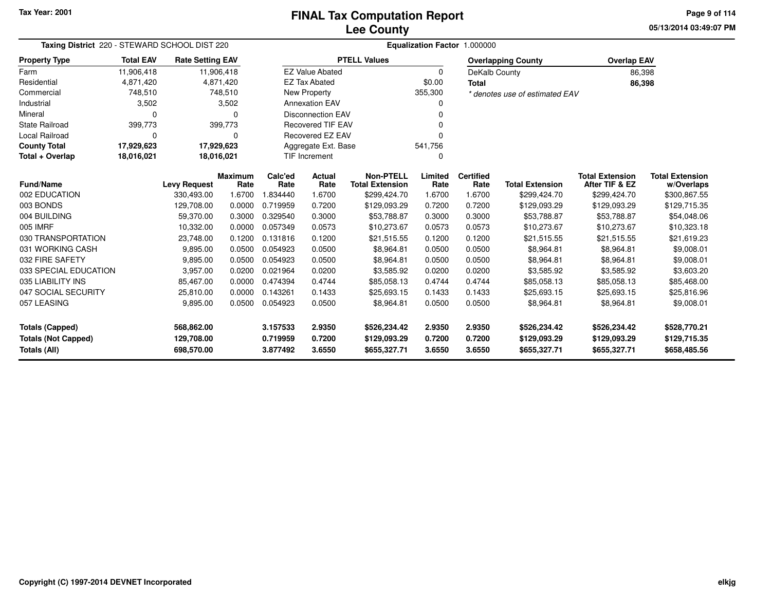**05/13/2014 03:49:07 PM Page 9 of 114**

| Taxing District 220 - STEWARD SCHOOL DIST 220 |                          |                         |                        | Equalization Factor 1.000000 |                          |                                            |                 |                          |                                |                                          |                                      |  |  |
|-----------------------------------------------|--------------------------|-------------------------|------------------------|------------------------------|--------------------------|--------------------------------------------|-----------------|--------------------------|--------------------------------|------------------------------------------|--------------------------------------|--|--|
| <b>Property Type</b>                          | <b>Total EAV</b>         | <b>Rate Setting EAV</b> |                        |                              |                          | <b>PTELL Values</b>                        |                 |                          | <b>Overlapping County</b>      | <b>Overlap EAV</b>                       |                                      |  |  |
| Farm                                          | 11,906,418               |                         | 11,906,418             |                              | <b>EZ Value Abated</b>   |                                            | 0               | DeKalb County            |                                |                                          | 86,398                               |  |  |
| Residential                                   | 4,871,420                |                         | 4,871,420              |                              | <b>EZ Tax Abated</b>     |                                            | \$0.00          | <b>Total</b>             |                                |                                          | 86,398                               |  |  |
| Commercial                                    | 748,510                  |                         | 748,510                |                              | New Property             |                                            | 355,300         |                          | * denotes use of estimated EAV |                                          |                                      |  |  |
| Industrial                                    | 3,502                    |                         | 3,502                  |                              | <b>Annexation EAV</b>    |                                            | 0               |                          |                                |                                          |                                      |  |  |
| Mineral                                       | 0                        |                         | 0                      |                              | <b>Disconnection EAV</b> |                                            |                 |                          |                                |                                          |                                      |  |  |
| <b>State Railroad</b>                         | 399,773                  |                         | 399,773                |                              | <b>Recovered TIF EAV</b> |                                            | $\Omega$        |                          |                                |                                          |                                      |  |  |
| <b>Local Railroad</b>                         | 0                        |                         | 0                      |                              | <b>Recovered EZ EAV</b>  |                                            | $\Omega$        |                          |                                |                                          |                                      |  |  |
| <b>County Total</b>                           | 17,929,623               |                         | 17,929,623             |                              | Aggregate Ext. Base      |                                            | 541,756         |                          |                                |                                          |                                      |  |  |
| Total + Overlap                               | 18,016,021<br>18,016,021 |                         |                        |                              | <b>TIF Increment</b>     |                                            | $\Omega$        |                          |                                |                                          |                                      |  |  |
| <b>Fund/Name</b>                              |                          | <b>Levy Request</b>     | <b>Maximum</b><br>Rate | Calc'ed<br>Rate              | Actual<br>Rate           | <b>Non-PTELL</b><br><b>Total Extension</b> | Limited<br>Rate | <b>Certified</b><br>Rate | <b>Total Extension</b>         | <b>Total Extension</b><br>After TIF & EZ | <b>Total Extension</b><br>w/Overlaps |  |  |
| 002 EDUCATION                                 |                          | 330,493.00              | 1.6700                 | 1.834440                     | 1.6700                   | \$299,424.70                               | 1.6700          | 1.6700                   | \$299,424.70                   | \$299,424.70                             | \$300,867.55                         |  |  |
| 003 BONDS                                     |                          | 129,708.00              | 0.0000                 | 0.719959                     | 0.7200                   | \$129,093.29                               | 0.7200          | 0.7200                   | \$129,093.29                   | \$129,093.29                             | \$129,715.35                         |  |  |
| 004 BUILDING                                  |                          | 59,370.00               | 0.3000                 | 0.329540                     | 0.3000                   | \$53,788.87                                | 0.3000          | 0.3000                   | \$53,788.87                    | \$53,788.87                              | \$54,048.06                          |  |  |
| 005 IMRF                                      |                          | 10,332.00               | 0.0000                 | 0.057349                     | 0.0573                   | \$10,273.67                                | 0.0573          | 0.0573                   | \$10,273.67                    | \$10,273.67                              | \$10,323.18                          |  |  |
| 030 TRANSPORTATION                            |                          | 23,748.00               | 0.1200                 | 0.131816                     | 0.1200                   | \$21,515.55                                | 0.1200          | 0.1200                   | \$21,515.55                    | \$21,515.55                              | \$21,619.23                          |  |  |
| 031 WORKING CASH                              |                          | 9,895.00                | 0.0500                 | 0.054923                     | 0.0500                   | \$8,964.81                                 | 0.0500          | 0.0500                   | \$8,964.81                     | \$8,964.81                               | \$9,008.01                           |  |  |
| 032 FIRE SAFETY                               |                          | 9,895.00                | 0.0500                 | 0.054923                     | 0.0500                   | \$8,964.81                                 | 0.0500          | 0.0500                   | \$8,964.81                     | \$8,964.81                               | \$9,008.01                           |  |  |
| 033 SPECIAL EDUCATION                         |                          | 3,957.00                | 0.0200                 | 0.021964                     | 0.0200                   | \$3,585.92                                 | 0.0200          | 0.0200                   | \$3,585.92                     | \$3,585.92                               | \$3,603.20                           |  |  |
| 035 LIABILITY INS                             |                          | 85,467.00               | 0.0000                 | 0.474394                     | 0.4744                   | \$85,058.13                                | 0.4744          | 0.4744                   | \$85,058.13                    | \$85,058.13                              | \$85,468.00                          |  |  |
| 047 SOCIAL SECURITY                           |                          | 25,810.00               | 0.0000                 | 0.143261                     | 0.1433                   | \$25,693.15                                | 0.1433          | 0.1433                   | \$25,693.15                    | \$25,693.15                              | \$25,816.96                          |  |  |
| 057 LEASING                                   |                          | 9,895.00                | 0.0500                 | 0.054923                     | 0.0500                   | \$8,964.81                                 | 0.0500          | 0.0500                   | \$8,964.81                     | \$8,964.81                               | \$9,008.01                           |  |  |
| <b>Totals (Capped)</b>                        |                          | 568,862.00              |                        | 3.157533                     | 2.9350                   | \$526,234.42                               | 2.9350          | 2.9350                   | \$526,234.42                   | \$526,234.42                             | \$528,770.21                         |  |  |
| <b>Totals (Not Capped)</b>                    |                          | 129,708.00              |                        | 0.719959                     | 0.7200                   | \$129,093.29                               | 0.7200          | 0.7200                   | \$129,093.29                   | \$129,093.29                             | \$129,715.35                         |  |  |
| <b>Totals (All)</b>                           |                          | 698,570.00              |                        | 3.877492                     | 3.6550                   | \$655,327.71                               | 3.6550          | 3.6550                   | \$655,327.71                   | \$655,327.71                             | \$658,485.56                         |  |  |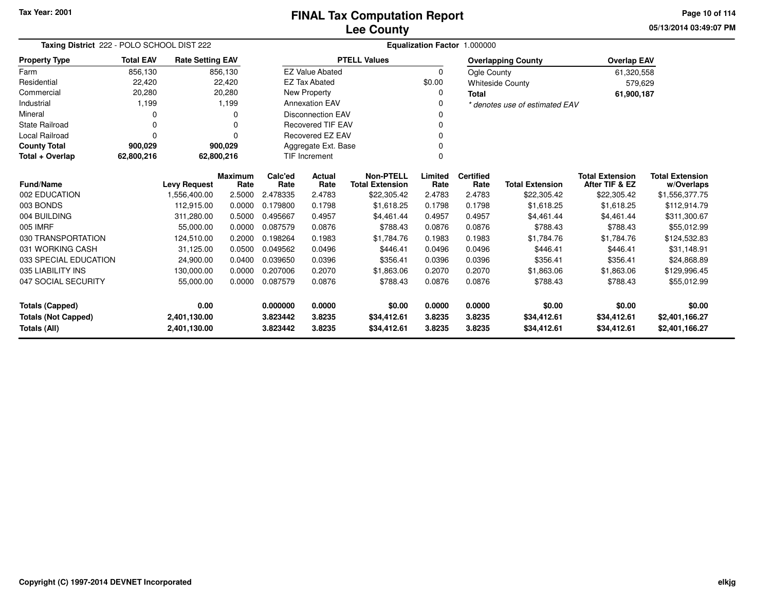# **Lee CountyFINAL Tax Computation Report**

**05/13/2014 03:49:07 PM Page 10 of 114**

| Taxing District 222 - POLO SCHOOL DIST 222 |                  |                         |                        |                 |                            |                                            |                 | Equalization Factor 1.000000 |                                |                                          |                                      |
|--------------------------------------------|------------------|-------------------------|------------------------|-----------------|----------------------------|--------------------------------------------|-----------------|------------------------------|--------------------------------|------------------------------------------|--------------------------------------|
| <b>Property Type</b>                       | <b>Total EAV</b> | <b>Rate Setting EAV</b> |                        |                 |                            | <b>PTELL Values</b>                        |                 |                              | <b>Overlapping County</b>      | <b>Overlap EAV</b>                       |                                      |
| Farm                                       | 856,130          |                         | 856,130                |                 | <b>EZ Value Abated</b>     |                                            | 0               | Ogle County                  |                                | 61,320,558                               |                                      |
| Residential                                | 22,420           |                         | 22,420                 |                 | <b>EZ Tax Abated</b>       |                                            | \$0.00          |                              | <b>Whiteside County</b>        | 579,629                                  |                                      |
| Commercial                                 | 20,280           |                         | 20,280                 |                 | New Property               |                                            | 0               | <b>Total</b>                 |                                | 61,900,187                               |                                      |
| Industrial                                 | 1,199            |                         | 1,199                  |                 | <b>Annexation EAV</b><br>n |                                            |                 |                              | * denotes use of estimated EAV |                                          |                                      |
| Mineral                                    |                  |                         | O                      |                 | <b>Disconnection EAV</b>   |                                            |                 |                              |                                |                                          |                                      |
| <b>State Railroad</b>                      | 0                |                         | $\Omega$               |                 | <b>Recovered TIF EAV</b>   |                                            |                 |                              |                                |                                          |                                      |
| <b>Local Railroad</b>                      | 0                |                         | $\Omega$               |                 | Recovered EZ EAV           |                                            |                 |                              |                                |                                          |                                      |
| <b>County Total</b>                        | 900,029          |                         | 900,029                |                 | Aggregate Ext. Base        |                                            |                 |                              |                                |                                          |                                      |
| Total + Overlap                            | 62,800,216       | 62,800,216              |                        |                 | <b>TIF Increment</b><br>0  |                                            |                 |                              |                                |                                          |                                      |
| <b>Fund/Name</b>                           |                  | <b>Levy Request</b>     | <b>Maximum</b><br>Rate | Calc'ed<br>Rate | <b>Actual</b><br>Rate      | <b>Non-PTELL</b><br><b>Total Extension</b> | Limited<br>Rate | <b>Certified</b><br>Rate     | <b>Total Extension</b>         | <b>Total Extension</b><br>After TIF & EZ | <b>Total Extension</b><br>w/Overlaps |
| 002 EDUCATION                              |                  | 1,556,400.00            | 2.5000                 | 2.478335        | 2.4783                     | \$22,305.42                                | 2.4783          | 2.4783                       | \$22,305.42                    | \$22,305.42                              | \$1,556,377.75                       |
| 003 BONDS                                  |                  | 112.915.00              | 0.0000                 | 0.179800        | 0.1798                     | \$1,618.25                                 | 0.1798          | 0.1798                       | \$1,618.25                     | \$1,618.25                               | \$112,914.79                         |
| 004 BUILDING                               |                  | 311,280.00              | 0.5000                 | 0.495667        | 0.4957                     | \$4,461.44                                 | 0.4957          | 0.4957                       | \$4,461.44                     | \$4,461.44                               | \$311,300.67                         |
| 005 IMRF                                   |                  | 55,000.00               | 0.0000                 | 0.087579        | 0.0876                     | \$788.43                                   | 0.0876          | 0.0876                       | \$788.43                       | \$788.43                                 | \$55,012.99                          |
| 030 TRANSPORTATION                         |                  | 124.510.00              | 0.2000                 | 0.198264        | 0.1983                     | \$1,784.76                                 | 0.1983          | 0.1983                       | \$1,784.76                     | \$1,784.76                               | \$124,532.83                         |
| 031 WORKING CASH                           |                  | 31,125.00               | 0.0500                 | 0.049562        | 0.0496                     | \$446.41                                   | 0.0496          | 0.0496                       | \$446.41                       | \$446.41                                 | \$31,148.91                          |
| 033 SPECIAL EDUCATION                      |                  | 24,900.00               | 0.0400                 | 0.039650        | 0.0396                     | \$356.41                                   | 0.0396          | 0.0396                       | \$356.41                       | \$356.41                                 | \$24,868.89                          |
| 035 LIABILITY INS                          |                  | 130,000.00              | 0.0000                 | 0.207006        | 0.2070                     | \$1,863.06                                 | 0.2070          | 0.2070                       | \$1,863.06                     | \$1,863.06                               | \$129,996.45                         |
| 047 SOCIAL SECURITY                        |                  | 55,000.00               | 0.0000                 | 0.087579        | 0.0876                     | \$788.43                                   | 0.0876          | 0.0876                       | \$788.43                       | \$788.43                                 | \$55,012.99                          |
| <b>Totals (Capped)</b>                     |                  | 0.00                    |                        | 0.000000        | 0.0000                     | \$0.00                                     | 0.0000          | 0.0000                       | \$0.00                         | \$0.00                                   | \$0.00                               |
| <b>Totals (Not Capped)</b>                 |                  | 2,401,130.00            |                        | 3.823442        | 3.8235                     | \$34,412.61                                | 3.8235          | 3.8235                       | \$34,412.61                    | \$34,412.61                              | \$2,401,166.27                       |
| <b>Totals (All)</b>                        |                  | 2,401,130.00            |                        | 3.823442        | 3.8235                     | \$34,412.61                                | 3.8235          | 3.8235                       | \$34,412.61                    | \$34,412.61                              | \$2,401,166.27                       |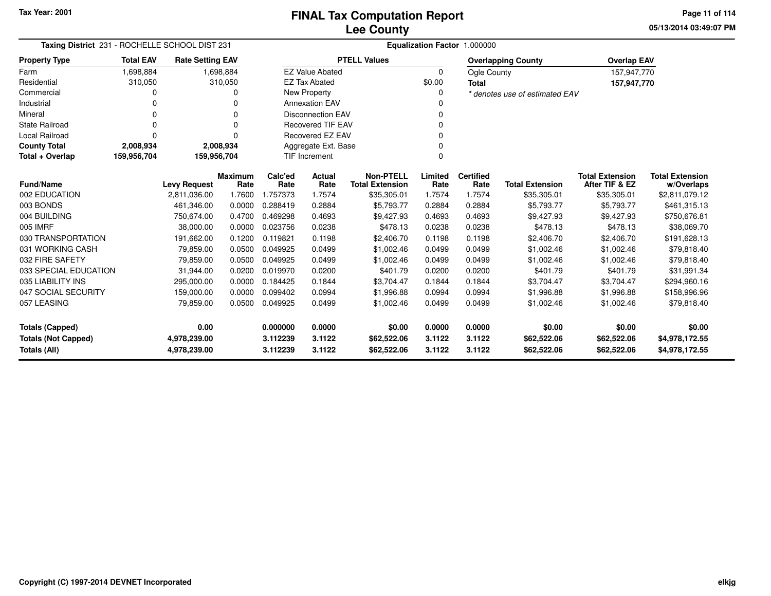**05/13/2014 03:49:07 PMPage 11 of 114**

| Taxing District 231 - ROCHELLE SCHOOL DIST 231 |                  |                         |           | Equalization Factor 1.000000 |                          |                        |          |                  |                                |                        |                        |  |  |
|------------------------------------------------|------------------|-------------------------|-----------|------------------------------|--------------------------|------------------------|----------|------------------|--------------------------------|------------------------|------------------------|--|--|
| <b>Property Type</b>                           | <b>Total EAV</b> | <b>Rate Setting EAV</b> |           |                              |                          | <b>PTELL Values</b>    |          |                  | <b>Overlapping County</b>      | <b>Overlap EAV</b>     |                        |  |  |
| Farm                                           | 1,698,884        |                         | 1,698,884 |                              | <b>EZ Value Abated</b>   |                        | $\Omega$ | Ogle County      |                                | 157,947,770            |                        |  |  |
| Residential                                    | 310,050          |                         | 310,050   |                              | <b>EZ Tax Abated</b>     |                        | \$0.00   | <b>Total</b>     |                                | 157,947,770            |                        |  |  |
| Commercial                                     | ი                |                         | O         |                              | <b>New Property</b>      |                        |          |                  | * denotes use of estimated EAV |                        |                        |  |  |
| Industrial                                     | 0                |                         |           |                              | <b>Annexation EAV</b>    |                        |          |                  |                                |                        |                        |  |  |
| Mineral                                        | 0                |                         | $\Omega$  |                              | <b>Disconnection EAV</b> |                        |          |                  |                                |                        |                        |  |  |
| <b>State Railroad</b>                          | $\Omega$         |                         | $\Omega$  |                              | <b>Recovered TIF EAV</b> |                        |          |                  |                                |                        |                        |  |  |
| Local Railroad                                 | $\Omega$         |                         | $\Omega$  |                              | <b>Recovered EZ EAV</b>  |                        |          |                  |                                |                        |                        |  |  |
| <b>County Total</b>                            | 2,008,934        |                         | 2,008,934 | Aggregate Ext. Base          |                          |                        |          |                  |                                |                        |                        |  |  |
| Total + Overlap                                | 159,956,704      | 159,956,704             |           | TIF Increment                |                          |                        |          |                  |                                |                        |                        |  |  |
|                                                |                  |                         | Maximum   | Calc'ed                      | Actual                   | <b>Non-PTELL</b>       | Limited  | <b>Certified</b> |                                | <b>Total Extension</b> | <b>Total Extension</b> |  |  |
| <b>Fund/Name</b>                               |                  | <b>Levy Request</b>     | Rate      | Rate                         | Rate                     | <b>Total Extension</b> | Rate     | Rate             | <b>Total Extension</b>         | After TIF & EZ         | w/Overlaps             |  |  |
| 002 EDUCATION                                  |                  | 2,811,036.00            | 1.7600    | 1.757373                     | 1.7574                   | \$35,305.01            | 1.7574   | 1.7574           | \$35,305.01                    | \$35,305.01            | \$2,811,079.12         |  |  |
| 003 BONDS                                      |                  | 461,346.00              | 0.0000    | 0.288419                     | 0.2884                   | \$5,793.77             | 0.2884   | 0.2884           | \$5,793.77                     | \$5,793.77             | \$461,315.13           |  |  |
| 004 BUILDING                                   |                  | 750,674.00              | 0.4700    | 0.469298                     | 0.4693                   | \$9,427.93             | 0.4693   | 0.4693           | \$9,427.93                     | \$9,427.93             | \$750,676.81           |  |  |
| 005 IMRF                                       |                  | 38.000.00               | 0.0000    | 0.023756                     | 0.0238                   | \$478.13               | 0.0238   | 0.0238           | \$478.13                       | \$478.13               | \$38,069.70            |  |  |
| 030 TRANSPORTATION                             |                  | 191,662.00              | 0.1200    | 0.119821                     | 0.1198                   | \$2,406.70             | 0.1198   | 0.1198           | \$2,406.70                     | \$2,406.70             | \$191,628.13           |  |  |
| 031 WORKING CASH                               |                  | 79,859.00               | 0.0500    | 0.049925                     | 0.0499                   | \$1,002.46             | 0.0499   | 0.0499           | \$1,002.46                     | \$1,002.46             | \$79,818.40            |  |  |
| 032 FIRE SAFETY                                |                  | 79,859.00               | 0.0500    | 0.049925                     | 0.0499                   | \$1,002.46             | 0.0499   | 0.0499           | \$1,002.46                     | \$1,002.46             | \$79,818.40            |  |  |
| 033 SPECIAL EDUCATION                          |                  | 31,944.00               | 0.0200    | 0.019970                     | 0.0200                   | \$401.79               | 0.0200   | 0.0200           | \$401.79                       | \$401.79               | \$31,991.34            |  |  |
| 035 LIABILITY INS                              |                  | 295,000.00              | 0.0000    | 0.184425                     | 0.1844                   | \$3,704.47             | 0.1844   | 0.1844           | \$3,704.47                     | \$3,704.47             | \$294,960.16           |  |  |
| 047 SOCIAL SECURITY                            |                  | 159,000.00              | 0.0000    | 0.099402                     | 0.0994                   | \$1,996.88             | 0.0994   | 0.0994           | \$1,996.88                     | \$1,996.88             | \$158,996.96           |  |  |
| 057 LEASING                                    |                  | 79,859.00               | 0.0500    | 0.049925                     | 0.0499                   | \$1,002.46             | 0.0499   | 0.0499           | \$1,002.46                     | \$1,002.46             | \$79,818.40            |  |  |
| Totals (Capped)                                |                  | 0.00                    |           | 0.000000                     | 0.0000                   | \$0.00                 | 0.0000   | 0.0000           | \$0.00                         | \$0.00                 | \$0.00                 |  |  |
| <b>Totals (Not Capped)</b>                     |                  | 4,978,239.00            |           | 3.112239                     | 3.1122                   | \$62,522.06            | 3.1122   | 3.1122           | \$62,522.06                    | \$62,522.06            | \$4,978,172.55         |  |  |
| Totals (All)                                   |                  | 4,978,239.00            |           | 3.112239                     | 3.1122                   | \$62,522.06            | 3.1122   | 3.1122           | \$62,522.06                    | \$62,522.06            | \$4,978,172.55         |  |  |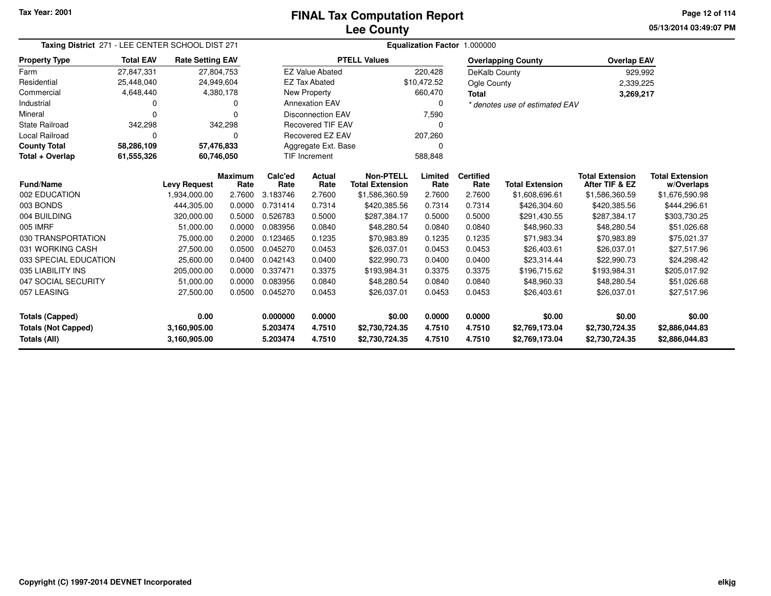**05/13/2014 03:49:07 PM Page 12 of 114**

| Taxing District 271 - LEE CENTER SCHOOL DIST 271 |                  |                                                                                                                                                                                                                              |                        | Equalization Factor 1.000000 |                                   |                                            |                 |                          |                                |                                          |                                      |  |  |
|--------------------------------------------------|------------------|------------------------------------------------------------------------------------------------------------------------------------------------------------------------------------------------------------------------------|------------------------|------------------------------|-----------------------------------|--------------------------------------------|-----------------|--------------------------|--------------------------------|------------------------------------------|--------------------------------------|--|--|
| <b>Property Type</b>                             | <b>Total EAV</b> | <b>Rate Setting EAV</b>                                                                                                                                                                                                      |                        |                              |                                   | <b>PTELL Values</b>                        |                 |                          | <b>Overlapping County</b>      | <b>Overlap EAV</b>                       |                                      |  |  |
| Farm                                             | 27.847.331       | 27,804,753                                                                                                                                                                                                                   |                        |                              | <b>EZ Value Abated</b>            |                                            | 220,428         | DeKalb County            |                                | 929,992                                  |                                      |  |  |
| Residential                                      | 25,448,040       | 24,949,604                                                                                                                                                                                                                   |                        |                              | <b>EZ Tax Abated</b>              |                                            | \$10.472.52     | Ogle County              |                                |                                          | 2,339,225                            |  |  |
| Commercial                                       | 4,648,440        | 4,380,178                                                                                                                                                                                                                    |                        |                              | <b>New Property</b><br>660,470    |                                            |                 | <b>Total</b>             | 3,269,217                      |                                          |                                      |  |  |
| Industrial                                       | 0                |                                                                                                                                                                                                                              | <sup>0</sup>           |                              | <b>Annexation EAV</b><br>$\Omega$ |                                            |                 |                          | * denotes use of estimated EAV |                                          |                                      |  |  |
| Mineral                                          | 0                |                                                                                                                                                                                                                              | $\Omega$               |                              | <b>Disconnection EAV</b><br>7,590 |                                            |                 |                          |                                |                                          |                                      |  |  |
| <b>State Railroad</b>                            | 342,298          |                                                                                                                                                                                                                              | 342,298                |                              | <b>Recovered TIF EAV</b><br>ი     |                                            |                 |                          |                                |                                          |                                      |  |  |
| <b>Local Railroad</b>                            | 0                |                                                                                                                                                                                                                              | $\Omega$               |                              | Recovered EZ EAV                  | 207,260                                    |                 |                          |                                |                                          |                                      |  |  |
| <b>County Total</b>                              | 58,286,109       | 57,476,833                                                                                                                                                                                                                   |                        |                              | Aggregate Ext. Base               |                                            |                 |                          |                                |                                          |                                      |  |  |
| Total + Overlap                                  | 61,555,326       | 60,746,050                                                                                                                                                                                                                   |                        |                              | <b>TIF Increment</b>              |                                            | 588,848         |                          |                                |                                          |                                      |  |  |
| <b>Fund/Name</b>                                 |                  | <b>Levy Request</b>                                                                                                                                                                                                          | <b>Maximum</b><br>Rate | Calc'ed<br>Rate              | <b>Actual</b><br>Rate             | <b>Non-PTELL</b><br><b>Total Extension</b> | Limited<br>Rate | <b>Certified</b><br>Rate | <b>Total Extension</b>         | <b>Total Extension</b><br>After TIF & EZ | <b>Total Extension</b><br>w/Overlaps |  |  |
| 002 EDUCATION                                    |                  | 1,934,000.00                                                                                                                                                                                                                 | 2.7600                 | 3.183746                     | 2.7600                            | \$1,586,360.59                             | 2.7600          | 2.7600                   | \$1,608,696.61                 | \$1,586,360.59                           | \$1,676,590.98                       |  |  |
| 003 BONDS                                        |                  | 444,305.00                                                                                                                                                                                                                   | 0.0000                 | 0.731414                     | 0.7314                            | \$420,385.56                               | 0.7314          | 0.7314                   | \$426,304.60                   | \$420,385.56                             | \$444,296.61                         |  |  |
| 004 BUILDING                                     |                  | 320,000.00                                                                                                                                                                                                                   | 0.5000                 | 0.526783                     | 0.5000                            | \$287,384.17                               | 0.5000          | 0.5000                   | \$291,430.55                   | \$287,384.17                             | \$303,730.25                         |  |  |
| 005 IMRF                                         |                  | 51,000.00                                                                                                                                                                                                                    | 0.0000                 | 0.083956                     | 0.0840                            | \$48,280.54                                | 0.0840          | 0.0840                   | \$48,960.33                    | \$48,280.54                              | \$51,026.68                          |  |  |
| 030 TRANSPORTATION                               |                  | 75,000.00                                                                                                                                                                                                                    | 0.2000                 | 0.123465                     | 0.1235                            | \$70,983.89                                | 0.1235          | 0.1235                   | \$71,983.34                    | \$70,983.89                              | \$75,021.37                          |  |  |
| 031 WORKING CASH                                 |                  | 27,500.00                                                                                                                                                                                                                    | 0.0500                 | 0.045270                     | 0.0453                            | \$26,037.01                                | 0.0453          | 0.0453                   | \$26,403.61                    | \$26,037.01                              | \$27,517.96                          |  |  |
| 033 SPECIAL EDUCATION                            |                  | 25,600.00                                                                                                                                                                                                                    | 0.0400                 | 0.042143                     | 0.0400                            | \$22,990.73                                | 0.0400          | 0.0400                   | \$23,314.44                    | \$22,990.73                              | \$24,298.42                          |  |  |
| 035 LIABILITY INS                                |                  | 205,000.00                                                                                                                                                                                                                   | 0.0000                 | 0.337471                     | 0.3375                            | \$193,984.31                               | 0.3375          | 0.3375                   | \$196,715.62                   | \$193,984.31                             | \$205,017.92                         |  |  |
| 047 SOCIAL SECURITY                              |                  | 51,000.00                                                                                                                                                                                                                    | 0.0000                 | 0.083956                     | 0.0840                            | \$48,280.54                                | 0.0840          | 0.0840                   | \$48,960.33                    | \$48,280.54                              | \$51,026.68                          |  |  |
| 057 LEASING                                      |                  | 27,500.00                                                                                                                                                                                                                    | 0.0500                 | 0.045270                     | 0.0453                            | \$26,037.01                                | 0.0453          | 0.0453                   | \$26,403.61                    | \$26,037.01                              | \$27,517.96                          |  |  |
| 0.00<br><b>Totals (Capped)</b>                   |                  |                                                                                                                                                                                                                              |                        | 0.000000                     | 0.0000                            | \$0.00                                     | 0.0000          | 0.0000                   | \$0.00                         | \$0.00                                   | \$0.00                               |  |  |
| <b>Totals (Not Capped)</b><br>Totals (All)       |                  | 3,160,905.00<br>5.203474<br>4.7510<br>\$2,730,724.35<br>4.7510<br>4.7510<br>\$2,769,173.04<br>\$2,730,724.35<br>5.203474<br>4.7510<br>4.7510<br>3,160,905.00<br>\$2,730,724.35<br>4.7510<br>\$2,769,173.04<br>\$2,730,724.35 |                        |                              | \$2,886,044.83<br>\$2,886,044.83  |                                            |                 |                          |                                |                                          |                                      |  |  |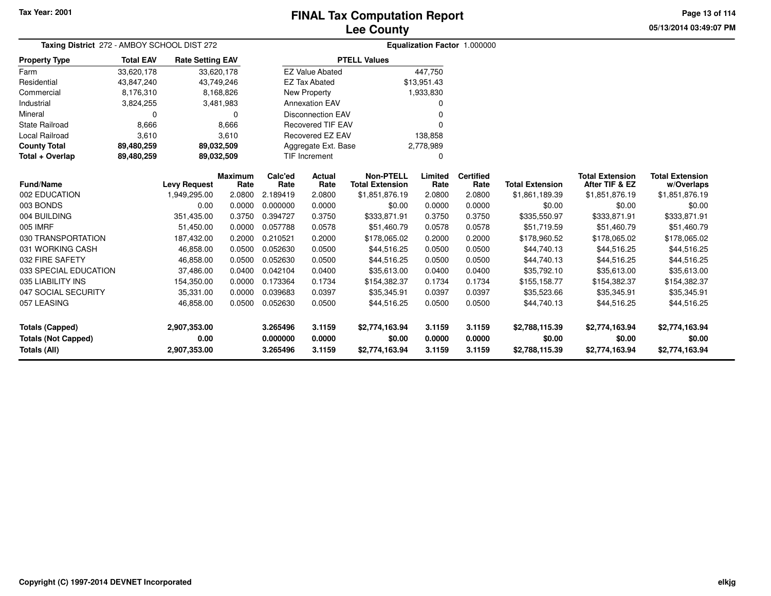## **Lee CountyFINAL Tax Computation Report**

**05/13/2014 03:49:07 PM Page 13 of 114**

| Taxing District 272 - AMBOY SCHOOL DIST 272 |                  | Equalization Factor 1.000000 |                |          |                          |                        |             |                  |                        |                        |                        |
|---------------------------------------------|------------------|------------------------------|----------------|----------|--------------------------|------------------------|-------------|------------------|------------------------|------------------------|------------------------|
| <b>Property Type</b>                        | <b>Total EAV</b> | <b>Rate Setting EAV</b>      |                |          |                          | <b>PTELL Values</b>    |             |                  |                        |                        |                        |
| Farm                                        | 33,620,178       |                              | 33,620,178     |          | <b>EZ Value Abated</b>   |                        | 447,750     |                  |                        |                        |                        |
| Residential                                 | 43,847,240       |                              | 43,749,246     |          | <b>EZ Tax Abated</b>     |                        | \$13,951.43 |                  |                        |                        |                        |
| Commercial                                  | 8,176,310        |                              | 8,168,826      |          | New Property             |                        | 1,933,830   |                  |                        |                        |                        |
| Industrial                                  | 3,824,255        |                              | 3,481,983      |          | <b>Annexation EAV</b>    |                        | o           |                  |                        |                        |                        |
| Mineral                                     | 0                |                              | 0              |          | <b>Disconnection EAV</b> |                        | ი           |                  |                        |                        |                        |
| <b>State Railroad</b>                       | 8,666            |                              | 8,666          |          | <b>Recovered TIF EAV</b> |                        |             |                  |                        |                        |                        |
| Local Railroad                              | 3,610            |                              | 3,610          |          | Recovered EZ EAV         |                        | 138,858     |                  |                        |                        |                        |
| <b>County Total</b>                         | 89,480,259       |                              | 89,032,509     |          | Aggregate Ext. Base      |                        | 2,778,989   |                  |                        |                        |                        |
| Total + Overlap                             | 89,480,259       |                              | 89,032,509     |          | <b>TIF Increment</b>     |                        | 0           |                  |                        |                        |                        |
|                                             |                  |                              | <b>Maximum</b> | Calc'ed  | Actual                   | <b>Non-PTELL</b>       | Limited     | <b>Certified</b> |                        | <b>Total Extension</b> | <b>Total Extension</b> |
| <b>Fund/Name</b><br>002 EDUCATION           |                  | <b>Levy Request</b>          | Rate           | Rate     | Rate                     | <b>Total Extension</b> | Rate        | Rate             | <b>Total Extension</b> | After TIF & EZ         | w/Overlaps             |
|                                             |                  | 1,949,295.00                 | 2.0800         | 2.189419 | 2.0800                   | \$1,851,876.19         | 2.0800      | 2.0800           | \$1,861,189.39         | \$1,851,876.19         | \$1,851,876.19         |
| 003 BONDS                                   |                  | 0.00                         | 0.0000         | 0.000000 | 0.0000                   | \$0.00                 | 0.0000      | 0.0000           | \$0.00                 | \$0.00                 | \$0.00                 |
| 004 BUILDING                                |                  | 351,435.00                   | 0.3750         | 0.394727 | 0.3750                   | \$333,871.91           | 0.3750      | 0.3750           | \$335,550.97           | \$333,871.91           | \$333,871.91           |
| 005 IMRF                                    |                  | 51,450.00                    | 0.0000         | 0.057788 | 0.0578                   | \$51,460.79            | 0.0578      | 0.0578           | \$51,719.59            | \$51,460.79            | \$51,460.79            |
| 030 TRANSPORTATION                          |                  | 187,432.00                   | 0.2000         | 0.210521 | 0.2000                   | \$178,065.02           | 0.2000      | 0.2000           | \$178,960.52           | \$178,065.02           | \$178,065.02           |
| 031 WORKING CASH                            |                  | 46,858.00                    | 0.0500         | 0.052630 | 0.0500                   | \$44,516.25            | 0.0500      | 0.0500           | \$44,740.13            | \$44,516.25            | \$44,516.25            |
| 032 FIRE SAFETY                             |                  | 46,858.00                    | 0.0500         | 0.052630 | 0.0500                   | \$44,516.25            | 0.0500      | 0.0500           | \$44,740.13            | \$44,516.25            | \$44,516.25            |
| 033 SPECIAL EDUCATION                       |                  | 37,486.00                    | 0.0400         | 0.042104 | 0.0400                   | \$35,613.00            | 0.0400      | 0.0400           | \$35,792.10            | \$35,613.00            | \$35,613.00            |
| 035 LIABILITY INS                           |                  | 154,350.00                   | 0.0000         | 0.173364 | 0.1734                   | \$154,382.37           | 0.1734      | 0.1734           | \$155,158.77           | \$154,382.37           | \$154,382.37           |
| 047 SOCIAL SECURITY                         |                  | 35,331.00                    | 0.0000         | 0.039683 | 0.0397                   | \$35,345.91            | 0.0397      | 0.0397           | \$35,523.66            | \$35,345.91            | \$35,345.91            |
| 057 LEASING                                 |                  | 46,858.00                    | 0.0500         | 0.052630 | 0.0500                   | \$44,516.25            | 0.0500      | 0.0500           | \$44,740.13            | \$44,516.25            | \$44,516.25            |
| <b>Totals (Capped)</b>                      |                  | 2,907,353.00                 |                | 3.265496 | 3.1159                   | \$2,774,163.94         | 3.1159      | 3.1159           | \$2,788,115.39         | \$2,774,163.94         | \$2,774,163.94         |
| <b>Totals (Not Capped)</b>                  |                  | 0.00                         |                | 0.000000 | 0.0000                   | \$0.00                 | 0.0000      | 0.0000           | \$0.00                 | \$0.00                 | \$0.00                 |
| Totals (All)                                |                  | 2,907,353.00                 |                | 3.265496 | 3.1159                   | \$2,774,163.94         | 3.1159      | 3.1159           | \$2,788,115.39         | \$2,774,163.94         | \$2,774,163.94         |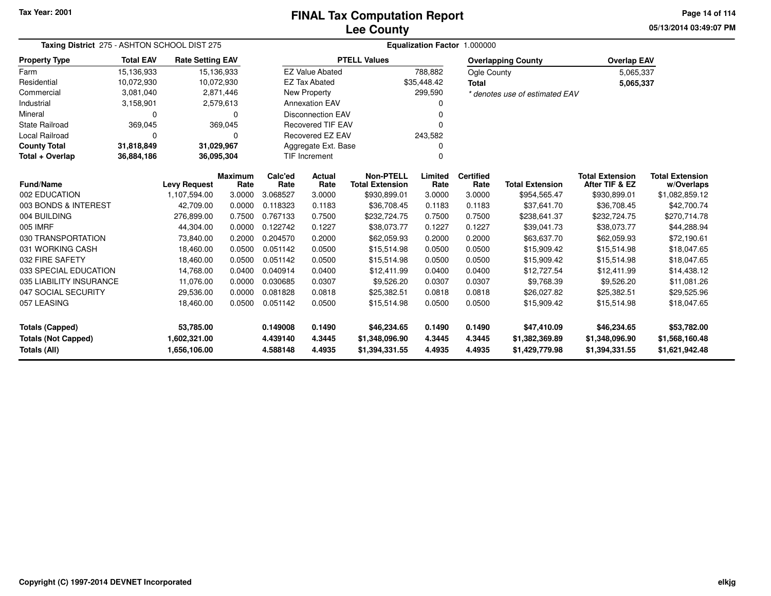### **Lee CountyFINAL Tax Computation Report**

**05/13/2014 03:49:07 PM Page 14 of 114**

|                            | Taxing District 275 - ASHTON SCHOOL DIST 275 |                                               |           |                 |                                    | <b>Equalization Factor</b><br>1.000000     |                 |                          |                                |                                          |                                      |  |  |
|----------------------------|----------------------------------------------|-----------------------------------------------|-----------|-----------------|------------------------------------|--------------------------------------------|-----------------|--------------------------|--------------------------------|------------------------------------------|--------------------------------------|--|--|
| <b>Property Type</b>       | <b>Total EAV</b>                             | <b>Rate Setting EAV</b>                       |           |                 |                                    | <b>PTELL Values</b>                        |                 |                          | <b>Overlapping County</b>      | <b>Overlap EAV</b>                       |                                      |  |  |
| Farm                       | 15,136,933                                   | 15,136,933                                    |           |                 | <b>EZ Value Abated</b>             |                                            | 788,882         | Ogle County              |                                | 5,065,337                                |                                      |  |  |
| Residential                | 10,072,930                                   | 10,072,930                                    |           |                 | <b>EZ Tax Abated</b>               |                                            | \$35,448.42     |                          |                                | 5,065,337                                |                                      |  |  |
| Commercial                 | 3,081,040                                    |                                               | 2,871,446 |                 | <b>New Property</b>                |                                            | 299,590         |                          | * denotes use of estimated EAV |                                          |                                      |  |  |
| Industrial                 | 3,158,901                                    |                                               | 2,579,613 |                 | <b>Annexation EAV</b>              |                                            |                 |                          |                                |                                          |                                      |  |  |
| Mineral                    | 0                                            |                                               | $\Omega$  |                 | <b>Disconnection EAV</b>           |                                            |                 |                          |                                |                                          |                                      |  |  |
| <b>State Railroad</b>      | 369,045                                      |                                               | 369,045   |                 | <b>Recovered TIF EAV</b>           |                                            |                 |                          |                                |                                          |                                      |  |  |
| <b>Local Railroad</b>      | 0                                            |                                               | $\Omega$  |                 | <b>Recovered EZ EAV</b><br>243,582 |                                            |                 |                          |                                |                                          |                                      |  |  |
| <b>County Total</b>        | 31,818,849                                   | 31,029,967                                    |           |                 | Aggregate Ext. Base                |                                            |                 |                          |                                |                                          |                                      |  |  |
| Total + Overlap            | 36,884,186                                   | 36,095,304                                    |           |                 | TIF Increment                      |                                            | $\Omega$        |                          |                                |                                          |                                      |  |  |
| <b>Fund/Name</b>           |                                              | <b>Maximum</b><br><b>Levy Request</b><br>Rate |           | Calc'ed<br>Rate | Actual<br>Rate                     | <b>Non-PTELL</b><br><b>Total Extension</b> | Limited<br>Rate | <b>Certified</b><br>Rate | <b>Total Extension</b>         | <b>Total Extension</b><br>After TIF & EZ | <b>Total Extension</b><br>w/Overlaps |  |  |
| 002 EDUCATION              |                                              | 1,107,594.00                                  | 3.0000    | 3.068527        | 3.0000                             | \$930,899.01                               | 3.0000          | 3.0000                   | \$954,565.47                   | \$930,899.01                             | \$1,082,859.12                       |  |  |
| 003 BONDS & INTEREST       |                                              | 42,709.00                                     | 0.0000    | 0.118323        | 0.1183                             | \$36,708.45                                | 0.1183          | 0.1183                   | \$37,641.70                    | \$36,708.45                              | \$42,700.74                          |  |  |
| 004 BUILDING               |                                              | 276.899.00                                    | 0.7500    | 0.767133        | 0.7500                             | \$232,724.75                               | 0.7500          | 0.7500                   | \$238,641.37                   | \$232,724.75                             | \$270,714.78                         |  |  |
| 005 IMRF                   |                                              | 44,304.00                                     | 0.0000    | 0.122742        | 0.1227                             | \$38,073.77                                | 0.1227          | 0.1227                   | \$39,041.73                    | \$38,073.77                              | \$44,288.94                          |  |  |
| 030 TRANSPORTATION         |                                              | 73,840.00                                     | 0.2000    | 0.204570        | 0.2000                             | \$62,059.93                                | 0.2000          | 0.2000                   | \$63,637.70                    | \$62,059.93                              | \$72,190.61                          |  |  |
| 031 WORKING CASH           |                                              | 18,460.00                                     | 0.0500    | 0.051142        | 0.0500                             | \$15,514.98                                | 0.0500          | 0.0500                   | \$15,909.42                    | \$15,514.98                              | \$18,047.65                          |  |  |
| 032 FIRE SAFETY            |                                              | 18,460.00                                     | 0.0500    | 0.051142        | 0.0500                             | \$15,514.98                                | 0.0500          | 0.0500                   | \$15,909.42                    | \$15,514.98                              | \$18,047.65                          |  |  |
| 033 SPECIAL EDUCATION      |                                              | 14,768.00                                     | 0.0400    | 0.040914        | 0.0400                             | \$12,411.99                                | 0.0400          | 0.0400                   | \$12,727.54                    | \$12,411.99                              | \$14,438.12                          |  |  |
| 035 LIABILITY INSURANCE    |                                              | 11,076.00                                     | 0.0000    | 0.030685        | 0.0307                             | \$9,526.20                                 | 0.0307          | 0.0307                   | \$9,768.39                     | \$9,526.20                               | \$11,081.26                          |  |  |
| 047 SOCIAL SECURITY        |                                              | 29,536.00                                     | 0.0000    | 0.081828        | 0.0818                             | \$25,382.51                                | 0.0818          | 0.0818                   | \$26,027.82                    | \$25,382.51                              | \$29,525.96                          |  |  |
| 057 LEASING                |                                              | 18,460.00                                     | 0.0500    | 0.051142        | 0.0500                             | \$15,514.98                                | 0.0500          | 0.0500                   | \$15,909.42                    | \$15,514.98                              | \$18,047.65                          |  |  |
| <b>Totals (Capped)</b>     |                                              | 53,785.00                                     |           | 0.149008        | 0.1490                             | \$46,234.65                                | 0.1490          | 0.1490                   | \$47,410.09                    | \$46,234.65                              | \$53,782.00                          |  |  |
| <b>Totals (Not Capped)</b> |                                              | 1,602,321.00                                  |           | 4.439140        | 4.3445                             | \$1,348,096.90                             | 4.3445          | 4.3445                   | \$1,382,369.89                 | \$1,348,096.90                           | \$1,568,160.48                       |  |  |
| <b>Totals (All)</b>        |                                              | 1,656,106.00                                  |           | 4.588148        | 4.4935                             | \$1,394,331.55                             | 4.4935          | 4.4935                   | \$1,429,779.98                 | \$1,394,331.55                           | \$1,621,942.48                       |  |  |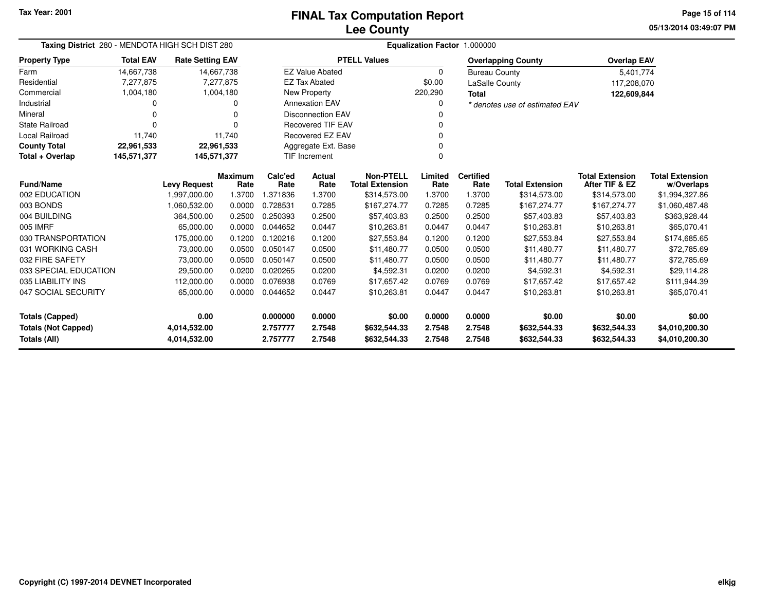**05/13/2014 03:49:07 PMPage 15 of 114**

| Taxing District 280 - MENDOTA HIGH SCH DIST 280                            |                  |                         |                        | Equalization Factor 1.000000 |                              |                                            |                  |                              |                                |                                          |                                      |  |  |
|----------------------------------------------------------------------------|------------------|-------------------------|------------------------|------------------------------|------------------------------|--------------------------------------------|------------------|------------------------------|--------------------------------|------------------------------------------|--------------------------------------|--|--|
| <b>Property Type</b>                                                       | <b>Total EAV</b> | <b>Rate Setting EAV</b> |                        |                              |                              | <b>PTELL Values</b>                        |                  |                              | <b>Overlapping County</b>      | <b>Overlap EAV</b>                       |                                      |  |  |
| Farm                                                                       | 14,667,738       |                         | 14,667,738             |                              | <b>EZ Value Abated</b>       |                                            | $\Omega$         | <b>Bureau County</b>         |                                | 5,401,774                                |                                      |  |  |
| Residential                                                                | 7,277,875        |                         | 7,277,875              |                              | <b>EZ Tax Abated</b>         |                                            | \$0.00           | <b>LaSalle County</b>        |                                | 117,208,070                              |                                      |  |  |
| Commercial                                                                 | 1,004,180        |                         | 1,004,180              |                              | New Property                 |                                            | 220,290          | <b>Total</b>                 |                                | 122,609,844                              |                                      |  |  |
| Industrial                                                                 | 0                |                         | O                      | <b>Annexation EAV</b>        |                              |                                            | 0                |                              | * denotes use of estimated EAV |                                          |                                      |  |  |
| Mineral                                                                    | 0                |                         | O                      | <b>Disconnection EAV</b>     |                              |                                            |                  |                              |                                |                                          |                                      |  |  |
| <b>State Railroad</b>                                                      | 0                |                         | ∩                      |                              | <b>Recovered TIF EAV</b>     |                                            | O                |                              |                                |                                          |                                      |  |  |
| <b>Local Railroad</b>                                                      | 11,740           |                         | 11,740                 | Recovered EZ EAV             |                              |                                            | O                |                              |                                |                                          |                                      |  |  |
| <b>County Total</b>                                                        | 22,961,533       |                         | 22,961,533             | Aggregate Ext. Base<br>0     |                              |                                            |                  |                              |                                |                                          |                                      |  |  |
| Total + Overlap                                                            | 145,571,377      | 145,571,377             |                        | <b>TIF Increment</b>         |                              |                                            | O                |                              |                                |                                          |                                      |  |  |
| <b>Fund/Name</b>                                                           |                  | <b>Levy Request</b>     | <b>Maximum</b><br>Rate | Calc'ed<br>Rate              | Actual<br>Rate               | <b>Non-PTELL</b><br><b>Total Extension</b> | Limited<br>Rate  | <b>Certified</b><br>Rate     | <b>Total Extension</b>         | <b>Total Extension</b><br>After TIF & EZ | <b>Total Extension</b><br>w/Overlaps |  |  |
| 002 EDUCATION                                                              |                  | 1,997,000.00            | 1.3700                 | 1.371836                     | 1.3700                       | \$314,573.00                               | 1.3700           | 1.3700                       | \$314,573.00                   | \$314,573.00                             | \$1,994,327.86                       |  |  |
| 003 BONDS                                                                  |                  | 1,060,532.00            | 0.0000                 | 0.728531                     | 0.7285                       | \$167,274.77                               | 0.7285           | 0.7285                       | \$167,274.77                   | \$167,274.77                             | \$1,060,487.48                       |  |  |
| 004 BUILDING                                                               |                  | 364,500.00              | 0.2500                 | 0.250393                     | 0.2500                       | \$57,403.83                                | 0.2500           | 0.2500                       | \$57,403.83                    | \$57,403.83                              | \$363,928.44                         |  |  |
| 005 IMRF                                                                   |                  | 65,000.00               | 0.0000                 | 0.044652                     | 0.0447                       | \$10,263.81                                | 0.0447           | 0.0447                       | \$10,263.81                    | \$10,263.81                              | \$65,070.41                          |  |  |
| 030 TRANSPORTATION                                                         |                  | 175,000.00              | 0.1200                 | 0.120216                     | 0.1200                       | \$27,553.84                                | 0.1200           | 0.1200                       | \$27,553.84                    | \$27,553.84                              | \$174,685.65                         |  |  |
| 031 WORKING CASH                                                           |                  | 73,000.00               | 0.0500                 | 0.050147                     | 0.0500                       | \$11,480.77                                | 0.0500           | 0.0500                       | \$11.480.77                    | \$11.480.77                              | \$72,785.69                          |  |  |
| 032 FIRE SAFETY                                                            |                  | 73,000.00               | 0.0500                 | 0.050147                     | 0.0500                       | \$11,480.77                                | 0.0500           | 0.0500                       | \$11,480.77                    | \$11,480.77                              | \$72,785.69                          |  |  |
| 033 SPECIAL EDUCATION                                                      |                  | 29,500.00               | 0.0200                 | 0.020265                     | 0.0200                       | \$4,592.31                                 | 0.0200           | 0.0200                       | \$4,592.31                     | \$4,592.31                               | \$29,114.28                          |  |  |
| 035 LIABILITY INS                                                          |                  | 112,000.00              | 0.0000                 | 0.076938                     | 0.0769                       | \$17.657.42                                | 0.0769           | 0.0769                       | \$17.657.42                    | \$17.657.42                              | \$111,944.39                         |  |  |
| 047 SOCIAL SECURITY                                                        |                  | 65,000.00               | 0.0000                 | 0.044652                     | 0.0447                       | \$10,263.81                                | 0.0447           | 0.0447                       | \$10,263.81                    | \$10,263.81                              | \$65,070.41                          |  |  |
| <b>Totals (Capped)</b>                                                     |                  | 0.00                    |                        | 0.000000                     | 0.0000                       | \$0.00                                     | 0.0000           | 0.0000                       | \$0.00                         | \$0.00                                   | \$0.00                               |  |  |
| <b>Totals (Not Capped)</b><br>4,014,532.00<br>Totals (All)<br>4,014,532.00 |                  |                         | 2.757777<br>2.757777   | 2.7548<br>2.7548             | \$632,544.33<br>\$632,544.33 | 2.7548<br>2.7548                           | 2.7548<br>2.7548 | \$632,544.33<br>\$632,544.33 | \$632,544.33<br>\$632,544.33   | \$4,010,200.30<br>\$4,010,200.30         |                                      |  |  |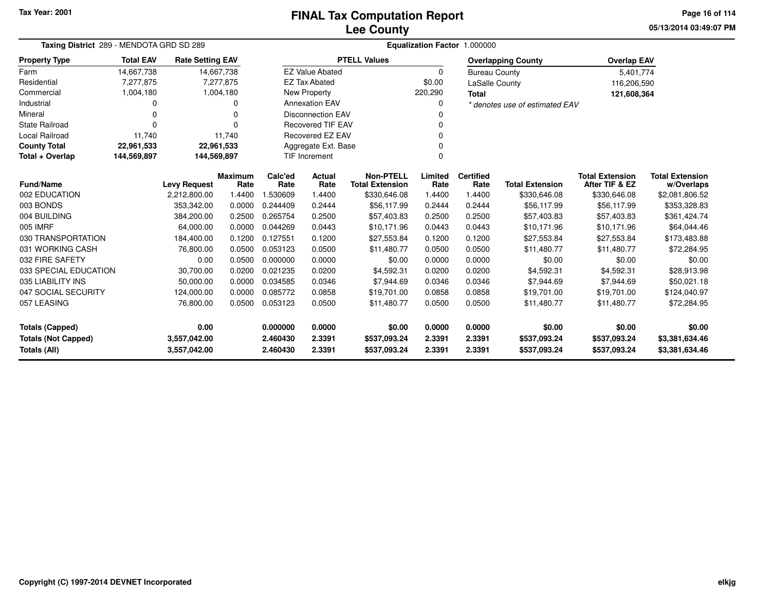# **Lee CountyFINAL Tax Computation Report**

**05/13/2014 03:49:07 PM Page 16 of 114**

|                            | Taxing District 289 - MENDOTA GRD SD 289 |                         |                |          | Equalization Factor 1.000000 |                        |          |                      |                                |                        |                        |  |  |  |
|----------------------------|------------------------------------------|-------------------------|----------------|----------|------------------------------|------------------------|----------|----------------------|--------------------------------|------------------------|------------------------|--|--|--|
| <b>Property Type</b>       | <b>Total EAV</b>                         | <b>Rate Setting EAV</b> |                |          |                              | <b>PTELL Values</b>    |          |                      | <b>Overlapping County</b>      | <b>Overlap EAV</b>     |                        |  |  |  |
| Farm                       | 14,667,738                               |                         | 14,667,738     |          | <b>EZ Value Abated</b>       |                        | $\Omega$ | <b>Bureau County</b> |                                | 5,401,774              |                        |  |  |  |
| Residential                | 7,277,875                                |                         | 7,277,875      |          | <b>EZ Tax Abated</b>         |                        | \$0.00   | LaSalle County       |                                | 116,206,590            |                        |  |  |  |
| Commercial                 | 1,004,180                                |                         | 1,004,180      |          | New Property                 |                        | 220,290  | <b>Total</b>         |                                | 121,608,364            |                        |  |  |  |
| Industrial                 | 0                                        |                         | 0              |          | <b>Annexation EAV</b>        |                        |          |                      | * denotes use of estimated EAV |                        |                        |  |  |  |
| Mineral                    | 0                                        |                         | $\Omega$       |          | <b>Disconnection EAV</b>     |                        |          |                      |                                |                        |                        |  |  |  |
| State Railroad             | 0                                        |                         | $\Omega$       |          | <b>Recovered TIF EAV</b>     |                        |          |                      |                                |                        |                        |  |  |  |
| Local Railroad             | 11.740                                   |                         | 11,740         |          | <b>Recovered EZ EAV</b>      |                        |          |                      |                                |                        |                        |  |  |  |
| <b>County Total</b>        | 22,961,533                               | 22,961,533              |                |          | Aggregate Ext. Base          |                        |          |                      |                                |                        |                        |  |  |  |
| Total + Overlap            | 144,569,897                              | 144,569,897             |                |          | TIF Increment                |                        | $\Omega$ |                      |                                |                        |                        |  |  |  |
|                            |                                          |                         | <b>Maximum</b> | Calc'ed  | <b>Actual</b>                | <b>Non-PTELL</b>       | Limited  | <b>Certified</b>     |                                | <b>Total Extension</b> | <b>Total Extension</b> |  |  |  |
| <b>Fund/Name</b>           |                                          | <b>Levy Request</b>     | Rate           | Rate     | Rate                         | <b>Total Extension</b> | Rate     | Rate                 | <b>Total Extension</b>         | After TIF & EZ         | w/Overlaps             |  |  |  |
| 002 EDUCATION              |                                          | 2,212,800.00            | 1.4400         | 1.530609 | 1.4400                       | \$330,646.08           | 1.4400   | 1.4400               | \$330,646.08                   | \$330,646.08           | \$2,081,806.52         |  |  |  |
| 003 BONDS                  |                                          | 353,342.00              | 0.0000         | 0.244409 | 0.2444                       | \$56,117.99            | 0.2444   | 0.2444               | \$56,117.99                    | \$56,117.99            | \$353,328.83           |  |  |  |
| 004 BUILDING               |                                          | 384,200.00              | 0.2500         | 0.265754 | 0.2500                       | \$57,403.83            | 0.2500   | 0.2500               | \$57,403.83                    | \$57,403.83            | \$361,424.74           |  |  |  |
| 005 IMRF                   |                                          | 64,000.00               | 0.0000         | 0.044269 | 0.0443                       | \$10,171.96            | 0.0443   | 0.0443               | \$10,171.96                    | \$10,171.96            | \$64,044.46            |  |  |  |
| 030 TRANSPORTATION         |                                          | 184,400.00              | 0.1200         | 0.127551 | 0.1200                       | \$27,553.84            | 0.1200   | 0.1200               | \$27,553.84                    | \$27,553.84            | \$173,483.88           |  |  |  |
| 031 WORKING CASH           |                                          | 76,800.00               | 0.0500         | 0.053123 | 0.0500                       | \$11,480.77            | 0.0500   | 0.0500               | \$11,480.77                    | \$11,480.77            | \$72,284.95            |  |  |  |
| 032 FIRE SAFETY            |                                          | 0.00                    | 0.0500         | 0.000000 | 0.0000                       | \$0.00                 | 0.0000   | 0.0000               | \$0.00                         | \$0.00                 | \$0.00                 |  |  |  |
| 033 SPECIAL EDUCATION      |                                          | 30,700.00               | 0.0200         | 0.021235 | 0.0200                       | \$4,592.31             | 0.0200   | 0.0200               | \$4,592.31                     | \$4,592.31             | \$28,913.98            |  |  |  |
| 035 LIABILITY INS          |                                          | 50,000.00               | 0.0000         | 0.034585 | 0.0346                       | \$7,944.69             | 0.0346   | 0.0346               | \$7,944.69                     | \$7,944.69             | \$50,021.18            |  |  |  |
| 047 SOCIAL SECURITY        |                                          | 124,000.00              | 0.0000         | 0.085772 | 0.0858                       | \$19,701.00            | 0.0858   | 0.0858               | \$19,701.00                    | \$19,701.00            | \$124,040.97           |  |  |  |
| 057 LEASING                |                                          | 76,800.00               | 0.0500         | 0.053123 | 0.0500                       | \$11,480.77            | 0.0500   | 0.0500               | \$11,480.77                    | \$11,480.77            | \$72,284.95            |  |  |  |
| Totals (Capped)            |                                          | 0.00                    |                | 0.000000 | 0.0000                       | \$0.00                 | 0.0000   | 0.0000               | \$0.00                         | \$0.00                 | \$0.00                 |  |  |  |
| <b>Totals (Not Capped)</b> |                                          | 3,557,042.00            |                | 2.460430 | 2.3391                       | \$537,093.24           | 2.3391   | 2.3391               | \$537,093.24                   | \$537,093.24           | \$3,381,634.46         |  |  |  |
| <b>Totals (All)</b>        |                                          | 3,557,042.00            |                | 2.460430 | 2.3391                       | \$537,093.24           | 2.3391   | 2.3391               | \$537,093.24                   | \$537,093.24           | \$3,381,634.46         |  |  |  |

 $\overline{\phantom{0}}$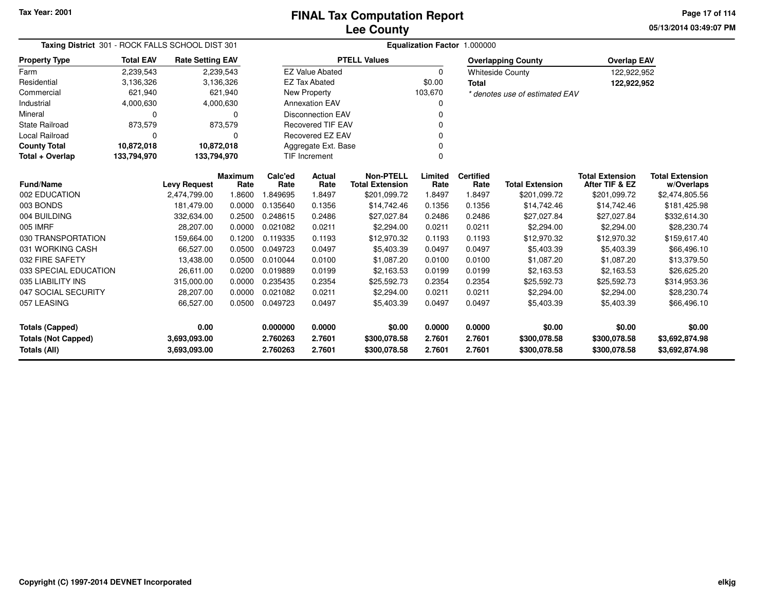**05/13/2014 03:49:07 PMPage 17 of 114**

| Taxing District 301 - ROCK FALLS SCHOOL DIST 301 |                  |                         |                | Equalization Factor 1.000000 |                          |                        |          |                  |                                |                        |                        |  |  |
|--------------------------------------------------|------------------|-------------------------|----------------|------------------------------|--------------------------|------------------------|----------|------------------|--------------------------------|------------------------|------------------------|--|--|
| <b>Property Type</b>                             | <b>Total EAV</b> | <b>Rate Setting EAV</b> |                |                              |                          | <b>PTELL Values</b>    |          |                  | <b>Overlapping County</b>      | <b>Overlap EAV</b>     |                        |  |  |
| Farm                                             | 2,239,543        |                         | 2,239,543      |                              | <b>EZ Value Abated</b>   |                        | $\Omega$ |                  | <b>Whiteside County</b>        | 122,922,952            |                        |  |  |
| Residential                                      | 3,136,326        |                         | 3,136,326      |                              | <b>EZ Tax Abated</b>     |                        | \$0.00   | <b>Total</b>     |                                | 122,922,952            |                        |  |  |
| Commercial                                       | 621,940          |                         | 621,940        |                              | <b>New Property</b>      |                        | 103,670  |                  | * denotes use of estimated EAV |                        |                        |  |  |
| Industrial                                       | 4,000,630        |                         | 4,000,630      |                              | <b>Annexation EAV</b>    |                        |          |                  |                                |                        |                        |  |  |
| Mineral                                          | 0                |                         | $\Omega$       |                              | <b>Disconnection EAV</b> |                        |          |                  |                                |                        |                        |  |  |
| <b>State Railroad</b>                            | 873,579          |                         | 873,579        |                              | <b>Recovered TIF EAV</b> |                        |          |                  |                                |                        |                        |  |  |
| Local Railroad                                   | 0                |                         | $\Omega$       |                              | Recovered EZ EAV         |                        |          |                  |                                |                        |                        |  |  |
| <b>County Total</b>                              | 10,872,018       | 10,872,018              |                |                              | Aggregate Ext. Base      |                        |          |                  |                                |                        |                        |  |  |
| Total + Overlap                                  | 133,794,970      | 133,794,970             |                |                              | <b>TIF Increment</b>     |                        | $\Omega$ |                  |                                |                        |                        |  |  |
|                                                  |                  |                         | <b>Maximum</b> | Calc'ed                      | <b>Actual</b>            | <b>Non-PTELL</b>       | Limited  | <b>Certified</b> |                                | <b>Total Extension</b> | <b>Total Extension</b> |  |  |
| <b>Fund/Name</b>                                 |                  | <b>Levy Request</b>     | Rate           | Rate                         | Rate                     | <b>Total Extension</b> | Rate     | Rate             | <b>Total Extension</b>         | After TIF & EZ         | w/Overlaps             |  |  |
| 002 EDUCATION<br>003 BONDS                       |                  | 2,474,799.00            | 1.8600         | 1.849695                     | 1.8497                   | \$201,099.72           | 1.8497   | 1.8497           | \$201,099.72                   | \$201,099.72           | \$2,474,805.56         |  |  |
|                                                  |                  | 181.479.00              | 0.0000         | 0.135640                     | 0.1356                   | \$14,742.46            | 0.1356   | 0.1356           | \$14,742.46                    | \$14,742.46            | \$181,425.98           |  |  |
| 004 BUILDING                                     |                  | 332.634.00              | 0.2500         | 0.248615                     | 0.2486                   | \$27,027.84            | 0.2486   | 0.2486           | \$27,027.84                    | \$27,027.84            | \$332,614.30           |  |  |
| 005 IMRF                                         |                  | 28,207.00               | 0.0000         | 0.021082                     | 0.0211                   | \$2,294.00             | 0.0211   | 0.0211           | \$2,294.00                     | \$2,294.00             | \$28,230.74            |  |  |
| 030 TRANSPORTATION                               |                  | 159,664.00              | 0.1200         | 0.119335<br>0.049723         | 0.1193                   | \$12,970.32            | 0.1193   | 0.1193           | \$12,970.32                    | \$12,970.32            | \$159,617.40           |  |  |
| 031 WORKING CASH                                 |                  | 66,527.00               | 0.0500         |                              | 0.0497                   | \$5,403.39             | 0.0497   | 0.0497           | \$5,403.39                     | \$5,403.39             | \$66,496.10            |  |  |
| 032 FIRE SAFETY                                  |                  | 13,438.00               | 0.0500         | 0.010044                     | 0.0100                   | \$1,087.20             | 0.0100   | 0.0100           | \$1,087.20                     | \$1,087.20             | \$13,379.50            |  |  |
| 033 SPECIAL EDUCATION                            |                  | 26,611.00               | 0.0200         | 0.019889                     | 0.0199                   | \$2,163.53             | 0.0199   | 0.0199           | \$2,163.53                     | \$2,163.53             | \$26,625.20            |  |  |
| 035 LIABILITY INS                                |                  | 315,000.00              | 0.0000         | 0.235435                     | 0.2354                   | \$25,592.73            | 0.2354   | 0.2354           | \$25,592.73                    | \$25,592.73            | \$314,953.36           |  |  |
| 047 SOCIAL SECURITY                              |                  | 28,207.00               | 0.0000         | 0.021082                     | 0.0211                   | \$2,294.00             | 0.0211   | 0.0211           | \$2,294.00                     | \$2,294.00             | \$28,230.74            |  |  |
| 057 LEASING                                      |                  | 66,527.00               | 0.0500         | 0.049723                     | 0.0497                   | \$5,403.39             | 0.0497   | 0.0497           | \$5,403.39                     | \$5,403.39             | \$66,496.10            |  |  |
| <b>Totals (Capped)</b>                           |                  | 0.00                    |                | 0.000000                     | 0.0000                   | \$0.00                 | 0.0000   | 0.0000           | \$0.00                         | \$0.00                 | \$0.00                 |  |  |
| <b>Totals (Not Capped)</b>                       |                  | 3,693,093.00            |                | 2.760263                     | 2.7601                   | \$300,078.58           | 2.7601   | 2.7601           | \$300,078.58                   | \$300,078.58           | \$3,692,874.98         |  |  |
| <b>Totals (All)</b>                              |                  | 3,693,093.00            |                | 2.760263                     | 2.7601                   | \$300,078.58           | 2.7601   | 2.7601           | \$300,078.58                   | \$300,078.58           | \$3,692,874.98         |  |  |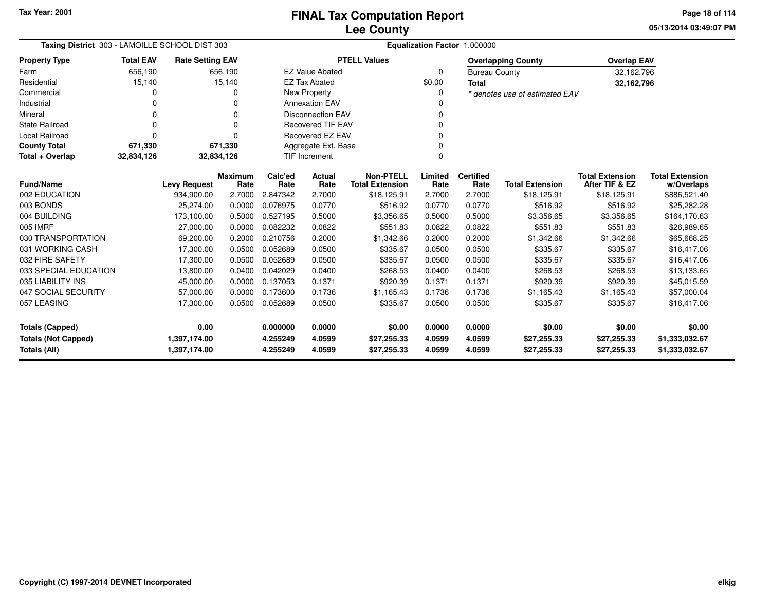**05/13/2014 03:49:07 PM Page 18 of 114**

| Taxing District 303 - LAMOILLE SCHOOL DIST 303 | Equalization Factor 1.000000 |                         |                        |                                   |                        |                                            |                 |                          |                                |                                          |                                      |
|------------------------------------------------|------------------------------|-------------------------|------------------------|-----------------------------------|------------------------|--------------------------------------------|-----------------|--------------------------|--------------------------------|------------------------------------------|--------------------------------------|
| <b>Property Type</b>                           | <b>Total EAV</b>             | <b>Rate Setting EAV</b> |                        |                                   |                        | <b>PTELL Values</b>                        |                 |                          | <b>Overlapping County</b>      | <b>Overlap EAV</b>                       |                                      |
| Farm                                           | 656,190                      |                         | 656,190                |                                   | <b>EZ Value Abated</b> |                                            | 0               | <b>Bureau County</b>     |                                | 32,162,796                               |                                      |
| Residential                                    | 15,140                       |                         | 15,140                 |                                   | <b>EZ Tax Abated</b>   |                                            | \$0.00          | <b>Total</b>             |                                | 32,162,796                               |                                      |
| Commercial                                     |                              |                         | 0                      | New Property                      |                        |                                            | 0               |                          | * denotes use of estimated EAV |                                          |                                      |
| Industrial                                     |                              |                         | 0                      | <b>Annexation EAV</b>             |                        |                                            |                 |                          |                                |                                          |                                      |
| Mineral                                        | O                            |                         | $\Omega$               | <b>Disconnection EAV</b>          |                        |                                            | 0               |                          |                                |                                          |                                      |
| State Railroad                                 | $\Omega$                     |                         | 0                      | <b>Recovered TIF EAV</b>          |                        |                                            | $\Omega$        |                          |                                |                                          |                                      |
| <b>Local Railroad</b>                          | O                            |                         | O                      | <b>Recovered EZ EAV</b>           |                        |                                            | $\Omega$        |                          |                                |                                          |                                      |
| <b>County Total</b>                            | 671,330                      |                         | 671,330                | Aggregate Ext. Base               |                        |                                            | $\mathbf 0$     |                          |                                |                                          |                                      |
| Total + Overlap                                | 32,834,126                   | 32,834,126              |                        | <b>TIF Increment</b>              |                        |                                            | 0               |                          |                                |                                          |                                      |
| <b>Fund/Name</b>                               |                              | <b>Levy Request</b>     | <b>Maximum</b><br>Rate | Calc'ed<br>Rate                   | Actual<br>Rate         | <b>Non-PTELL</b><br><b>Total Extension</b> | Limited<br>Rate | <b>Certified</b><br>Rate | <b>Total Extension</b>         | <b>Total Extension</b><br>After TIF & EZ | <b>Total Extension</b><br>w/Overlaps |
| 002 EDUCATION                                  |                              | 934,900.00              | 2.7000                 | 2.847342                          | 2.7000                 | \$18,125.91                                | 2.7000          | 2.7000                   | \$18,125.91                    | \$18,125.91                              | \$886,521.40                         |
| 003 BONDS                                      |                              | 25,274.00               | 0.0000                 | 0.076975                          | 0.0770                 | \$516.92                                   | 0.0770          | 0.0770                   | \$516.92                       | \$516.92                                 | \$25,282.28                          |
| 004 BUILDING                                   |                              | 173,100.00              | 0.5000                 | 0.527195                          | 0.5000                 | \$3,356.65                                 | 0.5000          | 0.5000                   | \$3,356.65                     | \$3,356.65                               | \$164,170.63                         |
| 005 IMRF                                       |                              | 27,000.00               | 0.0000                 | 0.082232                          | 0.0822                 | \$551.83                                   | 0.0822          | 0.0822                   | \$551.83                       | \$551.83                                 | \$26,989.65                          |
| 030 TRANSPORTATION                             |                              | 69,200.00               | 0.2000                 | 0.210756                          | 0.2000                 | \$1,342.66                                 | 0.2000          | 0.2000                   | \$1,342.66                     | \$1,342.66                               | \$65,668.25                          |
| 031 WORKING CASH                               |                              | 17,300.00               | 0.0500                 | 0.052689                          | 0.0500                 | \$335.67                                   | 0.0500          | 0.0500                   | \$335.67                       | \$335.67                                 | \$16,417.06                          |
| 032 FIRE SAFETY                                |                              | 17,300.00               | 0.0500                 | 0.052689                          | 0.0500                 | \$335.67                                   | 0.0500          | 0.0500                   | \$335.67                       | \$335.67                                 | \$16,417.06                          |
| 033 SPECIAL EDUCATION                          |                              | 13,800.00               | 0.0400                 | 0.042029                          | 0.0400                 | \$268.53                                   | 0.0400          | 0.0400                   | \$268.53                       | \$268.53                                 | \$13,133.65                          |
| 035 LIABILITY INS                              |                              | 45,000.00               | 0.0000                 | 0.137053                          | 0.1371                 | \$920.39                                   | 0.1371          | 0.1371                   | \$920.39                       | \$920.39                                 | \$45,015.59                          |
| 047 SOCIAL SECURITY                            |                              | 57,000.00               | 0.0000                 | 0.173600                          | 0.1736                 | \$1,165.43                                 | 0.1736          | 0.1736                   | \$1,165.43                     | \$1,165.43                               | \$57,000.04                          |
| 057 LEASING                                    |                              | 17,300.00               | 0.0500                 | 0.052689                          | 0.0500                 | \$335.67                                   | 0.0500          | 0.0500                   | \$335.67                       | \$335.67                                 | \$16,417.06                          |
| <b>Totals (Capped)</b>                         |                              | 0.00                    |                        | 0.000000                          | 0.0000                 | \$0.00                                     | 0.0000          | 0.0000                   | \$0.00                         | \$0.00                                   | \$0.00                               |
| <b>Totals (Not Capped)</b>                     |                              | 1,397,174.00            |                        | 4.0599<br>4.255249<br>\$27,255.33 |                        |                                            | 4.0599          | 4.0599                   | \$27,255.33                    | \$27,255.33                              | \$1,333,032.67                       |
| Totals (All)                                   |                              | 1,397,174.00            |                        | 4.255249                          | 4.0599                 | \$27,255.33                                | 4.0599          | 4.0599                   | \$27,255.33                    | \$27,255.33                              | \$1,333,032.67                       |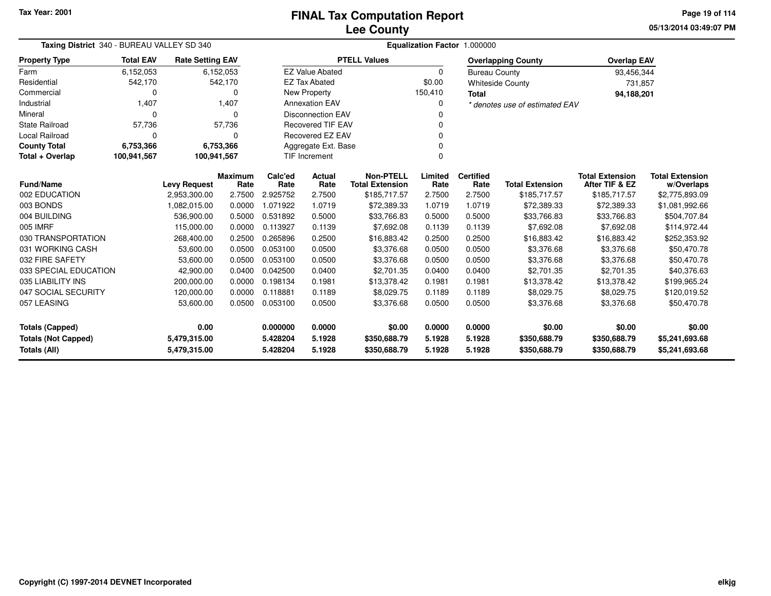**05/13/2014 03:49:07 PMPage 19 of 114**

| Taxing District 340 - BUREAU VALLEY SD 340 |                  |                         |                | Equalization Factor 1.000000                 |                        |                        |          |                      |                                |                        |                        |  |
|--------------------------------------------|------------------|-------------------------|----------------|----------------------------------------------|------------------------|------------------------|----------|----------------------|--------------------------------|------------------------|------------------------|--|
| <b>Property Type</b>                       | <b>Total EAV</b> | <b>Rate Setting EAV</b> |                |                                              |                        | <b>PTELL Values</b>    |          |                      | <b>Overlapping County</b>      | <b>Overlap EAV</b>     |                        |  |
| Farm                                       | 6,152,053        |                         | 6,152,053      |                                              | <b>EZ Value Abated</b> |                        | $\Omega$ | <b>Bureau County</b> |                                | 93,456,344             |                        |  |
| Residential                                | 542,170          |                         | 542,170        |                                              | <b>EZ Tax Abated</b>   |                        | \$0.00   |                      | <b>Whiteside County</b>        | 731,857                |                        |  |
| Commercial                                 | 0                |                         | ი              |                                              | New Property           |                        | 150,410  | <b>Total</b>         |                                | 94,188,201             |                        |  |
| Industrial                                 | 1,407            |                         | 1,407          | <b>Annexation EAV</b>                        |                        |                        | 0        |                      | * denotes use of estimated EAV |                        |                        |  |
| Mineral                                    | $\Omega$         |                         | $\Omega$       | <b>Disconnection EAV</b>                     |                        |                        |          |                      |                                |                        |                        |  |
| <b>State Railroad</b>                      | 57,736           |                         | 57,736         | <b>Recovered TIF EAV</b>                     |                        |                        |          |                      |                                |                        |                        |  |
| Local Railroad                             | 0                |                         | 0              | Recovered EZ EAV                             |                        |                        |          |                      |                                |                        |                        |  |
| <b>County Total</b>                        | 6,753,366        |                         | 6,753,366      | Aggregate Ext. Base                          |                        |                        |          |                      |                                |                        |                        |  |
| Total + Overlap                            | 100,941,567      | 100,941,567             |                |                                              | <b>TIF Increment</b>   |                        | $\Omega$ |                      |                                |                        |                        |  |
|                                            |                  |                         | <b>Maximum</b> | Calc'ed                                      | Actual                 | <b>Non-PTELL</b>       | Limited  | <b>Certified</b>     |                                | <b>Total Extension</b> | <b>Total Extension</b> |  |
| <b>Fund/Name</b>                           |                  | <b>Levy Request</b>     | Rate           | Rate                                         | Rate                   | <b>Total Extension</b> | Rate     | Rate                 | <b>Total Extension</b>         | After TIF & EZ         | w/Overlaps             |  |
| 002 EDUCATION                              |                  | 2,953,300.00            | 2.7500         | 2.925752                                     | 2.7500                 | \$185,717.57           | 2.7500   | 2.7500               | \$185,717.57                   | \$185,717.57           | \$2,775,893.09         |  |
| 003 BONDS                                  |                  | 1,082,015.00            | 0.0000         | 1.071922                                     | 1.0719                 | \$72,389.33            | 1.0719   | 1.0719               | \$72,389.33                    | \$72,389.33            | \$1,081,992.66         |  |
| 004 BUILDING                               |                  | 536,900.00              | 0.5000         | 0.531892                                     | 0.5000                 | \$33,766.83            | 0.5000   | 0.5000               | \$33,766.83                    | \$33,766.83            | \$504,707.84           |  |
| 005 IMRF                                   |                  | 115,000.00              | 0.0000         | 0.113927                                     | 0.1139                 | \$7,692.08             | 0.1139   | 0.1139               | \$7,692.08                     | \$7,692.08             | \$114,972.44           |  |
| 030 TRANSPORTATION                         |                  | 268,400.00              | 0.2500         | 0.265896                                     | 0.2500                 | \$16,883.42            | 0.2500   | 0.2500               | \$16,883.42                    | \$16,883.42            | \$252,353.92           |  |
| 031 WORKING CASH                           |                  | 53,600.00               | 0.0500         | 0.053100                                     | 0.0500                 | \$3,376.68             | 0.0500   | 0.0500               | \$3,376.68                     | \$3,376.68             | \$50,470.78            |  |
| 032 FIRE SAFETY                            |                  | 53,600.00               | 0.0500         | 0.053100                                     | 0.0500                 | \$3,376.68             | 0.0500   | 0.0500               | \$3,376.68                     | \$3,376.68             | \$50,470.78            |  |
| 033 SPECIAL EDUCATION                      |                  | 42,900.00               | 0.0400         | 0.042500                                     | 0.0400                 | \$2,701.35             | 0.0400   | 0.0400               | \$2,701.35                     | \$2,701.35             | \$40,376.63            |  |
| 035 LIABILITY INS                          |                  | 200,000.00              | 0.0000         | 0.198134                                     | 0.1981                 | \$13,378.42            | 0.1981   | 0.1981               | \$13,378.42                    | \$13,378.42            | \$199,965.24           |  |
| 047 SOCIAL SECURITY                        |                  | 120,000.00              | 0.0000         | 0.118881                                     | 0.1189                 | \$8,029.75             | 0.1189   | 0.1189               | \$8,029.75                     | \$8,029.75             | \$120,019.52           |  |
| 057 LEASING                                |                  | 53,600.00               | 0.0500         | 0.053100                                     | 0.0500                 | \$3,376.68             | 0.0500   | 0.0500               | \$3,376.68                     | \$3,376.68             | \$50,470.78            |  |
| <b>Totals (Capped)</b>                     |                  | 0.00                    |                | 0.000000<br>0.0000                           |                        |                        | 0.0000   | 0.0000               | \$0.00                         | \$0.00                 | \$0.00                 |  |
| <b>Totals (Not Capped)</b>                 |                  | 5,479,315.00            |                | \$0.00<br>5.1928<br>5.428204<br>\$350,688.79 |                        |                        | 5.1928   | 5.1928               | \$350,688.79                   | \$350,688.79           | \$5,241,693.68         |  |
| Totals (All)                               |                  | 5,479,315.00            |                | 5.1928<br>5.428204<br>\$350,688.79           |                        |                        | 5.1928   | 5.1928               | \$350,688.79                   | \$350,688.79           | \$5,241,693.68         |  |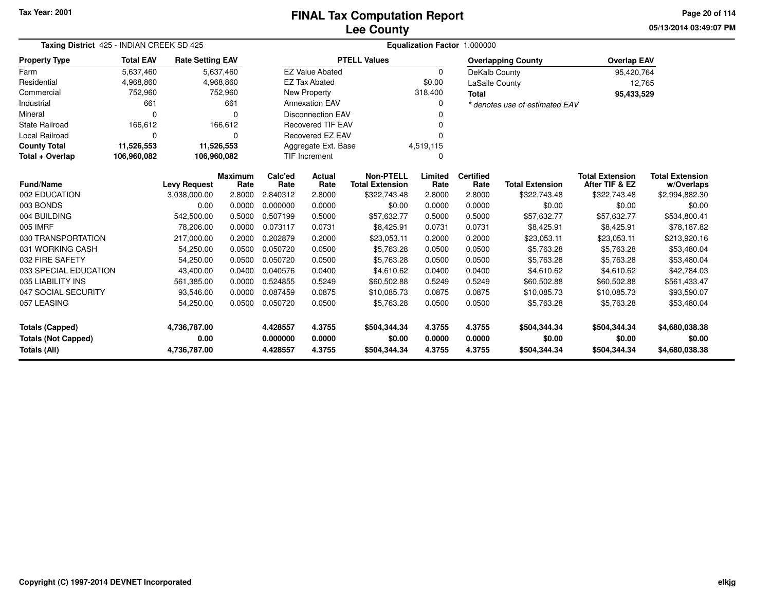# **Lee CountyFINAL Tax Computation Report**

**05/13/2014 03:49:07 PM Page 20 of 114**

|                            | Taxing District 425 - INDIAN CREEK SD 425 |                         |                        |                          | Equalization Factor 1.000000 |                                            |                 |                          |                                |                                          |                                      |  |  |
|----------------------------|-------------------------------------------|-------------------------|------------------------|--------------------------|------------------------------|--------------------------------------------|-----------------|--------------------------|--------------------------------|------------------------------------------|--------------------------------------|--|--|
| <b>Property Type</b>       | <b>Total EAV</b>                          | <b>Rate Setting EAV</b> |                        |                          |                              | <b>PTELL Values</b>                        |                 |                          | <b>Overlapping County</b>      | <b>Overlap EAV</b>                       |                                      |  |  |
| Farm                       | 5,637,460                                 |                         | 5,637,460              |                          | <b>EZ Value Abated</b>       |                                            | $\Omega$        | DeKalb County            |                                | 95,420,764                               |                                      |  |  |
| Residential                | 4,968,860                                 |                         | 4,968,860              |                          | <b>EZ Tax Abated</b>         |                                            | \$0.00          | <b>LaSalle County</b>    |                                | 12,765                                   |                                      |  |  |
| Commercial                 | 752,960                                   |                         | 752,960                | New Property             |                              |                                            | 318,400         |                          |                                | 95,433,529                               |                                      |  |  |
| Industrial                 | 661                                       |                         | 661                    |                          | <b>Annexation EAV</b>        |                                            | 0               |                          | * denotes use of estimated EAV |                                          |                                      |  |  |
| Mineral                    | 0                                         |                         | $\Omega$               |                          | <b>Disconnection EAV</b>     |                                            |                 |                          |                                |                                          |                                      |  |  |
| <b>State Railroad</b>      | 166,612                                   |                         | 166,612                | <b>Recovered TIF EAV</b> |                              |                                            |                 |                          |                                |                                          |                                      |  |  |
| <b>Local Railroad</b>      | 0                                         |                         | $\Omega$               | Recovered EZ EAV         |                              |                                            |                 |                          |                                |                                          |                                      |  |  |
| <b>County Total</b>        | 11,526,553                                |                         | 11,526,553             | Aggregate Ext. Base      |                              |                                            | 4,519,115       |                          |                                |                                          |                                      |  |  |
| Total + Overlap            | 106,960,082                               | 106,960,082             |                        | <b>TIF Increment</b>     |                              |                                            | 0               |                          |                                |                                          |                                      |  |  |
| <b>Fund/Name</b>           |                                           | <b>Levy Request</b>     | <b>Maximum</b><br>Rate | Calc'ed<br>Rate          | Actual<br>Rate               | <b>Non-PTELL</b><br><b>Total Extension</b> | Limited<br>Rate | <b>Certified</b><br>Rate | <b>Total Extension</b>         | <b>Total Extension</b><br>After TIF & EZ | <b>Total Extension</b><br>w/Overlaps |  |  |
| 002 EDUCATION              |                                           | 3,038,000.00            | 2.8000                 | 2.840312                 | 2.8000                       | \$322,743.48                               | 2.8000          | 2.8000                   | \$322,743.48                   | \$322,743.48                             | \$2,994,882.30                       |  |  |
| 003 BONDS                  |                                           | 0.00                    | 0.0000                 | 0.000000                 | 0.0000                       | \$0.00                                     | 0.0000          | 0.0000                   | \$0.00                         | \$0.00                                   | \$0.00                               |  |  |
| 004 BUILDING               |                                           | 542,500.00              | 0.5000                 | 0.507199                 | 0.5000                       | \$57,632.77                                | 0.5000          | 0.5000                   | \$57,632.77                    | \$57,632.77                              | \$534,800.41                         |  |  |
| 005 IMRF                   |                                           | 78,206.00               | 0.0000                 | 0.073117                 | 0.0731                       | \$8,425.91                                 | 0.0731          | 0.0731                   | \$8,425.91                     | \$8,425.91                               | \$78,187.82                          |  |  |
| 030 TRANSPORTATION         |                                           | 217,000.00              | 0.2000                 | 0.202879                 | 0.2000                       | \$23,053.11                                | 0.2000          | 0.2000                   | \$23,053.11                    | \$23,053.11                              | \$213,920.16                         |  |  |
| 031 WORKING CASH           |                                           | 54,250.00               | 0.0500                 | 0.050720                 | 0.0500                       | \$5,763.28                                 | 0.0500          | 0.0500                   | \$5,763.28                     | \$5,763.28                               | \$53,480.04                          |  |  |
| 032 FIRE SAFETY            |                                           | 54,250.00               | 0.0500                 | 0.050720                 | 0.0500                       | \$5,763.28                                 | 0.0500          | 0.0500                   | \$5,763.28                     | \$5,763.28                               | \$53,480.04                          |  |  |
| 033 SPECIAL EDUCATION      |                                           | 43,400.00               | 0.0400                 | 0.040576                 | 0.0400                       | \$4,610.62                                 | 0.0400          | 0.0400                   | \$4,610.62                     | \$4,610.62                               | \$42,784.03                          |  |  |
| 035 LIABILITY INS          |                                           | 561,385.00              | 0.0000                 | 0.524855                 | 0.5249                       | \$60,502.88                                | 0.5249          | 0.5249                   | \$60,502.88                    | \$60,502.88                              | \$561,433.47                         |  |  |
| 047 SOCIAL SECURITY        |                                           | 93,546.00               | 0.0000                 | 0.087459                 | 0.0875                       | \$10,085.73                                | 0.0875          | 0.0875                   | \$10,085.73                    | \$10,085.73                              | \$93,590.07                          |  |  |
| 057 LEASING                |                                           | 54,250.00               | 0.0500                 | 0.050720                 | 0.0500                       | \$5,763.28                                 | 0.0500          | 0.0500                   | \$5,763.28                     | \$5,763.28                               | \$53,480.04                          |  |  |
| <b>Totals (Capped)</b>     |                                           | 4,736,787.00            |                        | 4.428557                 | 4.3755                       | \$504,344.34                               | 4.3755          | 4.3755                   | \$504,344.34                   | \$504,344.34                             | \$4,680,038.38                       |  |  |
| <b>Totals (Not Capped)</b> |                                           | 0.00                    |                        | 0.000000                 | 0.0000                       | \$0.00                                     | 0.0000          | 0.0000                   | \$0.00                         | \$0.00                                   | \$0.00                               |  |  |
| Totals (All)               |                                           | 4,736,787.00            |                        | 4.428557                 | 4.3755                       | \$504,344.34                               | 4.3755          | 4.3755                   | \$504,344.34                   | \$504,344.34                             | \$4,680,038.38                       |  |  |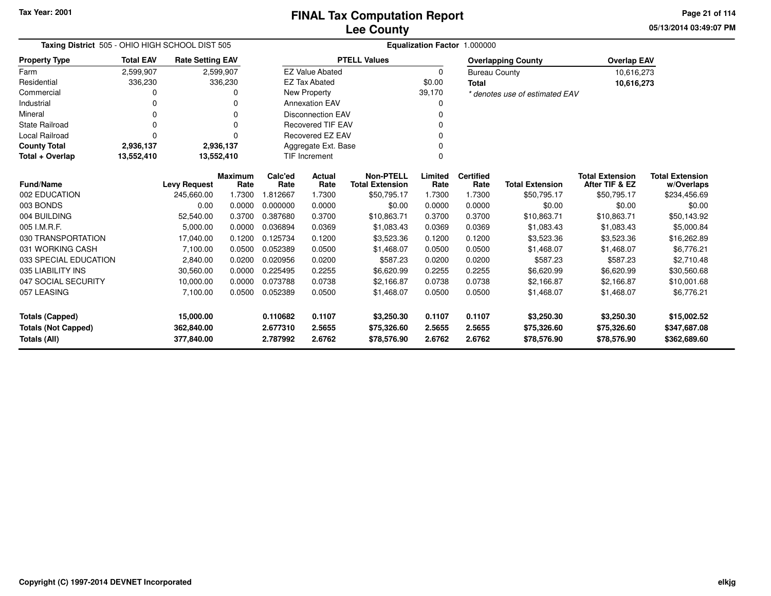**05/13/2014 03:49:07 PMPage 21 of 114**

| Taxing District 505 - OHIO HIGH SCHOOL DIST 505 |                  |                         |                        | Equalization Factor 1.000000      |                          |                                            |                 |                          |                                |                                          |                                      |  |
|-------------------------------------------------|------------------|-------------------------|------------------------|-----------------------------------|--------------------------|--------------------------------------------|-----------------|--------------------------|--------------------------------|------------------------------------------|--------------------------------------|--|
| <b>Property Type</b>                            | <b>Total EAV</b> | <b>Rate Setting EAV</b> |                        |                                   |                          | <b>PTELL Values</b>                        |                 |                          | <b>Overlapping County</b>      | <b>Overlap EAV</b>                       |                                      |  |
| Farm                                            | 2,599,907        |                         | 2,599,907              |                                   | <b>EZ Value Abated</b>   |                                            | 0               | <b>Bureau County</b>     |                                | 10,616,273                               |                                      |  |
| Residential                                     | 336,230          |                         | 336,230                |                                   | <b>EZ Tax Abated</b>     |                                            | \$0.00<br>Total |                          |                                | 10,616,273                               |                                      |  |
| Commercial                                      |                  |                         |                        |                                   | <b>New Property</b>      |                                            | 39,170          |                          | * denotes use of estimated EAV |                                          |                                      |  |
| Industrial                                      | O                |                         |                        |                                   | <b>Annexation EAV</b>    |                                            | 0               |                          |                                |                                          |                                      |  |
| Mineral                                         |                  |                         |                        |                                   | <b>Disconnection EAV</b> |                                            |                 |                          |                                |                                          |                                      |  |
| <b>State Railroad</b>                           | O                |                         | O                      |                                   | <b>Recovered TIF EAV</b> |                                            |                 |                          |                                |                                          |                                      |  |
| <b>Local Railroad</b>                           | O                |                         |                        |                                   | Recovered EZ EAV         |                                            | n               |                          |                                |                                          |                                      |  |
| <b>County Total</b>                             | 2,936,137        |                         | 2,936,137              |                                   | Aggregate Ext. Base      |                                            |                 |                          |                                |                                          |                                      |  |
| Total + Overlap                                 | 13,552,410       | 13,552,410              |                        |                                   | <b>TIF Increment</b>     |                                            | $\Omega$        |                          |                                |                                          |                                      |  |
| <b>Fund/Name</b>                                |                  | <b>Levy Request</b>     | <b>Maximum</b><br>Rate | Calc'ed<br>Actual<br>Rate<br>Rate |                          | <b>Non-PTELL</b><br><b>Total Extension</b> | Limited<br>Rate | <b>Certified</b><br>Rate | <b>Total Extension</b>         | <b>Total Extension</b><br>After TIF & EZ | <b>Total Extension</b><br>w/Overlaps |  |
| 002 EDUCATION                                   |                  | 245,660.00              | 1.7300                 | 1.812667                          | 1.7300                   | \$50,795.17                                | 1.7300          | 1.7300                   | \$50,795.17                    | \$50,795.17                              | \$234,456.69                         |  |
| 003 BONDS                                       |                  | 0.00                    | 0.0000                 | 0.000000                          | 0.0000                   | \$0.00                                     | 0.0000          | 0.0000                   | \$0.00                         | \$0.00                                   | \$0.00                               |  |
| 004 BUILDING                                    |                  | 52,540.00               | 0.3700                 | 0.387680                          | 0.3700                   | \$10,863.71                                | 0.3700          | 0.3700                   | \$10,863.71                    | \$10,863.71                              | \$50,143.92                          |  |
| 005 I.M.R.F.                                    |                  | 5,000.00                | 0.0000                 | 0.036894                          | 0.0369                   | \$1,083.43                                 | 0.0369          | 0.0369                   | \$1,083.43                     | \$1,083.43                               | \$5,000.84                           |  |
| 030 TRANSPORTATION                              |                  | 17,040.00               | 0.1200                 | 0.125734                          | 0.1200                   | \$3,523.36                                 | 0.1200          | 0.1200                   | \$3,523.36                     | \$3,523.36                               | \$16,262.89                          |  |
| 031 WORKING CASH                                |                  | 7,100.00                | 0.0500                 | 0.052389                          | 0.0500                   | \$1,468.07                                 | 0.0500          | 0.0500                   | \$1,468.07                     | \$1,468.07                               | \$6,776.21                           |  |
| 033 SPECIAL EDUCATION                           |                  | 2,840.00                | 0.0200                 | 0.020956                          | 0.0200                   | \$587.23                                   | 0.0200          | 0.0200                   | \$587.23                       | \$587.23                                 | \$2,710.48                           |  |
| 035 LIABILITY INS                               |                  | 30,560.00               | 0.0000                 | 0.225495                          | 0.2255                   | \$6,620.99                                 | 0.2255          | 0.2255                   | \$6,620.99                     | \$6,620.99                               | \$30,560.68                          |  |
| 047 SOCIAL SECURITY                             |                  | 10,000.00               | 0.0000                 | 0.073788                          | 0.0738                   | \$2.166.87                                 | 0.0738          | 0.0738                   | \$2,166.87                     | \$2,166.87                               | \$10,001.68                          |  |
| 057 LEASING                                     |                  | 7,100.00                | 0.0500                 | 0.052389                          | 0.0500                   | \$1,468.07                                 | 0.0500          | 0.0500                   | \$1,468.07                     | \$1,468.07                               | \$6,776.21                           |  |
| <b>Totals (Capped)</b>                          |                  | 15,000.00               |                        | 0.110682                          | 0.1107                   | \$3,250.30                                 | 0.1107          | 0.1107                   | \$3,250.30                     | \$3,250.30                               | \$15,002.52                          |  |
| <b>Totals (Not Capped)</b>                      |                  | 362,840.00              |                        | 2.677310                          | 2.5655                   | \$75,326.60                                | 2.5655          | 2.5655                   | \$75,326.60                    | \$75,326.60                              | \$347,687.08                         |  |
| <b>Totals (All)</b>                             |                  | 377,840.00              |                        | 2.787992                          | 2.6762                   | \$78,576.90                                | 2.6762          | 2.6762                   | \$78,576.90                    | \$78,576.90                              | \$362,689.60                         |  |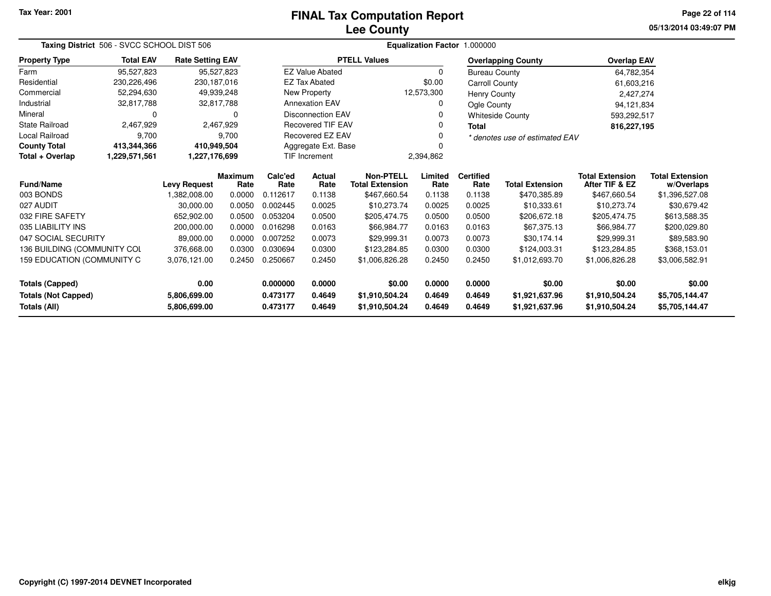# **Lee CountyFINAL Tax Computation Report**

**05/13/2014 03:49:07 PM Page 22 of 114**

|                             | Taxing District 506 - SVCC SCHOOL DIST 506 |                         |                        |                      | Equalization Factor 1.000000 |                                            |                 |                          |                                |                                          |                                      |  |  |
|-----------------------------|--------------------------------------------|-------------------------|------------------------|----------------------|------------------------------|--------------------------------------------|-----------------|--------------------------|--------------------------------|------------------------------------------|--------------------------------------|--|--|
| <b>Property Type</b>        | <b>Total EAV</b>                           | <b>Rate Setting EAV</b> |                        |                      |                              | <b>PTELL Values</b>                        |                 |                          | <b>Overlapping County</b>      | <b>Overlap EAV</b>                       |                                      |  |  |
| Farm                        | 95,527,823                                 |                         | 95,527,823             |                      | <b>EZ Value Abated</b>       |                                            | $\Omega$        | <b>Bureau County</b>     |                                | 64,782,354                               |                                      |  |  |
| Residential                 | 230,226,496                                | 230, 187, 016           |                        |                      | <b>EZ Tax Abated</b>         |                                            | \$0.00          | Carroll County           |                                | 61,603,216                               |                                      |  |  |
| Commercial                  | 52,294,630                                 |                         | 49,939,248             |                      | New Property                 |                                            | 12,573,300      | Henry County             |                                | 2,427,274                                |                                      |  |  |
| Industrial                  | 32,817,788                                 |                         | 32,817,788             |                      | <b>Annexation EAV</b>        |                                            | Ogle County     |                          |                                | 94,121,834                               |                                      |  |  |
| Mineral                     | 0                                          |                         | 0                      |                      | <b>Disconnection EAV</b>     |                                            |                 |                          | <b>Whiteside County</b>        | 593,292,517                              |                                      |  |  |
| <b>State Railroad</b>       | 2,467,929                                  |                         | 2,467,929              |                      | <b>Recovered TIF EAV</b>     |                                            |                 | <b>Total</b>             |                                | 816,227,195                              |                                      |  |  |
| <b>Local Railroad</b>       | 9,700                                      |                         | 9.700                  |                      | <b>Recovered EZ EAV</b>      |                                            |                 |                          | * denotes use of estimated EAV |                                          |                                      |  |  |
| <b>County Total</b>         | 413,344,366                                | 410,949,504             |                        |                      | Aggregate Ext. Base          |                                            |                 |                          |                                |                                          |                                      |  |  |
| Total + Overlap             | 1,229,571,561                              | 1,227,176,699           |                        | <b>TIF Increment</b> |                              |                                            | 2,394,862       |                          |                                |                                          |                                      |  |  |
| <b>Fund/Name</b>            |                                            | <b>Levy Request</b>     | <b>Maximum</b><br>Rate | Calc'ed<br>Rate      | Actual<br>Rate               | <b>Non-PTELL</b><br><b>Total Extension</b> | Limited<br>Rate | <b>Certified</b><br>Rate | <b>Total Extension</b>         | <b>Total Extension</b><br>After TIF & EZ | <b>Total Extension</b><br>w/Overlaps |  |  |
| 003 BONDS                   |                                            | 1,382,008.00            | 0.0000                 | 0.112617             | 0.1138                       | \$467,660.54                               | 0.1138          | 0.1138                   | \$470,385.89                   | \$467,660.54                             | \$1,396,527.08                       |  |  |
| 027 AUDIT                   |                                            | 30,000.00               | 0.0050                 | 0.002445             | 0.0025                       | \$10,273.74                                | 0.0025          | 0.0025                   | \$10,333.61                    | \$10,273.74                              | \$30,679.42                          |  |  |
| 032 FIRE SAFETY             |                                            | 652,902.00              | 0.0500                 | 0.053204             | 0.0500                       | \$205,474.75                               | 0.0500          | 0.0500                   | \$206,672.18                   | \$205,474.75                             | \$613,588.35                         |  |  |
| 035 LIABILITY INS           |                                            | 200,000.00              | 0.0000                 | 0.016298             | 0.0163                       | \$66,984.77                                | 0.0163          | 0.0163                   | \$67,375.13                    | \$66,984.77                              | \$200,029.80                         |  |  |
| 047 SOCIAL SECURITY         |                                            | 89,000.00               | 0.0000                 | 0.007252             | 0.0073                       | \$29,999.31                                | 0.0073          | 0.0073                   | \$30,174.14                    | \$29,999.31                              | \$89,583.90                          |  |  |
| 136 BUILDING (COMMUNITY COL |                                            | 376,668.00              | 0.0300                 | 0.030694             | 0.0300                       | \$123,284.85                               | 0.0300          | 0.0300                   | \$124,003.31                   | \$123,284.85                             | \$368,153.01                         |  |  |
| 159 EDUCATION (COMMUNITY C  |                                            | 3,076,121.00            | 0.2450                 | 0.250667             | 0.2450                       | \$1,006,826.28                             | 0.2450          | 0.2450                   | \$1,012,693.70                 | \$1,006,826.28                           | \$3,006,582.91                       |  |  |
| <b>Totals (Capped)</b>      |                                            | 0.00                    |                        | 0.000000             | 0.0000                       | \$0.00                                     | 0.0000          | 0.0000                   | \$0.00                         | \$0.00                                   | \$0.00                               |  |  |
| <b>Totals (Not Capped)</b>  |                                            | 5,806,699.00            |                        | 0.473177             | 0.4649                       | \$1,910,504.24                             | 0.4649          | 0.4649                   | \$1,921,637.96                 | \$1,910,504.24                           | \$5,705,144.47                       |  |  |
| Totals (All)                |                                            | 5,806,699.00            |                        | 0.473177             | 0.4649                       | \$1,910,504.24                             | 0.4649          | 0.4649                   | \$1,921,637.96                 | \$1,910,504.24                           | \$5,705,144.47                       |  |  |

—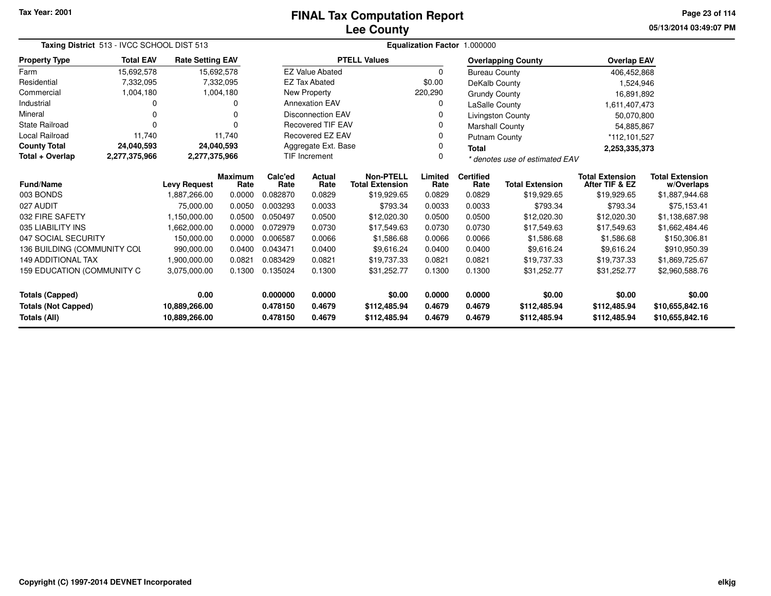### **Lee CountyFINAL Tax Computation Report**

**05/13/2014 03:49:07 PM Page 23 of 114**

|                               | Taxing District 513 - IVCC SCHOOL DIST 513 |                         |                        |                 |                          |                                            | <b>Equalization Factor</b> | 1.000000                 |                                |                                          |                                      |
|-------------------------------|--------------------------------------------|-------------------------|------------------------|-----------------|--------------------------|--------------------------------------------|----------------------------|--------------------------|--------------------------------|------------------------------------------|--------------------------------------|
| <b>Property Type</b>          | <b>Total EAV</b>                           | <b>Rate Setting EAV</b> |                        |                 |                          | <b>PTELL Values</b>                        |                            |                          | <b>Overlapping County</b>      | <b>Overlap EAV</b>                       |                                      |
| Farm                          | 15,692,578                                 |                         | 15,692,578             |                 | <b>EZ Value Abated</b>   |                                            | 0                          | <b>Bureau County</b>     |                                | 406,452,868                              |                                      |
| Residential                   | 7,332,095                                  |                         | 7,332,095              |                 | <b>EZ Tax Abated</b>     |                                            | \$0.00                     | DeKalb County            |                                | 1,524,946                                |                                      |
| Commercial                    | 1,004,180                                  |                         | 1,004,180              |                 | New Property             |                                            | 220,290                    | <b>Grundy County</b>     |                                | 16,891,892                               |                                      |
| Industrial                    |                                            |                         | 0                      |                 | <b>Annexation EAV</b>    |                                            | 0                          | LaSalle County           |                                | 1,611,407,473                            |                                      |
| Mineral                       |                                            |                         | O                      |                 | <b>Disconnection EAV</b> |                                            | 0                          |                          | <b>Livingston County</b>       | 50,070,800                               |                                      |
| State Railroad                |                                            |                         | 0                      |                 | <b>Recovered TIF EAV</b> |                                            | 0                          | Marshall County          |                                | 54,885,867                               |                                      |
| <b>Local Railroad</b>         | 11,740                                     |                         | 11,740                 |                 | Recovered EZ EAV         |                                            | 0                          | <b>Putnam County</b>     |                                | *112,101,527                             |                                      |
| <b>County Total</b>           | 24,040,593                                 |                         | 24,040,593             |                 | Aggregate Ext. Base      |                                            | 0                          | <b>Total</b>             |                                | 2,253,335,373                            |                                      |
| Total + Overlap               | 2,277,375,966                              | 2,277,375,966           |                        |                 | <b>TIF Increment</b>     |                                            | 0                          |                          | * denotes use of estimated EAV |                                          |                                      |
| <b>Fund/Name</b>              |                                            | <b>Levy Request</b>     | <b>Maximum</b><br>Rate | Calc'ed<br>Rate | Actual<br>Rate           | <b>Non-PTELL</b><br><b>Total Extension</b> | Limited<br>Rate            | <b>Certified</b><br>Rate | <b>Total Extension</b>         | <b>Total Extension</b><br>After TIF & EZ | <b>Total Extension</b><br>w/Overlaps |
| 003 BONDS                     |                                            | 1,887,266.00            | 0.0000                 | 0.082870        | 0.0829                   | \$19,929.65                                | 0.0829                     | 0.0829                   | \$19,929.65                    | \$19,929.65                              | \$1,887,944.68                       |
| 027 AUDIT                     |                                            | 75,000.00               | 0.0050                 | 0.003293        | 0.0033                   | \$793.34                                   | 0.0033                     | 0.0033                   | \$793.34                       | \$793.34                                 | \$75,153.41                          |
| 032 FIRE SAFETY               |                                            | 1,150,000.00            | 0.0500                 | 0.050497        | 0.0500                   | \$12,020.30                                | 0.0500                     | 0.0500                   | \$12,020.30                    | \$12,020.30                              | \$1,138,687.98                       |
| 035 LIABILITY INS             |                                            | 1,662,000.00            | 0.0000                 | 0.072979        | 0.0730                   | \$17,549.63                                | 0.0730                     | 0.0730                   | \$17,549.63                    | \$17,549.63                              | \$1,662,484.46                       |
| 047 SOCIAL SECURITY           |                                            | 150,000.00              | 0.0000                 | 0.006587        | 0.0066                   | \$1,586.68                                 | 0.0066                     | 0.0066                   | \$1,586.68                     | \$1,586.68                               | \$150,306.81                         |
| 136 BUILDING (COMMUNITY COL   |                                            | 990,000.00              | 0.0400                 | 0.043471        | 0.0400                   | \$9,616.24                                 | 0.0400                     | 0.0400                   | \$9,616.24                     | \$9,616.24                               | \$910,950.39                         |
| <b>149 ADDITIONAL TAX</b>     |                                            | 1,900,000.00            | 0.0821                 | 0.083429        | 0.0821                   | \$19,737.33                                | 0.0821                     | 0.0821                   | \$19,737.33                    | \$19,737.33                              | \$1,869,725.67                       |
| 159 EDUCATION (COMMUNITY C    |                                            | 3,075,000.00            | 0.1300                 | 0.135024        | 0.1300                   | \$31,252.77                                | 0.1300                     | 0.1300                   | \$31,252.77                    | \$31,252.77                              | \$2,960,588.76                       |
| <b>Totals (Capped)</b>        |                                            | 0.00                    |                        | 0.000000        | 0.0000                   | \$0.00                                     | 0.0000                     | 0.0000                   | \$0.00                         | \$0.00                                   | \$0.00                               |
| <b>Totals (Not Capped)</b>    |                                            | 10,889,266.00           |                        | 0.478150        | 0.4679                   | \$112,485.94                               | 0.4679                     | 0.4679                   | \$112,485.94                   | \$112,485.94                             | \$10,655,842.16                      |
| Totals (All)<br>10,889,266.00 |                                            |                         | 0.478150               | 0.4679          | \$112,485.94             | 0.4679                                     | 0.4679                     | \$112,485.94             | \$112,485.94                   | \$10,655,842.16                          |                                      |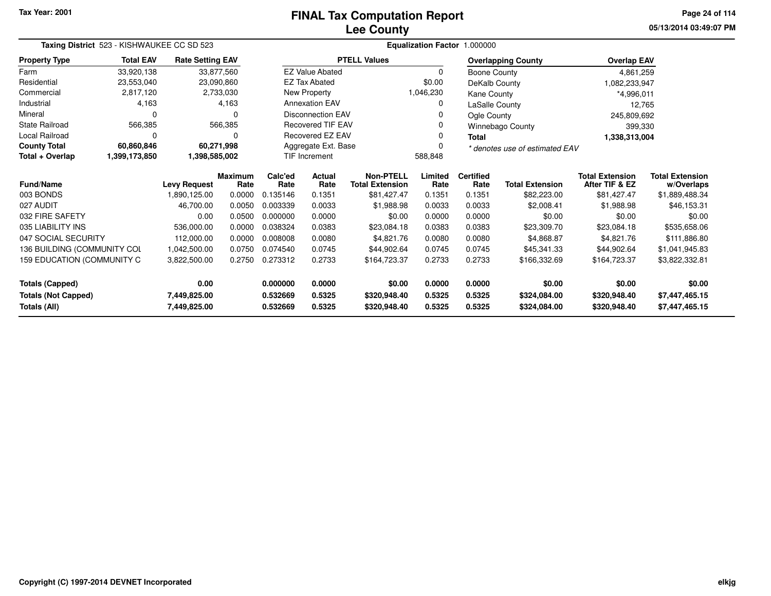# **Lee CountyFINAL Tax Computation Report**

**05/13/2014 03:49:07 PM Page 24 of 114**

|                              | Taxing District 523 - KISHWAUKEE CC SD 523 |                         |                        |                          |                                 | <b>Equalization Factor</b><br>1.000000     |                                            |                          |                           |                                          |                                      |  |  |  |
|------------------------------|--------------------------------------------|-------------------------|------------------------|--------------------------|---------------------------------|--------------------------------------------|--------------------------------------------|--------------------------|---------------------------|------------------------------------------|--------------------------------------|--|--|--|
| <b>Property Type</b>         | <b>Total EAV</b>                           | <b>Rate Setting EAV</b> |                        |                          |                                 | <b>PTELL Values</b>                        |                                            |                          | <b>Overlapping County</b> | <b>Overlap EAV</b>                       |                                      |  |  |  |
| Farm                         | 33,920,138                                 | 33,877,560              |                        |                          | <b>EZ Value Abated</b>          |                                            | $\Omega$                                   | Boone County             |                           | 4,861,259                                |                                      |  |  |  |
| Residential                  | 23,553,040                                 | 23,090,860              |                        |                          | <b>EZ Tax Abated</b>            |                                            | \$0.00                                     | DeKalb County            |                           | 1,082,233,947                            |                                      |  |  |  |
| Commercial                   | 2,817,120                                  |                         | 2,733,030              |                          | New Property                    | 1,046,230<br>Kane County                   |                                            | *4,996,011               |                           |                                          |                                      |  |  |  |
| Industrial                   | 4,163                                      |                         | 4,163                  |                          | <b>Annexation EAV</b>           |                                            | 0<br>LaSalle County                        |                          | 12,765                    |                                          |                                      |  |  |  |
| Mineral                      | $\Omega$                                   |                         | O                      | <b>Disconnection EAV</b> |                                 |                                            | 0                                          | Ogle County              |                           | 245,809,692                              |                                      |  |  |  |
| <b>State Railroad</b>        | 566,385                                    |                         | 566,385                |                          | <b>Recovered TIF EAV</b>        |                                            | 0                                          |                          | Winnebago County          | 399,330                                  |                                      |  |  |  |
| Local Railroad               | $\mathbf 0$                                |                         | 0                      |                          | Recovered EZ EAV                |                                            | 0                                          | Total                    |                           | 1,338,313,004                            |                                      |  |  |  |
| <b>County Total</b>          | 60,860,846                                 | 60,271,998              |                        |                          | Aggregate Ext. Base             |                                            | $\Omega$<br>* denotes use of estimated EAV |                          |                           |                                          |                                      |  |  |  |
| Total + Overlap              | 1,399,173,850                              | 1,398,585,002           |                        |                          | <b>TIF Increment</b><br>588,848 |                                            |                                            |                          |                           |                                          |                                      |  |  |  |
| <b>Fund/Name</b>             |                                            | <b>Levy Request</b>     | <b>Maximum</b><br>Rate | Calc'ed<br>Rate          | Actual<br>Rate                  | <b>Non-PTELL</b><br><b>Total Extension</b> | Limited<br>Rate                            | <b>Certified</b><br>Rate | <b>Total Extension</b>    | <b>Total Extension</b><br>After TIF & EZ | <b>Total Extension</b><br>w/Overlaps |  |  |  |
| 003 BONDS                    |                                            | 1,890,125.00            | 0.0000                 | 0.135146                 | 0.1351                          | \$81,427.47                                | 0.1351                                     | 0.1351                   | \$82,223.00               | \$81,427.47                              | \$1,889,488.34                       |  |  |  |
| 027 AUDIT                    |                                            | 46,700.00               | 0.0050                 | 0.003339                 | 0.0033                          | \$1,988.98                                 | 0.0033                                     | 0.0033                   | \$2,008.41                | \$1,988.98                               | \$46,153.31                          |  |  |  |
| 032 FIRE SAFETY              |                                            | 0.00                    | 0.0500                 | 0.000000                 | 0.0000                          | \$0.00                                     | 0.0000                                     | 0.0000                   | \$0.00                    | \$0.00                                   | \$0.00                               |  |  |  |
| 035 LIABILITY INS            |                                            | 536,000.00              | 0.0000                 | 0.038324                 | 0.0383                          | \$23,084.18                                | 0.0383                                     | 0.0383                   | \$23,309.70               | \$23,084.18                              | \$535,658.06                         |  |  |  |
| 047 SOCIAL SECURITY          |                                            | 112,000.00              | 0.0000                 | 0.008008                 | 0.0080                          | \$4,821.76                                 | 0.0080                                     | 0.0080                   | \$4,868.87                | \$4,821.76                               | \$111,886.80                         |  |  |  |
| 136 BUILDING (COMMUNITY COL  |                                            | 1,042,500.00            | 0.0750                 | 0.074540                 | 0.0745                          | \$44,902.64                                | 0.0745                                     | 0.0745                   | \$45,341.33               | \$44,902.64                              | \$1,041,945.83                       |  |  |  |
| 159 EDUCATION (COMMUNITY C   |                                            | 3,822,500.00            | 0.2750                 | 0.273312                 | 0.2733                          | \$164,723.37                               | 0.2733                                     | 0.2733                   | \$166,332.69              | \$164,723.37                             | \$3,822,332.81                       |  |  |  |
| <b>Totals (Capped)</b>       |                                            | 0.00                    |                        | 0.000000                 | 0.0000                          | \$0.00                                     | 0.0000                                     | 0.0000                   | \$0.00                    | \$0.00                                   | \$0.00                               |  |  |  |
| <b>Totals (Not Capped)</b>   |                                            | 7,449,825.00            |                        | 0.532669                 | 0.5325                          | \$320,948.40                               | 0.5325                                     | 0.5325                   | \$324,084.00              | \$320,948.40                             | \$7,447,465.15                       |  |  |  |
| Totals (All)<br>7,449,825.00 |                                            | 0.532669                | 0.5325                 | \$320,948.40             | 0.5325                          | 0.5325                                     | \$324,084.00                               | \$320,948.40             | \$7,447,465.15            |                                          |                                      |  |  |  |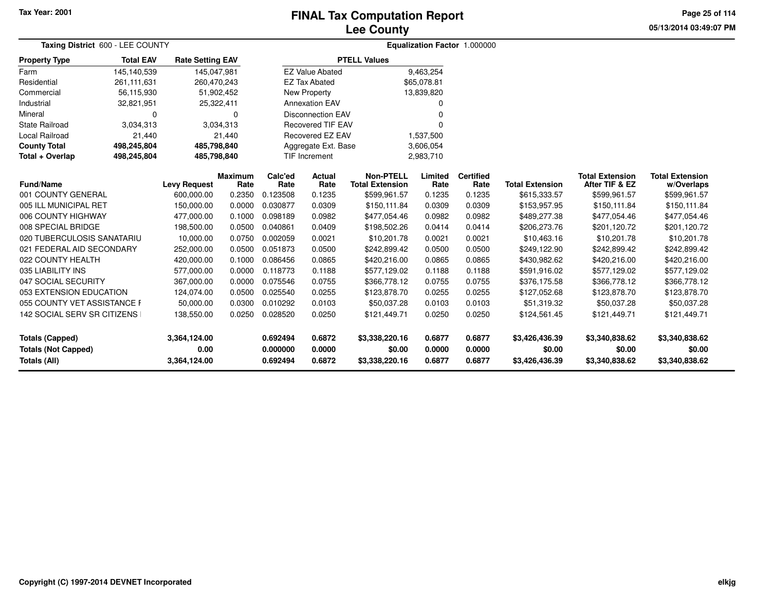## **Lee CountyFINAL Tax Computation Report**

**05/13/2014 03:49:07 PM Page 25 of 114**

|                                                   | Taxing District 600 - LEE COUNTY |                         |                        |                      |                          |                                            |                  | Equalization Factor 1.000000 |                          |                                          |                                      |  |
|---------------------------------------------------|----------------------------------|-------------------------|------------------------|----------------------|--------------------------|--------------------------------------------|------------------|------------------------------|--------------------------|------------------------------------------|--------------------------------------|--|
| <b>Property Type</b>                              | <b>Total EAV</b>                 | <b>Rate Setting EAV</b> |                        |                      |                          | <b>PTELL Values</b>                        |                  |                              |                          |                                          |                                      |  |
| Farm                                              | 145,140,539                      | 145,047,981             |                        |                      | <b>EZ Value Abated</b>   |                                            | 9,463,254        |                              |                          |                                          |                                      |  |
| Residential                                       | 261,111,631                      | 260,470,243             |                        |                      | <b>EZ Tax Abated</b>     |                                            | \$65,078.81      |                              |                          |                                          |                                      |  |
| Commercial                                        | 56,115,930                       | 51,902,452              |                        |                      | <b>New Property</b>      |                                            | 13,839,820       |                              |                          |                                          |                                      |  |
| Industrial                                        | 32,821,951                       | 25,322,411              |                        |                      | <b>Annexation EAV</b>    |                                            | 0                |                              |                          |                                          |                                      |  |
| Mineral                                           | 0                                |                         | 0                      |                      | <b>Disconnection EAV</b> |                                            | U                |                              |                          |                                          |                                      |  |
| <b>State Railroad</b>                             | 3,034,313                        |                         | 3,034,313              |                      | <b>Recovered TIF EAV</b> |                                            | $\Omega$         |                              |                          |                                          |                                      |  |
| Local Railroad                                    | 21,440                           |                         | 21,440                 |                      | Recovered EZ EAV         |                                            | 1,537,500        |                              |                          |                                          |                                      |  |
| <b>County Total</b>                               | 498,245,804                      | 485,798,840             |                        |                      | Aggregate Ext. Base      |                                            | 3,606,054        |                              |                          |                                          |                                      |  |
| Total + Overlap                                   | 498,245,804                      | 485,798,840             |                        |                      | TIF Increment            |                                            | 2,983,710        |                              |                          |                                          |                                      |  |
| <b>Fund/Name</b>                                  |                                  | <b>Levy Request</b>     | <b>Maximum</b><br>Rate | Calc'ed<br>Rate      | Actual<br>Rate           | <b>Non-PTELL</b><br><b>Total Extension</b> | Limited<br>Rate  | <b>Certified</b><br>Rate     | <b>Total Extension</b>   | <b>Total Extension</b><br>After TIF & EZ | <b>Total Extension</b><br>w/Overlaps |  |
| 001 COUNTY GENERAL                                |                                  | 600,000.00              | 0.2350                 | 0.123508             | 0.1235                   | \$599,961.57                               | 0.1235           | 0.1235                       | \$615,333.57             | \$599,961.57                             | \$599,961.57                         |  |
| 005 ILL MUNICIPAL RET                             |                                  | 150,000.00              | 0.0000                 | 0.030877             | 0.0309                   | \$150,111.84                               | 0.0309           | 0.0309                       | \$153,957.95             | \$150,111.84                             | \$150,111.84                         |  |
| 006 COUNTY HIGHWAY                                |                                  | 477,000.00              | 0.1000                 | 0.098189             | 0.0982                   | \$477,054.46                               | 0.0982           | 0.0982                       | \$489,277.38             | \$477,054.46                             | \$477,054.46                         |  |
| 008 SPECIAL BRIDGE                                |                                  | 198,500.00              | 0.0500                 | 0.040861             | 0.0409                   | \$198,502.26                               | 0.0414           | 0.0414                       | \$206,273.76             | \$201,120.72                             | \$201,120.72                         |  |
| 020 TUBERCULOSIS SANATARIU                        |                                  | 10,000.00               | 0.0750                 | 0.002059             | 0.0021                   | \$10,201.78                                | 0.0021           | 0.0021                       | \$10,463.16              | \$10,201.78                              | \$10,201.78                          |  |
| 021 FEDERAL AID SECONDARY                         |                                  | 252,000.00              | 0.0500                 | 0.051873             | 0.0500                   | \$242,899.42                               | 0.0500           | 0.0500                       | \$249,122.90             | \$242,899.42                             | \$242,899.42                         |  |
| 022 COUNTY HEALTH                                 |                                  | 420,000.00              | 0.1000                 | 0.086456             | 0.0865                   | \$420,216.00                               | 0.0865           | 0.0865                       | \$430,982.62             | \$420,216.00                             | \$420,216.00                         |  |
| 035 LIABILITY INS                                 |                                  | 577,000.00              | 0.0000                 | 0.118773             | 0.1188                   | \$577,129.02                               | 0.1188           | 0.1188                       | \$591,916.02             | \$577,129.02                             | \$577,129.02                         |  |
| 047 SOCIAL SECURITY                               |                                  | 367,000.00              | 0.0000                 | 0.075546             | 0.0755                   | \$366,778.12                               | 0.0755           | 0.0755                       | \$376,175.58             | \$366,778.12                             | \$366,778.12                         |  |
| 053 EXTENSION EDUCATION                           |                                  | 124,074.00              | 0.0500                 | 0.025540             | 0.0255                   | \$123,878.70                               | 0.0255           | 0.0255                       | \$127,052.68             | \$123,878.70                             | \$123,878.70                         |  |
| 055 COUNTY VET ASSISTANCE F                       |                                  | 50,000.00               | 0.0300                 | 0.010292             | 0.0103                   | \$50,037.28                                | 0.0103           | 0.0103                       | \$51,319.32              | \$50,037.28                              | \$50,037.28                          |  |
| 142 SOCIAL SERV SR CITIZENS                       |                                  | 138,550.00              | 0.0250                 | 0.028520             | 0.0250                   | \$121,449.71                               | 0.0250           | 0.0250                       | \$124,561.45             | \$121,449.71                             | \$121,449.71                         |  |
| <b>Totals (Capped)</b>                            |                                  | 3,364,124.00            |                        | 0.692494             | 0.6872                   | \$3,338,220.16                             | 0.6877           | 0.6877                       | \$3,426,436.39           | \$3,340,838.62                           | \$3,340,838.62                       |  |
| <b>Totals (Not Capped)</b><br><b>Totals (All)</b> |                                  | 0.00<br>3,364,124.00    |                        | 0.000000<br>0.692494 | 0.0000<br>0.6872         | \$0.00<br>\$3,338,220.16                   | 0.0000<br>0.6877 | 0.0000<br>0.6877             | \$0.00<br>\$3,426,436.39 | \$0.00<br>\$3,340,838.62                 | \$0.00<br>\$3,340,838.62             |  |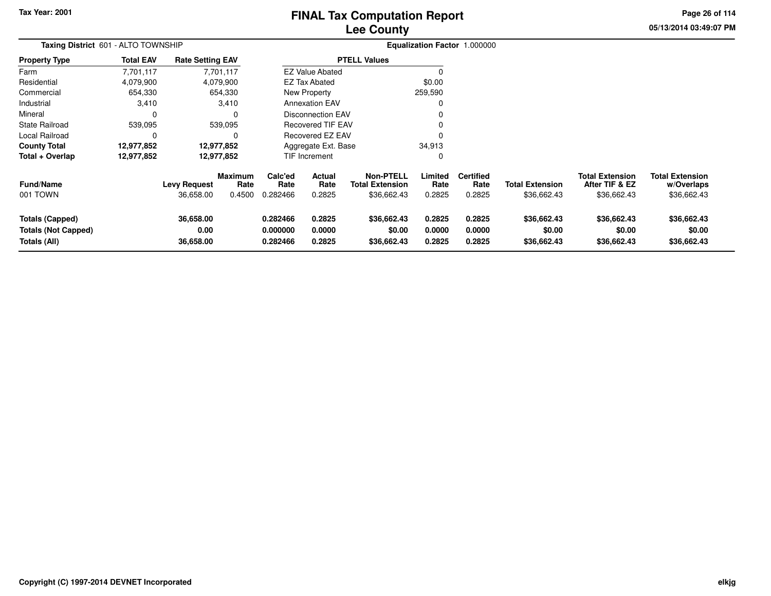# **Lee CountyFINAL Tax Computation Report**

**05/13/2014 03:49:07 PMPage 26 of 114**

| Taxing District 601 - ALTO TOWNSHIP                                  |                  |                                  |                                  |                                  |                            |                                                           |                            | Equalization Factor 1.000000       |                                       |                                                         |                                                     |  |  |
|----------------------------------------------------------------------|------------------|----------------------------------|----------------------------------|----------------------------------|----------------------------|-----------------------------------------------------------|----------------------------|------------------------------------|---------------------------------------|---------------------------------------------------------|-----------------------------------------------------|--|--|
| <b>Property Type</b>                                                 | <b>Total EAV</b> | <b>Rate Setting EAV</b>          |                                  |                                  |                            | <b>PTELL Values</b>                                       |                            |                                    |                                       |                                                         |                                                     |  |  |
| Farm                                                                 | 7,701,117        |                                  | 7,701,117                        |                                  | <b>EZ Value Abated</b>     |                                                           |                            |                                    |                                       |                                                         |                                                     |  |  |
| Residential                                                          | 4,079,900        |                                  | 4,079,900                        |                                  | <b>EZ Tax Abated</b>       |                                                           | \$0.00                     |                                    |                                       |                                                         |                                                     |  |  |
| Commercial                                                           | 654,330          |                                  | 654,330                          |                                  | New Property               |                                                           | 259,590                    |                                    |                                       |                                                         |                                                     |  |  |
| Industrial                                                           | 3,410            |                                  | 3.410                            |                                  | <b>Annexation EAV</b>      |                                                           |                            |                                    |                                       |                                                         |                                                     |  |  |
| Mineral                                                              |                  |                                  |                                  |                                  | Disconnection EAV          |                                                           |                            |                                    |                                       |                                                         |                                                     |  |  |
| <b>State Railroad</b>                                                | 539,095          |                                  | 539,095                          |                                  | <b>Recovered TIF EAV</b>   |                                                           |                            |                                    |                                       |                                                         |                                                     |  |  |
| Local Railroad                                                       | 0                |                                  | 0                                |                                  | <b>Recovered EZ EAV</b>    |                                                           |                            |                                    |                                       |                                                         |                                                     |  |  |
| <b>County Total</b>                                                  | 12,977,852       | 12,977,852                       |                                  |                                  | Aggregate Ext. Base        |                                                           | 34,913                     |                                    |                                       |                                                         |                                                     |  |  |
| Total + Overlap                                                      | 12,977,852       |                                  | 12,977,852                       |                                  | TIF Increment              |                                                           | 0                          |                                    |                                       |                                                         |                                                     |  |  |
| <b>Fund/Name</b><br>001 TOWN                                         |                  | <b>Levy Request</b><br>36,658.00 | <b>Maximum</b><br>Rate<br>0.4500 | Calc'ed<br>Rate<br>0.282466      | Actual<br>Rate<br>0.2825   | <b>Non-PTELL</b><br><b>Total Extension</b><br>\$36,662.43 | Limited<br>Rate<br>0.2825  | <b>Certified</b><br>Rate<br>0.2825 | <b>Total Extension</b><br>\$36,662.43 | <b>Total Extension</b><br>After TIF & EZ<br>\$36,662.43 | <b>Total Extension</b><br>w/Overlaps<br>\$36,662.43 |  |  |
| <b>Totals (Capped)</b><br><b>Totals (Not Capped)</b><br>Totals (All) |                  | 36,658.00<br>0.00<br>36,658.00   |                                  | 0.282466<br>0.000000<br>0.282466 | 0.2825<br>0.0000<br>0.2825 | \$36,662.43<br>\$0.00<br>\$36,662.43                      | 0.2825<br>0.0000<br>0.2825 | 0.2825<br>0.0000<br>0.2825         | \$36,662.43<br>\$0.00<br>\$36,662.43  | \$36,662.43<br>\$0.00<br>\$36,662.43                    | \$36,662.43<br>\$0.00<br>\$36,662.43                |  |  |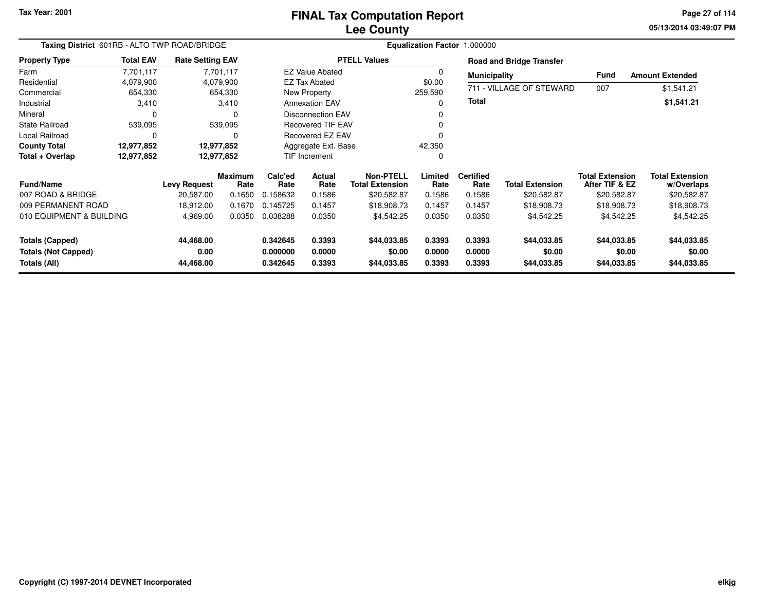## **Lee CountyFINAL Tax Computation Report**

**05/13/2014 03:49:07 PM Page 27 of 114**

| Taxing District 601RB - ALTO TWP ROAD/BRIDGE |                  |                         |                        |                      |                           |                                            | Equalization Factor 1.000000 |                          |                                 |                                          |                                      |
|----------------------------------------------|------------------|-------------------------|------------------------|----------------------|---------------------------|--------------------------------------------|------------------------------|--------------------------|---------------------------------|------------------------------------------|--------------------------------------|
| <b>Property Type</b>                         | <b>Total EAV</b> | <b>Rate Setting EAV</b> |                        |                      |                           | <b>PTELL Values</b>                        |                              |                          | <b>Road and Bridge Transfer</b> |                                          |                                      |
| Farm                                         | 7,701,117        |                         | 7,701,117              |                      | <b>EZ Value Abated</b>    |                                            | $\Omega$                     | <b>Municipality</b>      |                                 | <b>Fund</b>                              | <b>Amount Extended</b>               |
| Residential                                  | 4,079,900        |                         | 4,079,900              |                      | <b>EZ Tax Abated</b>      |                                            | \$0.00                       |                          |                                 |                                          |                                      |
| Commercial                                   | 654,330          |                         | 654,330                |                      | New Property              |                                            | 259,590                      |                          | 711 - VILLAGE OF STEWARD        | 007                                      | \$1,541.21                           |
| Industrial                                   | 3,410            |                         | 3,410                  |                      | <b>Annexation EAV</b>     |                                            | ი                            | <b>Total</b>             |                                 |                                          | \$1,541.21                           |
| Mineral                                      |                  |                         | $\Omega$               |                      | <b>Disconnection EAV</b>  |                                            |                              |                          |                                 |                                          |                                      |
| <b>State Railroad</b>                        | 539,095          |                         | 539,095                |                      | <b>Recovered TIF EAV</b>  |                                            |                              |                          |                                 |                                          |                                      |
| Local Railroad                               | 0                |                         | $\Omega$               |                      | Recovered EZ EAV          |                                            |                              |                          |                                 |                                          |                                      |
| <b>County Total</b>                          | 12,977,852       |                         | 12,977,852             | Aggregate Ext. Base  |                           |                                            | 42,350                       |                          |                                 |                                          |                                      |
| Total + Overlap                              | 12,977,852       |                         | 12,977,852             |                      | <b>TIF Increment</b><br>0 |                                            |                              |                          |                                 |                                          |                                      |
| <b>Fund/Name</b>                             |                  | <b>Levy Request</b>     | <b>Maximum</b><br>Rate | Calc'ed<br>Rate      | <b>Actual</b><br>Rate     | <b>Non-PTELL</b><br><b>Total Extension</b> | Limited<br>Rate              | <b>Certified</b><br>Rate | <b>Total Extension</b>          | <b>Total Extension</b><br>After TIF & EZ | <b>Total Extension</b><br>w/Overlaps |
| 007 ROAD & BRIDGE                            |                  | 20,587.00               | 0.1650                 | 0.158632             | 0.1586                    | \$20,582.87                                | 0.1586                       | 0.1586                   | \$20,582.87                     | \$20,582.87                              | \$20,582.87                          |
| 009 PERMANENT ROAD                           |                  | 18,912.00               | 0.1670                 | 0.145725             | 0.1457                    | \$18,908.73                                | 0.1457                       | 0.1457                   | \$18,908.73                     | \$18,908.73                              | \$18,908.73                          |
| 010 EQUIPMENT & BUILDING                     |                  | 4,969.00                | 0.0350                 | 0.038288             | 0.0350                    | \$4,542.25                                 | 0.0350                       | 0.0350                   | \$4,542.25                      | \$4,542.25                               | \$4,542.25                           |
| Totals (Capped)                              |                  | 44,468.00               |                        | 0.342645             | 0.3393                    | \$44,033.85                                | 0.3393                       | 0.3393                   | \$44,033.85                     | \$44,033.85                              | \$44,033.85                          |
| <b>Totals (Not Capped)</b><br>Totals (All)   |                  | 0.00<br>44,468.00       |                        | 0.000000<br>0.342645 | 0.0000<br>0.3393          | \$0.00<br>\$44,033.85                      | 0.0000<br>0.3393             | 0.0000<br>0.3393         | \$0.00<br>\$44,033.85           | \$0.00<br>\$44,033.85                    | \$0.00<br>\$44,033.85                |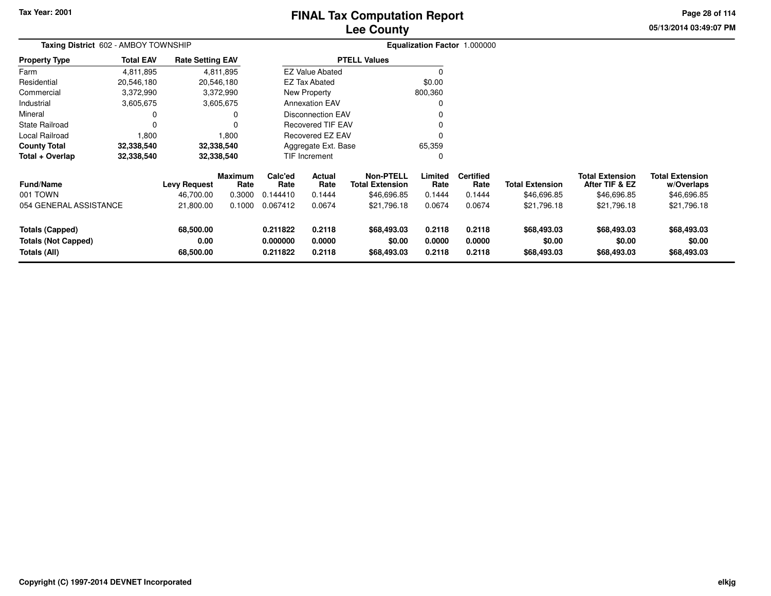# **Lee CountyFINAL Tax Computation Report**

**05/13/2014 03:49:07 PMPage 28 of 114**

| Taxing District 602 - AMBOY TOWNSHIP                 |                  |                         |                        |                      |                                                             |                                            |                  | Equalization Factor 1.000000 |                        |                                          |                                      |
|------------------------------------------------------|------------------|-------------------------|------------------------|----------------------|-------------------------------------------------------------|--------------------------------------------|------------------|------------------------------|------------------------|------------------------------------------|--------------------------------------|
| <b>Property Type</b>                                 | <b>Total EAV</b> | <b>Rate Setting EAV</b> |                        |                      |                                                             | <b>PTELL Values</b>                        |                  |                              |                        |                                          |                                      |
| Farm                                                 | 4,811,895        |                         | 4,811,895              |                      | <b>EZ Value Abated</b>                                      |                                            | $\Omega$         |                              |                        |                                          |                                      |
| Residential                                          | 20,546,180       |                         | 20,546,180             |                      | EZ Tax Abated                                               |                                            | \$0.00           |                              |                        |                                          |                                      |
| Commercial                                           | 3,372,990        |                         | 3,372,990              |                      | New Property                                                |                                            | 800,360          |                              |                        |                                          |                                      |
| Industrial                                           | 3,605,675        |                         | 3,605,675              |                      | <b>Annexation EAV</b>                                       |                                            | 0                |                              |                        |                                          |                                      |
| Mineral                                              |                  |                         |                        |                      | <b>Disconnection EAV</b>                                    |                                            | 0                |                              |                        |                                          |                                      |
| State Railroad                                       |                  |                         |                        |                      |                                                             |                                            | 0                |                              |                        |                                          |                                      |
| Local Railroad                                       | 1,800            |                         | 1,800                  |                      | <b>Recovered TIF EAV</b><br>Recovered EZ EAV<br>0<br>65,359 |                                            |                  |                              |                        |                                          |                                      |
| <b>County Total</b>                                  | 32,338,540       |                         | 32,338,540             | Aggregate Ext. Base  |                                                             |                                            |                  |                              |                        |                                          |                                      |
| Total + Overlap                                      | 32,338,540       |                         | 32,338,540             |                      | <b>TIF Increment</b>                                        |                                            | 0                |                              |                        |                                          |                                      |
| Fund/Name                                            |                  | <b>Levy Request</b>     | <b>Maximum</b><br>Rate | Calc'ed<br>Rate      | Actual<br>Rate                                              | <b>Non-PTELL</b><br><b>Total Extension</b> | Limited<br>Rate  | <b>Certified</b><br>Rate     | <b>Total Extension</b> | <b>Total Extension</b><br>After TIF & EZ | <b>Total Extension</b><br>w/Overlaps |
| 001 TOWN                                             |                  | 46,700.00               | 0.3000                 | 0.144410             | 0.1444                                                      | \$46,696.85                                | 0.1444           | 0.1444                       | \$46,696.85            | \$46,696.85                              | \$46,696.85                          |
| 054 GENERAL ASSISTANCE                               |                  | 21,800.00               | 0.1000                 | 0.067412             | 0.0674                                                      | \$21,796.18                                | 0.0674           | 0.0674                       | \$21,796.18            | \$21,796.18                              | \$21,796.18                          |
| <b>Totals (Capped)</b><br><b>Totals (Not Capped)</b> |                  | 68,500.00<br>0.00       |                        | 0.211822<br>0.000000 | 0.2118<br>0.0000                                            | \$68,493.03<br>\$0.00                      | 0.2118<br>0.0000 | 0.2118<br>0.0000             | \$68,493.03<br>\$0.00  | \$68,493.03<br>\$0.00                    | \$68,493.03<br>\$0.00                |
| Totals (All)                                         |                  | 68,500.00               |                        | 0.211822             | 0.2118                                                      | \$68,493.03                                | 0.2118           | 0.2118                       | \$68,493.03            | \$68,493.03                              | \$68,493.03                          |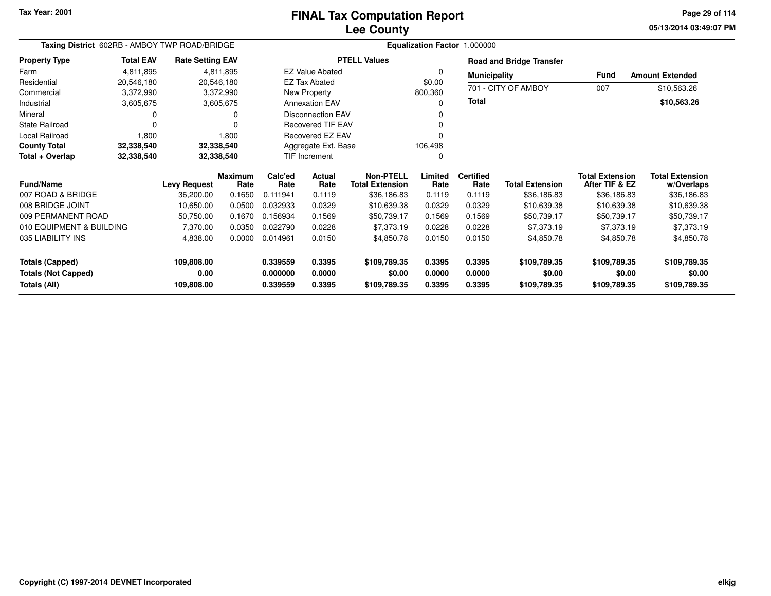## **Lee CountyFINAL Tax Computation Report**

**05/13/2014 03:49:07 PM Page 29 of 114**

| Taxing District 602RB - AMBOY TWP ROAD/BRIDGE                 |                  |                                  |                        |                                  |                                |                                            |                            | Equalization Factor 1.000000 |                                        |                                          |                                        |
|---------------------------------------------------------------|------------------|----------------------------------|------------------------|----------------------------------|--------------------------------|--------------------------------------------|----------------------------|------------------------------|----------------------------------------|------------------------------------------|----------------------------------------|
| <b>Property Type</b>                                          | <b>Total EAV</b> | <b>Rate Setting EAV</b>          |                        |                                  |                                | <b>PTELL Values</b>                        |                            |                              | <b>Road and Bridge Transfer</b>        |                                          |                                        |
| Farm                                                          | 4,811,895        |                                  | 4,811,895              |                                  | <b>EZ Value Abated</b>         |                                            | 0                          | <b>Municipality</b>          |                                        | <b>Fund</b>                              | <b>Amount Extended</b>                 |
| Residential                                                   | 20,546,180       | 20,546,180                       |                        |                                  | <b>EZ Tax Abated</b>           |                                            | \$0.00                     |                              |                                        |                                          |                                        |
| Commercial                                                    | 3,372,990        |                                  | 3,372,990              |                                  | New Property                   |                                            | 800,360                    |                              | 701 - CITY OF AMBOY                    | 007                                      | \$10,563.26                            |
| Industrial                                                    | 3,605,675        |                                  | 3,605,675              |                                  | <b>Annexation EAV</b>          |                                            | 0                          | <b>Total</b>                 |                                        |                                          | \$10,563.26                            |
| Mineral                                                       |                  |                                  | 0                      |                                  | <b>Disconnection EAV</b>       |                                            | 0                          |                              |                                        |                                          |                                        |
| <b>State Railroad</b>                                         | 0                |                                  |                        |                                  | <b>Recovered TIF EAV</b>       |                                            | 0                          |                              |                                        |                                          |                                        |
| Local Railroad                                                | 1,800            |                                  | 1,800                  |                                  | Recovered EZ EAV               |                                            | 0                          |                              |                                        |                                          |                                        |
| <b>County Total</b>                                           | 32,338,540       | 32,338,540                       |                        |                                  | Aggregate Ext. Base<br>106,498 |                                            |                            |                              |                                        |                                          |                                        |
| Total + Overlap                                               | 32,338,540       | 32,338,540                       |                        |                                  | <b>TIF Increment</b>           | 0                                          |                            |                              |                                        |                                          |                                        |
| <b>Fund/Name</b>                                              |                  | <b>Levy Request</b>              | <b>Maximum</b><br>Rate | Calc'ed<br>Rate                  | Actual<br>Rate                 | <b>Non-PTELL</b><br><b>Total Extension</b> | Limited<br>Rate            | <b>Certified</b><br>Rate     | <b>Total Extension</b>                 | <b>Total Extension</b><br>After TIF & EZ | <b>Total Extension</b><br>w/Overlaps   |
| 007 ROAD & BRIDGE                                             |                  | 36,200.00                        | 0.1650                 | 0.111941                         | 0.1119                         | \$36,186.83                                | 0.1119                     | 0.1119                       | \$36,186.83                            | \$36,186.83                              | \$36,186.83                            |
| 008 BRIDGE JOINT                                              |                  | 10,650.00                        | 0.0500                 | 0.032933                         | 0.0329                         | \$10,639.38                                | 0.0329                     | 0.0329                       | \$10,639.38                            | \$10,639.38                              | \$10,639.38                            |
| 009 PERMANENT ROAD                                            |                  | 50,750.00                        | 0.1670                 | 0.156934                         | 0.1569                         | \$50,739.17                                | 0.1569                     | 0.1569                       | \$50,739.17                            | \$50,739.17                              | \$50,739.17                            |
| 010 EQUIPMENT & BUILDING                                      |                  | 7,370.00                         | 0.0350                 | 0.022790                         | 0.0228                         | \$7,373.19                                 | 0.0228                     | 0.0228                       | \$7,373.19                             | \$7,373.19                               | \$7,373.19                             |
| 035 LIABILITY INS                                             |                  | 4,838.00                         | 0.0000                 | 0.014961                         | 0.0150                         | \$4,850.78                                 | 0.0150                     | 0.0150                       | \$4,850.78                             | \$4,850.78                               | \$4,850.78                             |
| Totals (Capped)<br><b>Totals (Not Capped)</b><br>Totals (All) |                  | 109,808.00<br>0.00<br>109,808.00 |                        | 0.339559<br>0.000000<br>0.339559 | 0.3395<br>0.0000<br>0.3395     | \$109,789.35<br>\$0.00<br>\$109,789.35     | 0.3395<br>0.0000<br>0.3395 | 0.3395<br>0.0000<br>0.3395   | \$109,789.35<br>\$0.00<br>\$109,789.35 | \$109,789.35<br>\$0.00<br>\$109,789.35   | \$109,789.35<br>\$0.00<br>\$109,789.35 |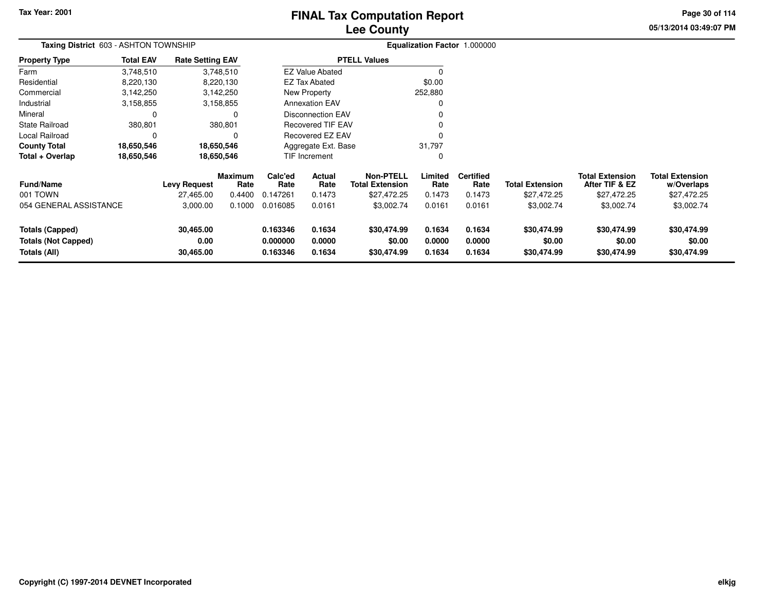# **Lee CountyFINAL Tax Computation Report**

**05/13/2014 03:49:07 PM Page 30 of 114**

|                                                                      | Taxing District 603 - ASHTON TOWNSHIP<br><b>Total EAV</b><br><b>Rate Setting EAV</b><br>3,748,510<br>3,748,510<br>8,220,130<br>8,220,130 |                                |                 |                                  |                            |                                            |                            | Equalization Factor 1.000000 |                                      |                                          |                                      |
|----------------------------------------------------------------------|------------------------------------------------------------------------------------------------------------------------------------------|--------------------------------|-----------------|----------------------------------|----------------------------|--------------------------------------------|----------------------------|------------------------------|--------------------------------------|------------------------------------------|--------------------------------------|
| Property Type                                                        |                                                                                                                                          |                                |                 |                                  |                            | <b>PTELL Values</b>                        |                            |                              |                                      |                                          |                                      |
| Farm                                                                 |                                                                                                                                          |                                |                 |                                  | <b>EZ Value Abated</b>     |                                            | ŋ                          |                              |                                      |                                          |                                      |
| Residential                                                          |                                                                                                                                          |                                |                 |                                  | <b>EZ Tax Abated</b>       |                                            | \$0.00                     |                              |                                      |                                          |                                      |
| Commercial                                                           | 3,142,250                                                                                                                                |                                | 3,142,250       |                                  | New Property               |                                            | 252,880                    |                              |                                      |                                          |                                      |
| Industrial                                                           | 3,158,855                                                                                                                                |                                | 3,158,855       |                                  | <b>Annexation EAV</b>      |                                            |                            |                              |                                      |                                          |                                      |
| Mineral                                                              | 0                                                                                                                                        |                                |                 |                                  | Disconnection EAV          |                                            |                            |                              |                                      |                                          |                                      |
| State Railroad                                                       | 380,801                                                                                                                                  |                                | 380,801         |                                  | Recovered TIF EAV          |                                            |                            |                              |                                      |                                          |                                      |
| Local Railroad                                                       | 0                                                                                                                                        |                                |                 | Recovered EZ EAV                 |                            |                                            |                            |                              |                                      |                                          |                                      |
| County Total                                                         | 18,650,546                                                                                                                               |                                | 18,650,546      | 31,797<br>Aggregate Ext. Base    |                            |                                            |                            |                              |                                      |                                          |                                      |
| Total + Overlap                                                      | 18,650,546                                                                                                                               | 18,650,546                     |                 | TIF Increment                    |                            |                                            | 0                          |                              |                                      |                                          |                                      |
| Fund/Name                                                            |                                                                                                                                          | <b>Levy Request</b>            | Maximum<br>Rate | Calc'ed<br>Rate                  | Actual<br>Rate             | <b>Non-PTELL</b><br><b>Total Extension</b> | Limited<br>Rate            | <b>Certified</b><br>Rate     | <b>Total Extension</b>               | <b>Total Extension</b><br>After TIF & EZ | <b>Total Extension</b><br>w/Overlaps |
| 001 TOWN                                                             |                                                                                                                                          | 27,465.00                      | 0.4400          | 0.147261                         | 0.1473                     | \$27,472.25                                | 0.1473                     | 0.1473                       | \$27,472.25                          | \$27,472.25                              | \$27,472.25                          |
| 054 GENERAL ASSISTANCE                                               |                                                                                                                                          | 3,000.00                       | 0.1000          | 0.016085                         | 0.0161                     | \$3,002.74                                 | 0.0161                     | 0.0161                       | \$3,002.74                           | \$3,002.74                               | \$3,002.74                           |
| <b>Totals (Capped)</b><br><b>Totals (Not Capped)</b><br>Totals (All) |                                                                                                                                          | 30,465.00<br>0.00<br>30,465.00 |                 | 0.163346<br>0.000000<br>0.163346 | 0.1634<br>0.0000<br>0.1634 | \$30,474.99<br>\$0.00<br>\$30,474.99       | 0.1634<br>0.0000<br>0.1634 | 0.1634<br>0.0000<br>0.1634   | \$30,474.99<br>\$0.00<br>\$30,474.99 | \$30,474.99<br>\$0.00<br>\$30,474.99     | \$30,474.99<br>\$0.00<br>\$30,474.99 |
|                                                                      |                                                                                                                                          |                                |                 |                                  |                            |                                            |                            |                              |                                      |                                          |                                      |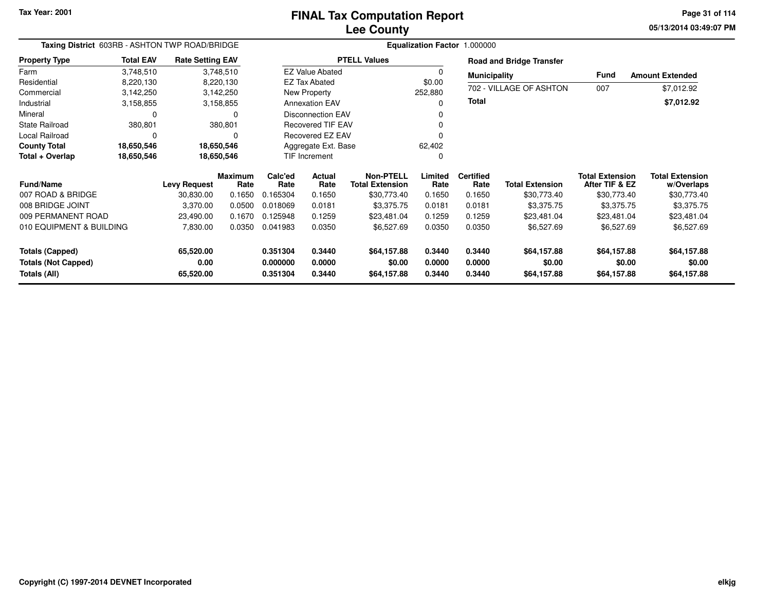# **Lee CountyFINAL Tax Computation Report**

**05/13/2014 03:49:07 PM Page 31 of 114**

| Taxing District 603RB - ASHTON TWP ROAD/BRIDGE |                  |                         |                 |                               |                           |                                            |                  | Equalization Factor 1.000000 |                                 |                                          |                                      |
|------------------------------------------------|------------------|-------------------------|-----------------|-------------------------------|---------------------------|--------------------------------------------|------------------|------------------------------|---------------------------------|------------------------------------------|--------------------------------------|
| <b>Property Type</b>                           | <b>Total EAV</b> | <b>Rate Setting EAV</b> |                 |                               |                           | <b>PTELL Values</b>                        |                  |                              | <b>Road and Bridge Transfer</b> |                                          |                                      |
| Farm                                           | 3,748,510        | 3,748,510               |                 |                               | <b>EZ Value Abated</b>    |                                            | $\Omega$         | <b>Municipality</b>          |                                 | Fund                                     | <b>Amount Extended</b>               |
| Residential                                    | 8,220,130        | 8,220,130               |                 |                               | <b>EZ Tax Abated</b>      |                                            | \$0.00           |                              |                                 |                                          |                                      |
| Commercial                                     | 3,142,250        | 3,142,250               |                 |                               | New Property              |                                            | 252,880          |                              | 702 - VILLAGE OF ASHTON         | 007                                      | \$7,012.92                           |
| Industrial                                     | 3,158,855        | 3,158,855               |                 |                               | <b>Annexation EAV</b>     |                                            | 0                | <b>Total</b>                 |                                 |                                          | \$7,012.92                           |
| Mineral                                        | 0                |                         | $\Omega$        |                               | <b>Disconnection EAV</b>  |                                            |                  |                              |                                 |                                          |                                      |
| <b>State Railroad</b>                          | 380,801          |                         | 380,801         |                               | <b>Recovered TIF EAV</b>  |                                            |                  |                              |                                 |                                          |                                      |
| Local Railroad                                 | 0                |                         | 0               |                               | Recovered EZ EAV          |                                            |                  |                              |                                 |                                          |                                      |
| <b>County Total</b>                            | 18,650,546       | 18,650,546              |                 | Aggregate Ext. Base<br>62,402 |                           |                                            |                  |                              |                                 |                                          |                                      |
| Total + Overlap                                | 18,650,546       | 18,650,546              |                 |                               | <b>TIF Increment</b><br>0 |                                            |                  |                              |                                 |                                          |                                      |
| <b>Fund/Name</b>                               |                  | <b>Levy Request</b>     | Maximum<br>Rate | Calc'ed<br>Rate               | Actual<br>Rate            | <b>Non-PTELL</b><br><b>Total Extension</b> | Limited<br>Rate  | <b>Certified</b><br>Rate     | <b>Total Extension</b>          | <b>Total Extension</b><br>After TIF & EZ | <b>Total Extension</b><br>w/Overlaps |
| 007 ROAD & BRIDGE                              |                  | 30,830.00               | 0.1650          | 0.165304                      | 0.1650                    | \$30,773.40                                | 0.1650           | 0.1650                       | \$30,773.40                     | \$30,773.40                              | \$30,773.40                          |
| 008 BRIDGE JOINT                               |                  | 3,370.00                | 0.0500          | 0.018069                      | 0.0181                    | \$3,375.75                                 | 0.0181           | 0.0181                       | \$3,375.75                      | \$3,375.75                               | \$3,375.75                           |
| 009 PERMANENT ROAD                             |                  | 23,490.00               | 0.1670          | 0.125948                      | 0.1259                    | \$23,481.04                                | 0.1259           | 0.1259                       | \$23,481.04                     | \$23,481.04                              | \$23,481.04                          |
| 010 EQUIPMENT & BUILDING                       |                  | 7,830.00                | 0.0350          | 0.041983                      | 0.0350                    | \$6,527.69                                 | 0.0350           | 0.0350                       | \$6,527.69                      | \$6,527.69                               | \$6,527.69                           |
| <b>Totals (Capped)</b>                         |                  | 65,520.00               |                 | 0.351304                      | 0.3440                    | \$64,157.88                                | 0.3440           | 0.3440                       | \$64,157.88                     | \$64,157.88                              | \$64,157.88                          |
| <b>Totals (Not Capped)</b><br>Totals (All)     |                  | 0.00<br>65,520.00       |                 | 0.000000<br>0.351304          | 0.0000<br>0.3440          | \$0.00<br>\$64,157.88                      | 0.0000<br>0.3440 | 0.0000<br>0.3440             | \$0.00<br>\$64,157.88           | \$0.00<br>\$64,157.88                    | \$0.00<br>\$64,157.88                |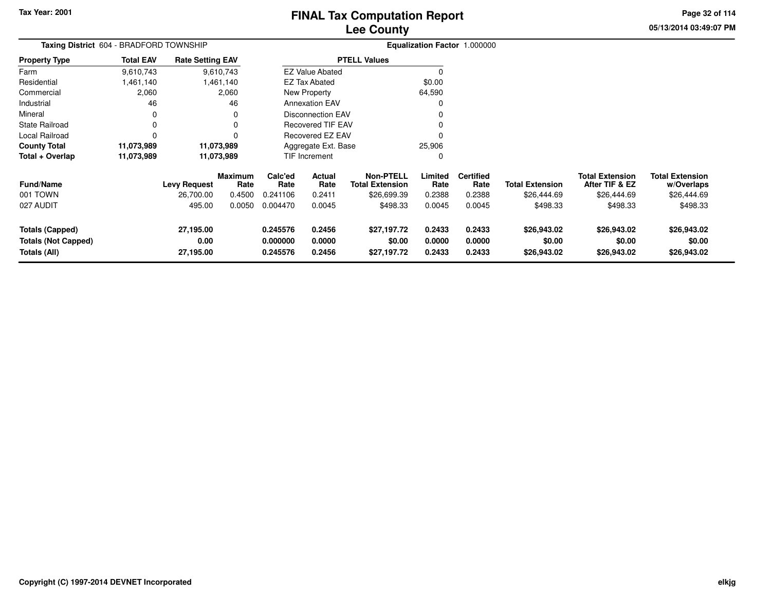**05/13/2014 03:49:07 PM Page 32 of 114**

| Taxing District 604 - BRADFORD TOWNSHIP<br><b>Rate Setting EAV</b>   |                  |                                |                        |                                  |                            |                                            |                            | Equalization Factor 1.000000 |                                      |                                          |                                      |
|----------------------------------------------------------------------|------------------|--------------------------------|------------------------|----------------------------------|----------------------------|--------------------------------------------|----------------------------|------------------------------|--------------------------------------|------------------------------------------|--------------------------------------|
| <b>Property Type</b>                                                 | <b>Total EAV</b> |                                |                        |                                  |                            | <b>PTELL Values</b>                        |                            |                              |                                      |                                          |                                      |
| Farm                                                                 | 9,610,743        |                                | 9,610,743              |                                  | <b>EZ Value Abated</b>     |                                            |                            |                              |                                      |                                          |                                      |
| Residential                                                          | .461,140         |                                | 1,461,140              |                                  | EZ Tax Abated              |                                            | \$0.00                     |                              |                                      |                                          |                                      |
| Commercial                                                           | 2,060            |                                | 2,060                  |                                  | New Property               |                                            | 64,590                     |                              |                                      |                                          |                                      |
| Industrial                                                           | 46               |                                | 46                     |                                  | <b>Annexation EAV</b>      |                                            |                            |                              |                                      |                                          |                                      |
| Mineral                                                              | 0                |                                |                        |                                  | <b>Disconnection EAV</b>   |                                            |                            |                              |                                      |                                          |                                      |
| <b>State Railroad</b>                                                | $\Omega$         |                                | o                      |                                  | <b>Recovered TIF EAV</b>   |                                            |                            |                              |                                      |                                          |                                      |
| Local Railroad                                                       | $\Omega$         |                                |                        | <b>Recovered EZ EAV</b>          |                            |                                            |                            |                              |                                      |                                          |                                      |
| <b>County Total</b>                                                  | 11,073,989       |                                | 11,073,989             | 25,906<br>Aggregate Ext. Base    |                            |                                            |                            |                              |                                      |                                          |                                      |
| Total + Overlap                                                      | 11,073,989       | 11,073,989                     |                        |                                  | TIF Increment              |                                            | 0                          |                              |                                      |                                          |                                      |
| <b>Fund/Name</b>                                                     |                  | <b>Levy Request</b>            | <b>Maximum</b><br>Rate | Calc'ed<br>Rate                  | Actual<br>Rate             | <b>Non-PTELL</b><br><b>Total Extension</b> | Limited<br>Rate            | <b>Certified</b><br>Rate     | <b>Total Extension</b>               | <b>Total Extension</b><br>After TIF & EZ | <b>Total Extension</b><br>w/Overlaps |
| 001 TOWN                                                             |                  | 26,700.00                      | 0.4500                 | 0.241106                         | 0.2411                     | \$26,699.39                                | 0.2388                     | 0.2388                       | \$26,444.69                          | \$26,444.69                              | \$26,444.69                          |
| 027 AUDIT                                                            |                  | 495.00                         | 0.0050                 | 0.004470                         | 0.0045                     | \$498.33                                   | 0.0045                     | 0.0045                       | \$498.33                             | \$498.33                                 | \$498.33                             |
| <b>Totals (Capped)</b><br><b>Totals (Not Capped)</b><br>Totals (All) |                  | 27,195.00<br>0.00<br>27,195.00 |                        | 0.245576<br>0.000000<br>0.245576 | 0.2456<br>0.0000<br>0.2456 | \$27,197.72<br>\$0.00<br>\$27,197.72       | 0.2433<br>0.0000<br>0.2433 | 0.2433<br>0.0000<br>0.2433   | \$26,943.02<br>\$0.00<br>\$26,943.02 | \$26,943.02<br>\$0.00<br>\$26,943.02     | \$26,943.02<br>\$0.00<br>\$26,943.02 |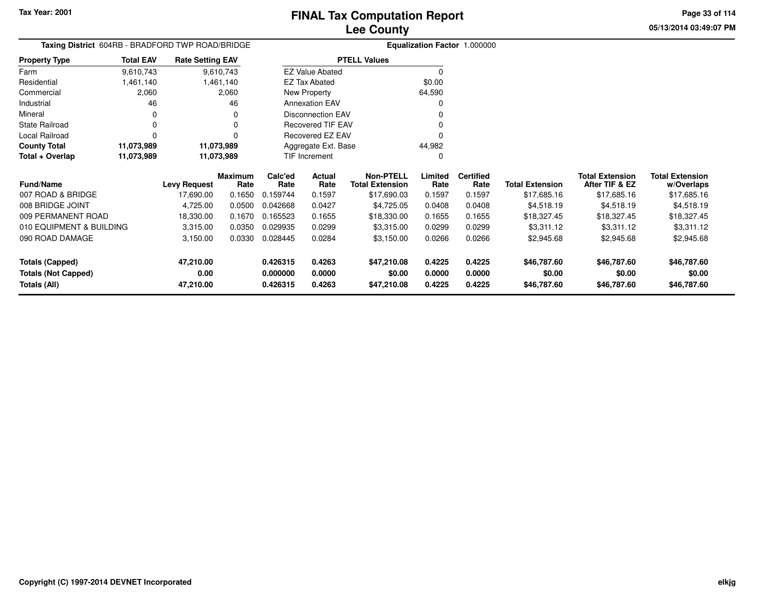**05/13/2014 03:49:07 PMPage 33 of 114**

|                            | Taxing District 604RB - BRADFORD TWP ROAD/BRIDGE<br><b>Total EAV</b><br><b>Rate Setting EAV</b> |                     |                 |                 |                          |                                            |                 | <b>Equalization Factor 1.000000</b> |                        |                                          |                                      |
|----------------------------|-------------------------------------------------------------------------------------------------|---------------------|-----------------|-----------------|--------------------------|--------------------------------------------|-----------------|-------------------------------------|------------------------|------------------------------------------|--------------------------------------|
| <b>Property Type</b>       |                                                                                                 |                     |                 |                 |                          | <b>PTELL Values</b>                        |                 |                                     |                        |                                          |                                      |
| Farm                       | 9,610,743                                                                                       |                     | 9,610,743       |                 | <b>EZ Value Abated</b>   |                                            | $\Omega$        |                                     |                        |                                          |                                      |
| Residential                | 1,461,140                                                                                       |                     | 1,461,140       |                 | EZ Tax Abated            |                                            | \$0.00          |                                     |                        |                                          |                                      |
| Commercial                 | 2,060                                                                                           |                     | 2,060           |                 | New Property             |                                            | 64,590          |                                     |                        |                                          |                                      |
| Industrial                 | 46                                                                                              |                     | 46              |                 | <b>Annexation EAV</b>    |                                            |                 |                                     |                        |                                          |                                      |
| Mineral                    | 0                                                                                               |                     | O               |                 | <b>Disconnection EAV</b> |                                            |                 |                                     |                        |                                          |                                      |
| State Railroad             | $\Omega$                                                                                        |                     |                 |                 | Recovered TIF EAV        |                                            |                 |                                     |                        |                                          |                                      |
| Local Railroad             | $\Omega$                                                                                        |                     |                 |                 | Recovered EZ EAV         |                                            |                 |                                     |                        |                                          |                                      |
| <b>County Total</b>        | 11,073,989                                                                                      |                     | 11,073,989      |                 | Aggregate Ext. Base      |                                            | 44,982          |                                     |                        |                                          |                                      |
| Total + Overlap            | 11,073,989                                                                                      | 11,073,989          |                 |                 | TIF Increment            |                                            | $\Omega$        |                                     |                        |                                          |                                      |
| Fund/Name                  |                                                                                                 | <b>Levy Request</b> | Maximum<br>Rate | Calc'ed<br>Rate | Actual<br>Rate           | <b>Non-PTELL</b><br><b>Total Extension</b> | Limited<br>Rate | <b>Certified</b><br>Rate            | <b>Total Extension</b> | <b>Total Extension</b><br>After TIF & EZ | <b>Total Extension</b><br>w/Overlaps |
| 007 ROAD & BRIDGE          |                                                                                                 | 17,690.00           | 0.1650          | 0.159744        | 0.1597                   | \$17,690.03                                | 0.1597          | 0.1597                              | \$17,685.16            | \$17,685.16                              | \$17,685.16                          |
| 008 BRIDGE JOINT           |                                                                                                 | 4,725.00            | 0.0500          | 0.042668        | 0.0427                   | \$4,725.05                                 | 0.0408          | 0.0408                              | \$4,518.19             | \$4,518.19                               | \$4,518.19                           |
| 009 PERMANENT ROAD         |                                                                                                 | 18,330.00           | 0.1670          | 0.165523        | 0.1655                   | \$18,330.00                                | 0.1655          | 0.1655                              | \$18,327.45            | \$18,327.45                              | \$18,327.45                          |
| 010 EQUIPMENT & BUILDING   |                                                                                                 | 3,315.00            | 0.0350          | 0.029935        | 0.0299                   | \$3,315.00                                 | 0.0299          | 0.0299                              | \$3,311.12             | \$3,311.12                               | \$3,311.12                           |
| 090 ROAD DAMAGE            |                                                                                                 | 3,150.00            | 0.0330          | 0.028445        | 0.0284                   | \$3,150.00                                 | 0.0266          | 0.0266                              | \$2,945.68             | \$2,945.68                               | \$2,945.68                           |
| <b>Totals (Capped)</b>     |                                                                                                 | 47,210.00           |                 | 0.426315        | 0.4263                   | \$47,210.08                                | 0.4225          | 0.4225                              | \$46,787.60            | \$46,787.60                              | \$46,787.60                          |
| <b>Totals (Not Capped)</b> |                                                                                                 | 0.00                |                 | 0.000000        | 0.0000                   | \$0.00                                     | 0.0000          | 0.0000                              | \$0.00                 | \$0.00                                   | \$0.00                               |
| Totals (All)               |                                                                                                 | 47,210.00           |                 | 0.426315        | 0.4263                   | \$47,210.08                                | 0.4225          | 0.4225                              | \$46,787.60            | \$46,787.60                              | \$46,787.60                          |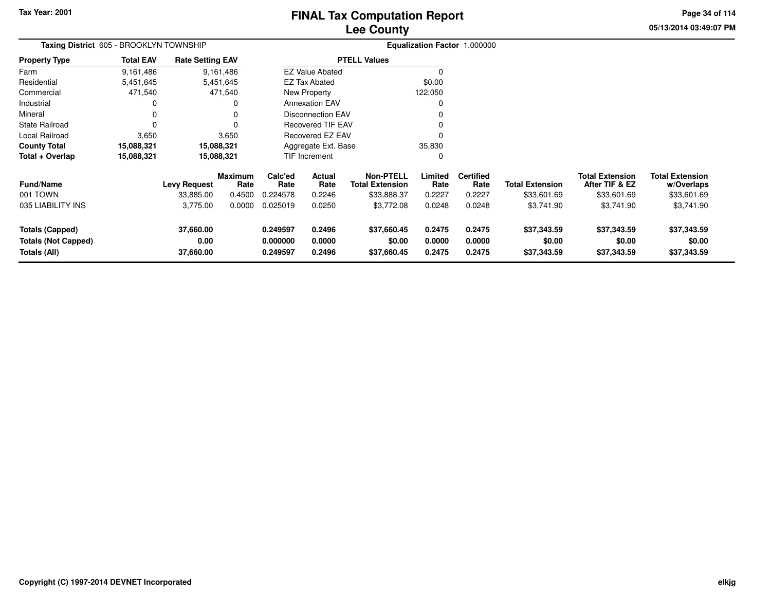**05/13/2014 03:49:07 PM Page 34 of 114**

| Taxing District 605 - BROOKLYN TOWNSHIP                              |                  |                                |                        |                                  |                            |                                            |                            | Equalization Factor 1.000000 |                                      |                                          |                                      |
|----------------------------------------------------------------------|------------------|--------------------------------|------------------------|----------------------------------|----------------------------|--------------------------------------------|----------------------------|------------------------------|--------------------------------------|------------------------------------------|--------------------------------------|
| <b>Property Type</b>                                                 | <b>Total EAV</b> | <b>Rate Setting EAV</b>        |                        |                                  |                            | <b>PTELL Values</b>                        |                            |                              |                                      |                                          |                                      |
| Farm                                                                 | 9,161,486        |                                | 9,161,486              |                                  | <b>EZ Value Abated</b>     |                                            | $\Omega$                   |                              |                                      |                                          |                                      |
| Residential                                                          | 5,451,645        |                                | 5,451,645              |                                  | <b>EZ Tax Abated</b>       |                                            | \$0.00                     |                              |                                      |                                          |                                      |
| Commercial                                                           | 471,540          |                                | 471,540                |                                  | New Property               |                                            | 122,050                    |                              |                                      |                                          |                                      |
| Industrial                                                           | 0                |                                | 0                      |                                  | <b>Annexation EAV</b>      |                                            | 0                          |                              |                                      |                                          |                                      |
| Mineral                                                              | 0                |                                | 0                      |                                  | <b>Disconnection EAV</b>   |                                            |                            |                              |                                      |                                          |                                      |
| <b>State Railroad</b>                                                | 0                |                                | 0                      |                                  | <b>Recovered TIF EAV</b>   |                                            |                            |                              |                                      |                                          |                                      |
| Local Railroad                                                       | 3,650            |                                | 3,650                  |                                  | <b>Recovered EZ EAV</b>    |                                            |                            |                              |                                      |                                          |                                      |
| <b>County Total</b>                                                  | 15,088,321       |                                | 15,088,321             | Aggregate Ext. Base              |                            |                                            | 35,830                     |                              |                                      |                                          |                                      |
| Total + Overlap                                                      | 15,088,321       |                                | 15,088,321             |                                  | <b>TIF Increment</b>       |                                            | 0                          |                              |                                      |                                          |                                      |
| <b>Fund/Name</b>                                                     |                  | <b>Levy Request</b>            | <b>Maximum</b><br>Rate | Calc'ed<br>Rate                  | Actual<br>Rate             | <b>Non-PTELL</b><br><b>Total Extension</b> | Limited<br>Rate            | <b>Certified</b><br>Rate     | <b>Total Extension</b>               | <b>Total Extension</b><br>After TIF & EZ | <b>Total Extension</b><br>w/Overlaps |
| 001 TOWN                                                             |                  | 33,885.00                      | 0.4500                 | 0.224578                         | 0.2246                     | \$33,888.37                                | 0.2227                     | 0.2227                       | \$33,601.69                          | \$33,601.69                              | \$33,601.69                          |
| 035 LIABILITY INS                                                    |                  | 3,775.00                       | 0.0000                 | 0.025019                         | 0.0250                     | \$3,772.08                                 | 0.0248                     | 0.0248                       | \$3,741.90                           | \$3,741.90                               | \$3,741.90                           |
| <b>Totals (Capped)</b><br><b>Totals (Not Capped)</b><br>Totals (All) |                  | 37,660.00<br>0.00<br>37,660.00 |                        | 0.249597<br>0.000000<br>0.249597 | 0.2496<br>0.0000<br>0.2496 | \$37,660.45<br>\$0.00<br>\$37,660.45       | 0.2475<br>0.0000<br>0.2475 | 0.2475<br>0.0000<br>0.2475   | \$37,343.59<br>\$0.00<br>\$37,343.59 | \$37,343.59<br>\$0.00<br>\$37,343.59     | \$37,343.59<br>\$0.00<br>\$37,343.59 |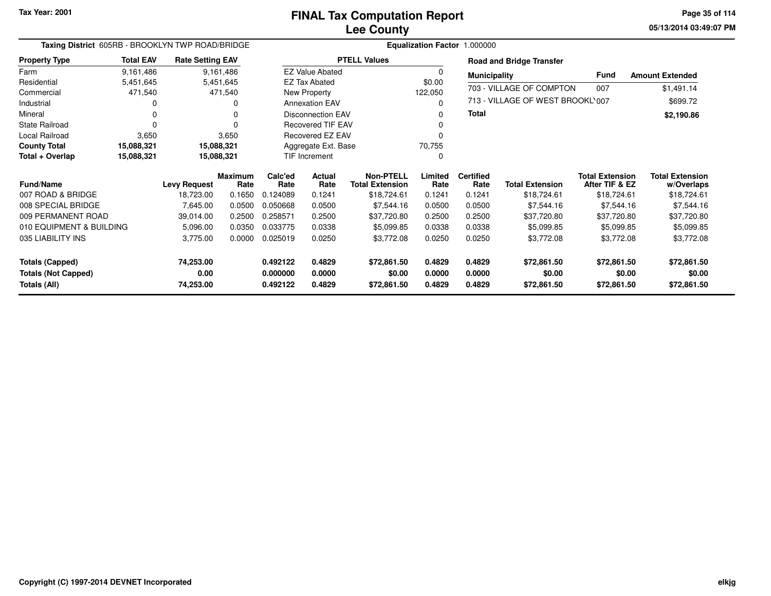**05/13/2014 03:49:07 PM Page 35 of 114**

| Taxing District 605RB - BROOKLYN TWP ROAD/BRIDGE |                  |                         |                        |                 |                           |                                            | Equalization Factor 1.000000 |                          |                                  |                                          |                                      |
|--------------------------------------------------|------------------|-------------------------|------------------------|-----------------|---------------------------|--------------------------------------------|------------------------------|--------------------------|----------------------------------|------------------------------------------|--------------------------------------|
| <b>Property Type</b>                             | <b>Total EAV</b> | <b>Rate Setting EAV</b> |                        |                 |                           | <b>PTELL Values</b>                        |                              |                          | <b>Road and Bridge Transfer</b>  |                                          |                                      |
| Farm                                             | 9,161,486        |                         | 9,161,486              |                 | <b>EZ Value Abated</b>    |                                            | 0                            | <b>Municipality</b>      |                                  | <b>Fund</b>                              | <b>Amount Extended</b>               |
| Residential                                      | 5,451,645        |                         | 5,451,645              |                 | <b>EZ Tax Abated</b>      |                                            | \$0.00                       |                          | 703 - VILLAGE OF COMPTON         | 007                                      | \$1,491.14                           |
| Commercial                                       | 471,540          |                         | 471,540                |                 | New Property              |                                            | 122,050                      |                          |                                  |                                          |                                      |
| Industrial                                       | 0                |                         | 0                      |                 | <b>Annexation EAV</b>     |                                            | 0                            |                          | 713 - VILLAGE OF WEST BROOKL'007 |                                          | \$699.72                             |
| Mineral                                          | 0                |                         | $\Omega$               |                 | <b>Disconnection EAV</b>  |                                            | 0                            | Total                    |                                  |                                          | \$2,190.86                           |
| <b>State Railroad</b>                            | $\Omega$         |                         | $\Omega$               |                 | <b>Recovered TIF EAV</b>  |                                            |                              |                          |                                  |                                          |                                      |
| Local Railroad                                   | 3,650            |                         | 3,650                  |                 | Recovered EZ EAV          |                                            |                              |                          |                                  |                                          |                                      |
| <b>County Total</b>                              | 15,088,321       |                         | 15,088,321             |                 | Aggregate Ext. Base       |                                            | 70,755                       |                          |                                  |                                          |                                      |
| Total + Overlap                                  | 15,088,321       |                         | 15,088,321             |                 | <b>TIF Increment</b><br>0 |                                            |                              |                          |                                  |                                          |                                      |
| <b>Fund/Name</b>                                 |                  | <b>Levy Request</b>     | <b>Maximum</b><br>Rate | Calc'ed<br>Rate | Actual<br>Rate            | <b>Non-PTELL</b><br><b>Total Extension</b> | Limited<br>Rate              | <b>Certified</b><br>Rate | <b>Total Extension</b>           | <b>Total Extension</b><br>After TIF & EZ | <b>Total Extension</b><br>w/Overlaps |
| 007 ROAD & BRIDGE                                |                  | 18,723.00               | 0.1650                 | 0.124089        | 0.1241                    | \$18,724.61                                | 0.1241                       | 0.1241                   | \$18,724.61                      | \$18,724.61                              | \$18,724.61                          |
| 008 SPECIAL BRIDGE                               |                  | 7,645.00                | 0.0500                 | 0.050668        | 0.0500                    | \$7,544.16                                 | 0.0500                       | 0.0500                   | \$7,544.16                       | \$7,544.16                               | \$7,544.16                           |
| 009 PERMANENT ROAD                               |                  | 39,014.00               | 0.2500                 | 0.258571        | 0.2500                    | \$37,720.80                                | 0.2500                       | 0.2500                   | \$37,720.80                      | \$37,720.80                              | \$37,720.80                          |
| 010 EQUIPMENT & BUILDING                         |                  | 5,096.00                | 0.0350                 | 0.033775        | 0.0338                    | \$5,099.85                                 | 0.0338                       | 0.0338                   | \$5,099.85                       | \$5,099.85                               | \$5,099.85                           |
| 035 LIABILITY INS                                |                  | 3,775.00                | 0.0000                 | 0.025019        | 0.0250                    | \$3,772.08                                 | 0.0250                       | 0.0250                   | \$3,772.08                       | \$3,772.08                               | \$3,772.08                           |
| <b>Totals (Capped)</b>                           |                  | 74,253.00               |                        | 0.492122        | 0.4829                    | \$72,861.50                                | 0.4829                       | 0.4829                   | \$72,861.50                      | \$72,861.50                              | \$72,861.50                          |
| <b>Totals (Not Capped)</b>                       |                  | 0.00                    |                        | 0.000000        | 0.0000                    | \$0.00                                     | 0.0000                       | 0.0000                   | \$0.00                           | \$0.00                                   | \$0.00                               |
| Totals (All)                                     |                  | 74,253.00               |                        | 0.492122        | 0.4829                    | \$72,861.50                                | 0.4829                       | 0.4829                   | \$72,861.50                      | \$72,861.50                              | \$72,861.50                          |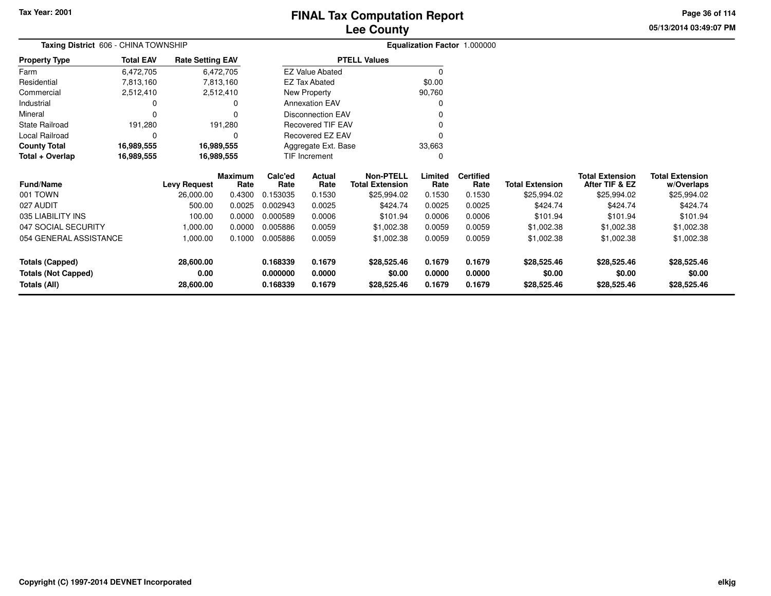## **Lee CountyFINAL Tax Computation Report**

**05/13/2014 03:49:07 PMPage 36 of 114**

|                            | Taxing District 606 - CHINA TOWNSHIP<br><b>Rate Setting EAV</b><br><b>Total EAV</b> |                     |                 |                 |                          |                                            |                 | Equalization Factor 1.000000 |                        |                                          |                                      |
|----------------------------|-------------------------------------------------------------------------------------|---------------------|-----------------|-----------------|--------------------------|--------------------------------------------|-----------------|------------------------------|------------------------|------------------------------------------|--------------------------------------|
| <b>Property Type</b>       |                                                                                     |                     |                 |                 |                          | <b>PTELL Values</b>                        |                 |                              |                        |                                          |                                      |
| Farm                       | 6,472,705                                                                           |                     | 6,472,705       |                 | <b>EZ Value Abated</b>   |                                            |                 |                              |                        |                                          |                                      |
| Residential                | 7,813,160                                                                           |                     | 7,813,160       |                 | <b>EZ Tax Abated</b>     |                                            | \$0.00          |                              |                        |                                          |                                      |
| Commercial                 | 2,512,410                                                                           |                     | 2,512,410       |                 | New Property             |                                            | 90,760          |                              |                        |                                          |                                      |
| Industrial                 | O                                                                                   |                     | 0               |                 | <b>Annexation EAV</b>    |                                            |                 |                              |                        |                                          |                                      |
| Mineral                    | 0                                                                                   |                     | 0               |                 | <b>Disconnection EAV</b> |                                            |                 |                              |                        |                                          |                                      |
| State Railroad             | 191,280                                                                             |                     | 191,280         |                 | <b>Recovered TIF EAV</b> |                                            |                 |                              |                        |                                          |                                      |
| Local Railroad             | 0                                                                                   |                     | 0               |                 | Recovered EZ EAV         |                                            |                 |                              |                        |                                          |                                      |
| <b>County Total</b>        | 16,989,555                                                                          |                     | 16,989,555      |                 | Aggregate Ext. Base      |                                            | 33,663          |                              |                        |                                          |                                      |
| Total + Overlap            | 16,989,555                                                                          |                     | 16,989,555      |                 | <b>TIF Increment</b>     |                                            |                 |                              |                        |                                          |                                      |
| <b>Fund/Name</b>           |                                                                                     | <b>Levy Request</b> | Maximum<br>Rate | Calc'ed<br>Rate | Actual<br>Rate           | <b>Non-PTELL</b><br><b>Total Extension</b> | Limited<br>Rate | <b>Certified</b><br>Rate     | <b>Total Extension</b> | <b>Total Extension</b><br>After TIF & EZ | <b>Total Extension</b><br>w/Overlaps |
| 001 TOWN                   |                                                                                     | 26,000.00           | 0.4300          | 0.153035        | 0.1530                   | \$25,994.02                                | 0.1530          | 0.1530                       | \$25,994.02            | \$25,994.02                              | \$25,994.02                          |
| 027 AUDIT                  |                                                                                     | 500.00              | 0.0025          | 0.002943        | 0.0025                   | \$424.74                                   | 0.0025          | 0.0025                       | \$424.74               | \$424.74                                 | \$424.74                             |
| 035 LIABILITY INS          |                                                                                     | 100.00              | 0.0000          | 0.000589        | 0.0006                   | \$101.94                                   | 0.0006          | 0.0006                       | \$101.94               | \$101.94                                 | \$101.94                             |
| 047 SOCIAL SECURITY        |                                                                                     | 1,000.00            | 0.0000          | 0.005886        | 0.0059                   | \$1,002.38                                 | 0.0059          | 0.0059                       | \$1,002.38             | \$1,002.38                               | \$1,002.38                           |
| 054 GENERAL ASSISTANCE     |                                                                                     | 1,000.00            | 0.1000          | 0.005886        | 0.0059                   | \$1,002.38                                 | 0.0059          | 0.0059                       | \$1,002.38             | \$1,002.38                               | \$1,002.38                           |
| Totals (Capped)            |                                                                                     | 28,600.00           |                 | 0.168339        | 0.1679                   | \$28,525.46                                | 0.1679          | 0.1679                       | \$28,525.46            | \$28,525.46                              | \$28,525.46                          |
| <b>Totals (Not Capped)</b> |                                                                                     | 0.00                |                 | 0.000000        | 0.0000                   | \$0.00                                     | 0.0000          | 0.0000                       | \$0.00                 | \$0.00                                   | \$0.00                               |
| Totals (All)               |                                                                                     | 28,600.00           |                 | 0.168339        | 0.1679                   | \$28,525.46                                | 0.1679          | 0.1679                       | \$28,525.46            | \$28,525.46                              | \$28,525.46                          |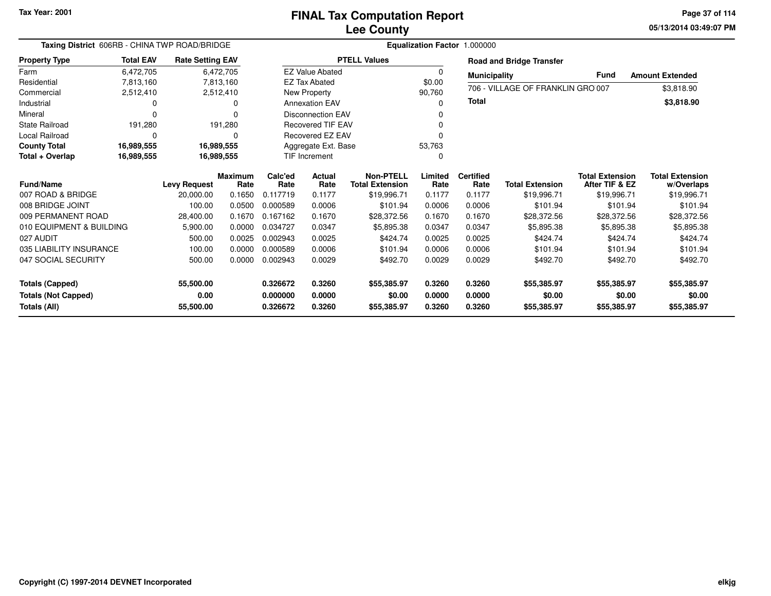**05/13/2014 03:49:07 PM Page 37 of 114**

|                            | Taxing District 606RB - CHINA TWP ROAD/BRIDGE |                         |                |          |                          | Equalization Factor 1.000000 |         |                     |                                   |                        |                        |  |  |
|----------------------------|-----------------------------------------------|-------------------------|----------------|----------|--------------------------|------------------------------|---------|---------------------|-----------------------------------|------------------------|------------------------|--|--|
| <b>Property Type</b>       | <b>Total EAV</b>                              | <b>Rate Setting EAV</b> |                |          |                          | <b>PTELL Values</b>          |         |                     | <b>Road and Bridge Transfer</b>   |                        |                        |  |  |
| Farm                       | 6,472,705                                     |                         | 6,472,705      |          | <b>EZ Value Abated</b>   |                              | 0       | <b>Municipality</b> |                                   | <b>Fund</b>            | <b>Amount Extended</b> |  |  |
| Residential                | 7,813,160                                     |                         | 7,813,160      |          | <b>EZ Tax Abated</b>     |                              | \$0.00  |                     |                                   |                        |                        |  |  |
| Commercial                 | 2,512,410                                     |                         | 2,512,410      |          | New Property             |                              | 90,760  |                     | 706 - VILLAGE OF FRANKLIN GRO 007 |                        | \$3,818.90             |  |  |
| Industrial                 | 0                                             |                         | 0              |          | <b>Annexation EAV</b>    |                              | 0       | <b>Total</b>        |                                   |                        | \$3,818.90             |  |  |
| Mineral                    | O                                             |                         | 0              |          | <b>Disconnection EAV</b> |                              | 0       |                     |                                   |                        |                        |  |  |
| <b>State Railroad</b>      | 191,280                                       |                         | 191,280        |          | <b>Recovered TIF EAV</b> |                              |         |                     |                                   |                        |                        |  |  |
| Local Railroad             | O                                             |                         | 0              |          | <b>Recovered EZ EAV</b>  |                              | ŋ       |                     |                                   |                        |                        |  |  |
| <b>County Total</b>        | 16,989,555                                    | 16,989,555              |                |          | Aggregate Ext. Base      |                              | 53,763  |                     |                                   |                        |                        |  |  |
| Total + Overlap            | 16,989,555                                    | 16,989,555              |                |          | <b>TIF Increment</b>     |                              | 0       |                     |                                   |                        |                        |  |  |
|                            |                                               |                         | <b>Maximum</b> | Calc'ed  | <b>Actual</b>            | <b>Non-PTELL</b>             | Limited | <b>Certified</b>    |                                   | <b>Total Extension</b> | <b>Total Extension</b> |  |  |
| <b>Fund/Name</b>           |                                               | <b>Levy Request</b>     | Rate           | Rate     | Rate                     | <b>Total Extension</b>       | Rate    | Rate                | <b>Total Extension</b>            | After TIF & EZ         | w/Overlaps             |  |  |
| 007 ROAD & BRIDGE          |                                               | 20,000.00               | 0.1650         | 0.117719 | 0.1177                   | \$19,996.71                  | 0.1177  | 0.1177              | \$19,996.71                       | \$19,996.71            | \$19,996.71            |  |  |
| 008 BRIDGE JOINT           |                                               | 100.00                  | 0.0500         | 0.000589 | 0.0006                   | \$101.94                     | 0.0006  | 0.0006              | \$101.94                          | \$101.94               | \$101.94               |  |  |
| 009 PERMANENT ROAD         |                                               | 28,400.00               | 0.1670         | 0.167162 | 0.1670                   | \$28,372.56                  | 0.1670  | 0.1670              | \$28,372.56                       | \$28,372.56            | \$28,372.56            |  |  |
| 010 EQUIPMENT & BUILDING   |                                               | 5,900.00                | 0.0000         | 0.034727 | 0.0347                   | \$5,895.38                   | 0.0347  | 0.0347              | \$5,895.38                        | \$5,895.38             | \$5,895.38             |  |  |
| 027 AUDIT                  |                                               | 500.00                  | 0.0025         | 0.002943 | 0.0025                   | \$424.74                     | 0.0025  | 0.0025              | \$424.74                          | \$424.74               | \$424.74               |  |  |
| 035 LIABILITY INSURANCE    |                                               | 100.00                  | 0.0000         | 0.000589 | 0.0006                   | \$101.94                     | 0.0006  | 0.0006              | \$101.94                          | \$101.94               | \$101.94               |  |  |
| 047 SOCIAL SECURITY        |                                               | 500.00                  | 0.0000         | 0.002943 | 0.0029                   | \$492.70                     | 0.0029  | 0.0029              | \$492.70                          | \$492.70               | \$492.70               |  |  |
|                            |                                               |                         |                |          |                          |                              |         |                     |                                   |                        |                        |  |  |
| <b>Totals (Capped)</b>     |                                               | 55,500.00               |                | 0.326672 | 0.3260                   | \$55,385.97                  | 0.3260  | 0.3260              | \$55,385.97                       | \$55,385.97            | \$55,385.97            |  |  |
| <b>Totals (Not Capped)</b> |                                               | 0.00                    |                | 0.000000 | 0.0000                   | \$0.00                       | 0.0000  | 0.0000              | \$0.00                            | \$0.00                 | \$0.00                 |  |  |
| Totals (All)               |                                               | 55,500.00               |                | 0.326672 | 0.3260                   | \$55,385.97                  | 0.3260  | 0.3260              | \$55,385.97                       | \$55,385.97            | \$55,385.97            |  |  |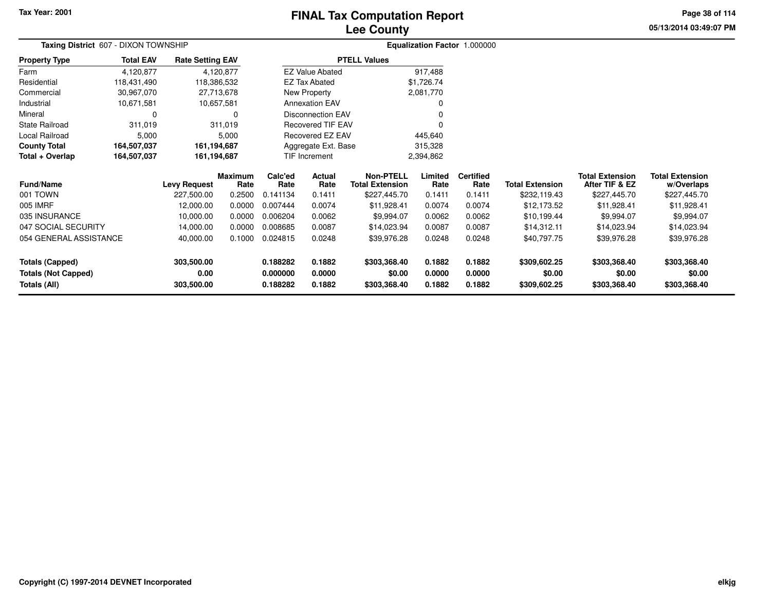## **Lee CountyFINAL Tax Computation Report**

**05/13/2014 03:49:07 PM Page 38 of 114**

| Taxing District 607 - DIXON TOWNSHIP |                  |                         |                 |                            | Equalization Factor 1.000000                         |                                            |                 |                          |                        |                                          |                                      |
|--------------------------------------|------------------|-------------------------|-----------------|----------------------------|------------------------------------------------------|--------------------------------------------|-----------------|--------------------------|------------------------|------------------------------------------|--------------------------------------|
| <b>Property Type</b>                 | <b>Total EAV</b> | <b>Rate Setting EAV</b> |                 |                            |                                                      | <b>PTELL Values</b>                        |                 |                          |                        |                                          |                                      |
| Farm                                 | 4,120,877        |                         | 4,120,877       |                            | <b>EZ Value Abated</b>                               |                                            | 917,488         |                          |                        |                                          |                                      |
| Residential                          | 118,431,490      | 118,386,532             |                 |                            | <b>EZ Tax Abated</b>                                 |                                            | \$1,726.74      |                          |                        |                                          |                                      |
| Commercial                           | 30,967,070       | 27,713,678              |                 |                            | New Property                                         |                                            | 2,081,770       |                          |                        |                                          |                                      |
| Industrial                           | 10,671,581       | 10,657,581              |                 |                            | <b>Annexation EAV</b>                                |                                            |                 |                          |                        |                                          |                                      |
| Mineral                              | <sup>0</sup>     |                         | 0               |                            | <b>Disconnection EAV</b><br><b>Recovered TIF EAV</b> |                                            |                 |                          |                        |                                          |                                      |
| <b>State Railroad</b>                | 311,019          |                         | 311,019         |                            | Recovered EZ EAV                                     |                                            |                 |                          |                        |                                          |                                      |
| Local Railroad                       | 5,000            |                         | 5,000           |                            | 445,640                                              |                                            |                 |                          |                        |                                          |                                      |
| <b>County Total</b>                  | 164,507,037      | 161,194,687             |                 |                            | Aggregate Ext. Base                                  |                                            | 315,328         |                          |                        |                                          |                                      |
| Total + Overlap                      | 164,507,037      | 161,194,687             |                 | TIF Increment<br>2,394,862 |                                                      |                                            |                 |                          |                        |                                          |                                      |
| <b>Fund/Name</b>                     |                  | <b>Levy Request</b>     | Maximum<br>Rate | Calc'ed<br>Rate            | Actual<br>Rate                                       | <b>Non-PTELL</b><br><b>Total Extension</b> | Limited<br>Rate | <b>Certified</b><br>Rate | <b>Total Extension</b> | <b>Total Extension</b><br>After TIF & EZ | <b>Total Extension</b><br>w/Overlaps |
| 001 TOWN                             |                  | 227,500.00              | 0.2500          | 0.141134                   | 0.1411                                               | \$227,445.70                               | 0.1411          | 0.1411                   | \$232,119.43           | \$227,445.70                             | \$227,445.70                         |
| 005 IMRF                             |                  | 12,000.00               | 0.0000          | 0.007444                   | 0.0074                                               | \$11,928.41                                | 0.0074          | 0.0074                   | \$12,173.52            | \$11,928.41                              | \$11,928.41                          |
| 035 INSURANCE                        |                  | 10,000.00               | 0.0000          | 0.006204                   | 0.0062                                               | \$9,994.07                                 | 0.0062          | 0.0062                   | \$10,199.44            | \$9,994.07                               | \$9,994.07                           |
| 047 SOCIAL SECURITY                  |                  | 14,000.00               | 0.0000          | 0.008685                   | 0.0087                                               | \$14,023.94                                | 0.0087          | 0.0087                   | \$14,312.11            | \$14,023.94                              | \$14,023.94                          |
| 054 GENERAL ASSISTANCE               |                  | 40,000.00               | 0.1000          | 0.024815                   | 0.0248                                               | \$39,976.28<br>0.0248                      |                 | 0.0248                   | \$40,797.75            | \$39,976.28                              | \$39,976.28                          |
| <b>Totals (Capped)</b>               |                  | 303,500.00              |                 | 0.188282                   | 0.1882                                               | \$303,368.40                               | 0.1882          | 0.1882                   | \$309,602.25           | \$303,368.40                             | \$303,368.40                         |
| <b>Totals (Not Capped)</b>           |                  | 0.00                    |                 | 0.000000                   | 0.0000                                               | \$0.00                                     | 0.0000          | 0.0000                   | \$0.00                 | \$0.00                                   | \$0.00                               |
| <b>Totals (All)</b>                  |                  | 303,500.00              |                 | 0.188282                   | 0.1882                                               | \$303,368.40                               | 0.1882          | 0.1882                   | \$309,602.25           | \$303,368.40                             | \$303,368.40                         |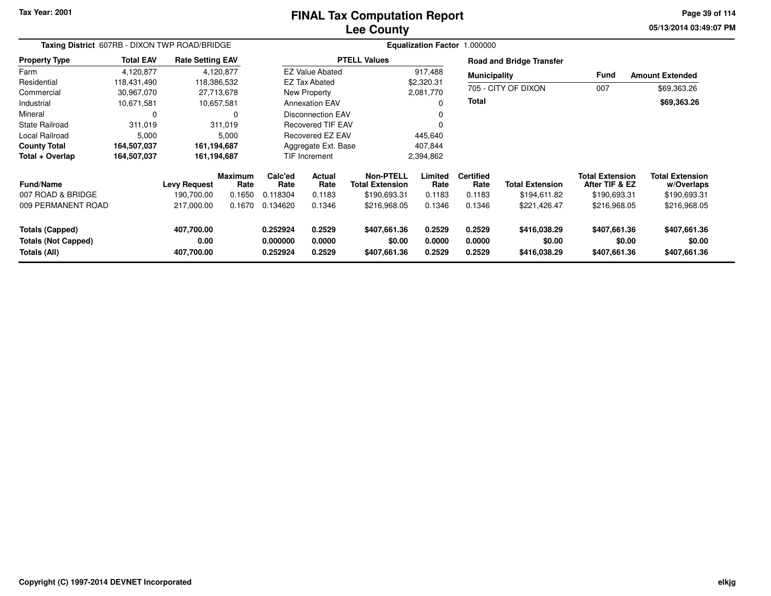### **Lee CountyFINAL Tax Computation Report**

**05/13/2014 03:49:07 PM Page 39 of 114**

| Taxing District 607RB - DIXON TWP ROAD/BRIDGE                        |                  |                                  |                        | Equalization Factor 1.000000     |                                    |                                        |                            |                            |                                        |                                          |                                        |
|----------------------------------------------------------------------|------------------|----------------------------------|------------------------|----------------------------------|------------------------------------|----------------------------------------|----------------------------|----------------------------|----------------------------------------|------------------------------------------|----------------------------------------|
| <b>Property Type</b>                                                 | <b>Total EAV</b> | <b>Rate Setting EAV</b>          |                        |                                  |                                    | <b>PTELL Values</b>                    |                            |                            | <b>Road and Bridge Transfer</b>        |                                          |                                        |
| Farm                                                                 | 4,120,877        |                                  | 4.120.877              |                                  | <b>EZ Value Abated</b>             |                                        | 917,488                    | <b>Municipality</b>        |                                        | Fund                                     | <b>Amount Extended</b>                 |
| Residential                                                          | 118,431,490      | 118,386,532                      |                        |                                  | <b>EZ Tax Abated</b><br>\$2,320.31 |                                        |                            |                            |                                        |                                          |                                        |
| Commercial                                                           | 30,967,070       |                                  | 27,713,678             |                                  | New Property                       |                                        | 2,081,770                  |                            | 705 - CITY OF DIXON                    | 007                                      | \$69,363.26                            |
| Industrial                                                           | 10,671,581       |                                  | 10,657,581             |                                  | <b>Annexation EAV</b>              |                                        | <b>Total</b><br>0          |                            |                                        | \$69,363.26                              |                                        |
| Mineral                                                              | 0                |                                  | $\Omega$               |                                  | <b>Disconnection EAV</b>           |                                        | 0                          |                            |                                        |                                          |                                        |
| <b>State Railroad</b>                                                | 311,019          |                                  | 311,019                |                                  | <b>Recovered TIF EAV</b>           |                                        | $\Omega$                   |                            |                                        |                                          |                                        |
| Local Railroad                                                       | 5,000            |                                  | 5,000                  |                                  | <b>Recovered EZ EAV</b>            |                                        | 445,640                    |                            |                                        |                                          |                                        |
| <b>County Total</b>                                                  | 164,507,037      | 161,194,687                      |                        |                                  | Aggregate Ext. Base                |                                        | 407,844                    |                            |                                        |                                          |                                        |
| Total + Overlap                                                      | 164,507,037      | 161,194,687                      |                        |                                  | <b>TIF Increment</b><br>2,394,862  |                                        |                            |                            |                                        |                                          |                                        |
| <b>Fund/Name</b>                                                     |                  | <b>Levy Request</b>              | <b>Maximum</b><br>Rate | Calc'ed<br>Rate                  | Actual<br>Rate                     | Non-PTELL<br><b>Total Extension</b>    | Limited<br>Rate            | <b>Certified</b><br>Rate   | <b>Total Extension</b>                 | <b>Total Extension</b><br>After TIF & EZ | <b>Total Extension</b><br>w/Overlaps   |
| 007 ROAD & BRIDGE                                                    |                  | 190.700.00                       | 0.1650                 | 0.118304                         | 0.1183                             | \$190,693.31                           | 0.1183                     | 0.1183                     | \$194,611.82                           | \$190,693.31                             | \$190,693.31                           |
| 009 PERMANENT ROAD                                                   |                  | 217,000.00                       | 0.1670                 | 0.134620                         | 0.1346                             | \$216,968.05                           | 0.1346                     | 0.1346                     | \$221,426.47                           | \$216,968.05                             | \$216,968.05                           |
| <b>Totals (Capped)</b><br><b>Totals (Not Capped)</b><br>Totals (All) |                  | 407,700.00<br>0.00<br>407,700.00 |                        | 0.252924<br>0.000000<br>0.252924 | 0.2529<br>0.0000<br>0.2529         | \$407,661.36<br>\$0.00<br>\$407,661.36 | 0.2529<br>0.0000<br>0.2529 | 0.2529<br>0.0000<br>0.2529 | \$416,038.29<br>\$0.00<br>\$416,038.29 | \$407,661.36<br>\$0.00<br>\$407,661.36   | \$407,661.36<br>\$0.00<br>\$407,661.36 |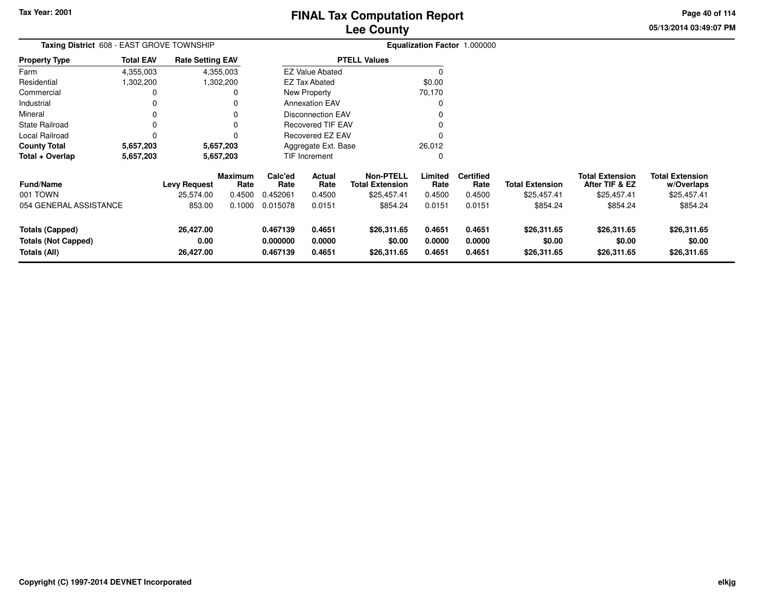**05/13/2014 03:49:07 PM Page 40 of 114**

| <b>Taxing District</b> 608 - EAST GROVE TOWNSHIP |                  | Equalization Factor 1.000000 |                 |                          |                          |                                            |                  |                          |                        |                                          |                                      |
|--------------------------------------------------|------------------|------------------------------|-----------------|--------------------------|--------------------------|--------------------------------------------|------------------|--------------------------|------------------------|------------------------------------------|--------------------------------------|
| <b>Property Type</b>                             | <b>Total EAV</b> | <b>Rate Setting EAV</b>      |                 |                          |                          | <b>PTELL Values</b>                        |                  |                          |                        |                                          |                                      |
| Farm                                             | 4,355,003        |                              | 4,355,003       |                          | <b>EZ Value Abated</b>   |                                            |                  |                          |                        |                                          |                                      |
| Residential                                      | 1,302,200        |                              | 1,302,200       |                          | EZ Tax Abated            |                                            | \$0.00           |                          |                        |                                          |                                      |
| Commercial                                       |                  |                              |                 |                          | New Property             |                                            | 70,170           |                          |                        |                                          |                                      |
| Industrial                                       |                  |                              |                 |                          | <b>Annexation EAV</b>    |                                            |                  |                          |                        |                                          |                                      |
| Mineral                                          |                  |                              |                 |                          | <b>Disconnection EAV</b> |                                            |                  |                          |                        |                                          |                                      |
| <b>State Railroad</b>                            | 0                |                              | $\Omega$        | <b>Recovered TIF EAV</b> |                          |                                            |                  |                          |                        |                                          |                                      |
| Local Railroad                                   |                  |                              | O               |                          | Recovered EZ EAV         |                                            |                  |                          |                        |                                          |                                      |
| <b>County Total</b>                              | 5,657,203        |                              | 5,657,203       | Aggregate Ext. Base      |                          |                                            | 26,012           |                          |                        |                                          |                                      |
| Total + Overlap                                  | 5,657,203        | 5,657,203                    |                 |                          | TIF Increment            |                                            |                  |                          |                        |                                          |                                      |
| <b>Fund/Name</b>                                 |                  | <b>Levy Request</b>          | Maximum<br>Rate | Calc'ed<br>Rate          | Actual<br>Rate           | <b>Non-PTELL</b><br><b>Total Extension</b> | Limited<br>Rate  | <b>Certified</b><br>Rate | <b>Total Extension</b> | <b>Total Extension</b><br>After TIF & EZ | <b>Total Extension</b><br>w/Overlaps |
| 001 TOWN                                         |                  | 25,574.00                    | 0.4500          | 0.452061                 | 0.4500                   | \$25,457.41                                | 0.4500           | 0.4500                   | \$25,457.41            | \$25,457.41                              | \$25,457.41                          |
| 054 GENERAL ASSISTANCE                           |                  | 853.00                       | 0.1000          | 0.015078                 | 0.0151                   | \$854.24                                   | 0.0151           | 0.0151                   | \$854.24               | \$854.24                                 | \$854.24                             |
| <b>Totals (Capped)</b>                           |                  | 26,427.00                    |                 | 0.467139                 | 0.4651                   | \$26,311.65                                | 0.4651           | 0.4651                   | \$26,311.65            | \$26,311.65                              | \$26,311.65                          |
| <b>Totals (Not Capped)</b><br>Totals (All)       |                  | 0.00<br>26,427.00            |                 | 0.000000<br>0.467139     | 0.0000<br>0.4651         | \$0.00<br>\$26,311.65                      | 0.0000<br>0.4651 | 0.0000<br>0.4651         | \$0.00<br>\$26,311.65  | \$0.00<br>\$26,311.65                    | \$0.00<br>\$26,311.65                |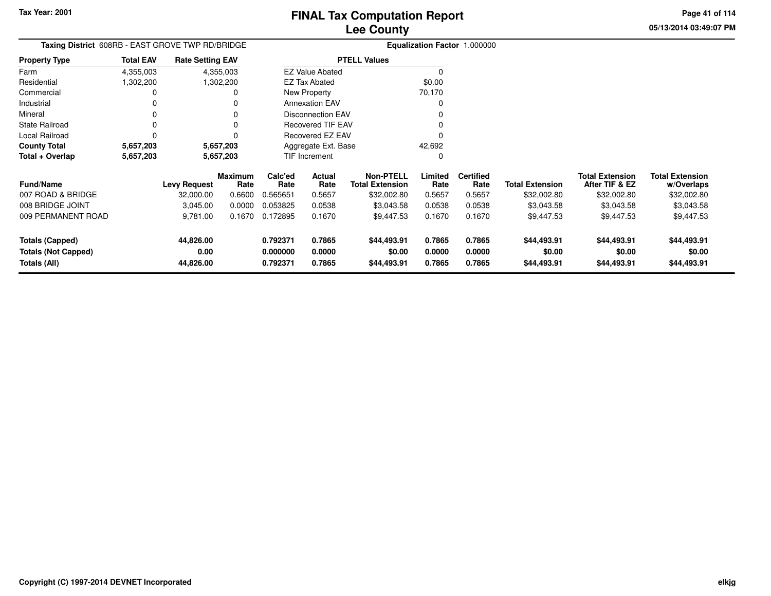**05/13/2014 03:49:07 PMPage 41 of 114**

> **w/Overlaps**\$32,002.80

| Taxing District 608RB - EAST GROVE TWP RD/BRIDGE |                  |                         |                        |                 |                          |                                            | Equalization Factor 1.000000 |                          |                        |                                          |                                      |
|--------------------------------------------------|------------------|-------------------------|------------------------|-----------------|--------------------------|--------------------------------------------|------------------------------|--------------------------|------------------------|------------------------------------------|--------------------------------------|
| <b>Property Type</b>                             | <b>Total EAV</b> | <b>Rate Setting EAV</b> |                        |                 |                          | <b>PTELL Values</b>                        |                              |                          |                        |                                          |                                      |
| Farm                                             | 4,355,003        |                         | 4,355,003              |                 | <b>EZ Value Abated</b>   |                                            |                              |                          |                        |                                          |                                      |
| Residential                                      | 1,302,200        |                         | 1,302,200              |                 | <b>EZ Tax Abated</b>     |                                            | \$0.00                       |                          |                        |                                          |                                      |
| Commercial                                       |                  |                         |                        |                 | New Property             |                                            | 70,170                       |                          |                        |                                          |                                      |
| Industrial                                       |                  |                         |                        |                 | <b>Annexation EAV</b>    |                                            |                              |                          |                        |                                          |                                      |
| Mineral                                          |                  |                         |                        |                 | Disconnection EAV        |                                            |                              |                          |                        |                                          |                                      |
| <b>State Railroad</b>                            |                  |                         |                        |                 | <b>Recovered TIF EAV</b> |                                            |                              |                          |                        |                                          |                                      |
| Local Railroad                                   |                  |                         |                        |                 | Recovered EZ EAV         |                                            |                              |                          |                        |                                          |                                      |
| <b>County Total</b>                              | 5,657,203        |                         | 5,657,203              |                 | Aggregate Ext. Base      |                                            | 42,692                       |                          |                        |                                          |                                      |
| Total + Overlap                                  | 5,657,203        |                         | 5,657,203              |                 | TIF Increment            |                                            |                              |                          |                        |                                          |                                      |
| <b>Fund/Name</b>                                 |                  | Levy Request            | <b>Maximum</b><br>Rate | Calc'ed<br>Rate | Actual<br>Rate           | <b>Non-PTELL</b><br><b>Total Extension</b> | Limited<br>Rate              | <b>Certified</b><br>Rate | <b>Total Extension</b> | <b>Total Extension</b><br>After TIF & EZ | <b>Total Extension</b><br>w/Overlaps |
| 007 ROAD & BRIDGE                                |                  | 32,000.00               | 0.6600                 | 0.565651        | 0.5657                   | \$32,002.80                                | 0.5657                       | 0.5657                   | \$32,002.80            | \$32,002.80                              | \$32,002.80                          |
| 008 BRIDGE JOINT                                 |                  | 3,045.00                | 0.0000                 | 0.053825        | 0.0538                   | \$3,043.58                                 | 0.0538                       | 0.0538                   | \$3,043.58             | \$3,043.58                               | \$3,043.58                           |
| 009 PERMANENT ROAD                               |                  | 9,781.00                | 0.1670                 | 0.172895        | 0.1670                   | \$9,447.53                                 | 0.1670                       | 0.1670                   | \$9,447.53             | \$9,447.53                               | \$9,447.53                           |
| <b>Totals (Capped)</b>                           |                  | 44,826.00               |                        | 0.792371        | 0.7865                   | \$44,493.91                                | 0.7865                       | 0.7865                   | \$44,493.91            | \$44,493.91                              | \$44,493.91                          |
| <b>Totals (Not Capped)</b>                       |                  | 0.00                    |                        | 0.000000        | 0.0000                   | \$0.00                                     | 0.0000                       | 0.0000                   | \$0.00                 | \$0.00                                   | \$0.00                               |
| Totals (All)                                     |                  | 44,826.00               |                        | 0.792371        | 0.7865                   | \$44,493.91                                | 0.7865                       | 0.7865                   | \$44,493.91            | \$44,493.91                              | \$44,493.91                          |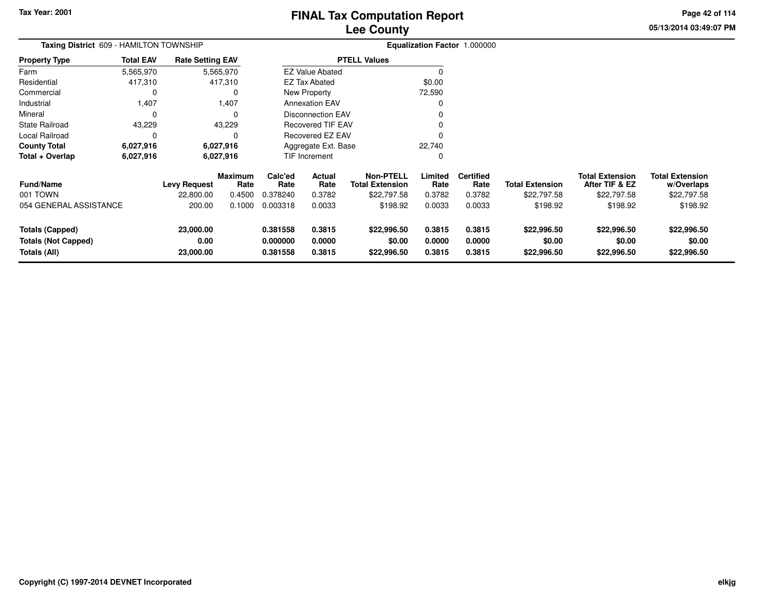**05/13/2014 03:49:07 PM Page 42 of 114**

| Taxing District 609 - HAMILTON TOWNSHIP<br><b>Property Type</b> |                   |                                  |                                                                        |                                                                                                                                          |                                                 |                                                              |                          |                        |                                             |                                      |
|-----------------------------------------------------------------|-------------------|----------------------------------|------------------------------------------------------------------------|------------------------------------------------------------------------------------------------------------------------------------------|-------------------------------------------------|--------------------------------------------------------------|--------------------------|------------------------|---------------------------------------------|--------------------------------------|
| <b>Total EAV</b>                                                |                   |                                  |                                                                        |                                                                                                                                          |                                                 |                                                              |                          |                        |                                             |                                      |
| 5,565,970                                                       |                   |                                  |                                                                        |                                                                                                                                          |                                                 | 0                                                            |                          |                        |                                             |                                      |
| 417,310                                                         |                   |                                  |                                                                        |                                                                                                                                          |                                                 | \$0.00                                                       |                          |                        |                                             |                                      |
| 0                                                               |                   |                                  |                                                                        |                                                                                                                                          |                                                 | 72,590                                                       |                          |                        |                                             |                                      |
| 1,407                                                           |                   | 1,407                            |                                                                        | New Property<br><b>Annexation EAV</b><br><b>Disconnection EAV</b><br><b>Recovered TIF EAV</b><br>Recovered EZ EAV<br>Aggregate Ext. Base |                                                 | 0                                                            |                          |                        |                                             |                                      |
| 0                                                               |                   | $\Omega$                         |                                                                        |                                                                                                                                          |                                                 |                                                              |                          |                        |                                             |                                      |
| 43,229                                                          |                   |                                  |                                                                        |                                                                                                                                          |                                                 |                                                              |                          |                        |                                             |                                      |
| 0                                                               |                   |                                  |                                                                        |                                                                                                                                          |                                                 |                                                              |                          |                        |                                             |                                      |
| 6,027,916                                                       |                   |                                  |                                                                        |                                                                                                                                          |                                                 | 22,740                                                       |                          |                        |                                             |                                      |
| 6,027,916                                                       |                   | 6,027,916                        |                                                                        |                                                                                                                                          |                                                 | 0                                                            |                          |                        |                                             |                                      |
|                                                                 |                   | <b>Maximum</b><br>Rate           | Calc'ed<br>Rate                                                        | Actual<br>Rate                                                                                                                           | <b>Non-PTELL</b><br><b>Total Extension</b>      | Limited<br>Rate                                              | <b>Certified</b><br>Rate | <b>Total Extension</b> | <b>Total Extension</b><br>After TIF & EZ    | <b>Total Extension</b><br>w/Overlaps |
|                                                                 | 22,800.00         | 0.4500                           | 0.378240                                                               | 0.3782                                                                                                                                   | \$22,797.58                                     | 0.3782                                                       | 0.3782                   | \$22,797.58            | \$22,797.58                                 | \$22,797.58                          |
| 054 GENERAL ASSISTANCE                                          | 200.00            | 0.1000                           | 0.003318                                                               | 0.0033                                                                                                                                   | \$198.92                                        | 0.0033                                                       | 0.0033                   | \$198.92               | \$198.92                                    | \$198.92                             |
|                                                                 | 23,000.00<br>0.00 |                                  | 0.381558<br>0.000000                                                   | 0.3815<br>0.0000                                                                                                                         | \$22,996.50<br>\$0.00                           | 0.3815<br>0.0000                                             | 0.3815<br>0.0000         | \$22,996.50<br>\$0.00  | \$22,996.50<br>\$0.00                       | \$22,996.50<br>\$0.00<br>\$22,996.50 |
|                                                                 |                   | <b>Levy Request</b><br>23,000.00 | <b>Rate Setting EAV</b><br>5,565,970<br>417,310<br>43,229<br>6,027,916 | 0.381558                                                                                                                                 | <b>EZ Tax Abated</b><br>TIF Increment<br>0.3815 | <b>PTELL Values</b><br><b>EZ Value Abated</b><br>\$22,996.50 | 0.3815                   | 0.3815                 | Equalization Factor 1.000000<br>\$22,996.50 | \$22,996.50                          |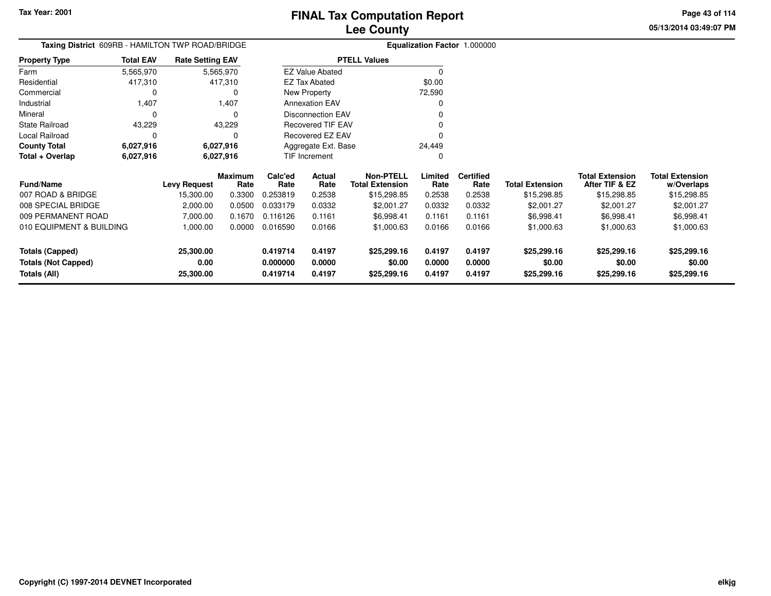**05/13/2014 03:49:07 PMPage 43 of 114**

> **w/Overlaps**\$15,298.85

| Taxing District 609RB - HAMILTON TWP ROAD/BRIDGE |                  |                         |                 |                      |                          | Equalization Factor 1.000000               |                  |                          |                        |                                          |                                      |
|--------------------------------------------------|------------------|-------------------------|-----------------|----------------------|--------------------------|--------------------------------------------|------------------|--------------------------|------------------------|------------------------------------------|--------------------------------------|
| <b>Property Type</b>                             | <b>Total EAV</b> | <b>Rate Setting EAV</b> |                 |                      |                          | <b>PTELL Values</b>                        |                  |                          |                        |                                          |                                      |
| Farm                                             | 5,565,970        |                         | 5,565,970       |                      | <b>EZ Value Abated</b>   |                                            |                  |                          |                        |                                          |                                      |
| Residential                                      | 417,310          |                         | 417,310         |                      | <b>EZ Tax Abated</b>     |                                            | \$0.00           |                          |                        |                                          |                                      |
| Commercial                                       |                  |                         | 0               |                      | New Property             |                                            | 72,590           |                          |                        |                                          |                                      |
| Industrial                                       | 1,407            |                         | 1,407           |                      | <b>Annexation EAV</b>    |                                            |                  |                          |                        |                                          |                                      |
| Mineral                                          |                  |                         | $\Omega$        |                      | <b>Disconnection EAV</b> |                                            |                  |                          |                        |                                          |                                      |
| State Railroad                                   | 43,229           |                         | 43,229          |                      | <b>Recovered TIF EAV</b> |                                            |                  |                          |                        |                                          |                                      |
| Local Railroad                                   |                  |                         | <sup>0</sup>    |                      | Recovered EZ EAV         |                                            |                  |                          |                        |                                          |                                      |
| <b>County Total</b>                              | 6,027,916        |                         | 6,027,916       |                      | Aggregate Ext. Base      |                                            | 24,449           |                          |                        |                                          |                                      |
| Total + Overlap                                  | 6,027,916        | 6,027,916               |                 |                      | TIF Increment            |                                            |                  |                          |                        |                                          |                                      |
| <b>Fund/Name</b>                                 |                  | <b>Levy Request</b>     | Maximum<br>Rate | Calc'ed<br>Rate      | Actual<br>Rate           | <b>Non-PTELL</b><br><b>Total Extension</b> | Limited<br>Rate  | <b>Certified</b><br>Rate | <b>Total Extension</b> | <b>Total Extension</b><br>After TIF & EZ | <b>Total Extension</b><br>w/Overlaps |
| 007 ROAD & BRIDGE                                |                  | 15,300.00               | 0.3300          | 0.253819             | 0.2538                   | \$15,298.85                                | 0.2538           | 0.2538                   | \$15,298.85            | \$15,298.85                              | \$15,298.85                          |
| 008 SPECIAL BRIDGE                               |                  | 2,000.00                | 0.0500          | 0.033179             | 0.0332                   | \$2,001.27                                 | 0.0332           | 0.0332                   | \$2,001.27             | \$2,001.27                               | \$2,001.27                           |
| 009 PERMANENT ROAD                               |                  | 7,000.00                | 0.1670          | 0.116126             | 0.1161                   | \$6,998.41                                 | 0.1161           | 0.1161                   | \$6,998.41             | \$6,998.41                               | \$6,998.41                           |
| 010 EQUIPMENT & BUILDING                         |                  | 1,000.00                | 0.0000          | 0.016590             | 0.0166                   | \$1,000.63                                 | 0.0166           | 0.0166                   | \$1,000.63             | \$1,000.63                               | \$1,000.63                           |
| <b>Totals (Capped)</b>                           |                  | 25,300.00               |                 | 0.419714             | 0.4197                   | \$25,299.16                                | 0.4197           | 0.4197                   | \$25,299.16            | \$25,299.16                              | \$25,299.16                          |
| <b>Totals (Not Capped)</b><br>Totals (All)       |                  | 0.00<br>25,300.00       |                 | 0.000000<br>0.419714 | 0.0000<br>0.4197         | \$0.00<br>\$25,299.16                      | 0.0000<br>0.4197 | 0.0000<br>0.4197         | \$0.00<br>\$25,299.16  | \$0.00<br>\$25,299.16                    | \$0.00<br>\$25,299.16                |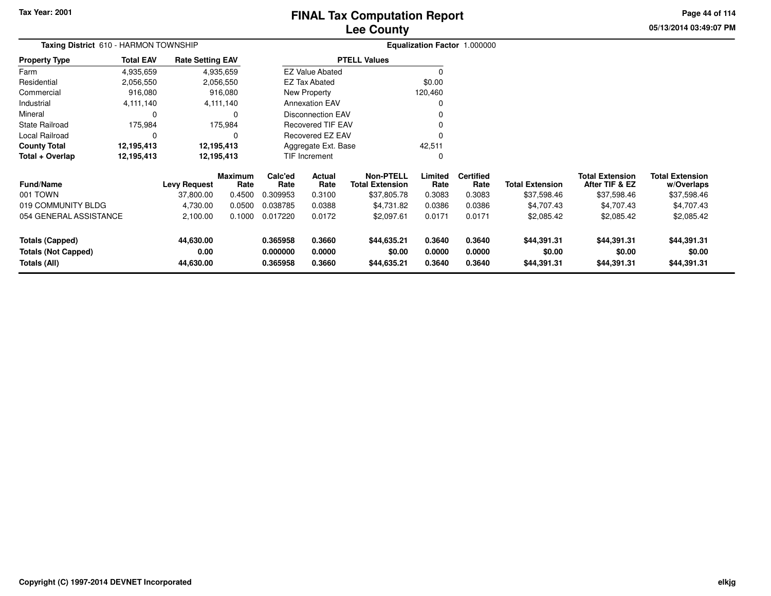## **Lee CountyFINAL Tax Computation Report**

**05/13/2014 03:49:07 PMPage 44 of 114**

| Taxing District 610 - HARMON TOWNSHIP |                  |                                                   |                 |                     | Equalization Factor 1.000000 |                                            |                 |                          |                        |                                          |                                      |
|---------------------------------------|------------------|---------------------------------------------------|-----------------|---------------------|------------------------------|--------------------------------------------|-----------------|--------------------------|------------------------|------------------------------------------|--------------------------------------|
| <b>Property Type</b>                  | <b>Total EAV</b> | <b>Rate Setting EAV</b><br>4,935,659<br>4,935,659 |                 |                     |                              | <b>PTELL Values</b>                        |                 |                          |                        |                                          |                                      |
| Farm                                  |                  |                                                   |                 |                     | <b>EZ Value Abated</b>       |                                            | $\Omega$        |                          |                        |                                          |                                      |
| Residential                           | 2,056,550        |                                                   | 2,056,550       |                     | EZ Tax Abated                |                                            | \$0.00          |                          |                        |                                          |                                      |
| Commercial                            | 916,080          |                                                   | 916,080         |                     | New Property                 |                                            | 120,460         |                          |                        |                                          |                                      |
| Industrial                            | 4,111,140        |                                                   | 4,111,140       |                     | <b>Annexation EAV</b>        |                                            | 0               |                          |                        |                                          |                                      |
| Mineral                               | 0                |                                                   | 0               |                     | <b>Disconnection EAV</b>     |                                            |                 |                          |                        |                                          |                                      |
| <b>State Railroad</b>                 | 175,984          |                                                   | 175,984         |                     | <b>Recovered TIF EAV</b>     |                                            |                 |                          |                        |                                          |                                      |
| Local Railroad                        | $\Omega$         |                                                   | 0               |                     | <b>Recovered EZ EAV</b>      |                                            | O               |                          |                        |                                          |                                      |
| <b>County Total</b>                   | 12,195,413       |                                                   | 12,195,413      | Aggregate Ext. Base |                              |                                            | 42,511          |                          |                        |                                          |                                      |
| Total + Overlap                       | 12,195,413       | 12,195,413                                        |                 |                     | TIF Increment                |                                            | 0               |                          |                        |                                          |                                      |
| <b>Fund/Name</b>                      |                  | <b>Levy Request</b>                               | Maximum<br>Rate | Calc'ed<br>Rate     | Actual<br>Rate               | <b>Non-PTELL</b><br><b>Total Extension</b> | Limited<br>Rate | <b>Certified</b><br>Rate | <b>Total Extension</b> | <b>Total Extension</b><br>After TIF & EZ | <b>Total Extension</b><br>w/Overlaps |
| 001 TOWN                              |                  | 37,800.00                                         | 0.4500          | 0.309953            | 0.3100                       | \$37,805.78                                | 0.3083          | 0.3083                   | \$37,598.46            | \$37,598.46                              | \$37,598.46                          |
| 019 COMMUNITY BLDG                    |                  | 4,730.00                                          | 0.0500          | 0.038785            | 0.0388                       | \$4,731.82                                 | 0.0386          | 0.0386                   | \$4,707.43             | \$4,707.43                               | \$4,707.43                           |
| 054 GENERAL ASSISTANCE                |                  | 2,100.00                                          | 0.1000          | 0.017220            | 0.0172                       | \$2,097.61                                 | 0.0171          | 0.0171                   | \$2,085.42             | \$2,085.42                               | \$2,085.42                           |
| Totals (Capped)                       |                  | 44,630.00                                         |                 | 0.365958            | 0.3660                       | \$44,635.21                                | 0.3640          | 0.3640                   | \$44,391.31            | \$44,391.31                              | \$44,391.31                          |
| <b>Totals (Not Capped)</b>            |                  | 0.00                                              |                 | 0.000000            | 0.0000                       | \$0.00                                     | 0.0000          | 0.0000                   | \$0.00                 | \$0.00                                   | \$0.00                               |
| Totals (All)                          |                  | 44,630.00                                         |                 | 0.365958            | 0.3660                       | \$44,635.21                                | 0.3640          | 0.3640                   | \$44,391.31            | \$44,391.31                              | \$44,391.31                          |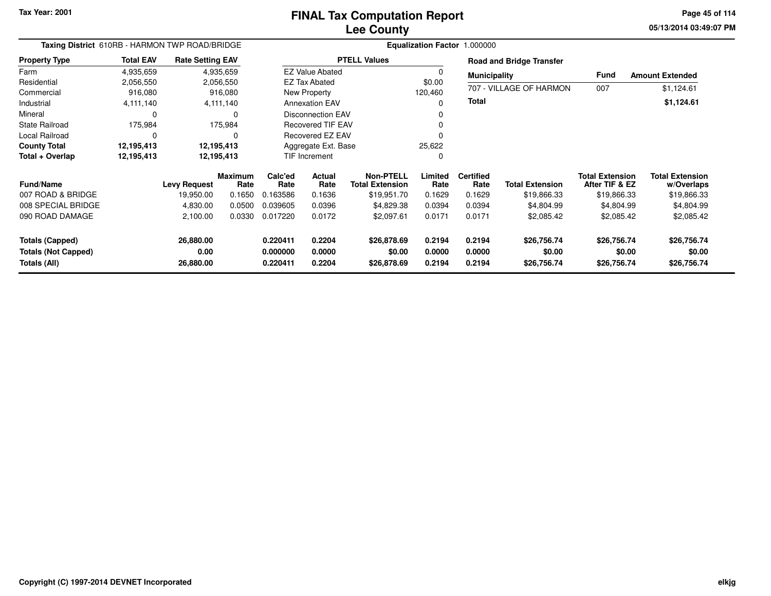**05/13/2014 03:49:07 PM Page 45 of 114**

|                                            | Taxing District 610RB - HARMON TWP ROAD/BRIDGE |                         |                        | Equalization Factor 1.000000                      |                          |                                     |                  |                          |                                 |                                          |                                      |  |  |
|--------------------------------------------|------------------------------------------------|-------------------------|------------------------|---------------------------------------------------|--------------------------|-------------------------------------|------------------|--------------------------|---------------------------------|------------------------------------------|--------------------------------------|--|--|
| <b>Property Type</b>                       | <b>Total EAV</b>                               | <b>Rate Setting EAV</b> |                        |                                                   |                          | <b>PTELL Values</b>                 |                  |                          | <b>Road and Bridge Transfer</b> |                                          |                                      |  |  |
| Farm                                       | 4,935,659                                      |                         | 4,935,659              |                                                   | <b>EZ Value Abated</b>   |                                     | $\Omega$         | <b>Municipality</b>      |                                 | Fund                                     | <b>Amount Extended</b>               |  |  |
| Residential                                | 2,056,550                                      |                         | 2,056,550              |                                                   | <b>EZ Tax Abated</b>     |                                     | \$0.00           |                          |                                 |                                          |                                      |  |  |
| Commercial                                 | 916,080                                        |                         | 916,080                |                                                   | New Property             |                                     | 120,460          |                          | 707 - VILLAGE OF HARMON         | 007                                      | \$1,124.61                           |  |  |
| Industrial                                 | 4,111,140                                      |                         | 4,111,140              | <b>Annexation EAV</b><br><b>Disconnection EAV</b> |                          |                                     | 0                | Total                    |                                 |                                          | \$1,124.61                           |  |  |
| Mineral                                    | $\Omega$                                       |                         |                        |                                                   |                          |                                     |                  |                          |                                 |                                          |                                      |  |  |
| <b>State Railroad</b>                      | 175,984                                        |                         | 175,984                |                                                   | <b>Recovered TIF EAV</b> |                                     |                  |                          |                                 |                                          |                                      |  |  |
| Local Railroad                             | $\Omega$                                       |                         |                        |                                                   | <b>Recovered EZ EAV</b>  |                                     |                  |                          |                                 |                                          |                                      |  |  |
| <b>County Total</b>                        | 12,195,413                                     | 12,195,413              |                        | Aggregate Ext. Base                               |                          |                                     | 25,622           |                          |                                 |                                          |                                      |  |  |
| Total + Overlap                            | 12,195,413                                     |                         | 12,195,413             | TIF Increment                                     |                          |                                     | $\Omega$         |                          |                                 |                                          |                                      |  |  |
| <b>Fund/Name</b>                           |                                                | <b>Levy Request</b>     | <b>Maximum</b><br>Rate | Calc'ed<br>Rate                                   | Actual<br>Rate           | Non-PTELL<br><b>Total Extension</b> | Limited<br>Rate  | <b>Certified</b><br>Rate | <b>Total Extension</b>          | <b>Total Extension</b><br>After TIF & EZ | <b>Total Extension</b><br>w/Overlaps |  |  |
| 007 ROAD & BRIDGE                          |                                                | 19,950.00               | 0.1650                 | 0.163586                                          | 0.1636                   | \$19,951.70                         | 0.1629           | 0.1629                   | \$19,866.33                     | \$19,866.33                              | \$19,866.33                          |  |  |
| 008 SPECIAL BRIDGE                         |                                                | 4,830.00                | 0.0500                 | 0.039605                                          | 0.0396                   | \$4,829.38                          | 0.0394           | 0.0394                   | \$4,804.99                      | \$4,804.99                               | \$4,804.99                           |  |  |
| 090 ROAD DAMAGE                            |                                                | 2,100.00                | 0.0330                 | 0.017220                                          | 0.0172                   | \$2,097.61                          | 0.0171           | 0.0171                   | \$2,085.42                      | \$2,085.42                               | \$2,085.42                           |  |  |
| <b>Totals (Capped)</b>                     |                                                | 26,880.00               |                        | 0.220411                                          | 0.2204                   | \$26,878.69                         | 0.2194           | 0.2194                   | \$26,756.74                     | \$26,756.74                              | \$26,756.74                          |  |  |
| <b>Totals (Not Capped)</b><br>Totals (All) |                                                | 0.00<br>26,880.00       |                        | 0.000000<br>0.220411                              | 0.0000<br>0.2204         | \$0.00<br>\$26,878.69               | 0.0000<br>0.2194 | 0.0000<br>0.2194         | \$0.00<br>\$26,756.74           | \$0.00<br>\$26,756.74                    | \$0.00<br>\$26,756.74                |  |  |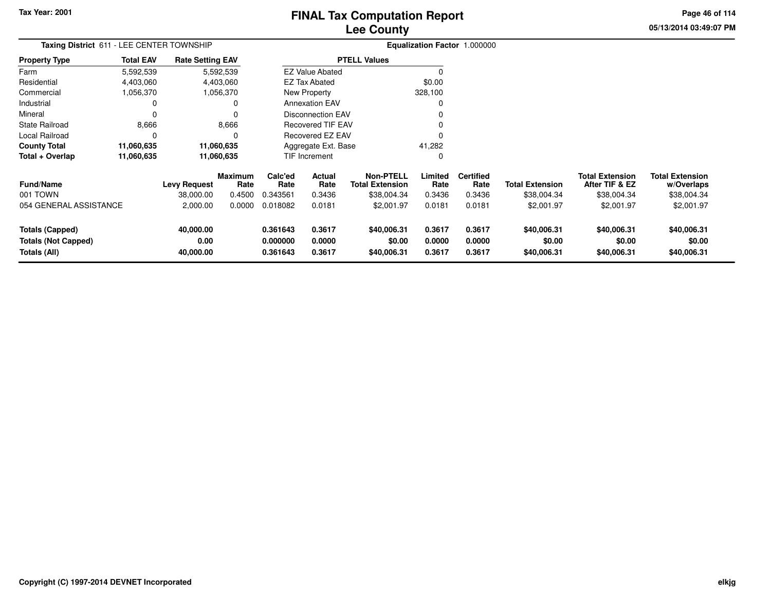## **Lee CountyFINAL Tax Computation Report**

**05/13/2014 03:49:07 PM Page 46 of 114**

| Taxing District 611 - LEE CENTER TOWNSHIP                            |                  |                                |                 |                                                      |                            |                                            |                            | Equalization Factor 1.000000 |                                      |                                          |                                      |
|----------------------------------------------------------------------|------------------|--------------------------------|-----------------|------------------------------------------------------|----------------------------|--------------------------------------------|----------------------------|------------------------------|--------------------------------------|------------------------------------------|--------------------------------------|
| <b>Property Type</b>                                                 | <b>Total EAV</b> | <b>Rate Setting EAV</b>        |                 |                                                      |                            | <b>PTELL Values</b>                        |                            |                              |                                      |                                          |                                      |
| Farm                                                                 | 5,592,539        |                                | 5,592,539       |                                                      | <b>EZ Value Abated</b>     |                                            | $\Omega$                   |                              |                                      |                                          |                                      |
| Residential                                                          | 4,403,060        |                                | 4,403,060       |                                                      | <b>EZ Tax Abated</b>       |                                            | \$0.00                     |                              |                                      |                                          |                                      |
| Commercial                                                           | 1,056,370        |                                | 1,056,370       |                                                      | New Property               |                                            | 328,100                    |                              |                                      |                                          |                                      |
| Industrial                                                           | 0                |                                |                 |                                                      | <b>Annexation EAV</b>      |                                            | 0                          |                              |                                      |                                          |                                      |
| Mineral                                                              | 0                |                                |                 | <b>Disconnection EAV</b><br><b>Recovered TIF EAV</b> |                            |                                            |                            |                              |                                      |                                          |                                      |
| <b>State Railroad</b>                                                | 8,666            |                                | 8,666           |                                                      |                            |                                            |                            |                              |                                      |                                          |                                      |
| Local Railroad                                                       | 0                |                                |                 |                                                      | <b>Recovered EZ EAV</b>    |                                            | 0                          |                              |                                      |                                          |                                      |
| <b>County Total</b>                                                  | 11,060,635       |                                | 11,060,635      | Aggregate Ext. Base                                  |                            |                                            | 41,282                     |                              |                                      |                                          |                                      |
| Total + Overlap                                                      | 11,060,635       |                                | 11,060,635      |                                                      | TIF Increment<br>0         |                                            |                            |                              |                                      |                                          |                                      |
| <b>Fund/Name</b>                                                     |                  | Levy Request                   | Maximum<br>Rate | Calc'ed<br>Rate                                      | Actual<br>Rate             | <b>Non-PTELL</b><br><b>Total Extension</b> | Limited<br>Rate            | <b>Certified</b><br>Rate     | <b>Total Extension</b>               | <b>Total Extension</b><br>After TIF & EZ | <b>Total Extension</b><br>w/Overlaps |
| 001 TOWN                                                             |                  | 38,000.00                      | 0.4500          | 0.343561                                             | 0.3436                     | \$38,004.34                                | 0.3436                     | 0.3436                       | \$38,004.34                          | \$38,004.34                              | \$38,004.34                          |
| 054 GENERAL ASSISTANCE                                               |                  | 2,000.00                       | 0.0000          | 0.018082                                             | 0.0181                     | \$2,001.97                                 | 0.0181                     | 0.0181                       | \$2,001.97                           | \$2,001.97                               | \$2,001.97                           |
| <b>Totals (Capped)</b><br><b>Totals (Not Capped)</b><br>Totals (All) |                  | 40,000.00<br>0.00<br>40,000.00 |                 | 0.361643<br>0.000000<br>0.361643                     | 0.3617<br>0.0000<br>0.3617 | \$40,006.31<br>\$0.00<br>\$40,006.31       | 0.3617<br>0.0000<br>0.3617 | 0.3617<br>0.0000<br>0.3617   | \$40,006.31<br>\$0.00<br>\$40,006.31 | \$40,006.31<br>\$0.00<br>\$40,006.31     | \$40,006.31<br>\$0.00<br>\$40,006.31 |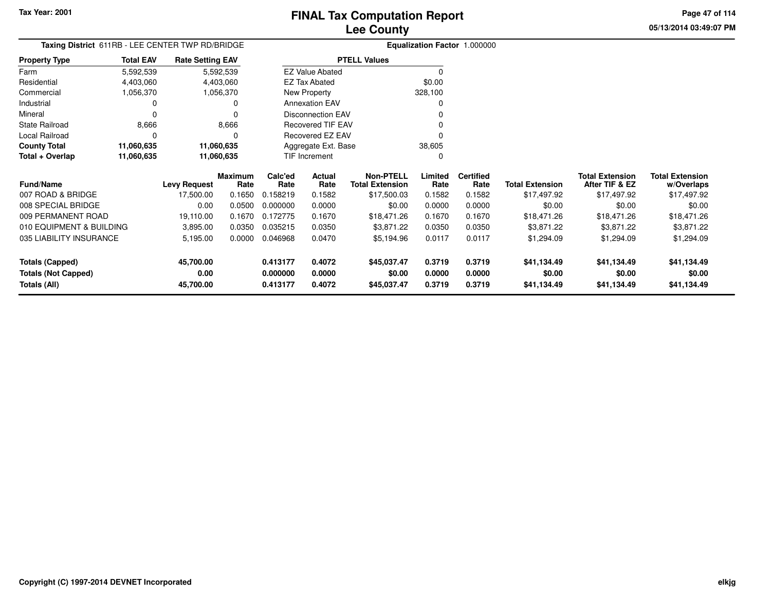**05/13/2014 03:49:07 PMPage 47 of 114**

| Taxing District 611RB - LEE CENTER TWP RD/BRIDGE |                  |                         |                 |                     |                          |                                            |                 | <b>Equalization Factor 1.000000</b> |                        |                                          |                                      |
|--------------------------------------------------|------------------|-------------------------|-----------------|---------------------|--------------------------|--------------------------------------------|-----------------|-------------------------------------|------------------------|------------------------------------------|--------------------------------------|
| <b>Property Type</b>                             | <b>Total EAV</b> | <b>Rate Setting EAV</b> |                 |                     |                          | <b>PTELL Values</b>                        |                 |                                     |                        |                                          |                                      |
| Farm                                             | 5,592,539        |                         | 5,592,539       |                     | <b>EZ Value Abated</b>   |                                            | 0               |                                     |                        |                                          |                                      |
| Residential                                      | 4,403,060        |                         | 4,403,060       |                     | <b>EZ Tax Abated</b>     |                                            | \$0.00          |                                     |                        |                                          |                                      |
| Commercial                                       | 1,056,370        |                         | 1,056,370       |                     | New Property             |                                            | 328,100         |                                     |                        |                                          |                                      |
| Industrial                                       | 0                |                         |                 |                     | <b>Annexation EAV</b>    |                                            |                 |                                     |                        |                                          |                                      |
| Mineral                                          | 0                |                         |                 |                     | <b>Disconnection EAV</b> |                                            |                 |                                     |                        |                                          |                                      |
| State Railroad                                   | 8,666            |                         | 8,666           |                     | <b>Recovered TIF EAV</b> |                                            |                 |                                     |                        |                                          |                                      |
| Local Railroad                                   | 0                |                         |                 |                     | Recovered EZ EAV         |                                            |                 |                                     |                        |                                          |                                      |
| <b>County Total</b>                              | 11,060,635       | 11,060,635              |                 | Aggregate Ext. Base |                          |                                            | 38,605          |                                     |                        |                                          |                                      |
| Total + Overlap                                  | 11,060,635       | 11,060,635              |                 |                     | TIF Increment            |                                            | O               |                                     |                        |                                          |                                      |
| <b>Fund/Name</b>                                 |                  | <b>Levy Request</b>     | Maximum<br>Rate | Calc'ed<br>Rate     | Actual<br>Rate           | <b>Non-PTELL</b><br><b>Total Extension</b> | Limited<br>Rate | <b>Certified</b><br>Rate            | <b>Total Extension</b> | <b>Total Extension</b><br>After TIF & EZ | <b>Total Extension</b><br>w/Overlaps |
| 007 ROAD & BRIDGE                                |                  | 17,500.00               | 0.1650          | 0.158219            | 0.1582                   | \$17,500.03                                | 0.1582          | 0.1582                              | \$17,497.92            | \$17,497.92                              | \$17,497.92                          |
| 008 SPECIAL BRIDGE                               |                  | 0.00                    | 0.0500          | 0.000000            | 0.0000                   | \$0.00                                     | 0.0000          | 0.0000                              | \$0.00                 | \$0.00                                   | \$0.00                               |
| 009 PERMANENT ROAD                               |                  | 19,110.00               | 0.1670          | 0.172775            | 0.1670                   | \$18,471.26                                | 0.1670          | 0.1670                              | \$18,471.26            | \$18,471.26                              | \$18,471.26                          |
| 010 EQUIPMENT & BUILDING                         |                  | 3,895.00                | 0.0350          | 0.035215            | 0.0350                   | \$3,871.22                                 | 0.0350          | 0.0350                              | \$3,871.22             | \$3,871.22                               | \$3,871.22                           |
| 035 LIABILITY INSURANCE                          |                  | 5,195.00                | 0.0000          | 0.046968            | 0.0470                   | \$5,194.96                                 | 0.0117          | 0.0117                              | \$1,294.09             | \$1,294.09                               | \$1,294.09                           |
| <b>Totals (Capped)</b>                           |                  | 45,700.00               |                 | 0.413177            | 0.4072                   | \$45,037.47                                | 0.3719          | 0.3719                              | \$41,134.49            | \$41,134.49                              | \$41,134.49                          |
| <b>Totals (Not Capped)</b>                       |                  | 0.00                    |                 | 0.000000            | 0.0000                   | \$0.00                                     | 0.0000          | 0.0000                              | \$0.00                 | \$0.00                                   | \$0.00                               |
| <b>Totals (All)</b>                              |                  | 45,700.00               |                 | 0.413177            | 0.4072                   | \$45,037.47                                | 0.3719          | 0.3719                              | \$41,134.49            | \$41,134.49                              | \$41,134.49                          |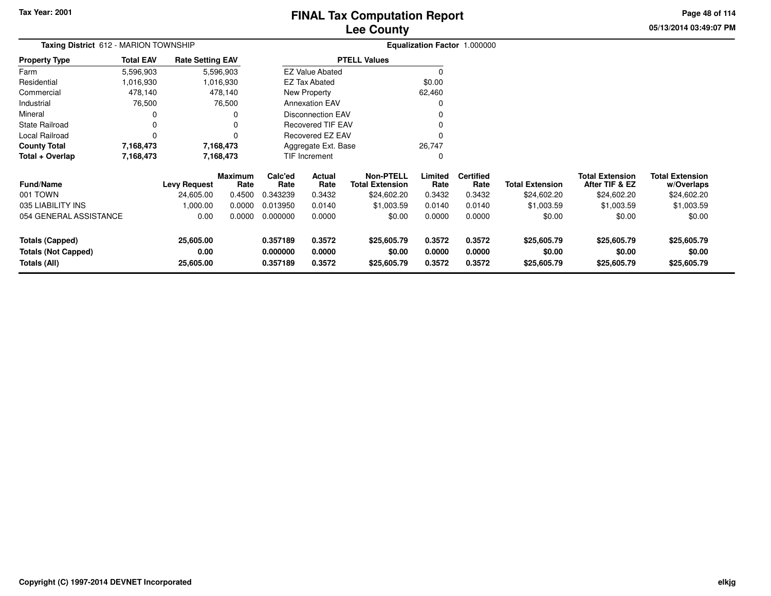## **Lee CountyFINAL Tax Computation Report**

**05/13/2014 03:49:07 PM Page 48 of 114**

| Taxing District 612 - MARION TOWNSHIP      | Equalization Factor 1.000000 |                         |                        |                                              |                          |                                            |                  |                          |                        |                                          |                                      |
|--------------------------------------------|------------------------------|-------------------------|------------------------|----------------------------------------------|--------------------------|--------------------------------------------|------------------|--------------------------|------------------------|------------------------------------------|--------------------------------------|
| Property Type                              | <b>Total EAV</b>             | <b>Rate Setting EAV</b> |                        |                                              |                          | <b>PTELL Values</b>                        |                  |                          |                        |                                          |                                      |
| Farm                                       | 5,596,903                    |                         | 5,596,903              |                                              | <b>EZ Value Abated</b>   |                                            | 0                |                          |                        |                                          |                                      |
| Residential                                | 1,016,930                    |                         | 1,016,930              |                                              | <b>EZ Tax Abated</b>     |                                            | \$0.00           |                          |                        |                                          |                                      |
| Commercial                                 | 478,140                      |                         | 478,140                |                                              | New Property             |                                            | 62,460           |                          |                        |                                          |                                      |
| Industrial                                 | 76,500                       |                         | 76,500                 |                                              | <b>Annexation EAV</b>    |                                            | 0                |                          |                        |                                          |                                      |
| Mineral                                    | 0                            |                         |                        |                                              | <b>Disconnection EAV</b> |                                            |                  |                          |                        |                                          |                                      |
| State Railroad                             | 0                            |                         |                        | <b>Recovered TIF EAV</b><br>Recovered EZ EAV |                          |                                            |                  |                          |                        |                                          |                                      |
| Local Railroad                             | 0                            |                         |                        |                                              |                          |                                            |                  |                          |                        |                                          |                                      |
| <b>County Total</b>                        | 7,168,473                    |                         | 7,168,473              |                                              | Aggregate Ext. Base      |                                            | 26,747           |                          |                        |                                          |                                      |
| Total + Overlap                            | 7,168,473                    | 7,168,473               |                        |                                              | TIF Increment            |                                            | 0                |                          |                        |                                          |                                      |
| <b>Fund/Name</b>                           |                              | <b>Levy Request</b>     | <b>Maximum</b><br>Rate | Calc'ed<br>Rate                              | Actual<br>Rate           | <b>Non-PTELL</b><br><b>Total Extension</b> | Limited<br>Rate  | <b>Certified</b><br>Rate | <b>Total Extension</b> | <b>Total Extension</b><br>After TIF & EZ | <b>Total Extension</b><br>w/Overlaps |
| 001 TOWN                                   |                              | 24,605.00               | 0.4500                 | 0.343239                                     | 0.3432                   | \$24,602.20                                | 0.3432           | 0.3432                   | \$24,602.20            | \$24,602.20                              | \$24,602.20                          |
| 035 LIABILITY INS                          |                              | 1,000.00                | 0.0000                 | 0.013950                                     | 0.0140                   | \$1,003.59                                 | 0.0140           | 0.0140                   | \$1,003.59             | \$1,003.59                               | \$1,003.59                           |
| 054 GENERAL ASSISTANCE                     |                              | 0.00                    | 0.0000                 | 0.000000                                     | 0.0000                   | \$0.00                                     | 0.0000           | 0.0000                   | \$0.00                 | \$0.00                                   | \$0.00                               |
| <b>Totals (Capped)</b>                     |                              | 25,605.00               |                        | 0.357189                                     | 0.3572                   | \$25,605.79                                | 0.3572           | 0.3572                   | \$25,605.79            | \$25,605.79                              | \$25,605.79                          |
| <b>Totals (Not Capped)</b><br>Totals (All) |                              | 0.00<br>25,605.00       |                        | 0.000000<br>0.357189                         | 0.0000<br>0.3572         | \$0.00<br>\$25,605.79                      | 0.0000<br>0.3572 | 0.0000<br>0.3572         | \$0.00<br>\$25,605.79  | \$0.00<br>\$25,605.79                    | \$0.00<br>\$25,605.79                |
|                                            |                              |                         |                        |                                              |                          |                                            |                  |                          |                        |                                          |                                      |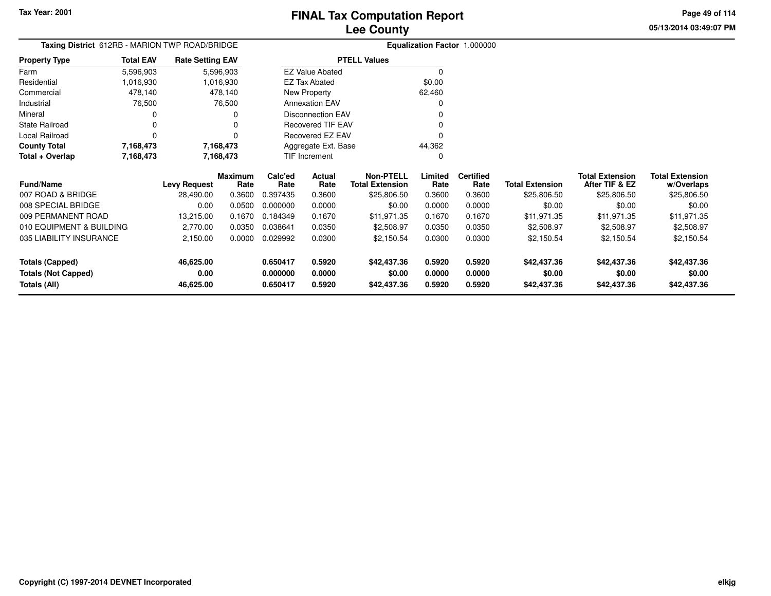## **FINAL Tax Computation Report**

**05/13/2014 03:49:07 PMPage 49 of 114**

# **Lee County**

|                      |                  | Taxing District 612RB - MARION TWP ROAD/BRIDGE |                        | Equalization Factor 1.000000 |
|----------------------|------------------|------------------------------------------------|------------------------|------------------------------|
| <b>Property Type</b> | <b>Total EAV</b> | <b>Rate Setting EAV</b>                        | <b>PTELL Values</b>    |                              |
| Farm                 | 5,596,903        | 5,596,903                                      | <b>EZ Value Abated</b> |                              |
| Residential          | 1,016,930        | 1,016,930                                      | EZ Tax Abated          | \$0.00                       |
| Commercial           | 478.140          | 478,140                                        | New Property           | 62.460                       |
| Industrial           | 76.500           | 76.500                                         | <b>Annexation EAV</b>  | 0                            |
| Mineral              | 0                |                                                | Disconnection EAV      | 0                            |
| State Railroad       |                  |                                                | Recovered TIF EAV      | 0                            |
| Local Railroad       |                  |                                                | Recovered EZ EAV       | 0                            |
| <b>County Total</b>  | 7,168,473        | 7,168,473                                      | Aggregate Ext. Base    | 44.362                       |
| Total + Overlap      | 7,168,473        | 7,168,473                                      | <b>TIF Increment</b>   | 0                            |

| <b>Fund/Name</b>           | <b>Levy Request</b> | <b>Maximum</b><br>Rate | Calc'ed<br>Rate | <b>Actual</b><br>Rate | <b>Non-PTELL</b><br><b>Total Extension</b> | Limited<br>Rate | <b>Certified</b><br>Rate | <b>Total Extension</b> | <b>Total Extension</b><br>After TIF & EZ | <b>Total Extension</b><br>w/Overlaps |
|----------------------------|---------------------|------------------------|-----------------|-----------------------|--------------------------------------------|-----------------|--------------------------|------------------------|------------------------------------------|--------------------------------------|
| 007 ROAD & BRIDGE          | 28.490.00           | 0.3600                 | 0.397435        | 0.3600                | \$25,806.50                                | 0.3600          | 0.3600                   | \$25,806.50            | \$25,806.50                              | \$25,806.50                          |
| 008 SPECIAL BRIDGE         | 0.00                | 0.0500                 | 0.000000        | 0.0000                | \$0.00                                     | 0.0000          | 0.0000                   | \$0.00                 | \$0.00                                   | \$0.00                               |
| 009 PERMANENT ROAD         | 13.215.00           | 0.1670                 | 0.184349        | 0.1670                | \$11,971.35                                | 0.1670          | 0.1670                   | \$11,971.35            | \$11,971.35                              | \$11,971.35                          |
| 010 EQUIPMENT & BUILDING   | 2.770.00            | 0.0350                 | 0.038641        | 0.0350                | \$2,508.97                                 | 0.0350          | 0.0350                   | \$2,508.97             | \$2,508.97                               | \$2,508.97                           |
| 035 LIABILITY INSURANCE    | 2,150.00            | 0.0000                 | 0.029992        | 0.0300                | \$2,150.54                                 | 0.0300          | 0.0300                   | \$2.150.54             | \$2.150.54                               | \$2,150.54                           |
| Totals (Capped)            | 46.625.00           |                        | 0.650417        | 0.5920                | \$42,437.36                                | 0.5920          | 0.5920                   | \$42,437.36            | \$42,437.36                              | \$42,437.36                          |
| <b>Totals (Not Capped)</b> | 0.00                |                        | 0.000000        | 0.0000                | \$0.00                                     | 0.0000          | 0.0000                   | \$0.00                 | \$0.00                                   | \$0.00                               |
| Totals (All)               | 46,625.00           |                        | 0.650417        | 0.5920                | \$42,437.36                                | 0.5920          | 0.5920                   | \$42,437.36            | \$42,437.36                              | \$42,437.36                          |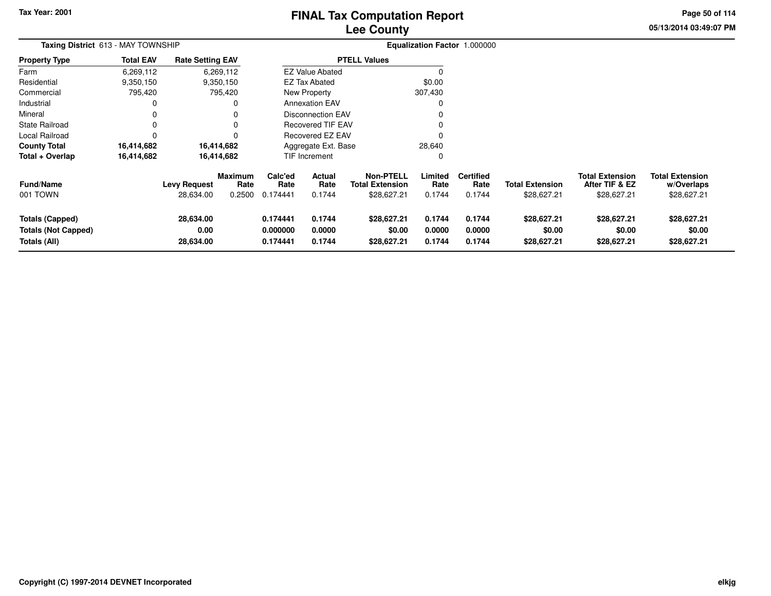## **Lee CountyFINAL Tax Computation Report**

**05/13/2014 03:49:07 PM Page 50 of 114**

| Taxing District 613 - MAY TOWNSHIP                                   |                  |                                  |                                  |                                  |                            |                                                           |                            | Equalization Factor 1.000000       |                                       |                                                         |                                                     |
|----------------------------------------------------------------------|------------------|----------------------------------|----------------------------------|----------------------------------|----------------------------|-----------------------------------------------------------|----------------------------|------------------------------------|---------------------------------------|---------------------------------------------------------|-----------------------------------------------------|
| Property Type                                                        | <b>Total EAV</b> | <b>Rate Setting EAV</b>          |                                  |                                  |                            | <b>PTELL Values</b>                                       |                            |                                    |                                       |                                                         |                                                     |
| Farm                                                                 | 6,269,112        |                                  | 6,269,112                        |                                  | <b>EZ Value Abated</b>     |                                                           | $\Omega$                   |                                    |                                       |                                                         |                                                     |
| Residential                                                          | 9,350,150        |                                  | 9,350,150                        |                                  | <b>EZ Tax Abated</b>       |                                                           | \$0.00                     |                                    |                                       |                                                         |                                                     |
| Commercial                                                           | 795,420          |                                  | 795,420                          |                                  | New Property               |                                                           | 307,430                    |                                    |                                       |                                                         |                                                     |
| Industrial                                                           |                  |                                  | 0                                |                                  | <b>Annexation EAV</b>      |                                                           | 0                          |                                    |                                       |                                                         |                                                     |
| Mineral                                                              |                  |                                  | 0                                |                                  | <b>Disconnection EAV</b>   |                                                           |                            |                                    |                                       |                                                         |                                                     |
| State Railroad                                                       | 0                |                                  | 0                                |                                  | <b>Recovered TIF EAV</b>   |                                                           |                            |                                    |                                       |                                                         |                                                     |
| Local Railroad                                                       | 0                |                                  | 0                                |                                  | Recovered EZ EAV           |                                                           |                            |                                    |                                       |                                                         |                                                     |
| County Total                                                         | 16,414,682       |                                  | 16,414,682                       |                                  | Aggregate Ext. Base        |                                                           | 28,640                     |                                    |                                       |                                                         |                                                     |
| Total + Overlap                                                      | 16,414,682       |                                  | 16,414,682                       |                                  | TIF Increment              |                                                           | 0                          |                                    |                                       |                                                         |                                                     |
| Fund/Name<br>001 TOWN                                                |                  | <b>Levy Request</b><br>28,634.00 | <b>Maximum</b><br>Rate<br>0.2500 | Calc'ed<br>Rate<br>0.174441      | Actual<br>Rate<br>0.1744   | <b>Non-PTELL</b><br><b>Total Extension</b><br>\$28,627.21 | Limited<br>Rate<br>0.1744  | <b>Certified</b><br>Rate<br>0.1744 | <b>Total Extension</b><br>\$28,627.21 | <b>Total Extension</b><br>After TIF & EZ<br>\$28,627.21 | <b>Total Extension</b><br>w/Overlaps<br>\$28,627.21 |
| <b>Totals (Capped)</b><br><b>Totals (Not Capped)</b><br>Totals (All) |                  | 28,634.00<br>0.00<br>28,634.00   |                                  | 0.174441<br>0.000000<br>0.174441 | 0.1744<br>0.0000<br>0.1744 | \$28,627.21<br>\$0.00<br>\$28,627.21                      | 0.1744<br>0.0000<br>0.1744 | 0.1744<br>0.0000<br>0.1744         | \$28,627.21<br>\$0.00<br>\$28,627.21  | \$28,627.21<br>\$0.00<br>\$28,627.21                    | \$28,627.21<br>\$0.00<br>\$28,627.21                |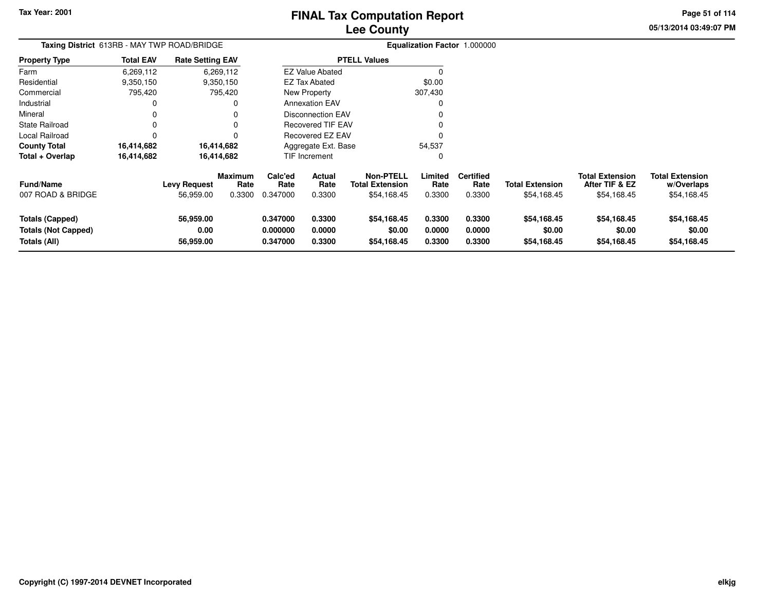## **Lee CountyFINAL Tax Computation Report**

**05/13/2014 03:49:07 PM Page 51 of 114**

| Taxing District 613RB - MAY TWP ROAD/BRIDGE                          |                  |                                  |                                  |                                  |                                 |                                                           |                            | Equalization Factor 1.000000       |                                       |                                                         |                                                     |
|----------------------------------------------------------------------|------------------|----------------------------------|----------------------------------|----------------------------------|---------------------------------|-----------------------------------------------------------|----------------------------|------------------------------------|---------------------------------------|---------------------------------------------------------|-----------------------------------------------------|
| Property Type                                                        | <b>Total EAV</b> | <b>Rate Setting EAV</b>          |                                  |                                  |                                 | <b>PTELL Values</b>                                       |                            |                                    |                                       |                                                         |                                                     |
| Farm                                                                 | 6,269,112        |                                  | 6,269,112                        |                                  | <b>EZ Value Abated</b>          |                                                           | 0                          |                                    |                                       |                                                         |                                                     |
| Residential                                                          | 9,350,150        |                                  | 9,350,150                        |                                  | EZ Tax Abated                   |                                                           | \$0.00                     |                                    |                                       |                                                         |                                                     |
| Commercial                                                           | 795,420          |                                  | 795,420                          |                                  | <b>New Property</b>             |                                                           | 307,430                    |                                    |                                       |                                                         |                                                     |
| Industrial                                                           | 0                |                                  | 0                                |                                  | <b>Annexation EAV</b>           |                                                           | 0                          |                                    |                                       |                                                         |                                                     |
| Mineral                                                              |                  |                                  |                                  |                                  | <b>Disconnection EAV</b>        |                                                           |                            |                                    |                                       |                                                         |                                                     |
| State Railroad                                                       |                  |                                  |                                  |                                  | <b>Recovered TIF EAV</b>        |                                                           |                            |                                    |                                       |                                                         |                                                     |
| Local Railroad                                                       |                  |                                  |                                  |                                  | Recovered EZ EAV                |                                                           |                            |                                    |                                       |                                                         |                                                     |
| County Total                                                         | 16,414,682       |                                  | 16,414,682                       |                                  | Aggregate Ext. Base             |                                                           | 54,537                     |                                    |                                       |                                                         |                                                     |
| Total + Overlap                                                      | 16,414,682       |                                  | 16,414,682                       |                                  | <b>TIF Increment</b>            |                                                           | 0                          |                                    |                                       |                                                         |                                                     |
| Fund/Name<br>007 ROAD & BRIDGE                                       |                  | <b>Levy Request</b><br>56,959.00 | <b>Maximum</b><br>Rate<br>0.3300 | Calc'ed<br>Rate<br>0.347000      | <b>Actual</b><br>Rate<br>0.3300 | <b>Non-PTELL</b><br><b>Total Extension</b><br>\$54,168.45 | Limited<br>Rate<br>0.3300  | <b>Certified</b><br>Rate<br>0.3300 | <b>Total Extension</b><br>\$54,168.45 | <b>Total Extension</b><br>After TIF & EZ<br>\$54,168.45 | <b>Total Extension</b><br>w/Overlaps<br>\$54,168.45 |
| <b>Totals (Capped)</b><br><b>Totals (Not Capped)</b><br>Totals (All) |                  | 56,959.00<br>0.00<br>56,959.00   |                                  | 0.347000<br>0.000000<br>0.347000 | 0.3300<br>0.0000<br>0.3300      | \$54,168.45<br>\$0.00<br>\$54,168.45                      | 0.3300<br>0.0000<br>0.3300 | 0.3300<br>0.0000<br>0.3300         | \$54,168.45<br>\$0.00<br>\$54,168.45  | \$54,168.45<br>\$0.00<br>\$54,168.45                    | \$54,168.45<br>\$0.00<br>\$54,168.45                |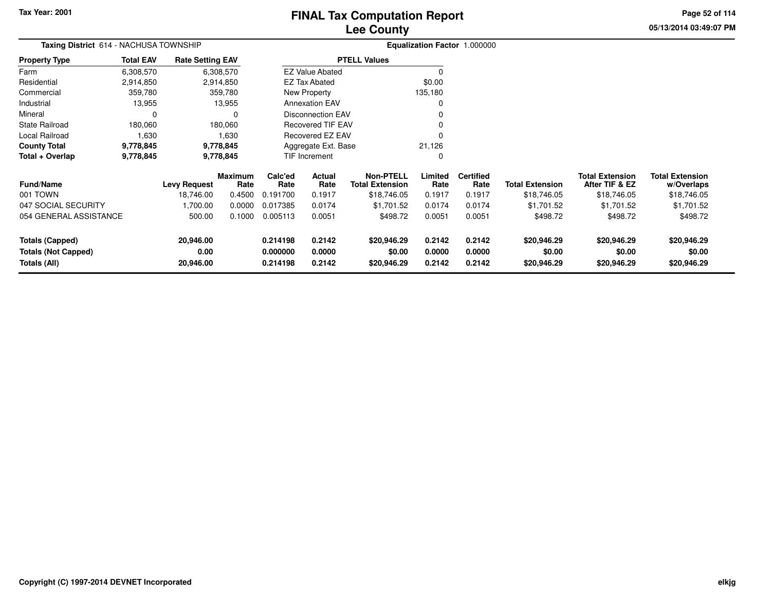## **Lee CountyFINAL Tax Computation Report**

**05/13/2014 03:49:07 PM Page 52 of 114**

| Taxing District 614 - NACHUSA TOWNSHIP |                            |                         |                 |                 |                          |                                            |                  | Equalization Factor 1.000000 |                        |                                          |                                      |
|----------------------------------------|----------------------------|-------------------------|-----------------|-----------------|--------------------------|--------------------------------------------|------------------|------------------------------|------------------------|------------------------------------------|--------------------------------------|
| <b>Property Type</b>                   | <b>Total EAV</b>           | <b>Rate Setting EAV</b> |                 |                 |                          | <b>PTELL Values</b>                        |                  |                              |                        |                                          |                                      |
| Farm                                   | 6,308,570                  |                         | 6,308,570       |                 | <b>EZ Value Abated</b>   |                                            |                  |                              |                        |                                          |                                      |
| Residential                            | 2,914,850                  |                         | 2,914,850       |                 | <b>EZ Tax Abated</b>     |                                            | \$0.00           |                              |                        |                                          |                                      |
| Commercial                             | 359,780                    |                         | 359,780         |                 | New Property             |                                            | 135,180          |                              |                        |                                          |                                      |
| Industrial                             | 13,955                     |                         | 13,955          |                 | <b>Annexation EAV</b>    |                                            |                  |                              |                        |                                          |                                      |
| Mineral                                | $\Omega$                   |                         | 0               |                 | <b>Disconnection EAV</b> |                                            |                  |                              |                        |                                          |                                      |
| State Railroad                         | 180,060                    |                         | 180,060         |                 | <b>Recovered TIF EAV</b> |                                            |                  |                              |                        |                                          |                                      |
| Local Railroad                         | 1,630                      |                         | 1,630           |                 | Recovered EZ EAV         |                                            |                  |                              |                        |                                          |                                      |
| <b>County Total</b>                    | 9,778,845                  |                         | 9,778,845       |                 | Aggregate Ext. Base      |                                            | 21,126           |                              |                        |                                          |                                      |
| Total + Overlap                        | 9,778,845                  |                         | 9,778,845       |                 | <b>TIF Increment</b>     |                                            |                  |                              |                        |                                          |                                      |
| <b>Fund/Name</b>                       |                            | <b>Levy Request</b>     | Maximum<br>Rate | Calc'ed<br>Rate | Actual<br>Rate           | <b>Non-PTELL</b><br><b>Total Extension</b> | Limited<br>Rate  | <b>Certified</b><br>Rate     | <b>Total Extension</b> | <b>Total Extension</b><br>After TIF & EZ | <b>Total Extension</b><br>w/Overlaps |
| 001 TOWN                               |                            | 18,746.00               | 0.4500          | 0.191700        | 0.1917                   | \$18,746.05                                | 0.1917           | 0.1917                       | \$18,746.05            | \$18,746.05                              | \$18,746.05                          |
| 047 SOCIAL SECURITY                    |                            | 1,700.00                | 0.0000          | 0.017385        | 0.0174                   | \$1,701.52                                 | 0.0174           | 0.0174                       | \$1,701.52             | \$1,701.52                               | \$1,701.52                           |
| 054 GENERAL ASSISTANCE                 |                            | 500.00                  | 0.1000          | 0.005113        | 0.0051                   | \$498.72                                   | 0.0051           | 0.0051                       | \$498.72               | \$498.72                                 | \$498.72                             |
| <b>Totals (Capped)</b>                 |                            | 20,946.00               |                 | 0.214198        | 0.2142                   | \$20,946.29                                | 0.2142           | 0.2142                       | \$20,946.29            | \$20,946.29                              | \$20,946.29                          |
| <b>Totals (Not Capped)</b>             | 0.00<br>0.000000<br>0.0000 |                         |                 |                 | \$0.00<br>\$20,946.29    | 0.0000<br>0.2142                           | 0.0000<br>0.2142 | \$0.00<br>\$20,946.29        | \$0.00<br>\$20,946.29  | \$0.00<br>\$20,946.29                    |                                      |
| Totals (All)                           |                            | 20,946.00               |                 | 0.214198        | 0.2142                   |                                            |                  |                              |                        |                                          |                                      |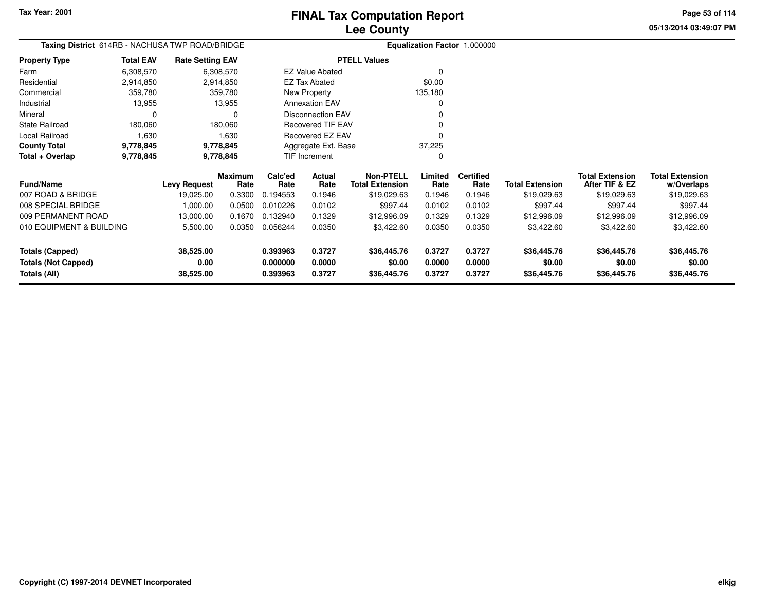**Totals (All)**

## **Lee CountyFINAL Tax Computation Report**

**0.393963 0.3727 \$36,445.76 0.3727 0.3727 \$36,445.76 \$36,445.76 \$36,445.76**

**05/13/2014 03:49:07 PMPage 53 of 114**

> **w/Overlaps** \$19,029.63

|                            | Taxing District 614RB - NACHUSA TWP ROAD/BRIDGE<br><b>Total EAV</b><br><b>Rate Setting EAV</b> |                     |                        |                 |                          |                                            |                 | Equalization Factor 1.000000 |                        |                                          |                                      |
|----------------------------|------------------------------------------------------------------------------------------------|---------------------|------------------------|-----------------|--------------------------|--------------------------------------------|-----------------|------------------------------|------------------------|------------------------------------------|--------------------------------------|
| <b>Property Type</b>       |                                                                                                |                     |                        |                 |                          | <b>PTELL Values</b>                        |                 |                              |                        |                                          |                                      |
| Farm                       | 6,308,570                                                                                      |                     | 6,308,570              |                 | <b>EZ Value Abated</b>   |                                            |                 |                              |                        |                                          |                                      |
| Residential                | 2,914,850                                                                                      |                     | 2,914,850              |                 | <b>EZ Tax Abated</b>     |                                            | \$0.00          |                              |                        |                                          |                                      |
| Commercial                 | 359,780                                                                                        |                     | 359,780                |                 | New Property             |                                            | 135,180         |                              |                        |                                          |                                      |
| Industrial                 | 13,955                                                                                         |                     | 13,955                 |                 | <b>Annexation EAV</b>    |                                            |                 |                              |                        |                                          |                                      |
| Mineral                    |                                                                                                |                     | 0                      |                 | <b>Disconnection EAV</b> |                                            |                 |                              |                        |                                          |                                      |
| <b>State Railroad</b>      | 180,060                                                                                        |                     | 180,060                |                 | <b>Recovered TIF EAV</b> |                                            |                 |                              |                        |                                          |                                      |
| Local Railroad             | 1,630                                                                                          |                     | 1,630                  |                 | Recovered EZ EAV         |                                            |                 |                              |                        |                                          |                                      |
| <b>County Total</b>        | 9,778,845                                                                                      |                     | 9,778,845              |                 | Aggregate Ext. Base      |                                            | 37,225          |                              |                        |                                          |                                      |
| Total + Overlap            | 9,778,845                                                                                      |                     | 9,778,845              |                 | TIF Increment            |                                            |                 |                              |                        |                                          |                                      |
| <b>Fund/Name</b>           |                                                                                                | <b>Levy Request</b> | <b>Maximum</b><br>Rate | Calc'ed<br>Rate | Actual<br>Rate           | <b>Non-PTELL</b><br><b>Total Extension</b> | Limited<br>Rate | <b>Certified</b><br>Rate     | <b>Total Extension</b> | <b>Total Extension</b><br>After TIF & EZ | <b>Total Extension</b><br>w/Overlaps |
| 007 ROAD & BRIDGE          |                                                                                                | 19,025.00           | 0.3300                 | 0.194553        | 0.1946                   | \$19,029.63                                | 0.1946          | 0.1946                       | \$19,029.63            | \$19,029.63                              | \$19,029.63                          |
| 008 SPECIAL BRIDGE         |                                                                                                | 1,000.00            | 0.0500                 | 0.010226        | 0.0102                   | \$997.44                                   | 0.0102          | 0.0102                       | \$997.44               | \$997.44                                 | \$997.44                             |
| 009 PERMANENT ROAD         |                                                                                                | 13,000.00           | 0.1670                 | 0.132940        | 0.1329                   | \$12,996.09                                | 0.1329          | 0.1329                       | \$12,996.09            | \$12,996.09                              | \$12,996.09                          |
| 010 EQUIPMENT & BUILDING   |                                                                                                | 5,500.00            | 0.0350                 | 0.056244        | 0.0350                   | \$3,422.60                                 | 0.0350          | 0.0350                       | \$3,422.60             | \$3,422.60                               | \$3,422.60                           |
| <b>Totals (Capped)</b>     |                                                                                                | 38,525.00           |                        | 0.393963        | 0.3727                   | \$36,445.76                                | 0.3727          | 0.3727                       | \$36,445.76            | \$36,445.76                              | \$36,445.76                          |
| <b>Totals (Not Capped)</b> |                                                                                                | 0.00                |                        | 0.000000        | 0.0000                   | \$0.00                                     | 0.0000          | 0.0000                       | \$0.00                 | \$0.00                                   | \$0.00                               |

**38,525.00**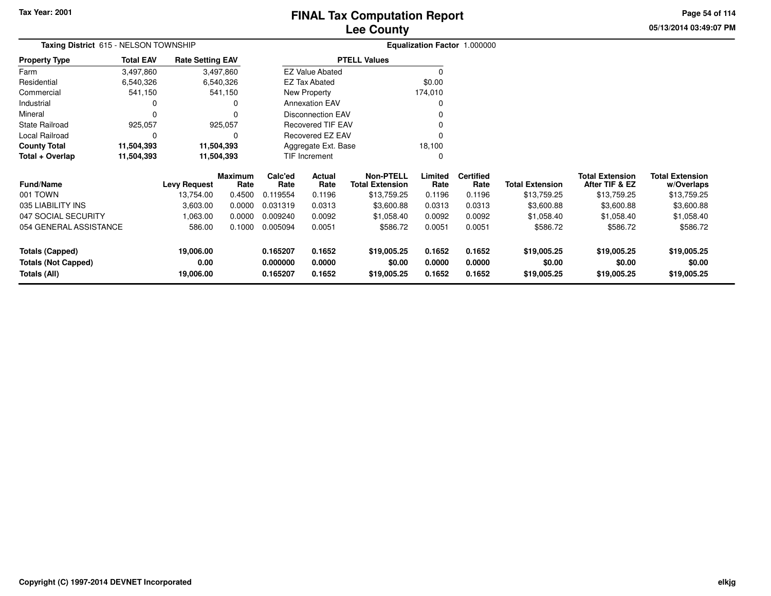**05/13/2014 03:49:07 PM Page 54 of 114**

|                                            | Taxing District 615 - NELSON TOWNSHIP<br><b>Total EAV</b> |                         |                        |                      |                          |                                            | Equalization Factor 1.000000 |                          |                        |                                          |                                      |
|--------------------------------------------|-----------------------------------------------------------|-------------------------|------------------------|----------------------|--------------------------|--------------------------------------------|------------------------------|--------------------------|------------------------|------------------------------------------|--------------------------------------|
| <b>Property Type</b>                       |                                                           | <b>Rate Setting EAV</b> |                        |                      |                          | <b>PTELL Values</b>                        |                              |                          |                        |                                          |                                      |
| Farm                                       | 3,497,860                                                 | 3,497,860               |                        |                      | <b>EZ Value Abated</b>   |                                            | $\Omega$                     |                          |                        |                                          |                                      |
| Residential                                | 6,540,326                                                 | 6,540,326               |                        |                      | <b>EZ Tax Abated</b>     |                                            | \$0.00                       |                          |                        |                                          |                                      |
| Commercial                                 | 541,150                                                   |                         | 541,150                |                      | New Property             |                                            | 174,010                      |                          |                        |                                          |                                      |
| Industrial                                 | 0                                                         |                         |                        |                      | <b>Annexation EAV</b>    |                                            | 0                            |                          |                        |                                          |                                      |
| Mineral                                    | 0                                                         |                         |                        |                      | <b>Disconnection EAV</b> |                                            |                              |                          |                        |                                          |                                      |
| <b>State Railroad</b>                      | 925,057                                                   |                         | 925,057                |                      | <b>Recovered TIF EAV</b> |                                            |                              |                          |                        |                                          |                                      |
| Local Railroad                             | 0                                                         |                         |                        |                      | Recovered EZ EAV         |                                            |                              |                          |                        |                                          |                                      |
| <b>County Total</b>                        | 11,504,393                                                | 11,504,393              |                        |                      | Aggregate Ext. Base      |                                            | 18,100                       |                          |                        |                                          |                                      |
| Total + Overlap                            | 11,504,393                                                | 11,504,393              |                        |                      | TIF Increment            |                                            | 0                            |                          |                        |                                          |                                      |
| <b>Fund/Name</b>                           |                                                           | <b>Levy Request</b>     | <b>Maximum</b><br>Rate | Calc'ed<br>Rate      | Actual<br>Rate           | <b>Non-PTELL</b><br><b>Total Extension</b> | Limited<br>Rate              | <b>Certified</b><br>Rate | <b>Total Extension</b> | <b>Total Extension</b><br>After TIF & EZ | <b>Total Extension</b><br>w/Overlaps |
| 001 TOWN                                   |                                                           | 13,754.00               | 0.4500                 | 0.119554             | 0.1196                   | \$13,759.25                                | 0.1196                       | 0.1196                   | \$13,759.25            | \$13,759.25                              | \$13,759.25                          |
| 035 LIABILITY INS                          |                                                           | 3,603.00                | 0.0000                 | 0.031319             | 0.0313                   | \$3,600.88                                 | 0.0313                       | 0.0313                   | \$3,600.88             | \$3,600.88                               | \$3,600.88                           |
| 047 SOCIAL SECURITY                        |                                                           | 1,063.00                | 0.0000                 | 0.009240             | 0.0092                   | \$1,058.40                                 | 0.0092                       | 0.0092                   | \$1,058.40             | \$1,058.40                               | \$1,058.40                           |
| 054 GENERAL ASSISTANCE                     |                                                           | 586.00                  | 0.1000                 | 0.005094             | 0.0051                   | \$586.72                                   | 0.0051                       | 0.0051                   | \$586.72               | \$586.72                                 | \$586.72                             |
| <b>Totals (Capped)</b>                     |                                                           | 19,006.00               |                        | 0.165207             | 0.1652                   | \$19,005.25                                | 0.1652                       | 0.1652                   | \$19,005.25            | \$19,005.25                              | \$19,005.25                          |
| <b>Totals (Not Capped)</b><br>Totals (All) |                                                           | 0.00<br>19,006.00       |                        | 0.000000<br>0.165207 | 0.0000<br>0.1652         | \$0.00<br>\$19,005.25                      | 0.0000<br>0.1652             | 0.0000<br>0.1652         | \$0.00<br>\$19,005.25  | \$0.00<br>\$19,005.25                    | \$0.00<br>\$19,005.25                |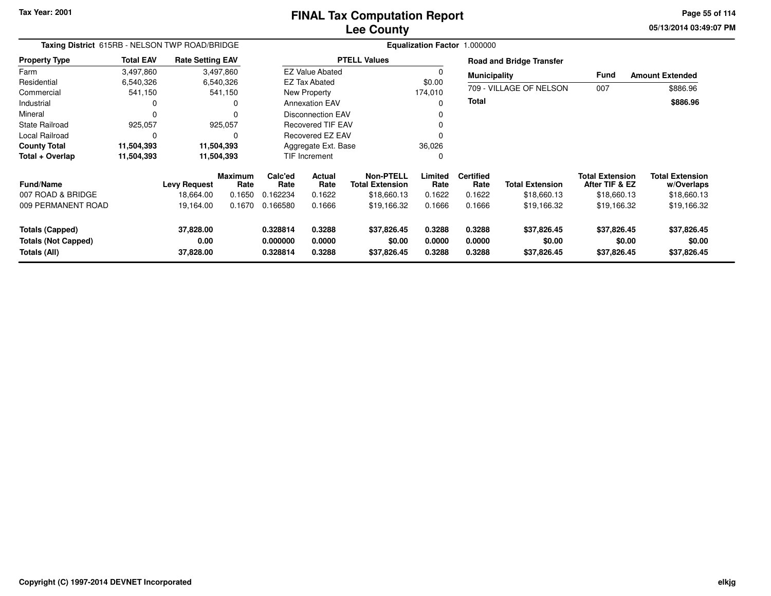**05/13/2014 03:49:07 PM Page 55 of 114**

| Taxing District 615RB - NELSON TWP ROAD/BRIDGE                |                  |                                |                        |                                  |                            |                                            |                            | Equalization Factor 1.000000 |                                      |                                          |                                      |
|---------------------------------------------------------------|------------------|--------------------------------|------------------------|----------------------------------|----------------------------|--------------------------------------------|----------------------------|------------------------------|--------------------------------------|------------------------------------------|--------------------------------------|
| <b>Property Type</b>                                          | <b>Total EAV</b> | <b>Rate Setting EAV</b>        |                        |                                  |                            | <b>PTELL Values</b>                        |                            |                              | <b>Road and Bridge Transfer</b>      |                                          |                                      |
| Farm                                                          | 3,497,860        |                                | 3,497,860              |                                  | <b>EZ Value Abated</b>     |                                            |                            | <b>Municipality</b>          |                                      | <b>Fund</b>                              | <b>Amount Extended</b>               |
| Residential                                                   | 6,540,326        |                                | 6,540,326              |                                  | <b>EZ Tax Abated</b>       |                                            | \$0.00                     |                              |                                      |                                          |                                      |
| Commercial                                                    | 541,150          |                                | 541,150                |                                  | New Property               |                                            | 174,010                    |                              | 709 - VILLAGE OF NELSON              | 007                                      | \$886.96                             |
| Industrial                                                    |                  |                                | 0                      |                                  | <b>Annexation EAV</b>      |                                            |                            | <b>Total</b>                 |                                      |                                          | \$886.96                             |
| Mineral                                                       |                  |                                | 0                      |                                  | <b>Disconnection EAV</b>   |                                            |                            |                              |                                      |                                          |                                      |
| <b>State Railroad</b>                                         | 925,057          |                                | 925,057                | <b>Recovered TIF EAV</b>         |                            |                                            |                            |                              |                                      |                                          |                                      |
| Local Railroad                                                | $\Omega$         |                                | O                      | Recovered EZ EAV                 |                            |                                            |                            |                              |                                      |                                          |                                      |
| <b>County Total</b>                                           | 11,504,393       | 11,504,393                     |                        |                                  | Aggregate Ext. Base        |                                            | 36,026                     |                              |                                      |                                          |                                      |
| Total + Overlap                                               | 11,504,393       |                                | 11,504,393             |                                  | <b>TIF Increment</b>       |                                            | $\Omega$                   |                              |                                      |                                          |                                      |
| <b>Fund/Name</b>                                              |                  | <b>Levy Request</b>            | <b>Maximum</b><br>Rate | Calc'ed<br>Rate                  | Actual<br>Rate             | <b>Non-PTELL</b><br><b>Total Extension</b> | Limited<br>Rate            | <b>Certified</b><br>Rate     | <b>Total Extension</b>               | <b>Total Extension</b><br>After TIF & EZ | <b>Total Extension</b><br>w/Overlaps |
| 007 ROAD & BRIDGE                                             |                  | 18,664.00                      | 0.1650                 | 0.162234                         | 0.1622                     | \$18,660.13                                | 0.1622                     | 0.1622                       | \$18,660.13                          | \$18,660.13                              | \$18,660.13                          |
| 009 PERMANENT ROAD                                            |                  | 19,164.00                      | 0.1670                 | 0.166580                         | 0.1666                     | \$19,166.32                                | 0.1666                     | 0.1666                       | \$19,166.32                          | \$19,166.32                              | \$19,166.32                          |
| Totals (Capped)<br><b>Totals (Not Capped)</b><br>Totals (All) |                  | 37,828.00<br>0.00<br>37,828.00 |                        | 0.328814<br>0.000000<br>0.328814 | 0.3288<br>0.0000<br>0.3288 | \$37,826.45<br>\$0.00<br>\$37,826.45       | 0.3288<br>0.0000<br>0.3288 | 0.3288<br>0.0000<br>0.3288   | \$37,826.45<br>\$0.00<br>\$37,826.45 | \$37,826.45<br>\$0.00<br>\$37,826.45     | \$37,826.45<br>\$0.00<br>\$37,826.45 |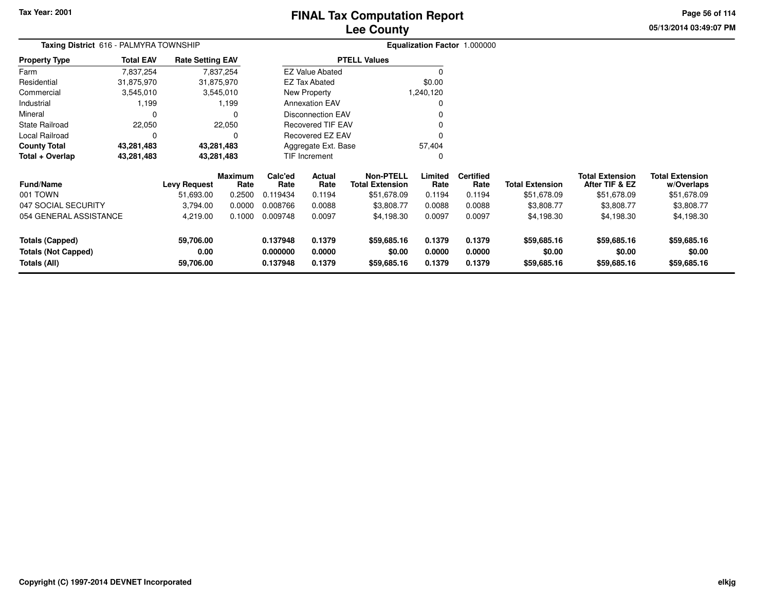## **Lee CountyFINAL Tax Computation Report**

**05/13/2014 03:49:07 PM Page 56 of 114**

|                            | Taxing District 616 - PALMYRA TOWNSHIP<br><b>Rate Setting EAV</b> |              |                        |                 |                        |                                            |                 | Equalization Factor 1.000000 |                        |                                          |                                      |
|----------------------------|-------------------------------------------------------------------|--------------|------------------------|-----------------|------------------------|--------------------------------------------|-----------------|------------------------------|------------------------|------------------------------------------|--------------------------------------|
| <b>Property Type</b>       | <b>Total EAV</b>                                                  |              |                        |                 |                        | <b>PTELL Values</b>                        |                 |                              |                        |                                          |                                      |
| Farm                       | 7,837,254                                                         |              | 7,837,254              |                 | <b>EZ Value Abated</b> |                                            | $\Omega$        |                              |                        |                                          |                                      |
| Residential                | 31,875,970                                                        |              | 31,875,970             |                 | <b>EZ Tax Abated</b>   |                                            | \$0.00          |                              |                        |                                          |                                      |
| Commercial                 | 3,545,010                                                         |              | 3,545,010              |                 | New Property           |                                            | 1,240,120       |                              |                        |                                          |                                      |
| Industrial                 | 1,199                                                             |              | 1,199                  |                 | <b>Annexation EAV</b>  |                                            | 0               |                              |                        |                                          |                                      |
| Mineral                    | 0                                                                 |              |                        |                 | Disconnection EAV      |                                            |                 |                              |                        |                                          |                                      |
| State Railroad             | 22,050                                                            |              | 22,050                 |                 | Recovered TIF EAV      |                                            |                 |                              |                        |                                          |                                      |
| Local Railroad             | 0                                                                 |              |                        |                 | Recovered EZ EAV       |                                            | O               |                              |                        |                                          |                                      |
| <b>County Total</b>        | 43,281,483                                                        |              | 43,281,483             |                 | Aggregate Ext. Base    |                                            | 57,404          |                              |                        |                                          |                                      |
| Total + Overlap            | 43,281,483                                                        |              | 43,281,483             |                 | <b>TIF Increment</b>   |                                            | 0               |                              |                        |                                          |                                      |
| <b>Fund/Name</b>           |                                                                   | Levy Request | <b>Maximum</b><br>Rate | Calc'ed<br>Rate | Actual<br>Rate         | <b>Non-PTELL</b><br><b>Total Extension</b> | Limited<br>Rate | <b>Certified</b><br>Rate     | <b>Total Extension</b> | <b>Total Extension</b><br>After TIF & EZ | <b>Total Extension</b><br>w/Overlaps |
| 001 TOWN                   |                                                                   | 51,693.00    | 0.2500                 | 0.119434        | 0.1194                 | \$51,678.09                                | 0.1194          | 0.1194                       | \$51,678.09            | \$51,678.09                              | \$51,678.09                          |
| 047 SOCIAL SECURITY        |                                                                   | 3,794.00     | 0.0000                 | 0.008766        | 0.0088                 | \$3,808.77                                 | 0.0088          | 0.0088                       | \$3,808.77             | \$3,808.77                               | \$3,808.77                           |
| 054 GENERAL ASSISTANCE     |                                                                   | 4,219.00     | 0.1000                 | 0.009748        | 0.0097                 | \$4,198.30                                 | 0.0097          | 0.0097                       | \$4,198.30             | \$4,198.30                               | \$4,198.30                           |
| <b>Totals (Capped)</b>     |                                                                   | 59,706.00    |                        | 0.137948        | 0.1379                 | \$59,685.16                                | 0.1379          | 0.1379                       | \$59,685.16            | \$59,685.16                              | \$59,685.16                          |
| <b>Totals (Not Capped)</b> | 0.00<br>0.000000<br>0.0000                                        |              |                        | \$0.00          | 0.0000                 | 0.0000                                     | \$0.00          | \$0.00                       | \$0.00                 |                                          |                                      |
| Totals (All)               |                                                                   | 59,706.00    |                        | 0.137948        | 0.1379                 | \$59,685.16                                | 0.1379          | 0.1379                       | \$59,685.16            | \$59,685.16                              | \$59,685.16                          |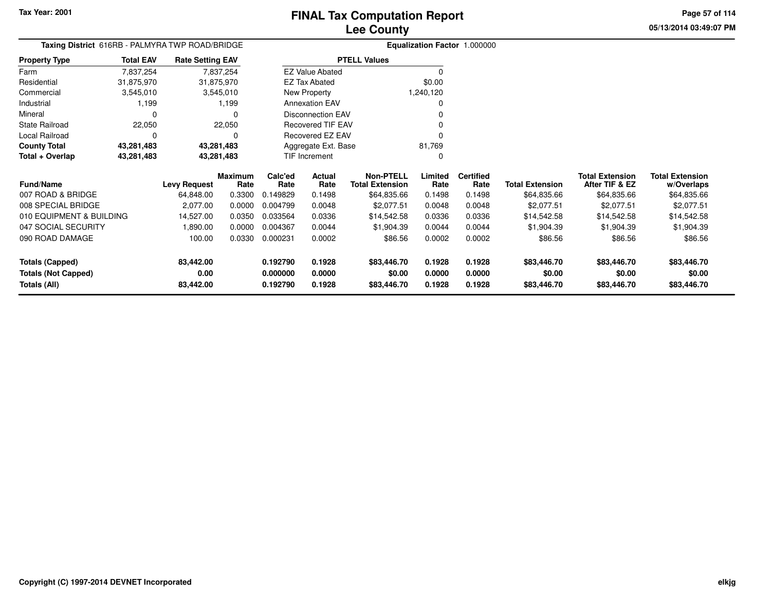**05/13/2014 03:49:07 PM Page 57 of 114**

| <b>Taxing District</b> 616RB - PALMYRA TWP ROAD/BRIDGE |                  |                         |                        |                 |                          |                                            |                 | <b>Equalization Factor 1.000000</b> |                        |                                          |                                      |
|--------------------------------------------------------|------------------|-------------------------|------------------------|-----------------|--------------------------|--------------------------------------------|-----------------|-------------------------------------|------------------------|------------------------------------------|--------------------------------------|
| <b>Property Type</b>                                   | <b>Total EAV</b> | <b>Rate Setting EAV</b> |                        |                 |                          | <b>PTELL Values</b>                        |                 |                                     |                        |                                          |                                      |
| Farm                                                   | 7,837,254        |                         | 7,837,254              |                 | <b>EZ Value Abated</b>   |                                            | $\Omega$        |                                     |                        |                                          |                                      |
| Residential                                            | 31,875,970       | 31,875,970              |                        |                 | <b>EZ Tax Abated</b>     |                                            | \$0.00          |                                     |                        |                                          |                                      |
| Commercial                                             | 3,545,010        |                         | 3,545,010              |                 | New Property             |                                            | 1,240,120       |                                     |                        |                                          |                                      |
| Industrial                                             | 1,199            |                         | 1,199                  |                 | <b>Annexation EAV</b>    |                                            |                 |                                     |                        |                                          |                                      |
| Mineral                                                | 0                |                         |                        |                 | <b>Disconnection EAV</b> |                                            |                 |                                     |                        |                                          |                                      |
| State Railroad                                         | 22,050           |                         | 22,050                 |                 | <b>Recovered TIF EAV</b> |                                            |                 |                                     |                        |                                          |                                      |
| Local Railroad                                         | 0                |                         |                        |                 | Recovered EZ EAV         |                                            |                 |                                     |                        |                                          |                                      |
| <b>County Total</b>                                    | 43,281,483       | 43,281,483              |                        |                 | Aggregate Ext. Base      |                                            | 81,769          |                                     |                        |                                          |                                      |
| Total + Overlap                                        | 43,281,483       | 43,281,483              |                        |                 | TIF Increment            |                                            | <sup>0</sup>    |                                     |                        |                                          |                                      |
| Fund/Name                                              |                  | Levy Request            | <b>Maximum</b><br>Rate | Calc'ed<br>Rate | Actual<br>Rate           | <b>Non-PTELL</b><br><b>Total Extension</b> | Limited<br>Rate | <b>Certified</b><br>Rate            | <b>Total Extension</b> | <b>Total Extension</b><br>After TIF & EZ | <b>Total Extension</b><br>w/Overlaps |
| 007 ROAD & BRIDGE                                      |                  | 64,848.00               | 0.3300                 | 0.149829        | 0.1498                   | \$64,835.66                                | 0.1498          | 0.1498                              | \$64,835.66            | \$64,835.66                              | \$64,835.66                          |
| 008 SPECIAL BRIDGE                                     |                  | 2,077.00                | 0.0000                 | 0.004799        | 0.0048                   | \$2,077.51                                 | 0.0048          | 0.0048                              | \$2,077.51             | \$2,077.51                               | \$2,077.51                           |
| 010 EQUIPMENT & BUILDING                               |                  | 14,527.00               | 0.0350                 | 0.033564        | 0.0336                   | \$14,542.58                                | 0.0336          | 0.0336                              | \$14,542.58            | \$14,542.58                              | \$14,542.58                          |
| 047 SOCIAL SECURITY                                    |                  | 1,890.00                | 0.0000                 | 0.004367        | 0.0044                   | \$1,904.39                                 | 0.0044          | 0.0044                              | \$1,904.39             | \$1,904.39                               | \$1,904.39                           |
| 090 ROAD DAMAGE                                        |                  | 100.00                  | 0.0330                 | 0.000231        | 0.0002                   | \$86.56                                    | 0.0002          | 0.0002                              | \$86.56                | \$86.56                                  | \$86.56                              |
| <b>Totals (Capped)</b>                                 |                  | 83,442.00               |                        | 0.192790        | 0.1928                   | \$83,446.70                                | 0.1928          | 0.1928                              | \$83,446.70            | \$83,446.70                              | \$83,446.70                          |
| <b>Totals (Not Capped)</b>                             |                  | 0.00                    |                        | 0.000000        | 0.0000                   | \$0.00                                     | 0.0000          | 0.0000                              | \$0.00                 | \$0.00                                   | \$0.00                               |
| Totals (All)                                           |                  | 83,442.00               |                        | 0.192790        | 0.1928                   | \$83,446.70                                | 0.1928          | 0.1928                              | \$83,446.70            | \$83,446.70                              | \$83,446.70                          |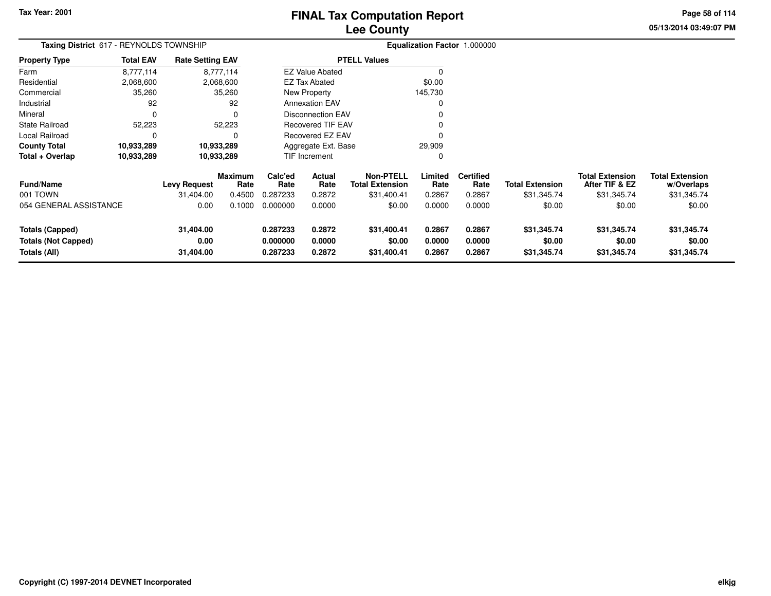## **Lee CountyFINAL Tax Computation Report**

**05/13/2014 03:49:07 PM Page 58 of 114**

| Taxing District 617 - REYNOLDS TOWNSHIP                              |                  |                                          |                                            |                                         |                                    |                                                                     |                                     | Equalization Factor 1.000000                 |                                                 |                                                                   |                                                               |
|----------------------------------------------------------------------|------------------|------------------------------------------|--------------------------------------------|-----------------------------------------|------------------------------------|---------------------------------------------------------------------|-------------------------------------|----------------------------------------------|-------------------------------------------------|-------------------------------------------------------------------|---------------------------------------------------------------|
| <b>Property Type</b>                                                 | <b>Total EAV</b> | <b>Rate Setting EAV</b>                  |                                            |                                         |                                    | <b>PTELL Values</b>                                                 |                                     |                                              |                                                 |                                                                   |                                                               |
| Farm                                                                 | 8,777,114        |                                          | 8,777,114                                  |                                         | <b>EZ Value Abated</b>             |                                                                     |                                     |                                              |                                                 |                                                                   |                                                               |
| Residential                                                          | 2,068,600        |                                          | 2,068,600                                  |                                         | <b>EZ Tax Abated</b>               |                                                                     | \$0.00                              |                                              |                                                 |                                                                   |                                                               |
| Commercial                                                           | 35,260           |                                          | 35,260                                     |                                         | New Property                       |                                                                     | 145,730                             |                                              |                                                 |                                                                   |                                                               |
| Industrial                                                           | 92               |                                          | 92                                         |                                         | <b>Annexation EAV</b>              |                                                                     |                                     |                                              |                                                 |                                                                   |                                                               |
| Mineral                                                              | 0                |                                          | $\Omega$                                   |                                         | <b>Disconnection EAV</b>           |                                                                     |                                     |                                              |                                                 |                                                                   |                                                               |
| <b>State Railroad</b>                                                | 52,223           |                                          | 52,223                                     |                                         | <b>Recovered TIF EAV</b>           |                                                                     |                                     |                                              |                                                 |                                                                   |                                                               |
| Local Railroad                                                       | 0                |                                          | 0                                          |                                         | Recovered EZ EAV                   |                                                                     |                                     |                                              |                                                 |                                                                   |                                                               |
| <b>County Total</b>                                                  | 10,933,289       |                                          | 10,933,289                                 |                                         | Aggregate Ext. Base                |                                                                     | 29,909                              |                                              |                                                 |                                                                   |                                                               |
| Total + Overlap                                                      | 10,933,289       |                                          | 10,933,289                                 |                                         | TIF Increment                      |                                                                     |                                     |                                              |                                                 |                                                                   |                                                               |
| <b>Fund/Name</b><br>001 TOWN<br>054 GENERAL ASSISTANCE               |                  | <b>Levy Request</b><br>31,404.00<br>0.00 | <b>Maximum</b><br>Rate<br>0.4500<br>0.1000 | Calc'ed<br>Rate<br>0.287233<br>0.000000 | Actual<br>Rate<br>0.2872<br>0.0000 | <b>Non-PTELL</b><br><b>Total Extension</b><br>\$31,400.41<br>\$0.00 | Limited<br>Rate<br>0.2867<br>0.0000 | <b>Certified</b><br>Rate<br>0.2867<br>0.0000 | <b>Total Extension</b><br>\$31,345.74<br>\$0.00 | <b>Total Extension</b><br>After TIF & EZ<br>\$31,345.74<br>\$0.00 | <b>Total Extension</b><br>w/Overlaps<br>\$31,345.74<br>\$0.00 |
| <b>Totals (Capped)</b><br><b>Totals (Not Capped)</b><br>Totals (All) |                  | 31,404.00<br>0.00<br>31,404.00           |                                            | 0.287233<br>0.000000<br>0.287233        | 0.2872<br>0.0000<br>0.2872         | \$31,400.41<br>\$0.00<br>\$31,400.41                                | 0.2867<br>0.0000<br>0.2867          | 0.2867<br>0.0000<br>0.2867                   | \$31,345.74<br>\$0.00<br>\$31,345.74            | \$31,345.74<br>\$0.00<br>\$31,345.74                              | \$31,345.74<br>\$0.00<br>\$31,345.74                          |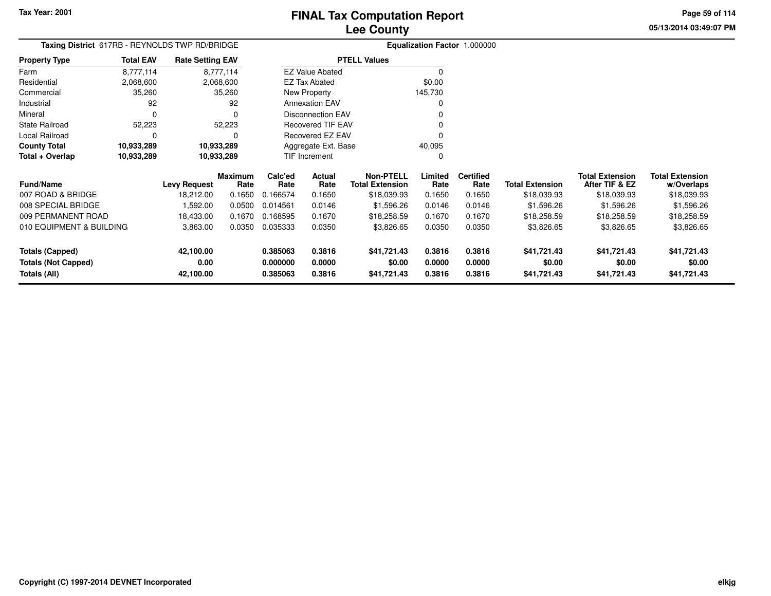**05/13/2014 03:49:07 PMPage 59 of 114**

|                                            | Taxing District 617RB - REYNOLDS TWP RD/BRIDGE |                         |                 |                      |                          |                                            |                  | Equalization Factor 1.000000 |                        |                                          |                                      |
|--------------------------------------------|------------------------------------------------|-------------------------|-----------------|----------------------|--------------------------|--------------------------------------------|------------------|------------------------------|------------------------|------------------------------------------|--------------------------------------|
| <b>Property Type</b>                       | <b>Total EAV</b>                               | <b>Rate Setting EAV</b> |                 |                      |                          | <b>PTELL Values</b>                        |                  |                              |                        |                                          |                                      |
| Farm                                       | 8,777,114                                      |                         | 8,777,114       |                      | <b>EZ Value Abated</b>   |                                            | 0                |                              |                        |                                          |                                      |
| Residential                                | 2,068,600                                      |                         | 2,068,600       |                      | EZ Tax Abated            |                                            | \$0.00           |                              |                        |                                          |                                      |
| Commercial                                 | 35,260                                         |                         | 35,260          |                      | New Property             |                                            | 145,730          |                              |                        |                                          |                                      |
| Industrial                                 | 92                                             |                         | 92              |                      | <b>Annexation EAV</b>    |                                            | 0                |                              |                        |                                          |                                      |
| Mineral                                    | $\mathbf 0$                                    |                         | 0               |                      | <b>Disconnection EAV</b> |                                            |                  |                              |                        |                                          |                                      |
| <b>State Railroad</b>                      | 52,223                                         |                         | 52,223          |                      | Recovered TIF EAV        |                                            |                  |                              |                        |                                          |                                      |
| Local Railroad                             | C                                              |                         | 0               |                      | Recovered EZ EAV         |                                            | 0                |                              |                        |                                          |                                      |
| <b>County Total</b>                        | 10,933,289                                     | 10,933,289              |                 |                      | Aggregate Ext. Base      |                                            | 40,095           |                              |                        |                                          |                                      |
| Total + Overlap                            | 10,933,289                                     | 10,933,289              |                 |                      | TIF Increment            |                                            | 0                |                              |                        |                                          |                                      |
| <b>Fund/Name</b>                           |                                                | <b>Levy Request</b>     | Maximum<br>Rate | Calc'ed<br>Rate      | Actual<br>Rate           | <b>Non-PTELL</b><br><b>Total Extension</b> | Limited<br>Rate  | <b>Certified</b><br>Rate     | <b>Total Extension</b> | <b>Total Extension</b><br>After TIF & EZ | <b>Total Extension</b><br>w/Overlaps |
| 007 ROAD & BRIDGE                          |                                                | 18,212.00               | 0.1650          | 0.166574             | 0.1650                   | \$18,039.93                                | 0.1650           | 0.1650                       | \$18,039.93            | \$18,039.93                              | \$18,039.93                          |
| 008 SPECIAL BRIDGE                         |                                                | 1,592.00                | 0.0500          | 0.014561             | 0.0146                   | \$1,596.26                                 | 0.0146           | 0.0146                       | \$1,596.26             | \$1,596.26                               | \$1,596.26                           |
| 009 PERMANENT ROAD                         |                                                | 18,433.00               | 0.1670          | 0.168595             | 0.1670                   | \$18,258.59                                | 0.1670           | 0.1670                       | \$18,258.59            | \$18,258.59                              | \$18,258.59                          |
| 010 EQUIPMENT & BUILDING                   |                                                | 3,863.00                | 0.0350          | 0.035333             | 0.0350                   | \$3,826.65                                 | 0.0350           | 0.0350                       | \$3,826.65             | \$3,826.65                               | \$3,826.65                           |
| <b>Totals (Capped)</b>                     |                                                | 42,100.00               |                 | 0.385063             | 0.3816                   | \$41,721.43                                | 0.3816           | 0.3816                       | \$41,721.43            | \$41,721.43                              | \$41,721.43                          |
| <b>Totals (Not Capped)</b><br>Totals (All) |                                                | 0.00<br>42,100.00       |                 | 0.000000<br>0.385063 | 0.0000<br>0.3816         | \$0.00<br>\$41,721.43                      | 0.0000<br>0.3816 | 0.0000<br>0.3816             | \$0.00<br>\$41,721.43  | \$0.00<br>\$41,721.43                    | \$0.00<br>\$41,721.43                |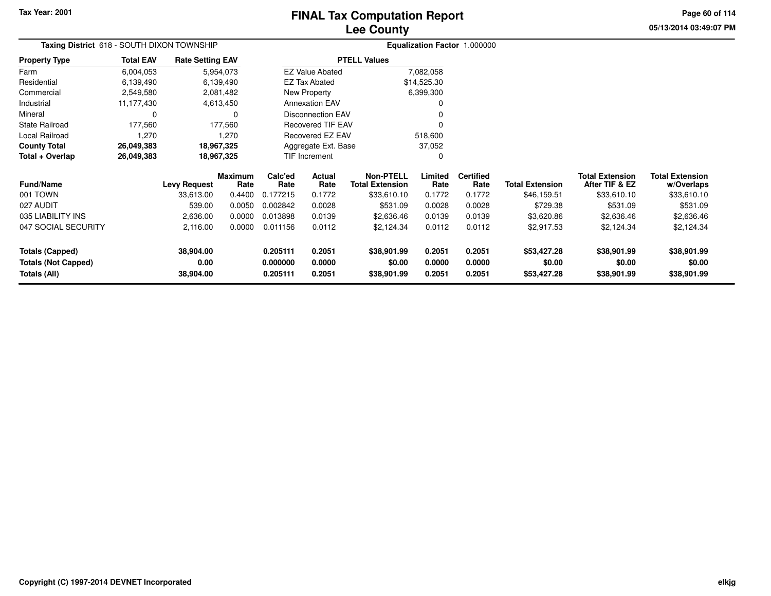## **Lee CountyFINAL Tax Computation Report**

**05/13/2014 03:49:07 PMPage 60 of 114**

| Taxing District 618 - SOUTH DIXON TOWNSHIP |                  |                         |                        | Equalization Factor 1.000000                                                |                                          |                     |                 |                          |                        |                                          |                                      |
|--------------------------------------------|------------------|-------------------------|------------------------|-----------------------------------------------------------------------------|------------------------------------------|---------------------|-----------------|--------------------------|------------------------|------------------------------------------|--------------------------------------|
| <b>Property Type</b>                       | <b>Total EAV</b> | <b>Rate Setting EAV</b> |                        |                                                                             |                                          | <b>PTELL Values</b> |                 |                          |                        |                                          |                                      |
| Farm                                       | 6,004,053        |                         | 5,954,073              |                                                                             | <b>EZ Value Abated</b>                   |                     | 7,082,058       |                          |                        |                                          |                                      |
| Residential                                | 6,139,490        |                         | 6,139,490              |                                                                             | <b>EZ Tax Abated</b>                     |                     | \$14,525.30     |                          |                        |                                          |                                      |
| Commercial                                 | 2,549,580        |                         | 2,081,482              |                                                                             | New Property                             |                     | 6,399,300       |                          |                        |                                          |                                      |
| Industrial                                 | 11,177,430       |                         | 4,613,450              |                                                                             | <b>Annexation EAV</b>                    |                     |                 |                          |                        |                                          |                                      |
| Mineral                                    |                  |                         | o                      |                                                                             | <b>Disconnection EAV</b>                 |                     |                 |                          |                        |                                          |                                      |
| State Railroad                             | 177,560          |                         | 177,560                |                                                                             | <b>Recovered TIF EAV</b>                 |                     |                 |                          |                        |                                          |                                      |
| Local Railroad                             | 1,270            |                         | 1,270                  | Recovered EZ EAV<br>518,600                                                 |                                          |                     |                 |                          |                        |                                          |                                      |
| <b>County Total</b>                        | 26,049,383       | 18,967,325              |                        | Aggregate Ext. Base                                                         |                                          |                     | 37,052          |                          |                        |                                          |                                      |
| Total + Overlap                            | 26,049,383       | 18,967,325              |                        |                                                                             | <b>TIF Increment</b>                     |                     | 0               |                          |                        |                                          |                                      |
| <b>Fund/Name</b>                           |                  | <b>Levy Request</b>     | <b>Maximum</b><br>Rate | Calc'ed<br>Rate                                                             | Actual<br>Rate<br><b>Total Extension</b> |                     | Limited<br>Rate | <b>Certified</b><br>Rate | <b>Total Extension</b> | <b>Total Extension</b><br>After TIF & EZ | <b>Total Extension</b><br>w/Overlaps |
| 001 TOWN                                   |                  | 33,613.00               | 0.4400                 | 0.177215                                                                    | 0.1772                                   | \$33,610.10         | 0.1772          | 0.1772                   | \$46,159.51            | \$33,610.10                              | \$33,610.10                          |
| 027 AUDIT                                  |                  | 539.00                  | 0.0050                 | 0.002842                                                                    | 0.0028                                   | \$531.09            | 0.0028          | 0.0028                   | \$729.38               | \$531.09                                 | \$531.09                             |
| 035 LIABILITY INS                          |                  | 2,636.00                | 0.0000                 | 0.013898                                                                    | 0.0139                                   | \$2,636.46          | 0.0139          | 0.0139                   | \$3,620.86             | \$2,636.46                               | \$2,636.46                           |
| 047 SOCIAL SECURITY                        |                  | 2,116.00                | 0.0000                 | 0.011156                                                                    | 0.0112                                   | \$2,124.34          | 0.0112          | 0.0112                   | \$2,917.53             | \$2,124.34                               | \$2,124.34                           |
| <b>Totals (Capped)</b>                     |                  | 38,904.00               |                        | 0.205111                                                                    | 0.2051                                   | \$38,901.99         | 0.2051          | 0.2051                   | \$53,427.28            | \$38,901.99                              | \$38,901.99                          |
| <b>Totals (Not Capped)</b><br>Totals (All) |                  | 0.00<br>38,904.00       |                        | 0.000000<br>0.0000<br>\$0.00<br>0.205111<br>0.2051<br>\$38,901.99<br>0.2051 |                                          |                     | 0.0000          | 0.0000<br>0.2051         | \$0.00<br>\$53,427.28  | \$0.00<br>\$38,901.99                    | \$0.00<br>\$38,901.99                |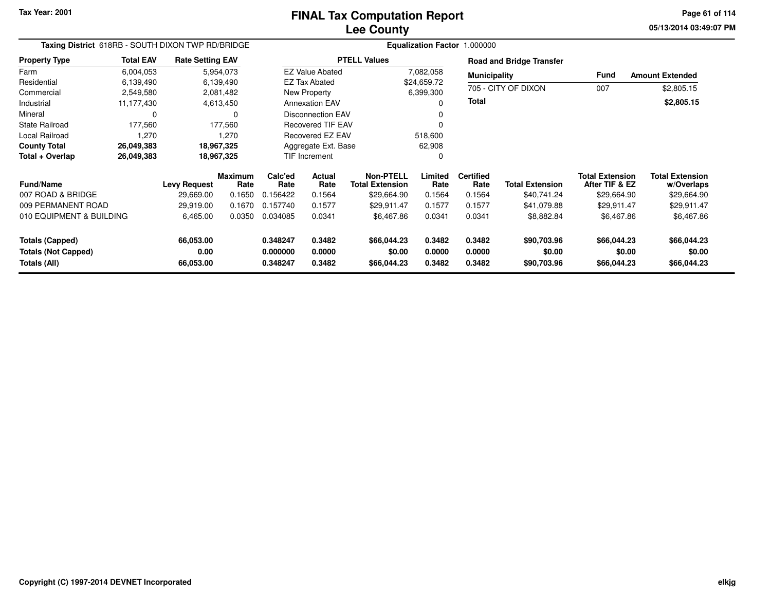**05/13/2014 03:49:07 PM Page 61 of 114**

| Taxing District 618RB - SOUTH DIXON TWP RD/BRIDGE |                    |                         |                        | Equalization Factor 1.000000 |                           |                                            |                 |                          |                                 |                                          |                                      |
|---------------------------------------------------|--------------------|-------------------------|------------------------|------------------------------|---------------------------|--------------------------------------------|-----------------|--------------------------|---------------------------------|------------------------------------------|--------------------------------------|
| <b>Property Type</b>                              | <b>Total EAV</b>   | <b>Rate Setting EAV</b> |                        |                              |                           | <b>PTELL Values</b>                        |                 |                          | <b>Road and Bridge Transfer</b> |                                          |                                      |
| Farm                                              | 6,004,053          |                         | 5,954,073              |                              | <b>EZ Value Abated</b>    |                                            | 7,082,058       | <b>Municipality</b>      |                                 | <b>Fund</b>                              | <b>Amount Extended</b>               |
| Residential                                       | 6,139,490          |                         | 6,139,490              |                              | <b>EZ Tax Abated</b>      |                                            | \$24,659.72     |                          |                                 |                                          |                                      |
| Commercial                                        | 2,549,580          |                         | 2,081,482              |                              | New Property              |                                            | 6,399,300       |                          | 705 - CITY OF DIXON             | 007                                      | \$2,805.15                           |
| Industrial                                        | 11,177,430         |                         | 4,613,450              |                              | <b>Annexation EAV</b>     |                                            | $\Omega$        | Total                    |                                 |                                          | \$2,805.15                           |
| Mineral                                           | 0                  |                         | 0                      |                              | Disconnection EAV         |                                            |                 |                          |                                 |                                          |                                      |
| <b>State Railroad</b>                             | 177,560<br>177,560 |                         |                        | Recovered TIF EAV            |                           |                                            |                 |                          |                                 |                                          |                                      |
| Local Railroad<br>1,270                           |                    |                         | 1,270                  | Recovered EZ EAV             |                           |                                            | 518,600         |                          |                                 |                                          |                                      |
| <b>County Total</b>                               | 26,049,383         |                         | 18,967,325             |                              | Aggregate Ext. Base       |                                            | 62,908          |                          |                                 |                                          |                                      |
| Total + Overlap                                   | 26,049,383         |                         | 18,967,325             |                              | <b>TIF Increment</b><br>0 |                                            |                 |                          |                                 |                                          |                                      |
| Fund/Name                                         |                    | <b>Levy Request</b>     | <b>Maximum</b><br>Rate | Calc'ed<br>Rate              | <b>Actual</b><br>Rate     | <b>Non-PTELL</b><br><b>Total Extension</b> | Limited<br>Rate | <b>Certified</b><br>Rate | <b>Total Extension</b>          | <b>Total Extension</b><br>After TIF & EZ | <b>Total Extension</b><br>w/Overlaps |
| 007 ROAD & BRIDGE                                 |                    | 29,669.00               | 0.1650                 | 0.156422                     | 0.1564                    | \$29,664.90                                | 0.1564          | 0.1564                   | \$40,741.24                     | \$29,664.90                              | \$29,664.90                          |
| 009 PERMANENT ROAD                                |                    | 29,919.00               | 0.1670                 | 0.157740                     | 0.1577                    | \$29,911.47                                | 0.1577          | 0.1577                   | \$41,079.88                     | \$29,911.47                              | \$29,911.47                          |
| 010 EQUIPMENT & BUILDING                          |                    | 6,465.00                | 0.0350                 | 0.034085                     | 0.0341                    | \$6,467.86                                 | 0.0341          | 0.0341                   | \$8,882.84                      | \$6,467.86                               | \$6,467.86                           |
| <b>Totals (Capped)</b>                            |                    | 66,053.00               |                        | 0.348247                     | 0.3482                    | \$66,044.23                                | 0.3482          | 0.3482                   | \$90,703.96                     | \$66,044.23                              | \$66,044.23                          |
| <b>Totals (Not Capped)</b>                        |                    | 0.00                    |                        | 0.000000                     | 0.0000                    | \$0.00                                     | 0.0000          | 0.0000                   | \$0.00                          | \$0.00                                   | \$0.00                               |
| Totals (All)                                      |                    | 66,053.00               |                        | 0.348247                     | 0.3482                    | \$66,044.23                                | 0.3482          | 0.3482                   | \$90,703.96                     | \$66,044.23                              | \$66,044.23                          |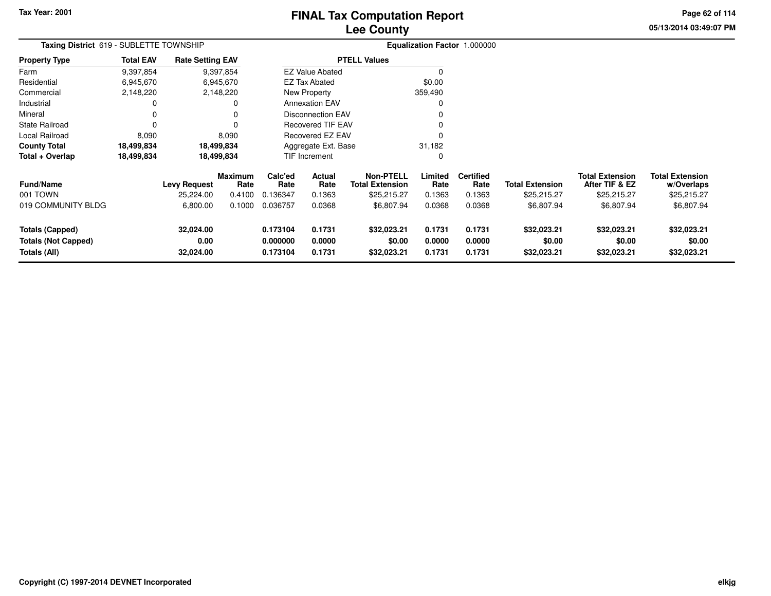## **Lee CountyFINAL Tax Computation Report**

**05/13/2014 03:49:07 PM Page 62 of 114**

| Taxing District 619 - SUBLETTE TOWNSHIP                              |                  |                                |                 |                                  |                               |                                            |                            | Equalization Factor 1.000000 |                                      |                                          |                                      |
|----------------------------------------------------------------------|------------------|--------------------------------|-----------------|----------------------------------|-------------------------------|--------------------------------------------|----------------------------|------------------------------|--------------------------------------|------------------------------------------|--------------------------------------|
| Property Type                                                        | <b>Total EAV</b> | <b>Rate Setting EAV</b>        |                 |                                  |                               | <b>PTELL Values</b>                        |                            |                              |                                      |                                          |                                      |
| Farm                                                                 | 9,397,854        |                                | 9,397,854       |                                  | <b>EZ Value Abated</b>        |                                            |                            |                              |                                      |                                          |                                      |
| Residential                                                          | 6,945,670        |                                | 6,945,670       |                                  | EZ Tax Abated                 |                                            | \$0.00                     |                              |                                      |                                          |                                      |
| Commercial                                                           | 2,148,220        |                                | 2,148,220       |                                  | New Property                  |                                            | 359,490                    |                              |                                      |                                          |                                      |
| Industrial                                                           | 0                |                                | 0               |                                  | <b>Annexation EAV</b>         |                                            |                            |                              |                                      |                                          |                                      |
| Mineral                                                              | 0                |                                |                 |                                  | <b>Disconnection EAV</b>      |                                            |                            |                              |                                      |                                          |                                      |
| State Railroad                                                       | 0                |                                |                 |                                  | Recovered TIF EAV             |                                            |                            |                              |                                      |                                          |                                      |
| Local Railroad                                                       | 8,090            |                                | 8,090           |                                  | Recovered EZ EAV              |                                            |                            |                              |                                      |                                          |                                      |
| County Total                                                         | 18,499,834       |                                | 18,499,834      |                                  | 31,182<br>Aggregate Ext. Base |                                            |                            |                              |                                      |                                          |                                      |
| Total + Overlap                                                      | 18,499,834       |                                | 18,499,834      |                                  | <b>TIF Increment</b>          |                                            |                            |                              |                                      |                                          |                                      |
| Fund/Name                                                            |                  | <b>Levy Request</b>            | Maximum<br>Rate | Calc'ed<br>Rate                  | Actual<br>Rate                | <b>Non-PTELL</b><br><b>Total Extension</b> | Limited<br>Rate            | <b>Certified</b><br>Rate     | <b>Total Extension</b>               | <b>Total Extension</b><br>After TIF & EZ | Total Extension<br>w/Overlaps        |
| 001 TOWN                                                             |                  | 25,224.00                      | 0.4100          | 0.136347                         | 0.1363                        | \$25,215.27                                | 0.1363                     | 0.1363                       | \$25,215.27                          | \$25,215.27                              | \$25,215.27                          |
| 019 COMMUNITY BLDG                                                   |                  | 6,800.00                       | 0.1000          | 0.036757                         | 0.0368                        | \$6,807.94                                 | 0.0368                     | 0.0368                       | \$6,807.94                           | \$6,807.94                               | \$6,807.94                           |
| <b>Totals (Capped)</b><br><b>Totals (Not Capped)</b><br>Totals (All) |                  | 32,024.00<br>0.00<br>32,024.00 |                 | 0.173104<br>0.000000<br>0.173104 | 0.1731<br>0.0000<br>0.1731    | \$32,023.21<br>\$0.00<br>\$32,023.21       | 0.1731<br>0.0000<br>0.1731 | 0.1731<br>0.0000<br>0.1731   | \$32,023.21<br>\$0.00<br>\$32,023.21 | \$32,023.21<br>\$0.00<br>\$32,023.21     | \$32,023.21<br>\$0.00<br>\$32,023.21 |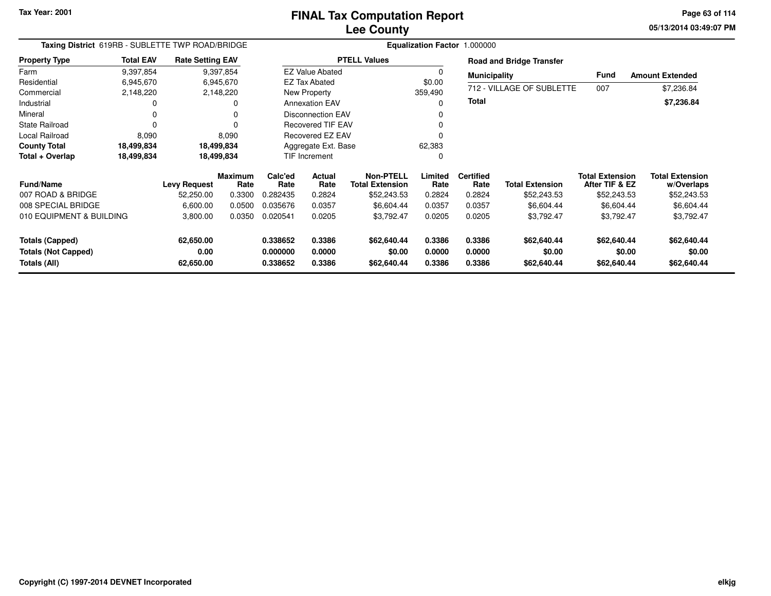**05/13/2014 03:49:07 PM Page 63 of 114**

| Taxing District 619RB - SUBLETTE TWP ROAD/BRIDGE                     |                  |                                |                        |                                  | Equalization Factor 1.000000        |                                            |                            |                            |                                      |                                          |                                      |
|----------------------------------------------------------------------|------------------|--------------------------------|------------------------|----------------------------------|-------------------------------------|--------------------------------------------|----------------------------|----------------------------|--------------------------------------|------------------------------------------|--------------------------------------|
| <b>Property Type</b>                                                 | <b>Total EAV</b> | <b>Rate Setting EAV</b>        |                        |                                  |                                     | <b>PTELL Values</b>                        |                            |                            | <b>Road and Bridge Transfer</b>      |                                          |                                      |
| Farm                                                                 | 9,397,854        |                                | 9,397,854              |                                  | <b>EZ Value Abated</b>              |                                            |                            | <b>Municipality</b>        |                                      | Fund                                     | <b>Amount Extended</b>               |
| Residential                                                          | 6,945,670        | 6,945,670                      |                        | <b>EZ Tax Abated</b>             |                                     | \$0.00                                     |                            |                            |                                      |                                          |                                      |
| Commercial                                                           | 2,148,220        |                                | 2,148,220              |                                  | New Property                        |                                            | 359,490                    |                            | 712 - VILLAGE OF SUBLETTE            | 007                                      | \$7,236.84                           |
| Industrial                                                           |                  |                                | 0                      |                                  | Total<br><b>Annexation EAV</b><br>0 |                                            |                            |                            | \$7,236.84                           |                                          |                                      |
| Mineral                                                              |                  |                                | 0                      |                                  | <b>Disconnection EAV</b>            |                                            |                            |                            |                                      |                                          |                                      |
| <b>State Railroad</b>                                                |                  |                                | 0                      |                                  | <b>Recovered TIF EAV</b>            |                                            |                            |                            |                                      |                                          |                                      |
| Local Railroad                                                       | 8,090            |                                | 8,090                  |                                  | Recovered EZ EAV                    |                                            |                            |                            |                                      |                                          |                                      |
| <b>County Total</b>                                                  | 18,499,834       |                                | 18,499,834             |                                  | Aggregate Ext. Base                 |                                            | 62,383                     |                            |                                      |                                          |                                      |
| Total + Overlap                                                      | 18,499,834       |                                | 18,499,834             |                                  | <b>TIF Increment</b><br>0           |                                            |                            |                            |                                      |                                          |                                      |
| Fund/Name                                                            |                  | Levy Request                   | <b>Maximum</b><br>Rate | Calc'ed<br>Rate                  | <b>Actual</b><br>Rate               | <b>Non-PTELL</b><br><b>Total Extension</b> | Limited<br>Rate            | <b>Certified</b><br>Rate   | <b>Total Extension</b>               | <b>Total Extension</b><br>After TIF & EZ | <b>Total Extension</b><br>w/Overlaps |
| 007 ROAD & BRIDGE                                                    |                  | 52,250.00                      | 0.3300                 | 0.282435                         | 0.2824                              | \$52,243.53                                | 0.2824                     | 0.2824                     | \$52,243.53                          | \$52,243.53                              | \$52,243.53                          |
| 008 SPECIAL BRIDGE                                                   |                  | 6,600.00                       | 0.0500                 | 0.035676                         | 0.0357                              | \$6,604.44                                 | 0.0357                     | 0.0357                     | \$6,604.44                           | \$6,604.44                               | \$6,604.44                           |
| 010 EQUIPMENT & BUILDING                                             |                  | 3,800.00                       | 0.0350                 | 0.020541                         | 0.0205                              | \$3,792.47                                 | 0.0205                     | 0.0205                     | \$3,792.47                           | \$3,792.47                               | \$3,792.47                           |
| <b>Totals (Capped)</b><br><b>Totals (Not Capped)</b><br>Totals (All) |                  | 62,650.00<br>0.00<br>62,650.00 |                        | 0.338652<br>0.000000<br>0.338652 | 0.3386<br>0.0000<br>0.3386          | \$62,640.44<br>\$0.00<br>\$62,640.44       | 0.3386<br>0.0000<br>0.3386 | 0.3386<br>0.0000<br>0.3386 | \$62,640.44<br>\$0.00<br>\$62,640.44 | \$62,640.44<br>\$0.00<br>\$62,640.44     | \$62,640.44<br>\$0.00<br>\$62,640.44 |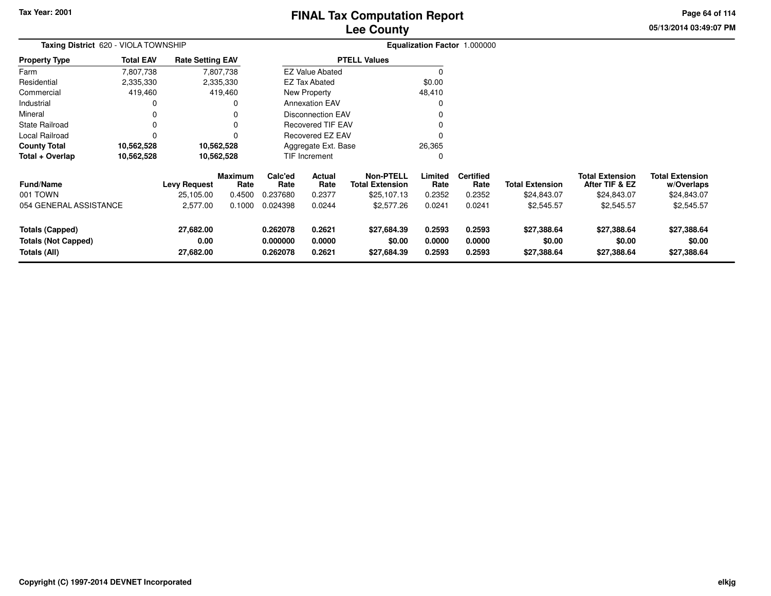## **Lee CountyFINAL Tax Computation Report**

**05/13/2014 03:49:07 PM Page 64 of 114**

| Taxing District 620 - VIOLA TOWNSHIP                                 |                  |                                |                                               |                                  |                               |                                            |                            | Equalization Factor 1.000000 |                                      |                                          |                                      |
|----------------------------------------------------------------------|------------------|--------------------------------|-----------------------------------------------|----------------------------------|-------------------------------|--------------------------------------------|----------------------------|------------------------------|--------------------------------------|------------------------------------------|--------------------------------------|
| <b>Property Type</b>                                                 | <b>Total EAV</b> | <b>Rate Setting EAV</b>        | <b>PTELL Values</b><br><b>EZ Value Abated</b> |                                  |                               |                                            |                            |                              |                                      |                                          |                                      |
| Farm                                                                 | 7,807,738        |                                | 7,807,738                                     |                                  |                               |                                            |                            |                              |                                      |                                          |                                      |
| Residential                                                          | 2,335,330        |                                | 2,335,330                                     |                                  | <b>EZ Tax Abated</b>          |                                            | \$0.00                     |                              |                                      |                                          |                                      |
| Commercial                                                           | 419,460          |                                | 419,460                                       |                                  | New Property                  |                                            | 48,410                     |                              |                                      |                                          |                                      |
| Industrial                                                           | 0                |                                | 0                                             |                                  | <b>Annexation EAV</b>         |                                            |                            |                              |                                      |                                          |                                      |
| Mineral                                                              |                  |                                |                                               |                                  | <b>Disconnection EAV</b>      |                                            |                            |                              |                                      |                                          |                                      |
| <b>State Railroad</b>                                                | 0                |                                |                                               |                                  | <b>Recovered TIF EAV</b>      |                                            |                            |                              |                                      |                                          |                                      |
| Local Railroad                                                       | $\Omega$         |                                |                                               |                                  | Recovered EZ EAV              |                                            |                            |                              |                                      |                                          |                                      |
| <b>County Total</b>                                                  | 10,562,528       |                                | 10,562,528                                    |                                  | 26,365<br>Aggregate Ext. Base |                                            |                            |                              |                                      |                                          |                                      |
| Total + Overlap                                                      | 10,562,528       |                                | 10,562,528                                    |                                  | TIF Increment                 |                                            |                            |                              |                                      |                                          |                                      |
| <b>Fund/Name</b>                                                     |                  | <b>Levy Request</b>            | <b>Maximum</b><br>Rate                        | Calc'ed<br>Rate                  | Actual<br>Rate                | <b>Non-PTELL</b><br><b>Total Extension</b> | Limited<br>Rate            | <b>Certified</b><br>Rate     | <b>Total Extension</b>               | <b>Total Extension</b><br>After TIF & EZ | <b>Total Extension</b><br>w/Overlaps |
| 001 TOWN                                                             |                  | 25,105.00                      | 0.4500                                        | 0.237680                         | 0.2377                        | \$25,107.13                                | 0.2352                     | 0.2352                       | \$24,843.07                          | \$24,843.07                              | \$24,843.07                          |
| 054 GENERAL ASSISTANCE                                               |                  | 2,577.00                       | 0.1000                                        | 0.024398                         | 0.0244                        | \$2,577.26                                 | 0.0241                     | 0.0241                       | \$2,545.57                           | \$2,545.57                               | \$2,545.57                           |
| <b>Totals (Capped)</b><br><b>Totals (Not Capped)</b><br>Totals (All) |                  | 27,682.00<br>0.00<br>27,682.00 |                                               | 0.262078<br>0.000000<br>0.262078 | 0.2621<br>0.0000<br>0.2621    | \$27,684.39<br>\$0.00<br>\$27,684.39       | 0.2593<br>0.0000<br>0.2593 | 0.2593<br>0.0000<br>0.2593   | \$27,388.64<br>\$0.00<br>\$27,388.64 | \$27,388.64<br>\$0.00<br>\$27,388.64     | \$27,388.64<br>\$0.00<br>\$27,388.64 |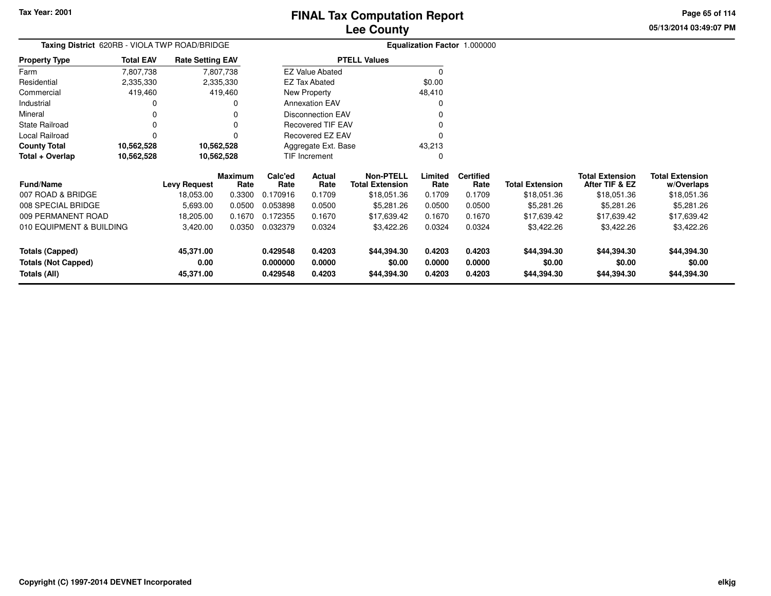**05/13/2014 03:49:07 PMPage 65 of 114**

| <b>Taxing District</b> 620RB - VIOLA TWP ROAD/BRIDGE        |            |                                              |                                                                                                     |                              | <b>Equalization Factor 1.000000</b>                                               |                                                                                                                                                                                                                                  |                          |                          |                                                     |                                             |  |  |
|-------------------------------------------------------------|------------|----------------------------------------------|-----------------------------------------------------------------------------------------------------|------------------------------|-----------------------------------------------------------------------------------|----------------------------------------------------------------------------------------------------------------------------------------------------------------------------------------------------------------------------------|--------------------------|--------------------------|-----------------------------------------------------|---------------------------------------------|--|--|
| <b>Total EAV</b>                                            |            |                                              |                                                                                                     |                              |                                                                                   |                                                                                                                                                                                                                                  |                          |                          |                                                     |                                             |  |  |
| 7,807,738                                                   |            |                                              |                                                                                                     |                              |                                                                                   | $\Omega$                                                                                                                                                                                                                         |                          |                          |                                                     |                                             |  |  |
| 2,335,330                                                   |            |                                              |                                                                                                     |                              |                                                                                   | \$0.00                                                                                                                                                                                                                           |                          |                          |                                                     |                                             |  |  |
| 419,460                                                     |            |                                              |                                                                                                     |                              |                                                                                   | 48,410                                                                                                                                                                                                                           |                          |                          |                                                     |                                             |  |  |
| 0                                                           |            |                                              |                                                                                                     |                              |                                                                                   |                                                                                                                                                                                                                                  |                          |                          |                                                     |                                             |  |  |
| 0                                                           |            |                                              |                                                                                                     |                              |                                                                                   |                                                                                                                                                                                                                                  |                          |                          |                                                     |                                             |  |  |
| 0                                                           |            |                                              |                                                                                                     |                              |                                                                                   |                                                                                                                                                                                                                                  |                          |                          |                                                     |                                             |  |  |
| 0                                                           |            |                                              |                                                                                                     |                              |                                                                                   |                                                                                                                                                                                                                                  |                          |                          |                                                     |                                             |  |  |
| 10,562,528<br>10,562,528<br>County Total<br>Total + Overlap |            |                                              |                                                                                                     |                              |                                                                                   | 43,213                                                                                                                                                                                                                           |                          |                          |                                                     |                                             |  |  |
| 10,562,528                                                  | 10,562,528 |                                              |                                                                                                     |                              |                                                                                   | 0                                                                                                                                                                                                                                |                          |                          |                                                     |                                             |  |  |
|                                                             |            |                                              | Calc'ed                                                                                             | Actual                       | <b>Non-PTELL</b>                                                                  | Limited                                                                                                                                                                                                                          | <b>Certified</b>         |                          | <b>Total Extension</b>                              | <b>Total Extension</b><br>w/Overlaps        |  |  |
|                                                             |            |                                              |                                                                                                     |                              |                                                                                   |                                                                                                                                                                                                                                  |                          |                          |                                                     | \$18,051.36                                 |  |  |
|                                                             |            |                                              |                                                                                                     |                              |                                                                                   |                                                                                                                                                                                                                                  |                          |                          |                                                     | \$5,281.26                                  |  |  |
|                                                             | 18,205.00  | 0.1670                                       | 0.172355                                                                                            | 0.1670                       | \$17,639.42                                                                       | 0.1670                                                                                                                                                                                                                           | 0.1670                   | \$17,639.42              | \$17,639.42                                         | \$17,639.42                                 |  |  |
| 010 EQUIPMENT & BUILDING                                    | 3,420.00   | 0.0350                                       | 0.032379                                                                                            | 0.0324                       | \$3,422.26                                                                        | 0.0324                                                                                                                                                                                                                           | 0.0324                   | \$3,422.26               | \$3,422.26                                          | \$3,422.26                                  |  |  |
|                                                             | 45,371.00  |                                              | 0.429548                                                                                            | 0.4203                       | \$44,394.30                                                                       | 0.4203                                                                                                                                                                                                                           | 0.4203                   | \$44,394.30              | \$44,394.30                                         | \$44,394.30                                 |  |  |
|                                                             | 0.00       |                                              | 0.000000                                                                                            | 0.0000                       | \$0.00                                                                            | 0.0000                                                                                                                                                                                                                           | 0.0000                   | \$0.00                   | \$0.00                                              | \$0.00                                      |  |  |
|                                                             | 45,371.00  |                                              | 0.429548                                                                                            | 0.4203                       | \$44,394.30                                                                       | 0.4203                                                                                                                                                                                                                           | 0.4203                   | \$44,394.30              | \$44,394.30                                         | \$44,394.30                                 |  |  |
|                                                             |            | <b>Levy Request</b><br>18,053.00<br>5,693.00 | <b>Rate Setting EAV</b><br>7,807,738<br>2,335,330<br>419,460<br>Maximum<br>Rate<br>0.3300<br>0.0500 | Rate<br>0.170916<br>0.053898 | <b>EZ Tax Abated</b><br>New Property<br>TIF Increment<br>Rate<br>0.1709<br>0.0500 | <b>PTELL Values</b><br><b>EZ Value Abated</b><br><b>Annexation EAV</b><br><b>Disconnection EAV</b><br><b>Recovered TIF EAV</b><br>Recovered EZ EAV<br>Aggregate Ext. Base<br><b>Total Extension</b><br>\$18,051.36<br>\$5,281.26 | Rate<br>0.1709<br>0.0500 | Rate<br>0.1709<br>0.0500 | <b>Total Extension</b><br>\$18,051.36<br>\$5,281.26 | After TIF & EZ<br>\$18,051.36<br>\$5,281.26 |  |  |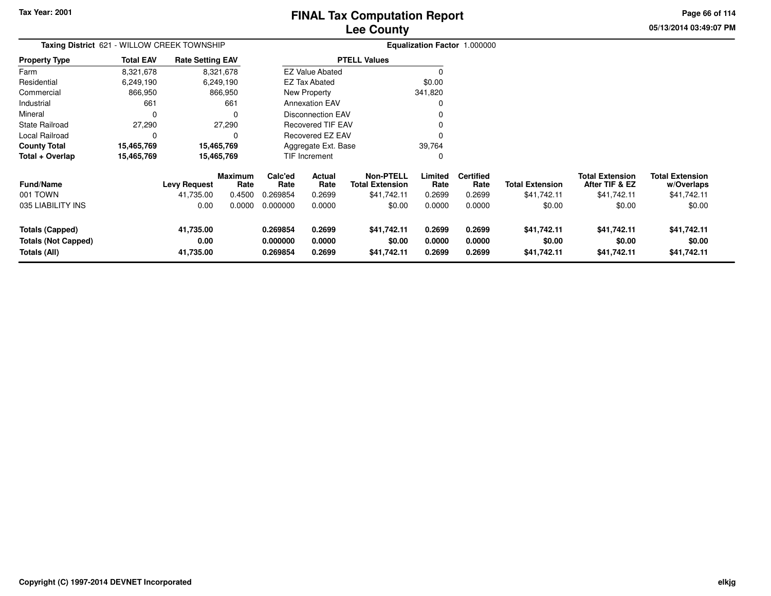## **Lee CountyFINAL Tax Computation Report**

**05/13/2014 03:49:07 PM Page 66 of 114**

| Taxing District 621 - WILLOW CREEK TOWNSHIP                          |                  |                                |                        |                                  | Equalization Factor 1.000000  |                                            |                            |                            |                                      |                                          |                                      |
|----------------------------------------------------------------------|------------------|--------------------------------|------------------------|----------------------------------|-------------------------------|--------------------------------------------|----------------------------|----------------------------|--------------------------------------|------------------------------------------|--------------------------------------|
| Property Type                                                        | <b>Total EAV</b> | <b>Rate Setting EAV</b>        |                        |                                  |                               | <b>PTELL Values</b>                        |                            |                            |                                      |                                          |                                      |
| Farm                                                                 | 8,321,678        |                                | 8,321,678              |                                  | <b>EZ Value Abated</b>        |                                            |                            |                            |                                      |                                          |                                      |
| Residential                                                          | 6,249,190        |                                | 6,249,190              |                                  | EZ Tax Abated                 |                                            | \$0.00                     |                            |                                      |                                          |                                      |
| Commercial                                                           | 866,950          |                                | 866,950                |                                  | New Property                  |                                            | 341,820                    |                            |                                      |                                          |                                      |
| Industrial                                                           | 661              |                                | 661                    |                                  | <b>Annexation EAV</b>         |                                            |                            |                            |                                      |                                          |                                      |
| Mineral                                                              |                  |                                |                        |                                  | Disconnection EAV             |                                            |                            |                            |                                      |                                          |                                      |
| State Railroad                                                       | 27,290           |                                | 27,290                 |                                  | <b>Recovered TIF EAV</b>      |                                            |                            |                            |                                      |                                          |                                      |
| Local Railroad                                                       |                  |                                |                        |                                  | Recovered EZ EAV              |                                            |                            |                            |                                      |                                          |                                      |
| County Total                                                         | 15,465,769       |                                | 15,465,769             |                                  | 39,764<br>Aggregate Ext. Base |                                            |                            |                            |                                      |                                          |                                      |
| Total + Overlap                                                      | 15,465,769       |                                | 15,465,769             |                                  | TIF Increment                 |                                            | 0                          |                            |                                      |                                          |                                      |
| Fund/Name                                                            |                  | <b>Levy Request</b>            | <b>Maximum</b><br>Rate | Calc'ed<br>Rate                  | Actual<br>Rate                | <b>Non-PTELL</b><br><b>Total Extension</b> | Limited<br>Rate            | <b>Certified</b><br>Rate   | <b>Total Extension</b>               | <b>Total Extension</b><br>After TIF & EZ | <b>Total Extension</b><br>w/Overlaps |
| 001 TOWN                                                             |                  | 41.735.00                      | 0.4500                 | 0.269854                         | 0.2699                        | \$41,742.11                                | 0.2699                     | 0.2699                     | \$41,742.11                          | \$41,742.11                              | \$41,742.11                          |
| 035 LIABILITY INS                                                    |                  | 0.00                           | 0.0000                 | 0.000000                         | 0.0000                        | \$0.00                                     | 0.0000                     | 0.0000                     | \$0.00                               | \$0.00                                   | \$0.00                               |
| <b>Totals (Capped)</b><br><b>Totals (Not Capped)</b><br>Totals (All) |                  | 41,735.00<br>0.00<br>41,735.00 |                        | 0.269854<br>0.000000<br>0.269854 | 0.2699<br>0.0000<br>0.2699    | \$41,742.11<br>\$0.00<br>\$41,742.11       | 0.2699<br>0.0000<br>0.2699 | 0.2699<br>0.0000<br>0.2699 | \$41,742.11<br>\$0.00<br>\$41,742.11 | \$41,742.11<br>\$0.00<br>\$41,742.11     | \$41,742.11<br>\$0.00<br>\$41,742.11 |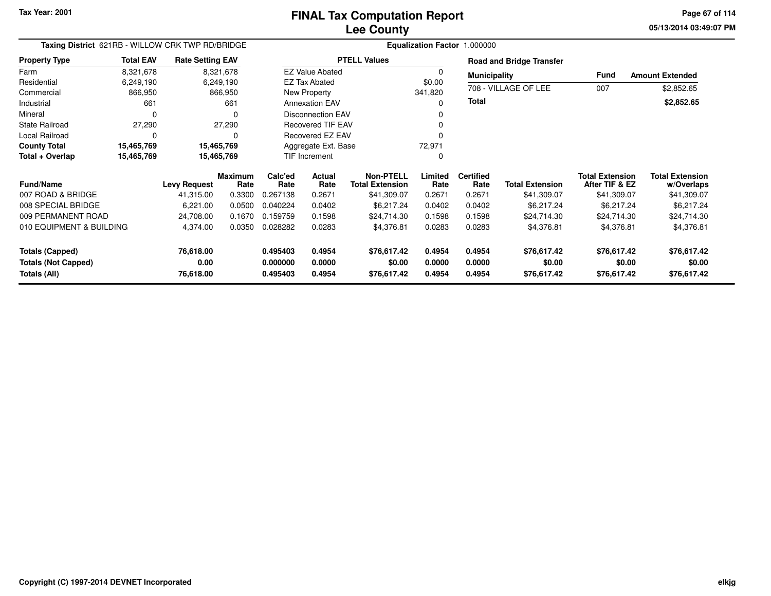**05/13/2014 03:49:07 PM Page 67 of 114**

| Taxing District 621RB - WILLOW CRK TWP RD/BRIDGE |                  |                         |                        | Equalization Factor 1.000000 |                               |                                            |                  |                          |                                 |                                          |                                      |
|--------------------------------------------------|------------------|-------------------------|------------------------|------------------------------|-------------------------------|--------------------------------------------|------------------|--------------------------|---------------------------------|------------------------------------------|--------------------------------------|
| <b>Property Type</b>                             | <b>Total EAV</b> | <b>Rate Setting EAV</b> |                        |                              |                               | <b>PTELL Values</b>                        |                  |                          | <b>Road and Bridge Transfer</b> |                                          |                                      |
| Farm                                             | 8,321,678        |                         | 8,321,678              |                              | <b>EZ Value Abated</b>        |                                            | $\Omega$         | <b>Municipality</b>      |                                 | Fund                                     | <b>Amount Extended</b>               |
| Residential                                      | 6,249,190        |                         | 6,249,190              |                              | <b>EZ Tax Abated</b>          |                                            | \$0.00           |                          |                                 |                                          |                                      |
| Commercial                                       | 866,950          |                         | 866,950                |                              | New Property                  |                                            | 341,820          |                          | 708 - VILLAGE OF LEE            | 007                                      | \$2,852.65                           |
| Industrial                                       | 661              |                         | 661                    |                              | <b>Annexation EAV</b>         |                                            | 0                | Total                    |                                 |                                          | \$2,852.65                           |
| Mineral                                          | $\Omega$         |                         | 0                      |                              | <b>Disconnection EAV</b><br>O |                                            |                  |                          |                                 |                                          |                                      |
| <b>State Railroad</b>                            | 27,290           |                         | 27,290                 |                              | <b>Recovered TIF EAV</b>      |                                            | 0                |                          |                                 |                                          |                                      |
| Local Railroad                                   | 0<br>0           |                         |                        |                              | Recovered EZ EAV              |                                            | 0                |                          |                                 |                                          |                                      |
| <b>County Total</b>                              | 15,465,769       | 15,465,769              |                        |                              | Aggregate Ext. Base           |                                            | 72,971           |                          |                                 |                                          |                                      |
| Total + Overlap                                  | 15,465,769       | 15,465,769              |                        | TIF Increment                |                               |                                            | $\Omega$         |                          |                                 |                                          |                                      |
| <b>Fund/Name</b>                                 |                  | <b>Levy Request</b>     | <b>Maximum</b><br>Rate | Calc'ed<br>Rate              | Actual<br>Rate                | <b>Non-PTELL</b><br><b>Total Extension</b> | Limited<br>Rate  | <b>Certified</b><br>Rate | <b>Total Extension</b>          | <b>Total Extension</b><br>After TIF & EZ | <b>Total Extension</b><br>w/Overlaps |
| 007 ROAD & BRIDGE                                |                  | 41,315.00               | 0.3300                 | 0.267138                     | 0.2671                        | \$41,309.07                                | 0.2671           | 0.2671                   | \$41,309.07                     | \$41,309.07                              | \$41,309.07                          |
| 008 SPECIAL BRIDGE                               |                  | 6,221.00                | 0.0500                 | 0.040224                     | 0.0402                        | \$6,217.24                                 | 0.0402           | 0.0402                   | \$6,217.24                      | \$6,217.24                               | \$6,217.24                           |
| 009 PERMANENT ROAD                               |                  | 24,708.00               | 0.1670                 | 0.159759                     | 0.1598                        | \$24,714.30                                | 0.1598           | 0.1598                   | \$24,714.30                     | \$24,714.30                              | \$24,714.30                          |
| 010 EQUIPMENT & BUILDING                         |                  | 4,374.00                | 0.0350                 | 0.028282                     | 0.0283                        | \$4,376.81                                 | 0.0283           | 0.0283                   | \$4,376.81                      | \$4,376.81                               | \$4,376.81                           |
| <b>Totals (Capped)</b>                           |                  | 76,618.00               |                        | 0.495403                     | 0.4954                        | \$76,617.42                                | 0.4954           | 0.4954                   | \$76,617.42                     | \$76,617.42                              | \$76,617.42                          |
| <b>Totals (Not Capped)</b><br>Totals (All)       |                  | 0.00<br>76,618.00       |                        | 0.000000<br>0.495403         | 0.0000<br>0.4954              | \$0.00<br>\$76,617.42                      | 0.0000<br>0.4954 | 0.0000<br>0.4954         | \$0.00<br>\$76,617.42           | \$0.00<br>\$76,617.42                    | \$0.00<br>\$76,617.42                |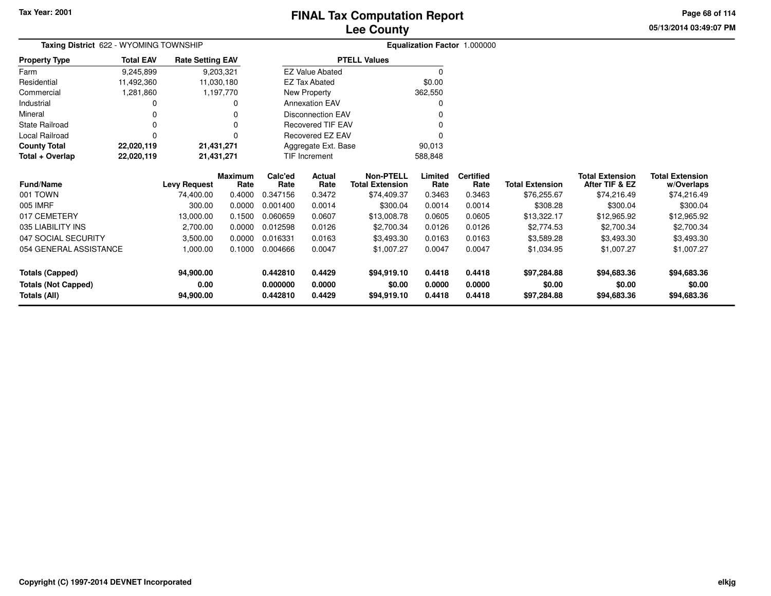**05/13/2014 03:49:07 PMPage 68 of 114**

| Taxing District 622 - WYOMING TOWNSHIP |                  |                         |                        |                 |                               |                                            |                 | Equalization Factor 1.000000 |                        |                                          |                                      |
|----------------------------------------|------------------|-------------------------|------------------------|-----------------|-------------------------------|--------------------------------------------|-----------------|------------------------------|------------------------|------------------------------------------|--------------------------------------|
| <b>Property Type</b>                   | <b>Total EAV</b> | <b>Rate Setting EAV</b> |                        |                 |                               | <b>PTELL Values</b>                        |                 |                              |                        |                                          |                                      |
| Farm                                   | 9,245,899        | 9,203,321               |                        |                 | <b>EZ Value Abated</b>        |                                            | $\Omega$        |                              |                        |                                          |                                      |
| Residential                            | 11,492,360       | 11,030,180              |                        |                 | <b>EZ Tax Abated</b>          |                                            | \$0.00          |                              |                        |                                          |                                      |
| Commercial                             | 1,281,860        |                         | 1,197,770              |                 | New Property                  |                                            | 362,550         |                              |                        |                                          |                                      |
| Industrial                             |                  |                         | 0                      |                 | <b>Annexation EAV</b>         |                                            |                 |                              |                        |                                          |                                      |
| Mineral                                |                  |                         | 0                      |                 | <b>Disconnection EAV</b>      |                                            |                 |                              |                        |                                          |                                      |
| <b>State Railroad</b>                  |                  |                         | 0                      |                 | <b>Recovered TIF EAV</b>      |                                            |                 |                              |                        |                                          |                                      |
| Local Railroad                         |                  |                         | $\Omega$               |                 | Recovered EZ EAV              |                                            |                 |                              |                        |                                          |                                      |
| <b>County Total</b>                    | 22,020,119       | 21,431,271              |                        |                 | Aggregate Ext. Base<br>90,013 |                                            |                 |                              |                        |                                          |                                      |
| Total + Overlap                        | 22,020,119       | 21,431,271              |                        |                 | 588,848<br>TIF Increment      |                                            |                 |                              |                        |                                          |                                      |
| <b>Fund/Name</b>                       |                  | <b>Levy Request</b>     | <b>Maximum</b><br>Rate | Calc'ed<br>Rate | Actual<br>Rate                | <b>Non-PTELL</b><br><b>Total Extension</b> | Limited<br>Rate | <b>Certified</b><br>Rate     | <b>Total Extension</b> | <b>Total Extension</b><br>After TIF & EZ | <b>Total Extension</b><br>w/Overlaps |
| 001 TOWN                               |                  | 74,400.00               | 0.4000                 | 0.347156        | 0.3472                        | \$74,409.37                                | 0.3463          | 0.3463                       | \$76,255.67            | \$74,216.49                              | \$74,216.49                          |
| 005 IMRF                               |                  | 300.00                  | 0.0000                 | 0.001400        | 0.0014                        | \$300.04                                   | 0.0014          | 0.0014                       | \$308.28               | \$300.04                                 | \$300.04                             |
| 017 CEMETERY                           |                  | 13,000.00               | 0.1500                 | 0.060659        | 0.0607                        | \$13,008.78                                | 0.0605          | 0.0605                       | \$13,322.17            | \$12,965.92                              | \$12,965.92                          |
| 035 LIABILITY INS                      |                  | 2,700.00                | 0.0000                 | 0.012598        | 0.0126                        | \$2,700.34                                 | 0.0126          | 0.0126                       | \$2,774.53             | \$2,700.34                               | \$2,700.34                           |
| 047 SOCIAL SECURITY                    |                  | 3,500.00                | 0.0000                 | 0.016331        | 0.0163                        | \$3,493.30                                 | 0.0163          | 0.0163                       | \$3,589.28             | \$3,493.30                               | \$3,493.30                           |
| 054 GENERAL ASSISTANCE                 |                  | 1,000.00                | 0.1000                 | 0.004666        | 0.0047                        | \$1,007.27                                 | 0.0047          | 0.0047                       | \$1,034.95             | \$1,007.27                               | \$1,007.27                           |
| <b>Totals (Capped)</b>                 |                  | 94,900.00               |                        | 0.442810        | 0.4429                        | \$94,919.10                                | 0.4418          | 0.4418                       | \$97,284.88            | \$94,683.36                              | \$94,683.36                          |
| <b>Totals (Not Capped)</b>             |                  | 0.00                    |                        | 0.000000        | 0.0000                        | \$0.00                                     | 0.0000          | 0.0000                       | \$0.00                 | \$0.00                                   | \$0.00                               |
| Totals (All)                           |                  | 94,900.00               |                        | 0.442810        | 0.4429                        | \$94,919.10                                | 0.4418          | 0.4418                       | \$97,284.88            | \$94,683.36                              | \$94,683.36                          |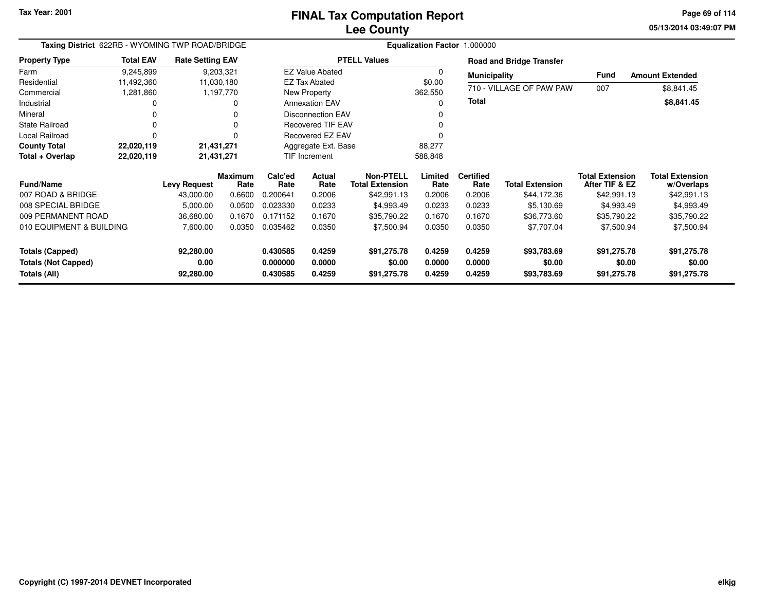**05/13/2014 03:49:07 PM Page 69 of 114**

| Taxing District 622RB - WYOMING TWP ROAD/BRIDGE                      |                  |                                |                        |                                  |                            |                                            |                            | Equalization Factor 1.000000 |                                      |                                          |                                      |
|----------------------------------------------------------------------|------------------|--------------------------------|------------------------|----------------------------------|----------------------------|--------------------------------------------|----------------------------|------------------------------|--------------------------------------|------------------------------------------|--------------------------------------|
| <b>Property Type</b>                                                 | <b>Total EAV</b> | <b>Rate Setting EAV</b>        |                        |                                  |                            | <b>PTELL Values</b>                        |                            |                              | <b>Road and Bridge Transfer</b>      |                                          |                                      |
| Farm                                                                 | 9,245,899        | 9,203,321                      |                        |                                  | <b>EZ Value Abated</b>     |                                            |                            | <b>Municipality</b>          |                                      | Fund                                     | <b>Amount Extended</b>               |
| Residential                                                          | 11,492,360       | 11,030,180                     |                        |                                  | <b>EZ Tax Abated</b>       |                                            | \$0.00                     |                              | 710 - VILLAGE OF PAW PAW             |                                          |                                      |
| Commercial                                                           | 1,281,860        | 1,197,770                      |                        |                                  | New Property               |                                            | 362,550                    |                              |                                      | 007                                      | \$8,841.45                           |
| Industrial                                                           | 0                |                                |                        |                                  | <b>Annexation EAV</b>      |                                            | 0                          | <b>Total</b>                 |                                      |                                          | \$8,841.45                           |
| Mineral                                                              | <sup>0</sup>     |                                |                        |                                  | <b>Disconnection EAV</b>   |                                            |                            |                              |                                      |                                          |                                      |
| <b>State Railroad</b>                                                | $\Omega$         |                                |                        |                                  | <b>Recovered TIF EAV</b>   |                                            |                            |                              |                                      |                                          |                                      |
| Local Railroad                                                       | $\Omega$         |                                |                        |                                  | Recovered EZ EAV           |                                            |                            |                              |                                      |                                          |                                      |
| <b>County Total</b>                                                  | 22,020,119       | 21,431,271                     |                        |                                  | Aggregate Ext. Base        |                                            | 88,277                     |                              |                                      |                                          |                                      |
| Total + Overlap                                                      | 22,020,119       | 21,431,271                     |                        | TIF Increment                    |                            |                                            | 588,848                    |                              |                                      |                                          |                                      |
| <b>Fund/Name</b>                                                     |                  | <b>Levy Request</b>            | <b>Maximum</b><br>Rate | Calc'ed<br>Rate                  | Actual<br>Rate             | <b>Non-PTELL</b><br><b>Total Extension</b> | Limited<br>Rate            | <b>Certified</b><br>Rate     | <b>Total Extension</b>               | <b>Total Extension</b><br>After TIF & EZ | <b>Total Extension</b><br>w/Overlaps |
| 007 ROAD & BRIDGE                                                    |                  | 43,000.00                      | 0.6600                 | 0.200641                         | 0.2006                     | \$42,991.13                                | 0.2006                     | 0.2006                       | \$44,172.36                          | \$42,991.13                              | \$42,991.13                          |
| 008 SPECIAL BRIDGE                                                   |                  | 5,000.00                       | 0.0500                 | 0.023330                         | 0.0233                     | \$4,993.49                                 | 0.0233                     | 0.0233                       | \$5,130.69                           | \$4,993.49                               | \$4,993.49                           |
| 009 PERMANENT ROAD                                                   |                  | 36,680.00                      | 0.1670                 | 0.171152                         | 0.1670                     | \$35,790.22                                | 0.1670                     | 0.1670                       | \$36,773.60                          | \$35,790.22                              | \$35,790.22                          |
| 010 EQUIPMENT & BUILDING                                             |                  | 7,600.00                       | 0.0350                 | 0.035462                         | 0.0350                     | \$7,500.94                                 | 0.0350                     | 0.0350                       | \$7,707.04                           | \$7,500.94                               | \$7,500.94                           |
| <b>Totals (Capped)</b><br><b>Totals (Not Capped)</b><br>Totals (All) |                  | 92,280.00<br>0.00<br>92,280.00 |                        | 0.430585<br>0.000000<br>0.430585 | 0.4259<br>0.0000<br>0.4259 | \$91,275.78<br>\$0.00<br>\$91,275.78       | 0.4259<br>0.0000<br>0.4259 | 0.4259<br>0.0000<br>0.4259   | \$93,783.69<br>\$0.00<br>\$93,783.69 | \$91,275.78<br>\$0.00<br>\$91,275.78     | \$91,275.78<br>\$0.00<br>\$91,275.78 |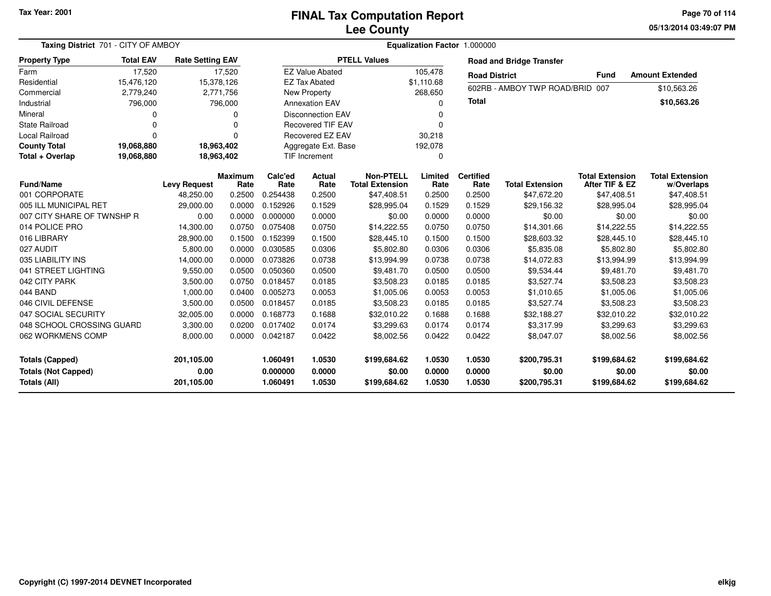#### **Lee CountyFINAL Tax Computation Report**

**05/13/2014 03:49:07 PM Page 70 of 114**

| Taxing District 701 - CITY OF AMBOY                                  |                  |                                  |                        |                                  | Equalization Factor 1.000000 |                                            |                            |                                 |                                        |                                          |                                        |
|----------------------------------------------------------------------|------------------|----------------------------------|------------------------|----------------------------------|------------------------------|--------------------------------------------|----------------------------|---------------------------------|----------------------------------------|------------------------------------------|----------------------------------------|
| <b>Property Type</b>                                                 | <b>Total EAV</b> | <b>Rate Setting EAV</b>          |                        |                                  |                              | <b>PTELL Values</b>                        |                            |                                 | <b>Road and Bridge Transfer</b>        |                                          |                                        |
| Farm                                                                 | 17,520           |                                  | 17,520                 |                                  | <b>EZ Value Abated</b>       |                                            | 105,478                    | <b>Road District</b>            |                                        | <b>Fund</b>                              | <b>Amount Extended</b>                 |
| Residential                                                          | 15,476,120       |                                  | 15,378,126             |                                  | <b>EZ Tax Abated</b>         |                                            | \$1,110.68                 |                                 |                                        |                                          |                                        |
| Commercial                                                           | 2,779,240        |                                  | 2,771,756              |                                  | New Property<br>268,650      |                                            |                            | 602RB - AMBOY TWP ROAD/BRID 007 |                                        | \$10,563.26                              |                                        |
| Industrial                                                           | 796,000          |                                  | 796,000                |                                  | <b>Annexation EAV</b>        |                                            | $\Omega$                   | <b>Total</b>                    |                                        |                                          | \$10,563.26                            |
| Mineral                                                              | $\Omega$         |                                  | 0                      |                                  | <b>Disconnection EAV</b>     |                                            | 0                          |                                 |                                        |                                          |                                        |
| <b>State Railroad</b>                                                | $\Omega$         |                                  | 0                      |                                  | <b>Recovered TIF EAV</b>     |                                            | $\Omega$                   |                                 |                                        |                                          |                                        |
| <b>Local Railroad</b>                                                | $\Omega$         |                                  | 0                      |                                  | Recovered EZ EAV             |                                            | 30,218                     |                                 |                                        |                                          |                                        |
| <b>County Total</b>                                                  | 19,068,880       |                                  | 18,963,402             |                                  | Aggregate Ext. Base          |                                            | 192,078                    |                                 |                                        |                                          |                                        |
| Total + Overlap                                                      | 19,068,880       |                                  | 18,963,402             |                                  | <b>TIF Increment</b>         |                                            | $\mathbf 0$                |                                 |                                        |                                          |                                        |
| <b>Fund/Name</b>                                                     |                  | <b>Levy Request</b>              | <b>Maximum</b><br>Rate | Calc'ed<br>Rate                  | Actual<br>Rate               | <b>Non-PTELL</b><br><b>Total Extension</b> | Limited<br>Rate            | <b>Certified</b><br>Rate        | <b>Total Extension</b>                 | <b>Total Extension</b><br>After TIF & EZ | <b>Total Extension</b><br>w/Overlaps   |
| 001 CORPORATE                                                        |                  | 48,250.00                        | 0.2500                 | 0.254438                         | 0.2500                       | \$47,408.51                                | 0.2500                     | 0.2500                          | \$47,672.20                            | \$47,408.51                              | \$47,408.51                            |
| 005 ILL MUNICIPAL RET                                                |                  | 29,000.00                        | 0.0000                 | 0.152926                         | 0.1529                       | \$28,995.04                                | 0.1529                     | 0.1529                          | \$29,156.32                            | \$28,995.04                              | \$28,995.04                            |
| 007 CITY SHARE OF TWNSHP R                                           |                  | 0.00                             | 0.0000                 | 0.000000                         | 0.0000                       | \$0.00                                     | 0.0000                     | 0.0000                          | \$0.00                                 | \$0.00                                   | \$0.00                                 |
| 014 POLICE PRO                                                       |                  | 14,300.00                        | 0.0750                 | 0.075408                         | 0.0750                       | \$14,222.55                                | 0.0750                     | 0.0750                          | \$14,301.66                            | \$14,222.55                              | \$14,222.55                            |
| 016 LIBRARY                                                          |                  | 28,900.00                        | 0.1500                 | 0.152399                         | 0.1500                       | \$28,445.10                                | 0.1500                     | 0.1500                          | \$28,603.32                            | \$28,445.10                              | \$28,445.10                            |
| 027 AUDIT                                                            |                  | 5,800.00                         | 0.0000                 | 0.030585                         | 0.0306                       | \$5,802.80                                 | 0.0306                     | 0.0306                          | \$5,835.08                             | \$5,802.80                               | \$5,802.80                             |
| 035 LIABILITY INS                                                    |                  | 14,000.00                        | 0.0000                 | 0.073826                         | 0.0738                       | \$13,994.99                                | 0.0738                     | 0.0738                          | \$14,072.83                            | \$13,994.99                              | \$13,994.99                            |
| 041 STREET LIGHTING                                                  |                  | 9,550.00                         | 0.0500                 | 0.050360                         | 0.0500                       | \$9,481.70                                 | 0.0500                     | 0.0500                          | \$9,534.44                             | \$9,481.70                               | \$9,481.70                             |
| 042 CITY PARK                                                        |                  | 3,500.00                         | 0.0750                 | 0.018457                         | 0.0185                       | \$3,508.23                                 | 0.0185                     | 0.0185                          | \$3.527.74                             | \$3,508.23                               | \$3,508.23                             |
| 044 BAND                                                             |                  | 1,000.00                         | 0.0400                 | 0.005273                         | 0.0053                       | \$1,005.06                                 | 0.0053                     | 0.0053                          | \$1,010.65                             | \$1,005.06                               | \$1,005.06                             |
| 046 CIVIL DEFENSE                                                    |                  | 3,500.00                         | 0.0500                 | 0.018457                         | 0.0185                       | \$3,508.23                                 | 0.0185                     | 0.0185                          | \$3,527.74                             | \$3,508.23                               | \$3,508.23                             |
| 047 SOCIAL SECURITY                                                  |                  | 32,005.00                        | 0.0000                 | 0.168773                         | 0.1688                       | \$32,010.22                                | 0.1688                     | 0.1688                          | \$32,188.27                            | \$32,010.22                              | \$32,010.22                            |
| 048 SCHOOL CROSSING GUARD                                            |                  | 3,300.00                         | 0.0200                 | 0.017402                         | 0.0174                       | \$3,299.63                                 | 0.0174                     | 0.0174                          | \$3,317.99                             | \$3,299.63                               | \$3,299.63                             |
| 062 WORKMENS COMP                                                    |                  | 8,000.00                         | 0.0000                 | 0.042187                         | 0.0422                       | \$8,002.56                                 | 0.0422                     | 0.0422                          | \$8,047.07                             | \$8,002.56                               | \$8,002.56                             |
| <b>Totals (Capped)</b><br><b>Totals (Not Capped)</b><br>Totals (All) |                  | 201,105.00<br>0.00<br>201,105.00 |                        | 1.060491<br>0.000000<br>1.060491 | 1.0530<br>0.0000<br>1.0530   | \$199,684.62<br>\$0.00<br>\$199,684.62     | 1.0530<br>0.0000<br>1.0530 | 1.0530<br>0.0000<br>1.0530      | \$200,795.31<br>\$0.00<br>\$200,795.31 | \$199,684.62<br>\$0.00<br>\$199,684.62   | \$199,684.62<br>\$0.00<br>\$199,684.62 |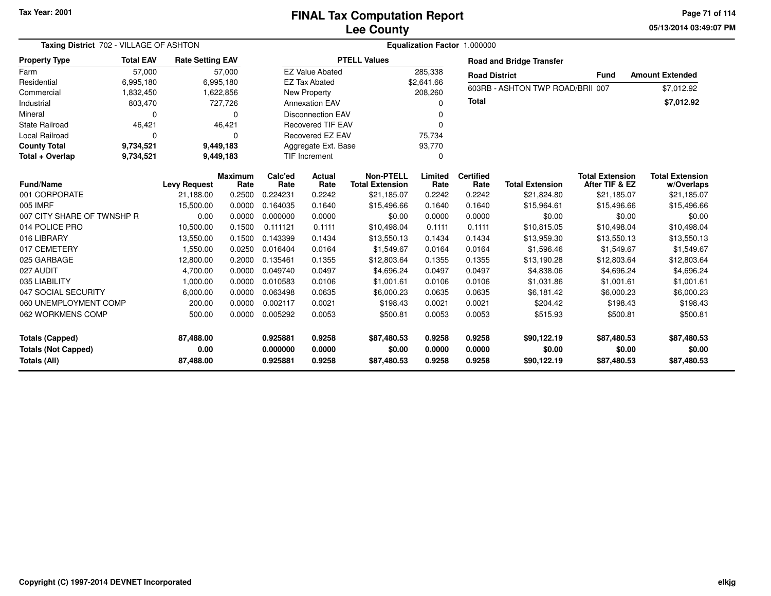**05/13/2014 03:49:07 PM Page 71 of 114**

| Taxing District 702 - VILLAGE OF ASHTON                              |                        |                                |                        | Equalization Factor 1.000000     |                            |                                            |                            |                            |                                      |                                          |                                      |
|----------------------------------------------------------------------|------------------------|--------------------------------|------------------------|----------------------------------|----------------------------|--------------------------------------------|----------------------------|----------------------------|--------------------------------------|------------------------------------------|--------------------------------------|
| <b>Property Type</b>                                                 | <b>Total EAV</b>       | <b>Rate Setting EAV</b>        |                        |                                  |                            | <b>PTELL Values</b>                        |                            |                            | <b>Road and Bridge Transfer</b>      |                                          |                                      |
| Farm                                                                 | 57,000                 |                                | 57,000                 |                                  | <b>EZ Value Abated</b>     |                                            | 285,338                    | <b>Road District</b>       |                                      | <b>Fund</b>                              | <b>Amount Extended</b>               |
| Residential                                                          | 6,995,180              |                                | 6,995,180              |                                  | <b>EZ Tax Abated</b>       |                                            | \$2,641.66                 |                            |                                      |                                          |                                      |
| Commercial                                                           | 1,832,450              |                                | 1,622,856              |                                  | New Property               |                                            | 208,260                    |                            | 603RB - ASHTON TWP ROAD/BRII 007     |                                          | \$7,012.92                           |
| Industrial                                                           | 803,470                |                                | 727,726                |                                  | <b>Annexation EAV</b>      |                                            | U                          | <b>Total</b>               |                                      |                                          | \$7,012.92                           |
| Mineral                                                              | $\Omega$               |                                | 0                      |                                  | <b>Disconnection EAV</b>   |                                            | 0                          |                            |                                      |                                          |                                      |
| <b>State Railroad</b>                                                | 46,421                 |                                | 46,421                 |                                  | <b>Recovered TIF EAV</b>   |                                            | 0                          |                            |                                      |                                          |                                      |
| Local Railroad                                                       | $\Omega$               |                                | 0                      |                                  | Recovered EZ EAV           |                                            | 75,734                     |                            |                                      |                                          |                                      |
| <b>County Total</b>                                                  | 9,734,521              |                                | 9,449,183              |                                  | Aggregate Ext. Base        |                                            | 93,770                     |                            |                                      |                                          |                                      |
| Total + Overlap                                                      | 9,734,521<br>9,449,183 |                                |                        |                                  | <b>TIF Increment</b>       |                                            | 0                          |                            |                                      |                                          |                                      |
| <b>Fund/Name</b>                                                     |                        | <b>Levy Request</b>            | <b>Maximum</b><br>Rate | Calc'ed<br>Rate                  | Actual<br>Rate             | <b>Non-PTELL</b><br><b>Total Extension</b> | Limited<br>Rate            | <b>Certified</b><br>Rate   | <b>Total Extension</b>               | <b>Total Extension</b><br>After TIF & EZ | <b>Total Extension</b><br>w/Overlaps |
| 001 CORPORATE                                                        |                        | 21,188.00                      | 0.2500                 | 0.224231                         | 0.2242                     | \$21,185.07                                | 0.2242                     | 0.2242                     | \$21,824.80                          | \$21,185.07                              | \$21,185.07                          |
| 005 IMRF                                                             |                        | 15,500.00                      | 0.0000                 | 0.164035                         | 0.1640                     | \$15,496.66                                | 0.1640                     | 0.1640                     | \$15,964.61                          | \$15,496.66                              | \$15,496.66                          |
| 007 CITY SHARE OF TWNSHP R                                           |                        | 0.00                           | 0.0000                 | 0.000000                         | 0.0000                     | \$0.00                                     | 0.0000                     | 0.0000                     | \$0.00                               | \$0.00                                   | \$0.00                               |
| 014 POLICE PRO                                                       |                        | 10,500.00                      | 0.1500                 | 0.111121                         | 0.1111                     | \$10,498.04                                | 0.1111                     | 0.1111                     | \$10,815.05                          | \$10,498.04                              | \$10,498.04                          |
| 016 LIBRARY                                                          |                        | 13,550.00                      | 0.1500                 | 0.143399                         | 0.1434                     | \$13,550.13                                | 0.1434                     | 0.1434                     | \$13,959.30                          | \$13,550.13                              | \$13,550.13                          |
| 017 CEMETERY                                                         |                        | 1,550.00                       | 0.0250                 | 0.016404                         | 0.0164                     | \$1,549.67                                 | 0.0164                     | 0.0164                     | \$1,596.46                           | \$1,549.67                               | \$1,549.67                           |
| 025 GARBAGE                                                          |                        | 12,800.00                      | 0.2000                 | 0.135461                         | 0.1355                     | \$12,803.64                                | 0.1355                     | 0.1355                     | \$13,190.28                          | \$12,803.64                              | \$12,803.64                          |
| 027 AUDIT                                                            |                        | 4,700.00                       | 0.0000                 | 0.049740                         | 0.0497                     | \$4,696.24                                 | 0.0497                     | 0.0497                     | \$4,838.06                           | \$4,696.24                               | \$4,696.24                           |
| 035 LIABILITY                                                        |                        | 1,000.00                       | 0.0000                 | 0.010583                         | 0.0106                     | \$1,001.61                                 | 0.0106                     | 0.0106                     | \$1,031.86                           | \$1,001.61                               | \$1,001.61                           |
| 047 SOCIAL SECURITY                                                  |                        | 6,000.00                       | 0.0000                 | 0.063498                         | 0.0635                     | \$6,000.23                                 | 0.0635                     | 0.0635                     | \$6,181.42                           | \$6,000.23                               | \$6,000.23                           |
| 060 UNEMPLOYMENT COMP                                                |                        | 200.00                         | 0.0000                 | 0.002117                         | 0.0021                     | \$198.43                                   | 0.0021                     | 0.0021                     | \$204.42                             | \$198.43                                 | \$198.43                             |
| 062 WORKMENS COMP                                                    |                        | 500.00                         | 0.0000                 | 0.005292                         | 0.0053                     | \$500.81                                   | 0.0053                     | 0.0053                     | \$515.93                             | \$500.81                                 | \$500.81                             |
| <b>Totals (Capped)</b><br><b>Totals (Not Capped)</b><br>Totals (All) |                        | 87,488.00<br>0.00<br>87,488.00 |                        | 0.925881<br>0.000000<br>0.925881 | 0.9258<br>0.0000<br>0.9258 | \$87,480.53<br>\$0.00<br>\$87,480.53       | 0.9258<br>0.0000<br>0.9258 | 0.9258<br>0.0000<br>0.9258 | \$90,122.19<br>\$0.00<br>\$90,122.19 | \$87,480.53<br>\$0.00<br>\$87,480.53     | \$87,480.53<br>\$0.00<br>\$87,480.53 |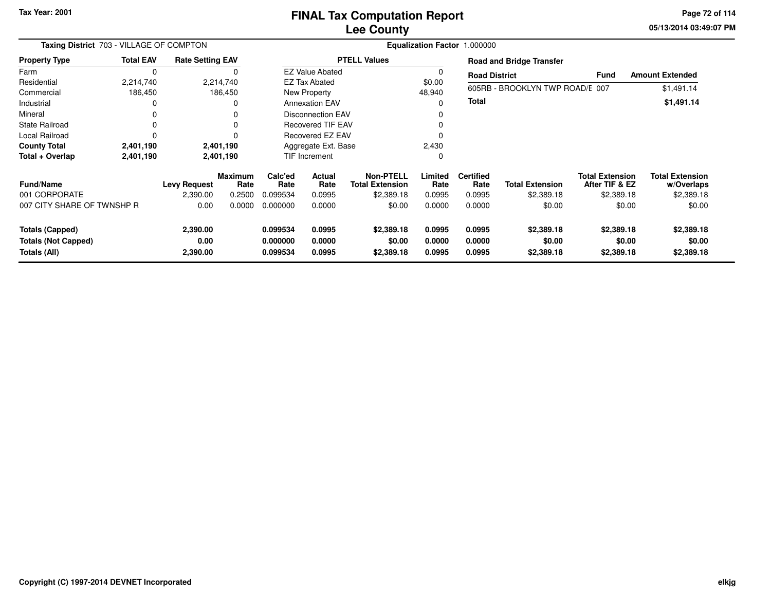**05/13/2014 03:49:07 PM Page 72 of 114**

| Taxing District 703 - VILLAGE OF COMPTON                      |                  |                              |                        | Equalization Factor 1.000000     |                            |                                            |                            |                            |                                    |                                          |                                      |
|---------------------------------------------------------------|------------------|------------------------------|------------------------|----------------------------------|----------------------------|--------------------------------------------|----------------------------|----------------------------|------------------------------------|------------------------------------------|--------------------------------------|
| <b>Property Type</b>                                          | <b>Total EAV</b> | <b>Rate Setting EAV</b>      |                        | <b>PTELL Values</b>              |                            |                                            |                            |                            | <b>Road and Bridge Transfer</b>    |                                          |                                      |
| Farm                                                          | 0                |                              |                        | <b>EZ Value Abated</b>           |                            |                                            |                            |                            | <b>Road District</b>               |                                          | <b>Amount Extended</b>               |
| Residential                                                   | 2,214,740        |                              | 2,214,740              |                                  | <b>EZ Tax Abated</b>       |                                            |                            |                            |                                    |                                          |                                      |
| Commercial                                                    | 186,450          |                              | 186,450                |                                  | New Property               |                                            |                            |                            | 605RB - BROOKLYN TWP ROAD/E 007    |                                          | \$1,491.14                           |
| Industrial                                                    |                  | 0                            |                        | <b>Annexation EAV</b>            |                            |                                            | ი                          | <b>Total</b>               |                                    |                                          | \$1,491.14                           |
| Mineral                                                       |                  | 0                            |                        | <b>Disconnection EAV</b>         |                            |                                            |                            |                            |                                    |                                          |                                      |
| <b>State Railroad</b>                                         |                  |                              | 0                      |                                  | <b>Recovered TIF EAV</b>   |                                            |                            |                            |                                    |                                          |                                      |
| Local Railroad                                                |                  | 0                            |                        | Recovered EZ EAV                 |                            |                                            |                            |                            |                                    |                                          |                                      |
| <b>County Total</b>                                           | 2,401,190        |                              | 2,401,190              |                                  | Aggregate Ext. Base        |                                            |                            |                            |                                    |                                          |                                      |
| Total + Overlap                                               | 2,401,190        | 2,401,190                    |                        | TIF Increment                    |                            |                                            | 0                          |                            |                                    |                                          |                                      |
| <b>Fund/Name</b>                                              |                  | <b>Levy Request</b>          | <b>Maximum</b><br>Rate | Calc'ed<br>Rate                  | Actual<br>Rate             | <b>Non-PTELL</b><br><b>Total Extension</b> | Limited<br>Rate            | <b>Certified</b><br>Rate   | <b>Total Extension</b>             | <b>Total Extension</b><br>After TIF & EZ | <b>Total Extension</b><br>w/Overlaps |
| 001 CORPORATE                                                 |                  | 2,390.00                     | 0.2500                 | 0.099534                         | 0.0995                     | \$2,389.18                                 | 0.0995                     | 0.0995                     | \$2,389.18                         | \$2,389.18                               | \$2,389.18                           |
| 007 CITY SHARE OF TWNSHP R                                    |                  | 0.00                         | 0.0000                 | 0.000000                         | 0.0000                     | \$0.00                                     | 0.0000                     | 0.0000                     | \$0.00                             | \$0.00                                   | \$0.00                               |
| Totals (Capped)<br><b>Totals (Not Capped)</b><br>Totals (All) |                  | 2,390.00<br>0.00<br>2,390.00 |                        | 0.099534<br>0.000000<br>0.099534 | 0.0995<br>0.0000<br>0.0995 | \$2,389.18<br>\$0.00<br>\$2,389.18         | 0.0995<br>0.0000<br>0.0995 | 0.0995<br>0.0000<br>0.0995 | \$2,389.18<br>\$0.00<br>\$2,389.18 | \$2,389.18<br>\$0.00<br>\$2,389.18       | \$2,389.18<br>\$0.00<br>\$2,389.18   |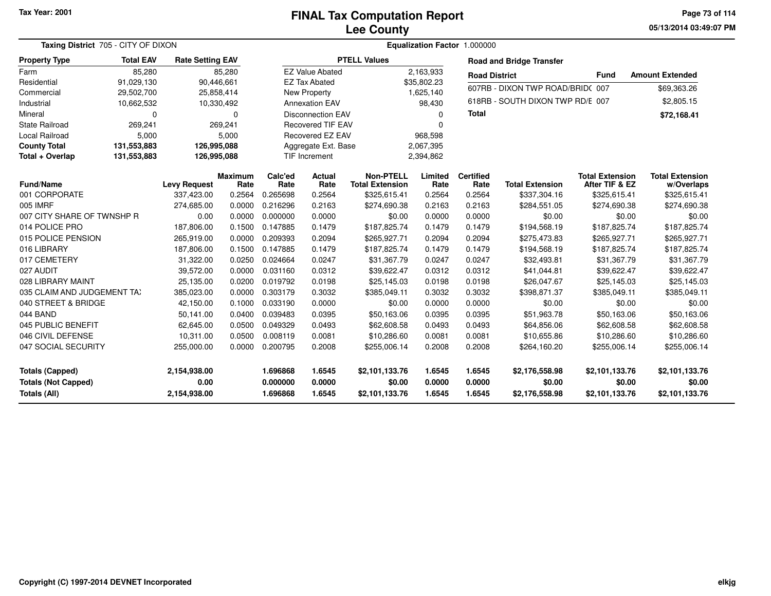**05/13/2014 03:49:07 PMPage 73 of 114**

| Taxing District 705 - CITY OF DIXON                                         |                  |                                      |                        |                                  |                            |                                            |                            | Equalization Factor 1.000000 |                                            |                                            |                                            |
|-----------------------------------------------------------------------------|------------------|--------------------------------------|------------------------|----------------------------------|----------------------------|--------------------------------------------|----------------------------|------------------------------|--------------------------------------------|--------------------------------------------|--------------------------------------------|
| <b>Property Type</b>                                                        | <b>Total EAV</b> | <b>Rate Setting EAV</b>              |                        |                                  |                            | <b>PTELL Values</b>                        |                            |                              | <b>Road and Bridge Transfer</b>            |                                            |                                            |
| Farm                                                                        | 85,280           |                                      | 85,280                 |                                  | <b>EZ Value Abated</b>     |                                            | 2,163,933                  | <b>Road District</b>         |                                            | <b>Fund</b>                                | <b>Amount Extended</b>                     |
| Residential                                                                 | 91,029,130       |                                      | 90,446,661             |                                  | <b>EZ Tax Abated</b>       |                                            | \$35,802.23                |                              | 607RB - DIXON TWP ROAD/BRID(007            |                                            |                                            |
| Commercial                                                                  | 29,502,700       |                                      | 25,858,414             |                                  | New Property               |                                            | 1,625,140                  |                              |                                            |                                            | \$69,363.26                                |
| Industrial                                                                  | 10,662,532       |                                      | 10,330,492             |                                  | <b>Annexation EAV</b>      |                                            | 98,430                     |                              | 618RB - SOUTH DIXON TWP RD/E 007           |                                            | \$2,805.15                                 |
| Mineral                                                                     | $\Omega$         |                                      | $\Omega$               |                                  | <b>Disconnection EAV</b>   |                                            | $\Omega$                   | <b>Total</b>                 |                                            |                                            | \$72,168.41                                |
| <b>State Railroad</b>                                                       | 269,241          |                                      | 269,241                |                                  | <b>Recovered TIF EAV</b>   |                                            | $\Omega$                   |                              |                                            |                                            |                                            |
| Local Railroad                                                              | 5,000            |                                      | 5,000                  | Recovered EZ EAV<br>968,598      |                            |                                            |                            |                              |                                            |                                            |                                            |
| <b>County Total</b>                                                         | 131,553,883      | 126,995,088                          |                        |                                  | Aggregate Ext. Base        |                                            | 2,067,395                  |                              |                                            |                                            |                                            |
| Total + Overlap                                                             | 131,553,883      | 126,995,088                          |                        |                                  | TIF Increment              |                                            | 2,394,862                  |                              |                                            |                                            |                                            |
| <b>Fund/Name</b>                                                            |                  | <b>Levy Request</b>                  | <b>Maximum</b><br>Rate | Calc'ed<br>Rate                  | Actual<br>Rate             | <b>Non-PTELL</b><br><b>Total Extension</b> | Limited<br>Rate            | <b>Certified</b><br>Rate     | <b>Total Extension</b>                     | <b>Total Extension</b><br>After TIF & EZ   | <b>Total Extension</b><br>w/Overlaps       |
| 001 CORPORATE                                                               |                  | 337,423.00                           | 0.2564                 | 0.265698                         | 0.2564                     | \$325,615.41                               | 0.2564                     | 0.2564                       | \$337,304.16                               | \$325,615.41                               | \$325,615.41                               |
| 005 IMRF                                                                    |                  | 274,685.00                           | 0.0000                 | 0.216296                         | 0.2163                     | \$274,690.38                               | 0.2163                     | 0.2163                       | \$284,551.05                               | \$274,690.38                               | \$274,690.38                               |
| 007 CITY SHARE OF TWNSHP R                                                  |                  | 0.00                                 | 0.0000                 | 0.000000                         | 0.0000                     | \$0.00                                     | 0.0000                     | 0.0000                       | \$0.00                                     | \$0.00                                     | \$0.00                                     |
| 014 POLICE PRO                                                              |                  | 187,806.00                           | 0.1500                 | 0.147885                         | 0.1479                     | \$187,825.74                               | 0.1479                     | 0.1479                       | \$194,568.19                               | \$187,825.74                               | \$187,825.74                               |
| 015 POLICE PENSION                                                          |                  | 265,919.00                           | 0.0000                 | 0.209393                         | 0.2094                     | \$265,927.71                               | 0.2094                     | 0.2094                       | \$275,473.83                               | \$265,927.71                               | \$265,927.71                               |
| 016 LIBRARY                                                                 |                  | 187,806.00                           | 0.1500                 | 0.147885                         | 0.1479                     | \$187,825.74                               | 0.1479                     | 0.1479                       | \$194,568.19                               | \$187,825.74                               | \$187,825.74                               |
| 017 CEMETERY                                                                |                  | 31,322.00                            | 0.0250                 | 0.024664                         | 0.0247                     | \$31,367.79                                | 0.0247                     | 0.0247                       | \$32,493.81                                | \$31,367.79                                | \$31,367.79                                |
| 027 AUDIT                                                                   |                  | 39,572.00                            | 0.0000                 | 0.031160                         | 0.0312                     | \$39,622.47                                | 0.0312                     | 0.0312                       | \$41,044.81                                | \$39,622.47                                | \$39,622.47                                |
| 028 LIBRARY MAINT                                                           |                  | 25,135.00                            | 0.0200                 | 0.019792                         | 0.0198                     | \$25,145.03                                | 0.0198                     | 0.0198                       | \$26,047.67                                | \$25,145.03                                | \$25,145.03                                |
| 035 CLAIM AND JUDGEMENT TA)                                                 |                  | 385,023.00                           | 0.0000                 | 0.303179                         | 0.3032                     | \$385,049.11                               | 0.3032                     | 0.3032                       | \$398,871.37                               | \$385,049.11                               | \$385,049.11                               |
| 040 STREET & BRIDGE                                                         |                  | 42,150.00                            | 0.1000                 | 0.033190                         | 0.0000                     | \$0.00                                     | 0.0000                     | 0.0000                       | \$0.00                                     | \$0.00                                     | \$0.00                                     |
| 044 BAND                                                                    |                  | 50,141.00                            | 0.0400                 | 0.039483                         | 0.0395                     | \$50,163.06                                | 0.0395                     | 0.0395                       | \$51,963.78                                | \$50,163.06                                | \$50,163.06                                |
| 045 PUBLIC BENEFIT                                                          |                  | 62,645.00                            | 0.0500                 | 0.049329                         | 0.0493                     | \$62,608.58                                | 0.0493                     | 0.0493                       | \$64,856.06                                | \$62,608.58                                | \$62,608.58                                |
| 046 CIVIL DEFENSE                                                           |                  | 10,311.00                            | 0.0500                 | 0.008119                         | 0.0081                     | \$10,286.60                                | 0.0081                     | 0.0081                       | \$10,655.86                                | \$10,286.60                                | \$10,286.60                                |
| 047 SOCIAL SECURITY                                                         |                  | 255,000.00                           | 0.0000                 | 0.200795                         | 0.2008                     | \$255,006.14                               | 0.2008                     | 0.2008                       | \$264,160.20                               | \$255,006.14                               | \$255,006.14                               |
| <b>Totals (Capped)</b><br><b>Totals (Not Capped)</b><br><b>Totals (All)</b> |                  | 2,154,938.00<br>0.00<br>2,154,938.00 |                        | 1.696868<br>0.000000<br>1.696868 | 1.6545<br>0.0000<br>1.6545 | \$2,101,133.76<br>\$0.00<br>\$2,101,133.76 | 1.6545<br>0.0000<br>1.6545 | 1.6545<br>0.0000<br>1.6545   | \$2,176,558.98<br>\$0.00<br>\$2,176,558.98 | \$2,101,133.76<br>\$0.00<br>\$2,101,133.76 | \$2,101,133.76<br>\$0.00<br>\$2,101,133.76 |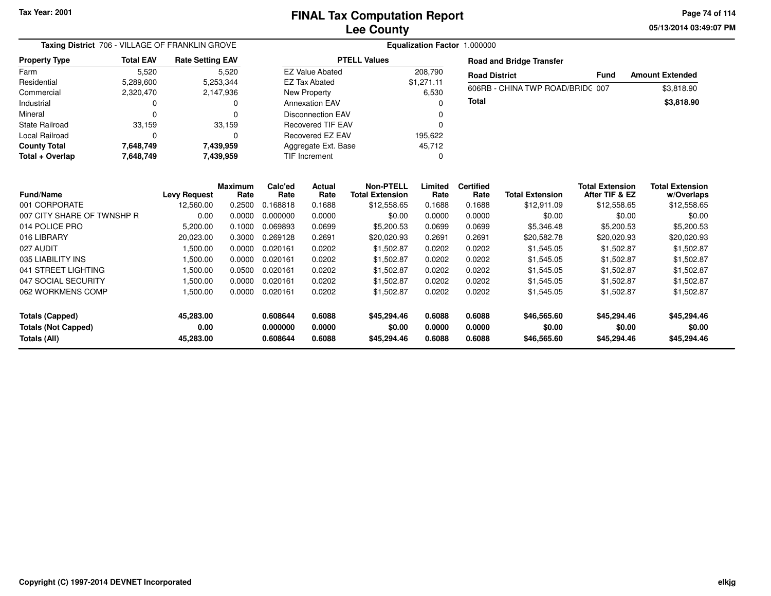**05/13/2014 03:49:07 PMPage 74 of 114**

| Taxing District 706 - VILLAGE OF FRANKLIN GROVE                      |                  | Equalization Factor 1.000000   |                  |                                  |                            |                                      |                            |                            |                                      |                                      |                                      |
|----------------------------------------------------------------------|------------------|--------------------------------|------------------|----------------------------------|----------------------------|--------------------------------------|----------------------------|----------------------------|--------------------------------------|--------------------------------------|--------------------------------------|
| <b>Property Type</b>                                                 | <b>Total EAV</b> | <b>Rate Setting EAV</b>        |                  |                                  |                            | <b>PTELL Values</b>                  |                            |                            | <b>Road and Bridge Transfer</b>      |                                      |                                      |
| Farm                                                                 | 5,520            |                                | 5,520            |                                  | <b>EZ Value Abated</b>     |                                      | 208,790                    | <b>Road District</b>       |                                      | <b>Fund</b>                          | <b>Amount Extended</b>               |
| Residential                                                          | 5,289,600        |                                | 5,253,344        |                                  | <b>EZ Tax Abated</b>       |                                      | \$1.271.11                 |                            | 606RB - CHINA TWP ROAD/BRID(007      |                                      |                                      |
| Commercial                                                           | 2,320,470        |                                | 2,147,936        |                                  | <b>New Property</b>        |                                      | 6,530                      |                            |                                      |                                      | \$3,818.90                           |
| Industrial                                                           | $\Omega$         |                                | n                |                                  | <b>Annexation EAV</b>      |                                      | O                          | Total                      |                                      |                                      | \$3,818.90                           |
| Mineral                                                              | $\Omega$         |                                |                  |                                  | <b>Disconnection EAV</b>   |                                      |                            |                            |                                      |                                      |                                      |
| <b>State Railroad</b>                                                | 33,159           |                                | 33,159           |                                  | <b>Recovered TIF EAV</b>   |                                      | O                          |                            |                                      |                                      |                                      |
| Local Railroad                                                       | n                |                                | n                |                                  | Recovered EZ EAV           |                                      | 195,622                    |                            |                                      |                                      |                                      |
| <b>County Total</b>                                                  | 7,648,749        |                                | 7,439,959        |                                  | Aggregate Ext. Base        |                                      | 45,712                     |                            |                                      |                                      |                                      |
| Total + Overlap                                                      | 7,648,749        |                                | 7,439,959        |                                  | TIF Increment              |                                      | 0                          |                            |                                      |                                      |                                      |
|                                                                      |                  |                                | <b>Maximum</b>   | Calc'ed                          | <b>Actual</b>              | Non-PTELL                            | Limited                    | <b>Certified</b>           |                                      | <b>Total Extension</b>               | <b>Total Extension</b>               |
| <b>Fund/Name</b>                                                     |                  | <b>Levy Request</b>            | Rate             | Rate                             | Rate                       | <b>Total Extension</b>               | Rate                       | Rate                       | <b>Total Extension</b>               | After TIF & EZ                       | w/Overlaps                           |
| 001 CORPORATE<br>007 CITY SHARE OF TWNSHP R                          |                  | 12,560.00                      | 0.2500<br>0.0000 | 0.168818<br>0.000000             | 0.1688                     | \$12,558.65                          | 0.1688                     | 0.1688<br>0.0000           | \$12,911.09<br>\$0.00                | \$12,558.65                          | \$12,558.65<br>\$0.00                |
| 014 POLICE PRO                                                       |                  | 0.00                           |                  | 0.069893                         | 0.0000<br>0.0699           | \$0.00                               | 0.0000                     |                            |                                      | \$0.00                               |                                      |
|                                                                      |                  | 5,200.00                       | 0.1000           |                                  |                            | \$5,200.53                           | 0.0699                     | 0.0699                     | \$5,346.48                           | \$5,200.53                           | \$5,200.53                           |
| 016 LIBRARY                                                          |                  | 20,023.00                      | 0.3000           | 0.269128                         | 0.2691                     | \$20,020.93                          | 0.2691                     | 0.2691                     | \$20,582.78                          | \$20,020.93                          | \$20,020.93                          |
| 027 AUDIT                                                            |                  | 1,500.00                       | 0.0000           | 0.020161                         | 0.0202                     | \$1,502.87                           | 0.0202                     | 0.0202                     | \$1,545.05                           | \$1,502.87                           | \$1,502.87                           |
| 035 LIABILITY INS                                                    |                  | 1,500.00                       | 0.0000           | 0.020161                         | 0.0202                     | \$1,502.87                           | 0.0202                     | 0.0202                     | \$1,545.05                           | \$1,502.87                           | \$1,502.87                           |
| 041 STREET LIGHTING                                                  |                  | 1,500.00                       | 0.0500           | 0.020161                         | 0.0202                     | \$1,502.87                           | 0.0202                     | 0.0202                     | \$1,545.05                           | \$1,502.87                           | \$1,502.87                           |
| 047 SOCIAL SECURITY                                                  |                  | 1,500.00                       | 0.0000           | 0.020161                         | 0.0202                     | \$1,502.87                           | 0.0202                     | 0.0202                     | \$1,545.05                           | \$1,502.87                           | \$1,502.87                           |
| 062 WORKMENS COMP                                                    |                  | 1,500.00                       | 0.0000           | 0.020161                         | 0.0202                     | \$1,502.87                           | 0.0202                     | 0.0202                     | \$1,545.05                           | \$1,502.87                           | \$1,502.87                           |
| <b>Totals (Capped)</b><br><b>Totals (Not Capped)</b><br>Totals (All) |                  | 45,283.00<br>0.00<br>45,283.00 |                  | 0.608644<br>0.000000<br>0.608644 | 0.6088<br>0.0000<br>0.6088 | \$45,294.46<br>\$0.00<br>\$45,294.46 | 0.6088<br>0.0000<br>0.6088 | 0.6088<br>0.0000<br>0.6088 | \$46,565.60<br>\$0.00<br>\$46,565.60 | \$45,294.46<br>\$0.00<br>\$45,294.46 | \$45,294.46<br>\$0.00<br>\$45,294.46 |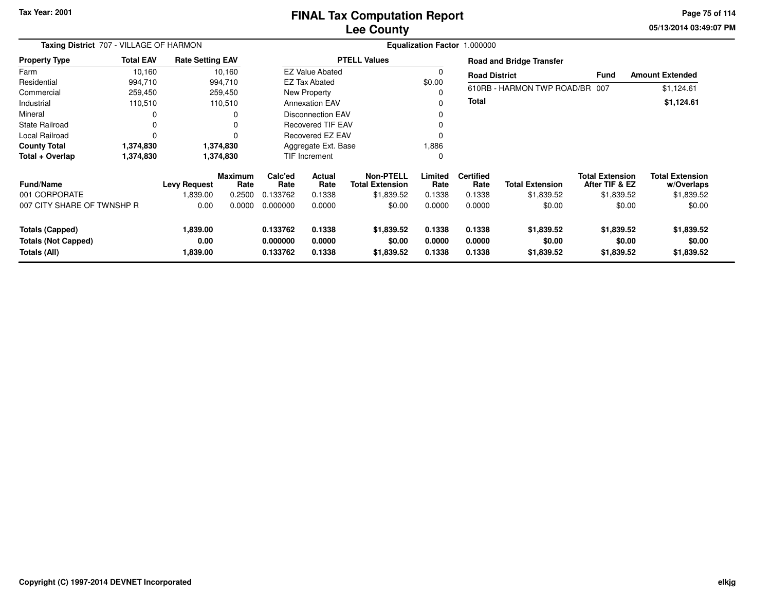## **Lee CountyFINAL Tax Computation Report**

**05/13/2014 03:49:07 PM Page 75 of 114**

|                                                                      | Taxing District 707 - VILLAGE OF HARMON<br><b>Rate Setting EAV</b> |                              |                        |                                  |                            |                                            |                            | Equalization Factor 1.000000 |                                    |                                          |                                      |
|----------------------------------------------------------------------|--------------------------------------------------------------------|------------------------------|------------------------|----------------------------------|----------------------------|--------------------------------------------|----------------------------|------------------------------|------------------------------------|------------------------------------------|--------------------------------------|
| <b>Property Type</b>                                                 | <b>Total EAV</b>                                                   |                              |                        |                                  |                            | <b>PTELL Values</b>                        |                            |                              | <b>Road and Bridge Transfer</b>    |                                          |                                      |
| Farm                                                                 | 10,160                                                             |                              | 10,160                 |                                  | <b>EZ Value Abated</b>     |                                            |                            | <b>Road District</b>         |                                    | <b>Fund</b>                              | <b>Amount Extended</b>               |
| Residential                                                          | 994,710                                                            |                              | 994,710                |                                  | <b>EZ Tax Abated</b>       |                                            | \$0.00                     |                              |                                    |                                          |                                      |
| Commercial                                                           | 259,450                                                            |                              | 259,450                |                                  | New Property               |                                            |                            |                              | 610RB - HARMON TWP ROAD/BR 007     |                                          | \$1,124.61                           |
| Industrial                                                           | 110,510                                                            |                              | 110,510                |                                  | <b>Annexation EAV</b>      |                                            | O                          | Total                        |                                    |                                          | \$1,124.61                           |
| Mineral                                                              | 0                                                                  |                              | 0                      |                                  | <b>Disconnection EAV</b>   |                                            |                            |                              |                                    |                                          |                                      |
| State Railroad                                                       | 0                                                                  |                              | $\Omega$               |                                  | <b>Recovered TIF EAV</b>   |                                            |                            |                              |                                    |                                          |                                      |
| Local Railroad                                                       | $\Omega$                                                           |                              | $\Omega$               |                                  | Recovered EZ EAV           |                                            |                            |                              |                                    |                                          |                                      |
| <b>County Total</b>                                                  | 1,374,830                                                          |                              | 1,374,830              |                                  | Aggregate Ext. Base        |                                            | 1,886                      |                              |                                    |                                          |                                      |
| Total + Overlap                                                      | 1,374,830                                                          |                              | 1,374,830              |                                  | TIF Increment              |                                            | 0                          |                              |                                    |                                          |                                      |
| <b>Fund/Name</b>                                                     |                                                                    | <b>Levy Request</b>          | <b>Maximum</b><br>Rate | Calc'ed<br>Rate                  | <b>Actual</b><br>Rate      | <b>Non-PTELL</b><br><b>Total Extension</b> | Limited<br>Rate            | <b>Certified</b><br>Rate     | <b>Total Extension</b>             | <b>Total Extension</b><br>After TIF & EZ | <b>Total Extension</b><br>w/Overlaps |
| 001 CORPORATE                                                        |                                                                    | 1,839.00                     | 0.2500                 | 0.133762                         | 0.1338                     | \$1,839.52                                 | 0.1338                     | 0.1338                       | \$1,839.52                         | \$1,839.52                               | \$1,839.52                           |
| 007 CITY SHARE OF TWNSHP R                                           |                                                                    | 0.00                         | 0.0000                 | 0.000000                         | 0.0000                     | \$0.00                                     | 0.0000                     | 0.0000                       | \$0.00                             | \$0.00                                   | \$0.00                               |
| <b>Totals (Capped)</b><br><b>Totals (Not Capped)</b><br>Totals (All) |                                                                    | 1,839.00<br>0.00<br>1,839.00 |                        | 0.133762<br>0.000000<br>0.133762 | 0.1338<br>0.0000<br>0.1338 | \$1,839.52<br>\$0.00<br>\$1,839.52         | 0.1338<br>0.0000<br>0.1338 | 0.1338<br>0.0000<br>0.1338   | \$1,839.52<br>\$0.00<br>\$1,839.52 | \$1,839.52<br>\$0.00<br>\$1,839.52       | \$1,839.52<br>\$0.00<br>\$1,839.52   |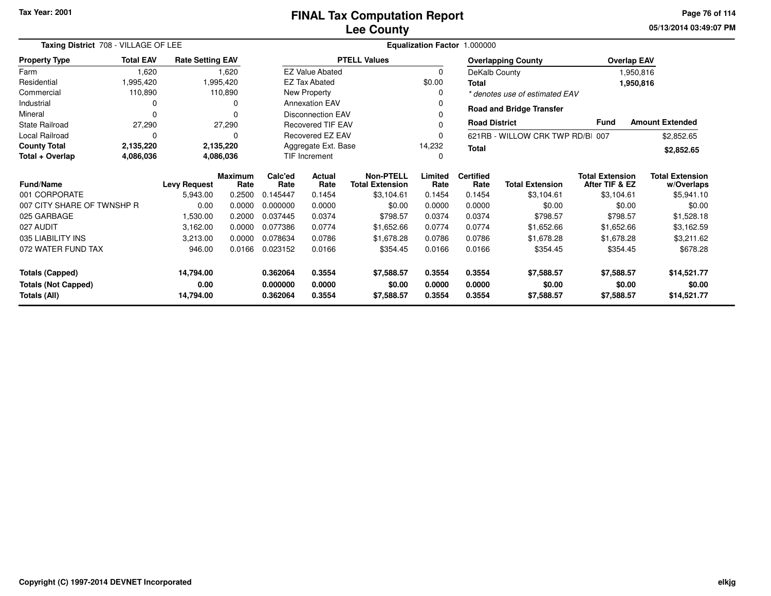**05/13/2014 03:49:07 PMPage 76 of 114**

| Taxing District 708 - VILLAGE OF LEE                                                                          |                     |                         |                        |                                               | Equalization Factor 1.000000 |                                            |                 |                          |                                  |                                          |                                      |  |  |
|---------------------------------------------------------------------------------------------------------------|---------------------|-------------------------|------------------------|-----------------------------------------------|------------------------------|--------------------------------------------|-----------------|--------------------------|----------------------------------|------------------------------------------|--------------------------------------|--|--|
| <b>Property Type</b>                                                                                          | <b>Total EAV</b>    | <b>Rate Setting EAV</b> |                        |                                               |                              | <b>PTELL Values</b>                        |                 |                          | <b>Overlapping County</b>        | <b>Overlap EAV</b>                       |                                      |  |  |
| Farm                                                                                                          | 1,620               |                         | 1,620                  |                                               | <b>EZ Value Abated</b>       |                                            | 0               |                          | DeKalb County                    |                                          | 1,950,816                            |  |  |
| Residential                                                                                                   | 1,995,420           |                         | 1,995,420              |                                               | <b>EZ Tax Abated</b>         |                                            | \$0.00          | <b>Total</b>             |                                  |                                          | 1,950,816                            |  |  |
| Commercial                                                                                                    | 110,890             |                         | 110,890                |                                               | New Property                 |                                            | 0               |                          | * denotes use of estimated EAV   |                                          |                                      |  |  |
| Industrial                                                                                                    | 0                   |                         |                        |                                               | <b>Annexation EAV</b>        |                                            | 0               |                          | <b>Road and Bridge Transfer</b>  |                                          |                                      |  |  |
| Mineral                                                                                                       | $\Omega$            |                         |                        |                                               | <b>Disconnection EAV</b>     |                                            |                 |                          |                                  |                                          |                                      |  |  |
| State Railroad                                                                                                | 27,290              |                         | 27,290                 |                                               | Recovered TIF EAV            |                                            | 0               | <b>Road District</b>     |                                  | <b>Fund</b>                              | <b>Amount Extended</b>               |  |  |
| Local Railroad                                                                                                | 0                   |                         | 0                      |                                               | Recovered EZ EAV             |                                            | 0               |                          | 621RB - WILLOW CRK TWP RD/BI 007 |                                          | \$2,852.65                           |  |  |
| <b>County Total</b>                                                                                           | 2,135,220           |                         | 2,135,220              | Aggregate Ext. Base<br>14,232<br><b>Total</b> |                              |                                            |                 |                          |                                  |                                          | \$2,852.65                           |  |  |
| Total + Overlap                                                                                               | 4,086,036           |                         | 4,086,036              |                                               | TIF Increment<br>0           |                                            |                 |                          |                                  |                                          |                                      |  |  |
| Fund/Name                                                                                                     | <b>Levy Request</b> |                         | <b>Maximum</b><br>Rate | Calc'ed<br>Rate                               | Actual<br>Rate               | <b>Non-PTELL</b><br><b>Total Extension</b> | Limited<br>Rate | <b>Certified</b><br>Rate | <b>Total Extension</b>           | <b>Total Extension</b><br>After TIF & EZ | <b>Total Extension</b><br>w/Overlaps |  |  |
| 001 CORPORATE                                                                                                 |                     | 5,943.00                | 0.2500                 | 0.145447                                      | 0.1454                       | \$3,104.61                                 | 0.1454          | 0.1454                   | \$3,104.61                       | \$3,104.61                               | \$5,941.10                           |  |  |
| 007 CITY SHARE OF TWNSHP R                                                                                    |                     | 0.00                    | 0.0000                 | 0.000000                                      | 0.0000                       | \$0.00                                     | 0.0000          | 0.0000                   | \$0.00                           | \$0.00                                   | \$0.00                               |  |  |
| 025 GARBAGE                                                                                                   |                     | 1,530.00                | 0.2000                 | 0.037445                                      | 0.0374                       | \$798.57                                   | 0.0374          | 0.0374                   | \$798.57                         | \$798.57                                 | \$1,528.18                           |  |  |
| 027 AUDIT                                                                                                     |                     | 3,162.00                | 0.0000                 | 0.077386                                      | 0.0774                       | \$1,652.66                                 | 0.0774          | 0.0774                   | \$1,652.66                       | \$1,652.66                               | \$3,162.59                           |  |  |
| 035 LIABILITY INS                                                                                             |                     | 3,213.00                | 0.0000                 | 0.078634                                      | 0.0786                       | \$1,678.28                                 | 0.0786          | 0.0786                   | \$1,678.28                       | \$1,678.28                               | \$3,211.62                           |  |  |
| 072 WATER FUND TAX                                                                                            |                     | 946.00                  | 0.0166                 | 0.023152                                      | 0.0166                       | \$354.45                                   | 0.0166          | 0.0166                   | \$354.45                         | \$354.45                                 | \$678.28                             |  |  |
| <b>Totals (Capped)</b>                                                                                        |                     | 14,794.00               |                        | 0.362064                                      | 0.3554                       | \$7,588.57                                 | 0.3554          | 0.3554                   | \$7,588.57                       | \$7,588.57                               | \$14,521.77                          |  |  |
| <b>Totals (Not Capped)</b>                                                                                    |                     | 0.00                    |                        | 0.000000                                      | 0.0000                       | \$0.00                                     | 0.0000          | 0.0000                   | \$0.00                           | \$0.00                                   | \$0.00                               |  |  |
| Totals (All)<br>14,794.00<br>0.362064<br>0.3554<br>0.3554<br>\$7,588.57<br>\$7,588.57<br>\$7,588.57<br>0.3554 |                     |                         |                        |                                               | \$14,521.77                  |                                            |                 |                          |                                  |                                          |                                      |  |  |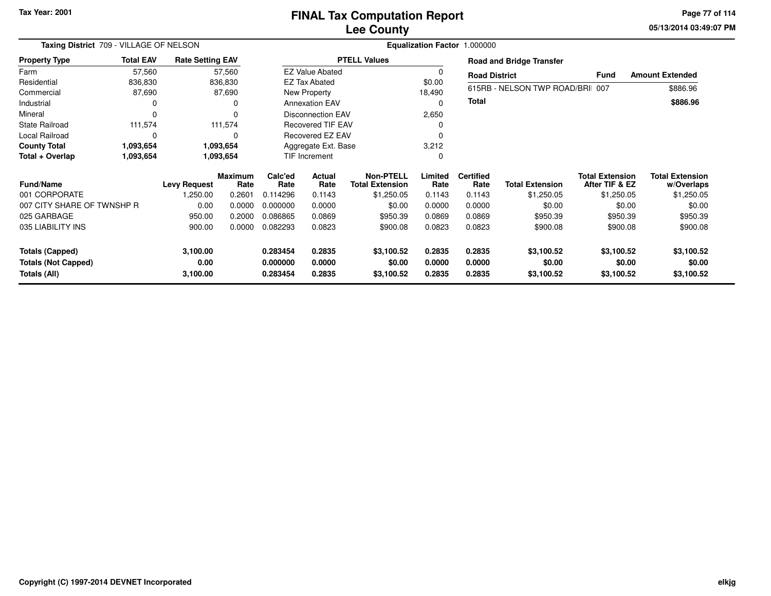**05/13/2014 03:49:07 PMPage 77 of 114**

|                                            | Taxing District 709 - VILLAGE OF NELSON<br>Equalization Factor 1.000000 |                         |                        |                      |                          |                                            |                  |                          |                                 |                                          |                                      |
|--------------------------------------------|-------------------------------------------------------------------------|-------------------------|------------------------|----------------------|--------------------------|--------------------------------------------|------------------|--------------------------|---------------------------------|------------------------------------------|--------------------------------------|
| <b>Property Type</b>                       | <b>Total EAV</b>                                                        | <b>Rate Setting EAV</b> |                        |                      |                          | <b>PTELL Values</b>                        |                  |                          | <b>Road and Bridge Transfer</b> |                                          |                                      |
| Farm                                       | 57,560                                                                  |                         | 57,560                 |                      | <b>EZ Value Abated</b>   |                                            | 0                | <b>Road District</b>     |                                 | <b>Fund</b>                              | <b>Amount Extended</b>               |
| Residential                                | 836,830                                                                 |                         | 836,830                |                      | <b>EZ Tax Abated</b>     |                                            | \$0.00           |                          |                                 |                                          |                                      |
| Commercial                                 | 87,690                                                                  |                         | 87,690                 |                      | New Property             |                                            | 18,490           |                          | 615RB - NELSON TWP ROAD/BRI 007 |                                          | \$886.96                             |
| Industrial                                 |                                                                         |                         | 0                      |                      | <b>Annexation EAV</b>    |                                            | 0                | <b>Total</b>             |                                 |                                          | \$886.96                             |
| Mineral                                    | $\Omega$                                                                |                         | $\Omega$               |                      | <b>Disconnection EAV</b> |                                            | 2,650            |                          |                                 |                                          |                                      |
| <b>State Railroad</b>                      | 111,574                                                                 |                         | 111,574                |                      | <b>Recovered TIF EAV</b> |                                            | 0                |                          |                                 |                                          |                                      |
| Local Railroad                             | $\Omega$                                                                |                         | 0                      | Recovered EZ EAV     |                          |                                            | 0                |                          |                                 |                                          |                                      |
| <b>County Total</b>                        | 1,093,654                                                               |                         | 1,093,654              | Aggregate Ext. Base  |                          | 3,212                                      |                  |                          |                                 |                                          |                                      |
| Total + Overlap                            | 1,093,654                                                               |                         | 1,093,654              | TIF Increment        |                          |                                            | 0                |                          |                                 |                                          |                                      |
| <b>Fund/Name</b>                           |                                                                         | Levy Request            | <b>Maximum</b><br>Rate | Calc'ed<br>Rate      | Actual<br>Rate           | <b>Non-PTELL</b><br><b>Total Extension</b> | Limited<br>Rate  | <b>Certified</b><br>Rate | <b>Total Extension</b>          | <b>Total Extension</b><br>After TIF & EZ | <b>Total Extension</b><br>w/Overlaps |
| 001 CORPORATE                              |                                                                         | 1,250.00                | 0.2601                 | 0.114296             | 0.1143                   | \$1,250.05                                 | 0.1143           | 0.1143                   | \$1,250.05                      | \$1,250.05                               | \$1,250.05                           |
| 007 CITY SHARE OF TWNSHP R                 |                                                                         | 0.00                    | 0.0000                 | 0.000000             | 0.0000                   | \$0.00                                     | 0.0000           | 0.0000                   | \$0.00                          | \$0.00                                   | \$0.00                               |
| 025 GARBAGE                                |                                                                         | 950.00                  | 0.2000                 | 0.086865             | 0.0869                   | \$950.39                                   | 0.0869           | 0.0869                   | \$950.39                        | \$950.39                                 | \$950.39                             |
| 035 LIABILITY INS                          |                                                                         | 900.00                  | 0.0000                 | 0.082293             | 0.0823                   | \$900.08                                   | 0.0823           | 0.0823                   | \$900.08                        | \$900.08                                 | \$900.08                             |
| <b>Totals (Capped)</b>                     |                                                                         | 3,100.00                |                        | 0.283454             | 0.2835                   | \$3,100.52                                 | 0.2835           | 0.2835                   | \$3,100.52                      | \$3,100.52                               | \$3,100.52                           |
| <b>Totals (Not Capped)</b><br>Totals (All) |                                                                         | 0.00<br>3,100.00        |                        | 0.000000<br>0.283454 | 0.0000<br>0.2835         | \$0.00<br>\$3,100.52                       | 0.0000<br>0.2835 | 0.0000<br>0.2835         | \$0.00<br>\$3,100.52            | \$0.00<br>\$3,100.52                     | \$0.00<br>\$3,100.52                 |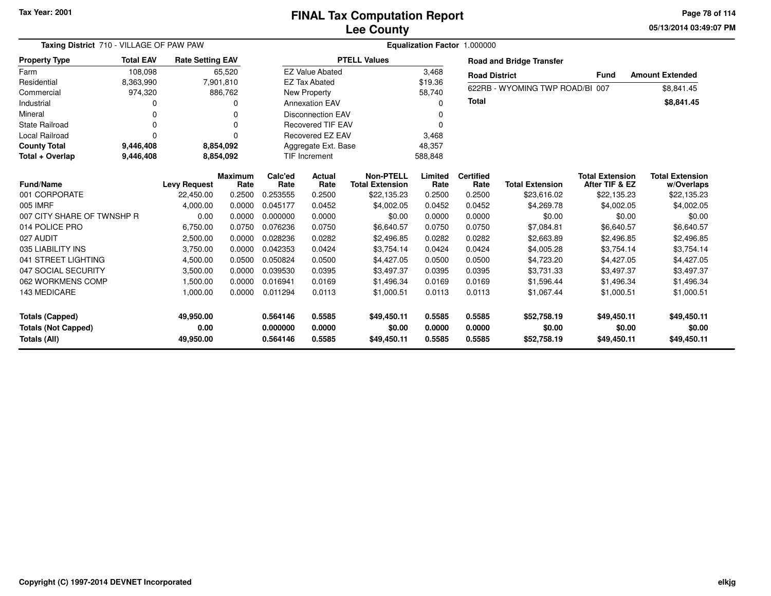**05/13/2014 03:49:07 PM Page 78 of 114**

| Taxing District 710 - VILLAGE OF PAW PAW |                  |                         |                        |                 | Equalization Factor 1.000000 |                                            |                 |                          |                                 |                                          |                                      |  |  |  |
|------------------------------------------|------------------|-------------------------|------------------------|-----------------|------------------------------|--------------------------------------------|-----------------|--------------------------|---------------------------------|------------------------------------------|--------------------------------------|--|--|--|
| <b>Property Type</b>                     | <b>Total EAV</b> | <b>Rate Setting EAV</b> |                        |                 |                              | <b>PTELL Values</b>                        |                 |                          | <b>Road and Bridge Transfer</b> |                                          |                                      |  |  |  |
| Farm                                     | 108,098          |                         | 65,520                 |                 | <b>EZ Value Abated</b>       |                                            | 3,468           | <b>Road District</b>     |                                 | <b>Fund</b>                              | <b>Amount Extended</b>               |  |  |  |
| Residential                              | 8,363,990        |                         | 7,901,810              |                 | <b>EZ Tax Abated</b>         |                                            | \$19.36         |                          | 622RB - WYOMING TWP ROAD/BI 007 |                                          |                                      |  |  |  |
| Commercial                               | 974,320          |                         | 886,762                |                 | New Property                 |                                            | 58,740          |                          |                                 |                                          | \$8,841.45                           |  |  |  |
| Industrial                               |                  |                         | O                      |                 | <b>Annexation EAV</b>        |                                            | 0               | <b>Total</b>             |                                 |                                          | \$8,841.45                           |  |  |  |
| Mineral                                  | 0                |                         | 0                      |                 | <b>Disconnection EAV</b>     |                                            | 0               |                          |                                 |                                          |                                      |  |  |  |
| <b>State Railroad</b>                    | 0                |                         | $\Omega$               |                 | <b>Recovered TIF EAV</b>     |                                            | 0               |                          |                                 |                                          |                                      |  |  |  |
| Local Railroad                           | 0                |                         | $\Omega$               |                 | Recovered EZ EAV             |                                            | 3,468           |                          |                                 |                                          |                                      |  |  |  |
| <b>County Total</b>                      | 9,446,408        |                         | 8,854,092              |                 | Aggregate Ext. Base          |                                            | 48,357          |                          |                                 |                                          |                                      |  |  |  |
| Total + Overlap                          | 9,446,408        |                         | 8,854,092              |                 | <b>TIF Increment</b>         |                                            | 588,848         |                          |                                 |                                          |                                      |  |  |  |
| <b>Fund/Name</b>                         |                  | <b>Levy Request</b>     | <b>Maximum</b><br>Rate | Calc'ed<br>Rate | <b>Actual</b><br>Rate        | <b>Non-PTELL</b><br><b>Total Extension</b> | Limited<br>Rate | <b>Certified</b><br>Rate | <b>Total Extension</b>          | <b>Total Extension</b><br>After TIF & EZ | <b>Total Extension</b><br>w/Overlaps |  |  |  |
| 001 CORPORATE                            |                  | 22,450.00               | 0.2500                 | 0.253555        | 0.2500                       | \$22,135.23                                | 0.2500          | 0.2500                   | \$23,616.02                     | \$22,135.23                              | \$22,135.23                          |  |  |  |
| 005 IMRF                                 |                  | 4,000.00                | 0.0000                 | 0.045177        | 0.0452                       | \$4,002.05                                 | 0.0452          | 0.0452                   | \$4,269.78                      | \$4,002.05                               | \$4,002.05                           |  |  |  |
| 007 CITY SHARE OF TWNSHP R               |                  | 0.00                    | 0.0000                 | 0.000000        | 0.0000                       | \$0.00                                     | 0.0000          | 0.0000                   | \$0.00                          | \$0.00                                   | \$0.00                               |  |  |  |
| 014 POLICE PRO                           |                  | 6,750.00                | 0.0750                 | 0.076236        | 0.0750                       | \$6,640.57                                 | 0.0750          | 0.0750                   | \$7,084.81                      | \$6,640.57                               | \$6,640.57                           |  |  |  |
| 027 AUDIT                                |                  | 2,500.00                | 0.0000                 | 0.028236        | 0.0282                       | \$2,496.85                                 | 0.0282          | 0.0282                   | \$2,663.89                      | \$2,496.85                               | \$2,496.85                           |  |  |  |
| 035 LIABILITY INS                        |                  | 3,750.00                | 0.0000                 | 0.042353        | 0.0424                       | \$3,754.14                                 | 0.0424          | 0.0424                   | \$4,005.28                      | \$3,754.14                               | \$3,754.14                           |  |  |  |
| 041 STREET LIGHTING                      |                  | 4,500.00                | 0.0500                 | 0.050824        | 0.0500                       | \$4,427.05                                 | 0.0500          | 0.0500                   | \$4,723.20                      | \$4,427.05                               | \$4,427.05                           |  |  |  |
| 047 SOCIAL SECURITY                      |                  | 3,500.00                | 0.0000                 | 0.039530        | 0.0395                       | \$3,497.37                                 | 0.0395          | 0.0395                   | \$3,731.33                      | \$3,497.37                               | \$3,497.37                           |  |  |  |
| 062 WORKMENS COMP                        |                  | 1,500.00                | 0.0000                 | 0.016941        | 0.0169                       | \$1,496.34                                 | 0.0169          | 0.0169                   | \$1,596.44                      | \$1,496.34                               | \$1,496.34                           |  |  |  |
| 143 MEDICARE                             |                  | 1,000.00                | 0.0000                 | 0.011294        | 0.0113                       | \$1,000.51                                 | 0.0113          | 0.0113                   | \$1,067.44                      | \$1,000.51                               | \$1,000.51                           |  |  |  |
| <b>Totals (Capped)</b>                   |                  | 49,950.00               |                        | 0.564146        | 0.5585                       | \$49,450.11                                | 0.5585          | 0.5585                   | \$52,758.19                     | \$49,450.11                              | \$49,450.11                          |  |  |  |
| <b>Totals (Not Capped)</b>               |                  | 0.00                    |                        | 0.000000        | 0.0000                       | \$0.00                                     | 0.0000          | 0.0000                   | \$0.00                          | \$0.00                                   | \$0.00                               |  |  |  |
| Totals (All)                             |                  | 49,950.00               |                        | 0.564146        | 0.5585                       | \$49,450.11                                | 0.5585          | 0.5585                   | \$52,758.19                     | \$49,450.11                              | \$49,450.11                          |  |  |  |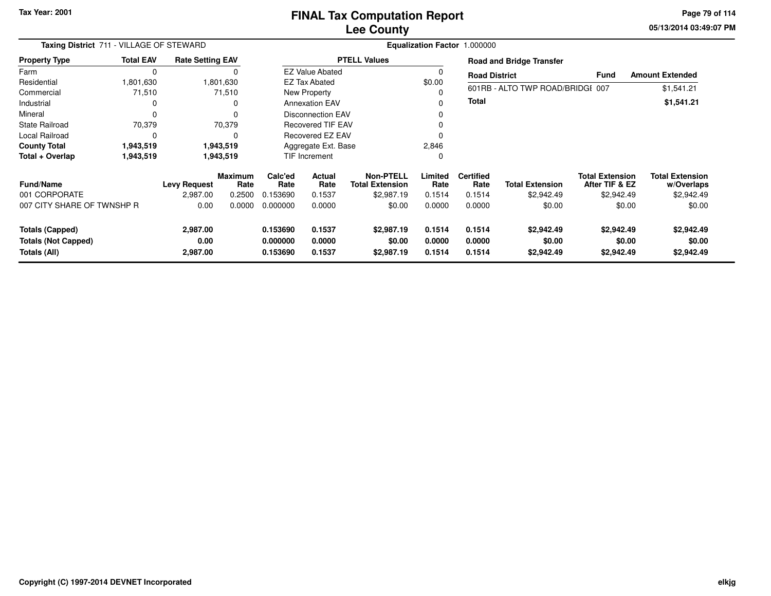**05/13/2014 03:49:07 PM Page 79 of 114**

|                                                                      | Taxing District 711 - VILLAGE OF STEWARD<br><b>Rate Setting EAV</b> |                              |                        |                                  |                            |                                            |                            | Equalization Factor 1.000000 |                                    |                                          |                                      |
|----------------------------------------------------------------------|---------------------------------------------------------------------|------------------------------|------------------------|----------------------------------|----------------------------|--------------------------------------------|----------------------------|------------------------------|------------------------------------|------------------------------------------|--------------------------------------|
| <b>Property Type</b>                                                 | <b>Total EAV</b>                                                    |                              |                        |                                  |                            | <b>PTELL Values</b>                        |                            |                              | <b>Road and Bridge Transfer</b>    |                                          |                                      |
| Farm                                                                 | 0                                                                   |                              |                        |                                  | <b>EZ Value Abated</b>     |                                            |                            | <b>Road District</b>         |                                    | <b>Fund</b>                              | <b>Amount Extended</b>               |
| Residential                                                          | 1,801,630                                                           |                              | 1,801,630              |                                  | <b>EZ Tax Abated</b>       |                                            | \$0.00                     |                              |                                    |                                          |                                      |
| Commercial                                                           | 71,510                                                              |                              | 71,510                 |                                  | New Property               |                                            |                            |                              | 601RB - ALTO TWP ROAD/BRIDGI 007   |                                          | \$1,541.21                           |
| Industrial                                                           | 0                                                                   |                              | 0                      |                                  | <b>Annexation EAV</b>      |                                            |                            | <b>Total</b>                 |                                    |                                          | \$1,541.21                           |
| Mineral                                                              | 0                                                                   |                              |                        |                                  | <b>Disconnection EAV</b>   |                                            |                            |                              |                                    |                                          |                                      |
| <b>State Railroad</b>                                                | 70,379                                                              |                              | 70,379                 | <b>Recovered TIF EAV</b>         |                            |                                            |                            |                              |                                    |                                          |                                      |
| Local Railroad                                                       | 0                                                                   |                              |                        | <b>Recovered EZ EAV</b>          |                            |                                            |                            |                              |                                    |                                          |                                      |
| <b>County Total</b>                                                  | 1,943,519                                                           |                              | 1,943,519              | Aggregate Ext. Base              |                            | 2,846                                      |                            |                              |                                    |                                          |                                      |
| Total + Overlap                                                      | 1,943,519                                                           |                              | 1,943,519              |                                  | TIF Increment              |                                            |                            |                              |                                    |                                          |                                      |
| <b>Fund/Name</b>                                                     |                                                                     | <b>Levy Request</b>          | <b>Maximum</b><br>Rate | Calc'ed<br>Rate                  | Actual<br>Rate             | <b>Non-PTELL</b><br><b>Total Extension</b> | Limited<br>Rate            | <b>Certified</b><br>Rate     | <b>Total Extension</b>             | <b>Total Extension</b><br>After TIF & EZ | <b>Total Extension</b><br>w/Overlaps |
| 001 CORPORATE                                                        |                                                                     | 2,987.00                     | 0.2500                 | 0.153690                         | 0.1537                     | \$2,987.19                                 | 0.1514                     | 0.1514                       | \$2,942.49                         | \$2,942.49                               | \$2,942.49                           |
| 007 CITY SHARE OF TWNSHP R                                           |                                                                     | 0.00                         | 0.0000                 | 0.000000                         | 0.0000                     | \$0.00                                     | 0.0000                     | 0.0000                       | \$0.00                             | \$0.00                                   | \$0.00                               |
| <b>Totals (Capped)</b><br><b>Totals (Not Capped)</b><br>Totals (All) |                                                                     | 2,987.00<br>0.00<br>2,987.00 |                        | 0.153690<br>0.000000<br>0.153690 | 0.1537<br>0.0000<br>0.1537 | \$2,987.19<br>\$0.00<br>\$2,987.19         | 0.1514<br>0.0000<br>0.1514 | 0.1514<br>0.0000<br>0.1514   | \$2,942.49<br>\$0.00<br>\$2,942.49 | \$2,942.49<br>\$0.00<br>\$2,942.49       | \$2,942.49<br>\$0.00<br>\$2,942.49   |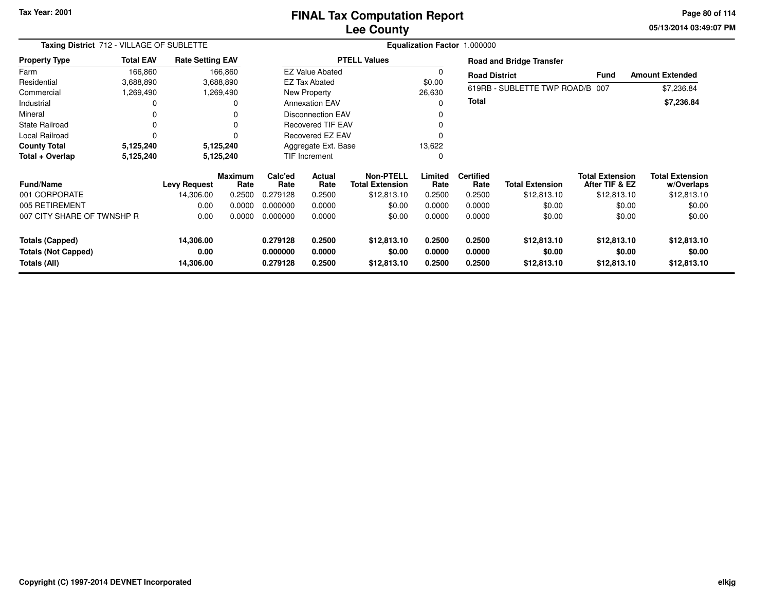# **Lee CountyFINAL Tax Computation Report**

**05/13/2014 03:49:07 PM Page 80 of 114**

| Taxing District 712 - VILLAGE OF SUBLETTE |                  |                         |                        |                          |                          |                                     |                 | Equalization Factor 1.000000 |                                 |                                          |                                      |
|-------------------------------------------|------------------|-------------------------|------------------------|--------------------------|--------------------------|-------------------------------------|-----------------|------------------------------|---------------------------------|------------------------------------------|--------------------------------------|
| <b>Property Type</b>                      | <b>Total EAV</b> | <b>Rate Setting EAV</b> |                        |                          |                          | <b>PTELL Values</b>                 |                 |                              | <b>Road and Bridge Transfer</b> |                                          |                                      |
| Farm                                      | 166,860          |                         | 166,860                |                          | <b>EZ Value Abated</b>   |                                     |                 | <b>Road District</b>         |                                 | <b>Fund</b>                              | <b>Amount Extended</b>               |
| Residential                               | 3,688,890        |                         | 3,688,890              |                          | <b>EZ Tax Abated</b>     |                                     | \$0.00          |                              |                                 |                                          |                                      |
| Commercial                                | 1,269,490        |                         | 1,269,490              |                          | New Property             |                                     | 26,630          |                              | 619RB - SUBLETTE TWP ROAD/B 007 |                                          | \$7,236.84                           |
| Industrial                                |                  |                         | 0                      |                          | <b>Annexation EAV</b>    |                                     |                 | <b>Total</b>                 |                                 |                                          | \$7,236.84                           |
| Mineral                                   |                  |                         |                        | <b>Disconnection EAV</b> |                          |                                     |                 |                              |                                 |                                          |                                      |
| <b>State Railroad</b>                     | 0                |                         | 0                      |                          | <b>Recovered TIF EAV</b> |                                     |                 |                              |                                 |                                          |                                      |
| Local Railroad                            | $\Omega$         |                         | ŋ                      | Recovered EZ EAV         |                          |                                     |                 |                              |                                 |                                          |                                      |
| <b>County Total</b>                       | 5,125,240        |                         | 5,125,240              | Aggregate Ext. Base      |                          |                                     | 13,622          |                              |                                 |                                          |                                      |
| Total + Overlap                           | 5,125,240        |                         | 5,125,240              | <b>TIF Increment</b>     |                          |                                     |                 |                              |                                 |                                          |                                      |
| <b>Fund/Name</b>                          |                  | <b>Levy Request</b>     | <b>Maximum</b><br>Rate | Calc'ed<br>Rate          | Actual<br>Rate           | Non-PTELL<br><b>Total Extension</b> | Limited<br>Rate | <b>Certified</b><br>Rate     | <b>Total Extension</b>          | <b>Total Extension</b><br>After TIF & EZ | <b>Total Extension</b><br>w/Overlaps |
| 001 CORPORATE                             |                  | 14,306.00               | 0.2500                 | 0.279128                 | 0.2500                   | \$12,813.10                         | 0.2500          | 0.2500                       | \$12,813.10                     | \$12,813.10                              | \$12,813.10                          |
| 005 RETIREMENT                            |                  | 0.00                    | 0.0000                 | 0.000000                 | 0.0000                   | \$0.00                              | 0.0000          | 0.0000                       | \$0.00                          | \$0.00                                   | \$0.00                               |
| 007 CITY SHARE OF TWNSHP R                |                  | 0.00                    | 0.0000                 | 0.000000                 | 0.0000                   | \$0.00                              | 0.0000          | 0.0000                       | \$0.00                          | \$0.00                                   | \$0.00                               |
| <b>Totals (Capped)</b>                    |                  | 14,306.00               |                        | 0.279128                 | 0.2500                   | \$12,813.10                         | 0.2500          | 0.2500                       | \$12,813.10                     | \$12,813.10                              | \$12,813.10                          |
| <b>Totals (Not Capped)</b>                |                  | 0.00                    |                        | 0.000000                 | 0.0000                   | \$0.00                              | 0.0000          | 0.0000                       | \$0.00                          | \$0.00                                   | \$0.00                               |
| Totals (All)                              |                  | 14,306.00               |                        | 0.279128                 | 0.2500                   | \$12,813.10                         | 0.2500          | 0.2500                       | \$12,813.10                     | \$12,813.10                              | \$12,813.10                          |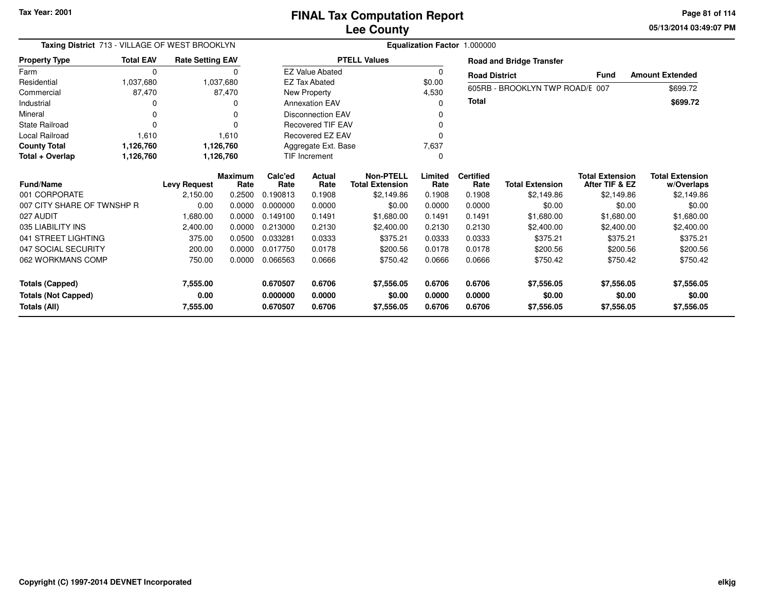**05/13/2014 03:49:07 PM Page 81 of 114**

| Taxing District 713 - VILLAGE OF WEST BROOKLYN<br><b>Total EAV</b><br><b>Rate Setting EAV</b><br><b>Property Type</b> |             |                     |                        | <b>Equalization Factor 1.000000</b> |                          |                                            |                 |                          |                                 |                                          |                                      |  |
|-----------------------------------------------------------------------------------------------------------------------|-------------|---------------------|------------------------|-------------------------------------|--------------------------|--------------------------------------------|-----------------|--------------------------|---------------------------------|------------------------------------------|--------------------------------------|--|
|                                                                                                                       |             |                     |                        |                                     |                          | <b>PTELL Values</b>                        |                 |                          | <b>Road and Bridge Transfer</b> |                                          |                                      |  |
| Farm                                                                                                                  | $\mathbf 0$ |                     | $\Omega$               |                                     | <b>EZ Value Abated</b>   |                                            | 0               | <b>Road District</b>     |                                 | <b>Fund</b>                              | <b>Amount Extended</b>               |  |
| Residential                                                                                                           | 1,037,680   |                     | 1,037,680              |                                     | <b>EZ Tax Abated</b>     |                                            | \$0.00          |                          | 605RB - BROOKLYN TWP ROAD/E 007 |                                          | \$699.72                             |  |
| Commercial                                                                                                            | 87,470      |                     | 87,470                 |                                     | New Property             |                                            | 4,530           |                          |                                 |                                          |                                      |  |
| Industrial                                                                                                            | O           |                     | 0                      |                                     | <b>Annexation EAV</b>    |                                            | 0               | <b>Total</b>             |                                 |                                          | \$699.72                             |  |
| Mineral                                                                                                               | $\Omega$    |                     | n                      |                                     | <b>Disconnection EAV</b> |                                            |                 |                          |                                 |                                          |                                      |  |
| State Railroad                                                                                                        | $\Omega$    |                     |                        |                                     | <b>Recovered TIF EAV</b> |                                            |                 |                          |                                 |                                          |                                      |  |
| <b>Local Railroad</b>                                                                                                 | 1,610       |                     | 1,610                  | Recovered EZ EAV                    |                          |                                            | 0               |                          |                                 |                                          |                                      |  |
| <b>County Total</b>                                                                                                   | 1,126,760   |                     | 1,126,760              | Aggregate Ext. Base                 |                          |                                            | 7,637           |                          |                                 |                                          |                                      |  |
| Total + Overlap                                                                                                       | 1,126,760   |                     | 1,126,760              | TIF Increment                       |                          |                                            | 0               |                          |                                 |                                          |                                      |  |
| <b>Fund/Name</b>                                                                                                      |             | <b>Levy Request</b> | <b>Maximum</b><br>Rate | Calc'ed<br>Rate                     | Actual<br>Rate           | <b>Non-PTELL</b><br><b>Total Extension</b> | Limited<br>Rate | <b>Certified</b><br>Rate | <b>Total Extension</b>          | <b>Total Extension</b><br>After TIF & EZ | <b>Total Extension</b><br>w/Overlaps |  |
| 001 CORPORATE                                                                                                         |             | 2,150.00            | 0.2500                 | 0.190813                            | 0.1908                   | \$2,149.86                                 | 0.1908          | 0.1908                   | \$2,149.86                      | \$2,149.86                               | \$2,149.86                           |  |
| 007 CITY SHARE OF TWNSHP R                                                                                            |             | 0.00                | 0.0000                 | 0.000000                            | 0.0000                   | \$0.00                                     | 0.0000          | 0.0000                   | \$0.00                          | \$0.00                                   | \$0.00                               |  |
| 027 AUDIT                                                                                                             |             | 1,680.00            | 0.0000                 | 0.149100                            | 0.1491                   | \$1,680.00                                 | 0.1491          | 0.1491                   | \$1,680.00                      | \$1,680.00                               | \$1,680.00                           |  |
| 035 LIABILITY INS                                                                                                     |             | 2,400.00            | 0.0000                 | 0.213000                            | 0.2130                   | \$2,400.00                                 | 0.2130          | 0.2130                   | \$2,400.00                      | \$2,400.00                               | \$2,400.00                           |  |
| 041 STREET LIGHTING                                                                                                   |             | 375.00              | 0.0500                 | 0.033281                            | 0.0333                   | \$375.21                                   | 0.0333          | 0.0333                   | \$375.21                        | \$375.21                                 | \$375.21                             |  |
| 047 SOCIAL SECURITY                                                                                                   |             | 200.00              | 0.0000                 | 0.017750                            | 0.0178                   | \$200.56                                   | 0.0178          | 0.0178                   | \$200.56                        | \$200.56                                 | \$200.56                             |  |
| 062 WORKMANS COMP                                                                                                     |             | 750.00              | 0.0000                 | 0.066563                            | 0.0666                   | \$750.42                                   | 0.0666          | 0.0666                   | \$750.42                        | \$750.42                                 | \$750.42                             |  |
| Totals (Capped)                                                                                                       |             | 7,555.00            |                        | 0.670507                            | 0.6706                   | \$7,556.05                                 | 0.6706          | 0.6706                   | \$7,556.05                      | \$7,556.05                               | \$7,556.05                           |  |
| <b>Totals (Not Capped)</b>                                                                                            |             | 0.00                |                        | 0.000000                            | 0.0000                   | \$0.00                                     | 0.0000          | 0.0000                   | \$0.00                          | \$0.00                                   | \$0.00                               |  |
| Totals (All)                                                                                                          |             | 7,555.00            |                        | 0.670507                            | 0.6706                   | \$7,556.05                                 | 0.6706          | 0.6706                   | \$7,556.05                      | \$7,556.05                               | \$7,556.05                           |  |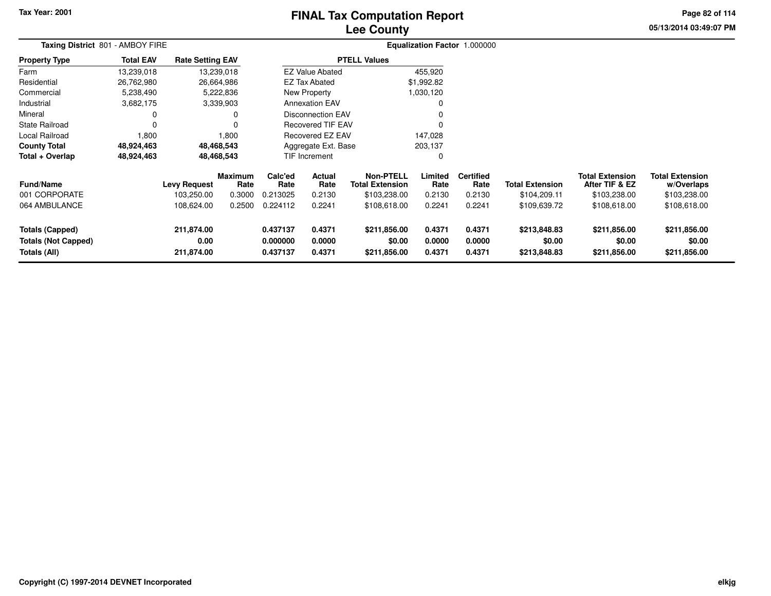## **Lee CountyFINAL Tax Computation Report**

**05/13/2014 03:49:07 PM Page 82 of 114**

| Taxing District 801 - AMBOY FIRE                                     |                  |                                  |                        |                                  |                            |                                            |                            | Equalization Factor 1.000000 |                                        |                                          |                                        |  |
|----------------------------------------------------------------------|------------------|----------------------------------|------------------------|----------------------------------|----------------------------|--------------------------------------------|----------------------------|------------------------------|----------------------------------------|------------------------------------------|----------------------------------------|--|
| <b>Property Type</b>                                                 | <b>Total EAV</b> | <b>Rate Setting EAV</b>          |                        |                                  |                            | <b>PTELL Values</b>                        |                            |                              |                                        |                                          |                                        |  |
| Farm                                                                 | 13,239,018       |                                  | 13,239,018             |                                  | <b>EZ Value Abated</b>     |                                            | 455,920                    |                              |                                        |                                          |                                        |  |
| Residential                                                          | 26,762,980       |                                  | 26,664,986             |                                  | <b>EZ Tax Abated</b>       |                                            | \$1,992.82                 |                              |                                        |                                          |                                        |  |
| Commercial                                                           | 5,238,490        |                                  | 5,222,836              |                                  | New Property               |                                            | 1,030,120                  |                              |                                        |                                          |                                        |  |
| Industrial                                                           | 3,682,175        |                                  | 3,339,903              |                                  | <b>Annexation EAV</b>      |                                            |                            |                              |                                        |                                          |                                        |  |
| Mineral                                                              |                  |                                  |                        |                                  | <b>Disconnection EAV</b>   |                                            |                            |                              |                                        |                                          |                                        |  |
| <b>State Railroad</b>                                                |                  |                                  |                        |                                  | <b>Recovered TIF EAV</b>   |                                            | $\Omega$                   |                              |                                        |                                          |                                        |  |
| Local Railroad                                                       | 1,800            |                                  | 1,800                  |                                  | <b>Recovered EZ EAV</b>    |                                            | 147,028                    |                              |                                        |                                          |                                        |  |
| <b>County Total</b>                                                  | 48,924,463       |                                  | 48,468,543             | Aggregate Ext. Base<br>203,137   |                            |                                            |                            |                              |                                        |                                          |                                        |  |
| Total + Overlap                                                      | 48,924,463       |                                  | 48,468,543             |                                  | <b>TIF Increment</b>       |                                            | 0                          |                              |                                        |                                          |                                        |  |
| <b>Fund/Name</b>                                                     |                  | <b>Levy Request</b>              | <b>Maximum</b><br>Rate | Calc'ed<br>Rate                  | Actual<br>Rate             | <b>Non-PTELL</b><br><b>Total Extension</b> | Limited<br>Rate            | <b>Certified</b><br>Rate     | <b>Total Extension</b>                 | <b>Total Extension</b><br>After TIF & EZ | <b>Total Extension</b><br>w/Overlaps   |  |
| 001 CORPORATE                                                        |                  | 103,250.00                       | 0.3000                 | 0.213025                         | 0.2130                     | \$103,238.00                               | 0.2130                     | 0.2130                       | \$104,209.11                           | \$103,238.00                             | \$103,238.00                           |  |
| 064 AMBULANCE                                                        |                  | 108,624.00                       | 0.2500                 | 0.224112                         | 0.2241                     | \$108,618.00                               | 0.2241                     | 0.2241                       | \$109,639.72                           | \$108,618.00                             | \$108,618.00                           |  |
| <b>Totals (Capped)</b><br><b>Totals (Not Capped)</b><br>Totals (All) |                  | 211,874.00<br>0.00<br>211,874.00 |                        | 0.437137<br>0.000000<br>0.437137 | 0.4371<br>0.0000<br>0.4371 | \$211,856.00<br>\$0.00<br>\$211,856.00     | 0.4371<br>0.0000<br>0.4371 | 0.4371<br>0.0000<br>0.4371   | \$213,848.83<br>\$0.00<br>\$213,848.83 | \$211,856.00<br>\$0.00<br>\$211,856.00   | \$211,856.00<br>\$0.00<br>\$211,856.00 |  |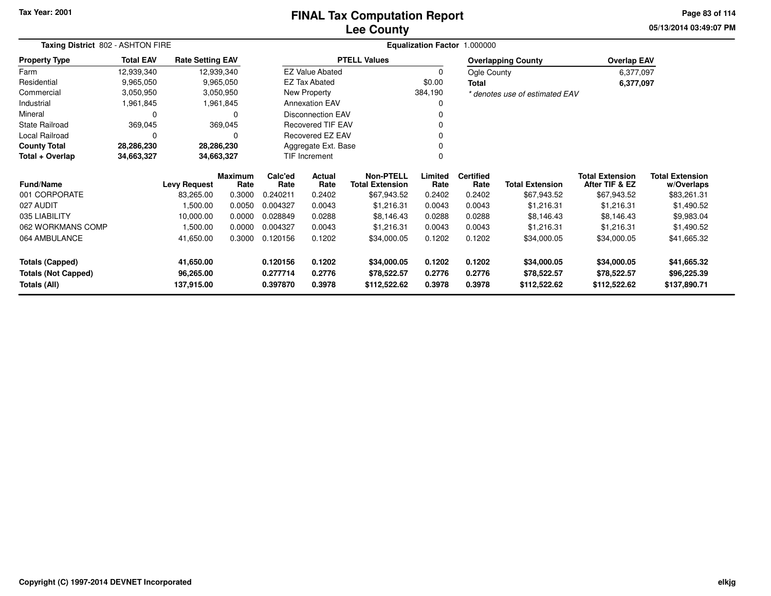### **Lee CountyFINAL Tax Computation Report**

**05/13/2014 03:49:07 PM Page 83 of 114**

| Taxing District 802 - ASHTON FIRE          |                  |                         |                        |                      |                          |                                            |                  | Equalization Factor 1.000000 |                                |                                          |                                      |
|--------------------------------------------|------------------|-------------------------|------------------------|----------------------|--------------------------|--------------------------------------------|------------------|------------------------------|--------------------------------|------------------------------------------|--------------------------------------|
| <b>Property Type</b>                       | <b>Total EAV</b> | <b>Rate Setting EAV</b> |                        |                      |                          | <b>PTELL Values</b>                        |                  |                              | <b>Overlapping County</b>      | <b>Overlap EAV</b>                       |                                      |
| Farm                                       | 12,939,340       | 12,939,340              |                        |                      | <b>EZ Value Abated</b>   |                                            | 0                | Ogle County                  |                                | 6,377,097                                |                                      |
| Residential                                | 9,965,050        |                         | 9,965,050              |                      | <b>EZ Tax Abated</b>     |                                            | \$0.00           | <b>Total</b>                 |                                | 6,377,097                                |                                      |
| Commercial                                 | 3,050,950        |                         | 3,050,950              |                      | New Property             |                                            | 384,190          |                              | * denotes use of estimated EAV |                                          |                                      |
| Industrial                                 | 1,961,845        |                         | 1,961,845              |                      | <b>Annexation EAV</b>    |                                            | 0                |                              |                                |                                          |                                      |
| Mineral                                    | 0                |                         | 0                      |                      | <b>Disconnection EAV</b> |                                            |                  |                              |                                |                                          |                                      |
| <b>State Railroad</b>                      | 369,045          |                         | 369,045                |                      | <b>Recovered TIF EAV</b> |                                            |                  |                              |                                |                                          |                                      |
| Local Railroad                             | 0                |                         | 0                      |                      | Recovered EZ EAV         |                                            | $\Omega$         |                              |                                |                                          |                                      |
| <b>County Total</b>                        | 28,286,230       | 28,286,230              |                        |                      | Aggregate Ext. Base      |                                            | $\Omega$         |                              |                                |                                          |                                      |
| Total + Overlap                            | 34,663,327       | 34,663,327              |                        |                      | TIF Increment<br>O       |                                            |                  |                              |                                |                                          |                                      |
| Fund/Name                                  |                  | <b>Levy Request</b>     | <b>Maximum</b><br>Rate | Calc'ed<br>Rate      | <b>Actual</b><br>Rate    | <b>Non-PTELL</b><br><b>Total Extension</b> | Limited<br>Rate  | <b>Certified</b><br>Rate     | <b>Total Extension</b>         | <b>Total Extension</b><br>After TIF & EZ | <b>Total Extension</b><br>w/Overlaps |
| 001 CORPORATE                              |                  | 83,265.00               | 0.3000                 | 0.240211             | 0.2402                   | \$67,943.52                                | 0.2402           | 0.2402                       | \$67,943.52                    | \$67,943.52                              | \$83,261.31                          |
| 027 AUDIT                                  |                  | 1,500.00                | 0.0050                 | 0.004327             | 0.0043                   | \$1,216.31                                 | 0.0043           | 0.0043                       | \$1,216.31                     | \$1,216.31                               | \$1,490.52                           |
| 035 LIABILITY                              |                  | 10,000.00               | 0.0000                 | 0.028849             | 0.0288                   | \$8,146.43                                 | 0.0288           | 0.0288                       | \$8,146.43                     | \$8,146.43                               | \$9,983.04                           |
| 062 WORKMANS COMP                          |                  | 1,500.00                | 0.0000                 | 0.004327             | 0.0043                   | \$1,216.31                                 | 0.0043           | 0.0043                       | \$1,216.31                     | \$1,216.31                               | \$1,490.52                           |
| 064 AMBULANCE                              |                  | 41,650.00               | 0.3000                 | 0.120156             | 0.1202                   | \$34,000.05                                | 0.1202           | 0.1202                       | \$34,000.05                    | \$34,000.05                              | \$41,665.32                          |
| <b>Totals (Capped)</b>                     |                  | 41,650.00               |                        | 0.120156             | 0.1202                   | \$34,000.05                                | 0.1202           | 0.1202                       | \$34,000.05                    | \$34,000.05                              | \$41,665.32                          |
| <b>Totals (Not Capped)</b><br>Totals (All) |                  | 96,265.00<br>137,915.00 |                        | 0.277714<br>0.397870 | 0.2776<br>0.3978         | \$78,522.57<br>\$112,522.62                | 0.2776<br>0.3978 | 0.2776<br>0.3978             | \$78,522.57<br>\$112,522.62    | \$78,522.57<br>\$112,522.62              | \$96,225.39<br>\$137,890.71          |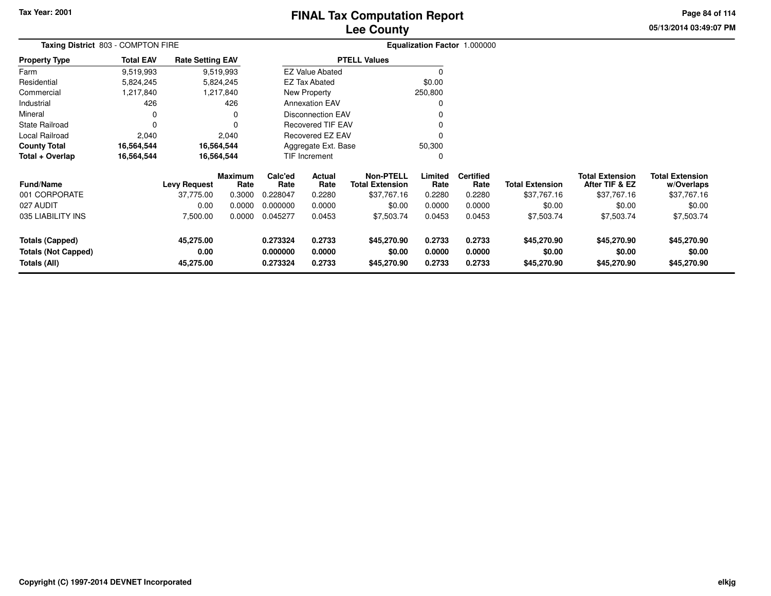## **Lee CountyFINAL Tax Computation Report**

**05/13/2014 03:49:07 PM Page 84 of 114**

| Taxing District 803 - COMPTON FIRE         |                  |                         |                        |                               |                          |                                            |                  | Equalization Factor 1.000000 |                        |                                          |                                      |
|--------------------------------------------|------------------|-------------------------|------------------------|-------------------------------|--------------------------|--------------------------------------------|------------------|------------------------------|------------------------|------------------------------------------|--------------------------------------|
| <b>Property Type</b>                       | <b>Total EAV</b> | <b>Rate Setting EAV</b> |                        |                               |                          | <b>PTELL Values</b>                        |                  |                              |                        |                                          |                                      |
| Farm                                       | 9,519,993        |                         | 9,519,993              |                               | <b>EZ Value Abated</b>   |                                            | 0                |                              |                        |                                          |                                      |
| Residential                                | 5,824,245        |                         | 5,824,245              |                               | <b>EZ Tax Abated</b>     |                                            | \$0.00           |                              |                        |                                          |                                      |
| Commercial                                 | 1,217,840        |                         | 1,217,840              |                               | New Property             |                                            | 250,800          |                              |                        |                                          |                                      |
| Industrial                                 | 426              |                         | 426                    |                               | <b>Annexation EAV</b>    |                                            | 0                |                              |                        |                                          |                                      |
| Mineral                                    | 0                |                         |                        |                               | <b>Disconnection EAV</b> |                                            |                  |                              |                        |                                          |                                      |
| State Railroad                             | $\Omega$         |                         |                        | <b>Recovered TIF EAV</b>      |                          |                                            |                  |                              |                        |                                          |                                      |
| Local Railroad                             | 2,040            |                         | 2,040                  | Recovered EZ EAV<br>$\Omega$  |                          |                                            |                  |                              |                        |                                          |                                      |
| <b>County Total</b>                        | 16,564,544       | 16,564,544              |                        | 50,300<br>Aggregate Ext. Base |                          |                                            |                  |                              |                        |                                          |                                      |
| Total + Overlap                            | 16,564,544       | 16,564,544              |                        |                               | TIF Increment            |                                            | 0                |                              |                        |                                          |                                      |
| Fund/Name                                  |                  | <b>Levy Request</b>     | <b>Maximum</b><br>Rate | Calc'ed<br>Rate               | Actual<br>Rate           | <b>Non-PTELL</b><br><b>Total Extension</b> | Limited<br>Rate  | <b>Certified</b><br>Rate     | <b>Total Extension</b> | <b>Total Extension</b><br>After TIF & EZ | <b>Total Extension</b><br>w/Overlaps |
| 001 CORPORATE                              |                  | 37,775.00               | 0.3000                 | 0.228047                      | 0.2280                   | \$37,767.16                                | 0.2280           | 0.2280                       | \$37,767.16            | \$37,767.16                              | \$37,767.16                          |
| 027 AUDIT                                  |                  | 0.00                    | 0.0000                 | 0.000000                      | 0.0000                   | \$0.00                                     | 0.0000           | 0.0000                       | \$0.00                 | \$0.00                                   | \$0.00                               |
| 035 LIABILITY INS                          |                  | 7,500.00                | 0.0000                 | 0.045277                      | 0.0453                   | \$7,503.74                                 | 0.0453           | 0.0453                       | \$7,503.74             | \$7,503.74                               | \$7,503.74                           |
| <b>Totals (Capped)</b>                     |                  | 45,275.00               |                        | 0.273324                      | 0.2733                   | \$45,270.90                                | 0.2733           | 0.2733                       | \$45,270.90            | \$45,270.90                              | \$45,270.90                          |
| <b>Totals (Not Capped)</b><br>Totals (All) |                  | 0.00<br>45,275.00       |                        | 0.000000<br>0.273324          | 0.0000<br>0.2733         | \$0.00<br>\$45,270.90                      | 0.0000<br>0.2733 | 0.0000<br>0.2733             | \$0.00<br>\$45,270.90  | \$0.00<br>\$45,270.90                    | \$0.00<br>\$45,270.90                |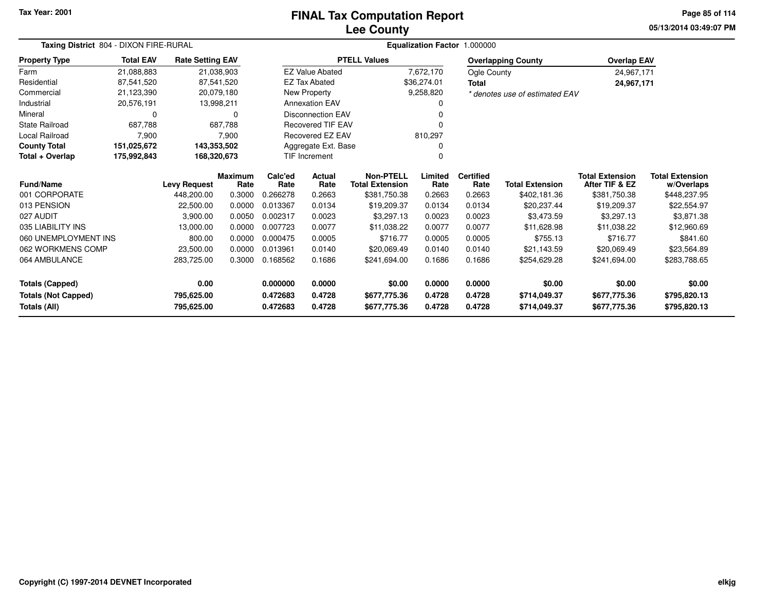#### **Lee CountyFINAL Tax Computation Report**

**05/13/2014 03:49:07 PMPage 85 of 114**

| Taxing District 804 - DIXON FIRE-RURAL |                  |                         |                        |                 |                          | <b>Equalization Factor</b>                 | 1.000000        |                          |                                |                                          |                                      |
|----------------------------------------|------------------|-------------------------|------------------------|-----------------|--------------------------|--------------------------------------------|-----------------|--------------------------|--------------------------------|------------------------------------------|--------------------------------------|
| <b>Property Type</b>                   | <b>Total EAV</b> | <b>Rate Setting EAV</b> |                        |                 |                          | <b>PTELL Values</b>                        |                 |                          | <b>Overlapping County</b>      | <b>Overlap EAV</b>                       |                                      |
| Farm                                   | 21,088,883       |                         | 21,038,903             |                 | <b>EZ Value Abated</b>   |                                            | 7,672,170       | Ogle County              |                                | 24,967,171                               |                                      |
| Residential                            | 87,541,520       |                         | 87,541,520             |                 | <b>EZ Tax Abated</b>     |                                            | \$36,274.01     | <b>Total</b>             |                                | 24,967,171                               |                                      |
| Commercial                             | 21,123,390       |                         | 20,079,180             |                 | New Property             |                                            | 9,258,820       |                          | * denotes use of estimated EAV |                                          |                                      |
| Industrial                             | 20,576,191       |                         | 13,998,211             |                 | <b>Annexation EAV</b>    |                                            | 0               |                          |                                |                                          |                                      |
| Mineral                                | 0                |                         | $\Omega$               |                 | <b>Disconnection EAV</b> |                                            |                 |                          |                                |                                          |                                      |
| State Railroad                         | 687,788          |                         | 687.788                |                 | <b>Recovered TIF EAV</b> |                                            |                 |                          |                                |                                          |                                      |
| <b>Local Railroad</b>                  | 7,900            |                         | 7,900                  |                 | Recovered EZ EAV         |                                            | 810,297         |                          |                                |                                          |                                      |
| <b>County Total</b>                    | 151,025,672      | 143,353,502             |                        |                 | Aggregate Ext. Base      |                                            |                 |                          |                                |                                          |                                      |
| Total + Overlap                        | 175,992,843      | 168,320,673             |                        |                 | TIF Increment            |                                            | 0               |                          |                                |                                          |                                      |
| <b>Fund/Name</b>                       |                  | <b>Levy Request</b>     | <b>Maximum</b><br>Rate | Calc'ed<br>Rate | <b>Actual</b><br>Rate    | <b>Non-PTELL</b><br><b>Total Extension</b> | Limited<br>Rate | <b>Certified</b><br>Rate | <b>Total Extension</b>         | <b>Total Extension</b><br>After TIF & EZ | <b>Total Extension</b><br>w/Overlaps |
| 001 CORPORATE                          |                  | 448,200.00              | 0.3000                 | 0.266278        | 0.2663                   | \$381,750.38                               | 0.2663          | 0.2663                   | \$402,181.36                   | \$381,750.38                             | \$448,237.95                         |
| 013 PENSION                            |                  | 22,500.00               | 0.0000                 | 0.013367        | 0.0134                   | \$19,209.37                                | 0.0134          | 0.0134                   | \$20,237.44                    | \$19,209.37                              | \$22,554.97                          |
| 027 AUDIT                              |                  | 3,900.00                | 0.0050                 | 0.002317        | 0.0023                   | \$3,297.13                                 | 0.0023          | 0.0023                   | \$3,473.59                     | \$3,297.13                               | \$3,871.38                           |
| 035 LIABILITY INS                      |                  | 13,000.00               | 0.0000                 | 0.007723        | 0.0077                   | \$11,038.22                                | 0.0077          | 0.0077                   | \$11,628.98                    | \$11,038.22                              | \$12,960.69                          |
| 060 UNEMPLOYMENT INS                   |                  | 800.00                  | 0.0000                 | 0.000475        | 0.0005                   | \$716.77                                   | 0.0005          | 0.0005                   | \$755.13                       | \$716.77                                 | \$841.60                             |
| 062 WORKMENS COMP                      |                  | 23,500.00               | 0.0000                 | 0.013961        | 0.0140                   | \$20,069.49                                | 0.0140          | 0.0140                   | \$21,143.59                    | \$20,069.49                              | \$23,564.89                          |
| 064 AMBULANCE                          |                  | 283,725.00              | 0.3000                 | 0.168562        | 0.1686                   | \$241,694.00                               | 0.1686          | 0.1686                   | \$254,629.28                   | \$241,694.00                             | \$283,788.65                         |
| <b>Totals (Capped)</b>                 |                  | 0.00                    |                        | 0.000000        | 0.0000                   | \$0.00                                     | 0.0000          | 0.0000                   | \$0.00                         | \$0.00                                   | \$0.00                               |
| <b>Totals (Not Capped)</b>             |                  | 795,625.00              |                        | 0.472683        | 0.4728                   | \$677,775.36                               | 0.4728          | 0.4728                   | \$714,049.37                   | \$677,775.36                             | \$795,820.13                         |
| Totals (All)                           |                  | 795,625.00              |                        | 0.472683        | 0.4728                   | \$677,775.36                               | 0.4728          | 0.4728                   | \$714,049.37                   | \$677,775.36                             | \$795,820.13                         |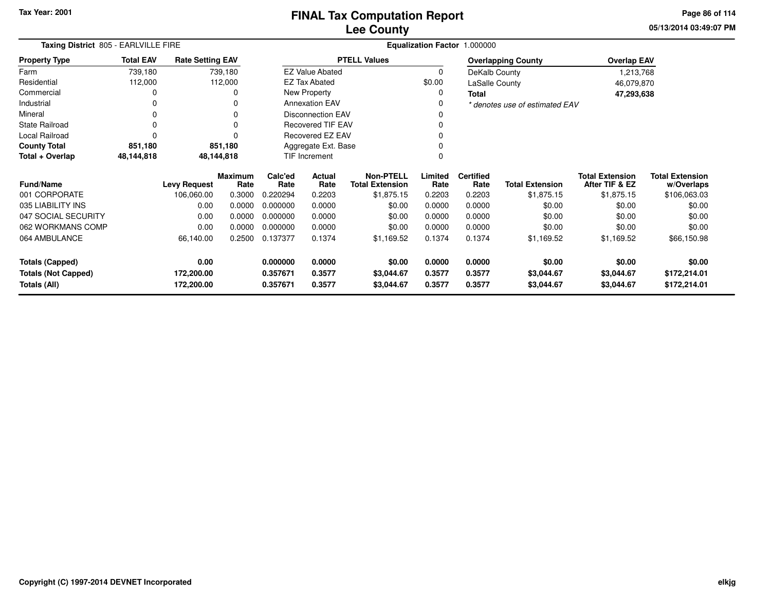**05/13/2014 03:49:07 PM Page 86 of 114**

| Taxing District 805 - EARLVILLE FIRE |                  |                         |                        |                      |                          |                                            |                 | Equalization Factor 1.000000 |                                |                                          |                                      |
|--------------------------------------|------------------|-------------------------|------------------------|----------------------|--------------------------|--------------------------------------------|-----------------|------------------------------|--------------------------------|------------------------------------------|--------------------------------------|
| <b>Property Type</b>                 | <b>Total EAV</b> | <b>Rate Setting EAV</b> |                        |                      |                          | <b>PTELL Values</b>                        |                 |                              | <b>Overlapping County</b>      | <b>Overlap EAV</b>                       |                                      |
| Farm                                 | 739,180          |                         | 739,180                |                      | <b>EZ Value Abated</b>   |                                            | 0               | DeKalb County                |                                | 1,213,768                                |                                      |
| Residential                          | 112,000          |                         | 112,000                |                      | <b>EZ Tax Abated</b>     |                                            | \$0.00          | LaSalle County               |                                | 46,079,870                               |                                      |
| Commercial                           | 0                |                         | 0                      |                      | New Property             |                                            | 0               | Total                        |                                | 47,293,638                               |                                      |
| Industrial                           | 0                |                         | 0                      |                      | <b>Annexation EAV</b>    |                                            |                 |                              | * denotes use of estimated EAV |                                          |                                      |
| Mineral                              | 0                |                         | $\Omega$               |                      | <b>Disconnection EAV</b> |                                            |                 |                              |                                |                                          |                                      |
| State Railroad                       | $\Omega$         |                         | $\Omega$               |                      | <b>Recovered TIF EAV</b> |                                            |                 |                              |                                |                                          |                                      |
| Local Railroad                       | 0                |                         | ŋ                      |                      | Recovered EZ EAV         |                                            |                 |                              |                                |                                          |                                      |
| <b>County Total</b>                  | 851,180          |                         | 851,180                |                      | Aggregate Ext. Base      |                                            |                 |                              |                                |                                          |                                      |
| Total + Overlap                      | 48,144,818       |                         | 48,144,818             | <b>TIF Increment</b> |                          |                                            |                 |                              |                                |                                          |                                      |
| <b>Fund/Name</b>                     |                  | <b>Levy Request</b>     | <b>Maximum</b><br>Rate | Calc'ed<br>Rate      | Actual<br>Rate           | <b>Non-PTELL</b><br><b>Total Extension</b> | Limited<br>Rate | <b>Certified</b><br>Rate     | <b>Total Extension</b>         | <b>Total Extension</b><br>After TIF & EZ | <b>Total Extension</b><br>w/Overlaps |
| 001 CORPORATE                        |                  | 106,060.00              | 0.3000                 | 0.220294             | 0.2203                   | \$1,875.15                                 | 0.2203          | 0.2203                       | \$1,875.15                     | \$1,875.15                               | \$106,063.03                         |
| 035 LIABILITY INS                    |                  | 0.00                    | 0.0000                 | 0.000000             | 0.0000                   | \$0.00                                     | 0.0000          | 0.0000                       | \$0.00                         | \$0.00                                   | \$0.00                               |
| 047 SOCIAL SECURITY                  |                  | 0.00                    | 0.0000                 | 0.000000             | 0.0000                   | \$0.00                                     | 0.0000          | 0.0000                       | \$0.00                         | \$0.00                                   | \$0.00                               |
| 062 WORKMANS COMP                    |                  | 0.00                    | 0.0000                 | 0.000000             | 0.0000                   | \$0.00                                     | 0.0000          | 0.0000                       | \$0.00                         | \$0.00                                   | \$0.00                               |
| 064 AMBULANCE                        |                  | 66,140.00               | 0.2500                 | 0.137377             | 0.1374                   | \$1,169.52                                 | 0.1374          | 0.1374                       | \$1,169.52                     | \$1,169.52                               | \$66,150.98                          |
| <b>Totals (Capped)</b>               |                  | 0.00                    |                        | 0.000000             | 0.0000                   | \$0.00                                     | 0.0000          | 0.0000                       | \$0.00                         | \$0.00                                   | \$0.00                               |
| <b>Totals (Not Capped)</b>           |                  | 172,200.00              |                        | 0.357671             | 0.3577                   | \$3,044.67                                 | 0.3577          | 0.3577                       | \$3,044.67                     | \$3,044.67                               | \$172,214.01                         |
| Totals (All)                         |                  | 172,200.00              |                        | 0.357671             | 0.3577                   | \$3,044.67                                 | 0.3577          | 0.3577                       | \$3,044.67                     | \$3,044.67                               | \$172,214.01                         |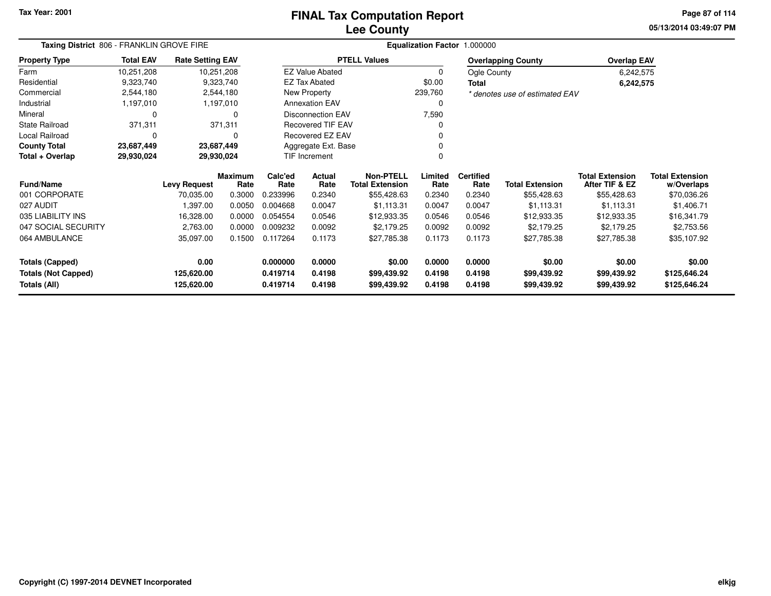## **Lee CountyFINAL Tax Computation Report**

**05/13/2014 03:49:07 PM Page 87 of 114**

| Taxing District 806 - FRANKLIN GROVE FIRE  |                  |                                  |                        | Equalization Factor 1.000000 |                          |                                            |                  |                          |                                |                                          |                              |  |  |
|--------------------------------------------|------------------|----------------------------------|------------------------|------------------------------|--------------------------|--------------------------------------------|------------------|--------------------------|--------------------------------|------------------------------------------|------------------------------|--|--|
| <b>Property Type</b>                       | <b>Total EAV</b> | <b>Rate Setting EAV</b>          |                        |                              |                          | <b>PTELL Values</b>                        |                  |                          | <b>Overlapping County</b>      | <b>Overlap EAV</b>                       |                              |  |  |
| Farm                                       | 10,251,208       |                                  | 10,251,208             |                              | <b>EZ Value Abated</b>   |                                            | $\mathbf 0$      | Ogle County              |                                | 6,242,575                                |                              |  |  |
| Residential                                | 9,323,740        |                                  | 9,323,740              |                              | <b>EZ Tax Abated</b>     |                                            | \$0.00           | <b>Total</b>             |                                | 6,242,575                                |                              |  |  |
| Commercial                                 | 2,544,180        |                                  | 2,544,180              |                              | New Property             |                                            | 239,760          |                          | * denotes use of estimated EAV |                                          |                              |  |  |
| Industrial                                 | 1,197,010        |                                  | 1,197,010              |                              | <b>Annexation EAV</b>    |                                            | 0                |                          |                                |                                          |                              |  |  |
| Mineral                                    | 0                |                                  | 0                      |                              | <b>Disconnection EAV</b> |                                            | 7,590            |                          |                                |                                          |                              |  |  |
| <b>State Railroad</b>                      | 371,311          |                                  | 371,311                |                              | <b>Recovered TIF EAV</b> |                                            | 0                |                          |                                |                                          |                              |  |  |
| Local Railroad                             | $\Omega$         |                                  | 0                      |                              | Recovered EZ EAV         |                                            | 0                |                          |                                |                                          |                              |  |  |
| <b>County Total</b>                        | 23,687,449       |                                  | 23,687,449             |                              | Aggregate Ext. Base      |                                            | 0                |                          |                                |                                          |                              |  |  |
| Total + Overlap                            | 29,930,024       |                                  | 29,930,024             | TIF Increment                |                          |                                            | $\Omega$         |                          |                                |                                          |                              |  |  |
| <b>Fund/Name</b>                           |                  |                                  | <b>Maximum</b><br>Rate | Calc'ed<br>Rate              | Actual<br>Rate           | <b>Non-PTELL</b><br><b>Total Extension</b> | Limited<br>Rate  | <b>Certified</b><br>Rate | <b>Total Extension</b>         | <b>Total Extension</b><br>After TIF & EZ | <b>Total Extension</b>       |  |  |
| 001 CORPORATE                              |                  | <b>Levy Request</b><br>70,035.00 | 0.3000                 | 0.233996                     | 0.2340                   | \$55,428.63                                | 0.2340           | 0.2340                   | \$55,428.63                    | \$55,428.63                              | w/Overlaps<br>\$70,036.26    |  |  |
| 027 AUDIT                                  |                  | 1,397.00                         | 0.0050                 | 0.004668                     | 0.0047                   | \$1,113.31                                 | 0.0047           | 0.0047                   | \$1,113.31                     | \$1,113.31                               | \$1,406.71                   |  |  |
| 035 LIABILITY INS                          |                  | 16,328.00                        | 0.0000                 | 0.054554                     | 0.0546                   | \$12,933.35                                | 0.0546           | 0.0546                   | \$12,933.35                    | \$12,933.35                              | \$16,341.79                  |  |  |
| 047 SOCIAL SECURITY                        |                  | 2,763.00                         | 0.0000                 | 0.009232                     | 0.0092                   | \$2,179.25                                 | 0.0092           | 0.0092                   | \$2,179.25                     | \$2,179.25                               | \$2,753.56                   |  |  |
| 064 AMBULANCE                              |                  | 35,097.00                        | 0.1500                 | 0.117264                     | 0.1173                   | \$27,785.38                                | 0.1173           | 0.1173                   | \$27,785.38                    | \$27,785.38                              | \$35,107.92                  |  |  |
| Totals (Capped)                            |                  | 0.00                             |                        | 0.000000                     | 0.0000                   | \$0.00                                     | 0.0000           | 0.0000                   | \$0.00                         | \$0.00                                   | \$0.00                       |  |  |
| <b>Totals (Not Capped)</b><br>Totals (All) |                  | 125,620.00<br>125,620.00         |                        | 0.419714<br>0.419714         | 0.4198<br>0.4198         | \$99,439.92<br>\$99,439.92                 | 0.4198<br>0.4198 | 0.4198<br>0.4198         | \$99,439.92<br>\$99,439.92     | \$99,439.92<br>\$99,439.92               | \$125,646.24<br>\$125,646.24 |  |  |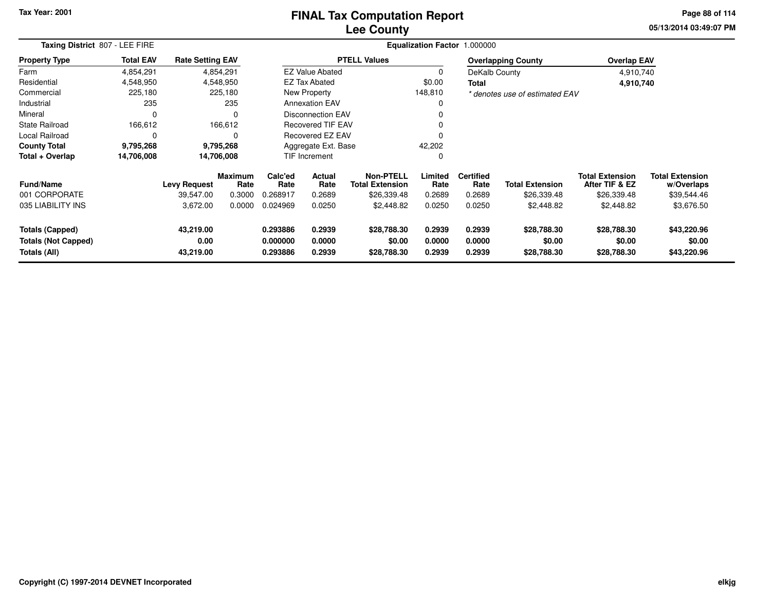### **Lee CountyFINAL Tax Computation Report**

**05/13/2014 03:49:07 PM Page 88 of 114**

| Taxing District 807 - LEE FIRE |                  |                         |                        |                 |                           | Equalization Factor 1.000000               |                 |                          |                                |                                          |                                      |
|--------------------------------|------------------|-------------------------|------------------------|-----------------|---------------------------|--------------------------------------------|-----------------|--------------------------|--------------------------------|------------------------------------------|--------------------------------------|
| <b>Property Type</b>           | <b>Total EAV</b> | <b>Rate Setting EAV</b> |                        |                 |                           | <b>PTELL Values</b>                        |                 |                          | <b>Overlapping County</b>      | <b>Overlap EAV</b>                       |                                      |
| Farm                           | 4,854,291        |                         | 4,854,291              |                 | <b>EZ Value Abated</b>    |                                            | 0               | DeKalb County            |                                | 4,910,740                                |                                      |
| Residential                    | 4,548,950        |                         | 4,548,950              |                 | <b>EZ Tax Abated</b>      |                                            | \$0.00          | Total                    |                                | 4,910,740                                |                                      |
| Commercial                     | 225,180          |                         | 225,180                |                 | New Property              |                                            | 148,810         |                          | * denotes use of estimated EAV |                                          |                                      |
| Industrial                     | 235              |                         | 235                    |                 | <b>Annexation EAV</b>     |                                            | 0               |                          |                                |                                          |                                      |
| Mineral                        | $\Omega$         |                         | 0                      |                 | <b>Disconnection EAV</b>  |                                            | 0               |                          |                                |                                          |                                      |
| <b>State Railroad</b>          | 166,612          |                         | 166,612                |                 | <b>Recovered TIF EAV</b>  |                                            | 0               |                          |                                |                                          |                                      |
| Local Railroad                 | 0                |                         | $\Omega$               |                 | Recovered EZ EAV          |                                            | $\Omega$        |                          |                                |                                          |                                      |
| <b>County Total</b>            | 9,795,268        |                         | 9,795,268              |                 | Aggregate Ext. Base       |                                            | 42,202          |                          |                                |                                          |                                      |
| Total + Overlap                | 14,706,008       | 14,706,008              |                        |                 | <b>TIF Increment</b><br>0 |                                            |                 |                          |                                |                                          |                                      |
| <b>Fund/Name</b>               |                  | <b>Levy Request</b>     | <b>Maximum</b><br>Rate | Calc'ed<br>Rate | Actual<br>Rate            | <b>Non-PTELL</b><br><b>Total Extension</b> | Limited<br>Rate | <b>Certified</b><br>Rate | <b>Total Extension</b>         | <b>Total Extension</b><br>After TIF & EZ | <b>Total Extension</b><br>w/Overlaps |
| 001 CORPORATE                  |                  | 39,547.00               | 0.3000                 | 0.268917        | 0.2689                    | \$26,339.48                                | 0.2689          | 0.2689                   | \$26,339.48                    | \$26,339.48                              | \$39,544.46                          |
| 035 LIABILITY INS              |                  | 3,672.00                | 0.0000                 | 0.024969        | 0.0250                    | \$2,448.82                                 | 0.0250          | 0.0250                   | \$2,448.82                     | \$2,448.82                               | \$3,676.50                           |
| <b>Totals (Capped)</b>         |                  | 43,219.00               |                        | 0.293886        | 0.2939                    | \$28,788.30                                | 0.2939          | 0.2939                   | \$28,788.30                    | \$28,788.30                              | \$43,220.96                          |
| <b>Totals (Not Capped)</b>     |                  | 0.00                    |                        | 0.000000        | 0.0000                    | \$0.00                                     | 0.0000          | 0.0000                   | \$0.00                         | \$0.00                                   | \$0.00                               |
| Totals (All)                   |                  | 43,219.00               |                        | 0.293886        | 0.2939                    | \$28,788.30                                | 0.2939          | 0.2939                   | \$28,788.30                    | \$28,788.30                              | \$43,220.96                          |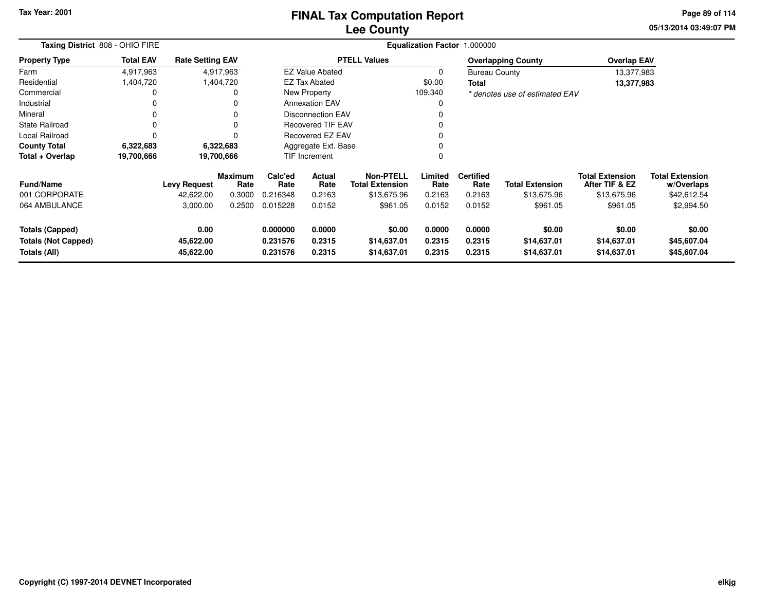### **Lee CountyFINAL Tax Computation Report**

**05/13/2014 03:49:07 PM Page 89 of 114**

| Taxing District 808 - OHIO FIRE                                      |                  | Equalization Factor 1.000000   |                 |                                  |                            |                                            |                            |                            |                                      |                                          |                                      |
|----------------------------------------------------------------------|------------------|--------------------------------|-----------------|----------------------------------|----------------------------|--------------------------------------------|----------------------------|----------------------------|--------------------------------------|------------------------------------------|--------------------------------------|
| <b>Property Type</b>                                                 | <b>Total EAV</b> | <b>Rate Setting EAV</b>        |                 |                                  |                            | <b>PTELL Values</b>                        |                            |                            | <b>Overlapping County</b>            | <b>Overlap EAV</b>                       |                                      |
| Farm                                                                 | 4,917,963        |                                | 4,917,963       |                                  | <b>EZ Value Abated</b>     |                                            | 0                          | <b>Bureau County</b>       |                                      | 13,377,983                               |                                      |
| Residential                                                          | 1,404,720        |                                | 1,404,720       |                                  | <b>EZ Tax Abated</b>       |                                            | \$0.00                     | Total                      |                                      | 13,377,983                               |                                      |
| Commercial                                                           | 0                |                                |                 |                                  | New Property               |                                            | 109,340                    |                            | * denotes use of estimated EAV       |                                          |                                      |
| Industrial                                                           | 0                |                                | 0               |                                  | <b>Annexation EAV</b>      |                                            | 0                          |                            |                                      |                                          |                                      |
| Mineral                                                              | 0                |                                | 0               |                                  | <b>Disconnection EAV</b>   |                                            | 0                          |                            |                                      |                                          |                                      |
| <b>State Railroad</b>                                                | 0                |                                |                 |                                  | <b>Recovered TIF EAV</b>   |                                            | 0                          |                            |                                      |                                          |                                      |
| <b>Local Railroad</b>                                                | 0                |                                |                 |                                  | <b>Recovered EZ EAV</b>    |                                            | 0                          |                            |                                      |                                          |                                      |
| <b>County Total</b>                                                  | 6,322,683        |                                | 6,322,683       | Aggregate Ext. Base              |                            |                                            |                            |                            |                                      |                                          |                                      |
| Total + Overlap                                                      | 19,700,666       | 19,700,666                     |                 |                                  | <b>TIF Increment</b>       |                                            | 0<br>0                     |                            |                                      |                                          |                                      |
| <b>Fund/Name</b>                                                     |                  | <b>Levy Request</b>            | Maximum<br>Rate | Calc'ed<br>Rate                  | Actual<br>Rate             | <b>Non-PTELL</b><br><b>Total Extension</b> | Limited<br>Rate            | <b>Certified</b><br>Rate   | <b>Total Extension</b>               | <b>Total Extension</b><br>After TIF & EZ | <b>Total Extension</b><br>w/Overlaps |
| 001 CORPORATE                                                        |                  | 42,622.00                      | 0.3000          | 0.216348                         | 0.2163                     | \$13,675.96                                | 0.2163                     | 0.2163                     | \$13,675.96                          | \$13,675.96                              | \$42,612.54                          |
| 064 AMBULANCE                                                        |                  | 3,000.00                       | 0.2500          | 0.015228                         | 0.0152                     | \$961.05                                   | 0.0152                     | 0.0152                     | \$961.05                             | \$961.05                                 | \$2,994.50                           |
| <b>Totals (Capped)</b><br><b>Totals (Not Capped)</b><br>Totals (All) |                  | 0.00<br>45,622.00<br>45,622.00 |                 | 0.000000<br>0.231576<br>0.231576 | 0.0000<br>0.2315<br>0.2315 | \$0.00<br>\$14,637.01<br>\$14,637.01       | 0.0000<br>0.2315<br>0.2315 | 0.0000<br>0.2315<br>0.2315 | \$0.00<br>\$14,637.01<br>\$14,637.01 | \$0.00<br>\$14,637.01<br>\$14,637.01     | \$0.00<br>\$45,607.04<br>\$45,607.04 |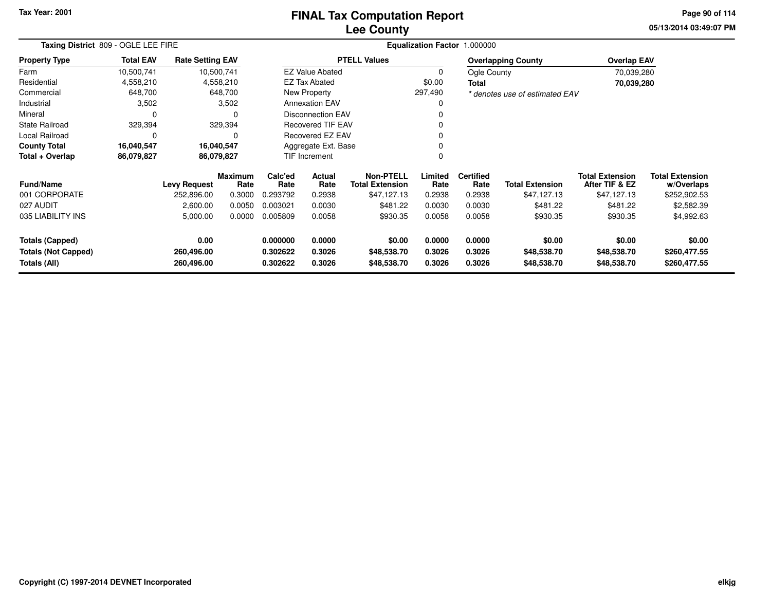# **Lee CountyFINAL Tax Computation Report**

**05/13/2014 03:49:07 PM Page 90 of 114**

| Taxing District 809 - OGLE LEE FIRE        |                  |                          |                        |                          |                          |                                            |                  | Equalization Factor 1.000000 |                                |                                          |                                      |
|--------------------------------------------|------------------|--------------------------|------------------------|--------------------------|--------------------------|--------------------------------------------|------------------|------------------------------|--------------------------------|------------------------------------------|--------------------------------------|
| <b>Property Type</b>                       | <b>Total EAV</b> | <b>Rate Setting EAV</b>  |                        |                          |                          | <b>PTELL Values</b>                        |                  |                              | <b>Overlapping County</b>      | <b>Overlap EAV</b>                       |                                      |
| Farm                                       | 10,500,741       |                          | 10,500,741             |                          | <b>EZ Value Abated</b>   |                                            | 0                | Ogle County                  |                                | 70,039,280                               |                                      |
| Residential                                | 4,558,210        |                          | 4,558,210              |                          | EZ Tax Abated            |                                            | \$0.00           | <b>Total</b>                 |                                | 70,039,280                               |                                      |
| Commercial                                 | 648,700          |                          | 648,700                |                          | New Property             |                                            | 297,490          |                              | * denotes use of estimated EAV |                                          |                                      |
| Industrial                                 | 3,502            |                          | 3,502                  |                          | <b>Annexation EAV</b>    |                                            | ი                |                              |                                |                                          |                                      |
| Mineral                                    | 0                |                          | 0                      |                          | <b>Disconnection EAV</b> |                                            |                  |                              |                                |                                          |                                      |
| <b>State Railroad</b>                      | 329,394          |                          | 329,394                | <b>Recovered TIF EAV</b> |                          |                                            |                  |                              |                                |                                          |                                      |
| Local Railroad                             | 0                |                          |                        | Recovered EZ EAV<br>ი    |                          |                                            |                  |                              |                                |                                          |                                      |
| <b>County Total</b>                        | 16,040,547       |                          | 16,040,547             |                          | Aggregate Ext. Base      |                                            |                  |                              |                                |                                          |                                      |
| Total + Overlap                            | 86,079,827       |                          | 86,079,827             |                          | TIF Increment<br>0       |                                            |                  |                              |                                |                                          |                                      |
| <b>Fund/Name</b>                           |                  | <b>Levy Request</b>      | <b>Maximum</b><br>Rate | Calc'ed<br>Rate          | Actual<br>Rate           | <b>Non-PTELL</b><br><b>Total Extension</b> | Limited<br>Rate  | <b>Certified</b><br>Rate     | <b>Total Extension</b>         | <b>Total Extension</b><br>After TIF & EZ | <b>Total Extension</b><br>w/Overlaps |
| 001 CORPORATE                              |                  | 252,896.00               | 0.3000                 | 0.293792                 | 0.2938                   | \$47,127.13                                | 0.2938           | 0.2938                       | \$47,127.13                    | \$47,127.13                              | \$252,902.53                         |
| 027 AUDIT                                  |                  | 2,600.00                 | 0.0050                 | 0.003021                 | 0.0030                   | \$481.22                                   | 0.0030           | 0.0030                       | \$481.22                       | \$481.22                                 | \$2,582.39                           |
| 035 LIABILITY INS                          |                  | 5,000.00                 | 0.0000                 | 0.005809                 | 0.0058                   | \$930.35                                   | 0.0058           | 0.0058                       | \$930.35                       | \$930.35                                 | \$4,992.63                           |
| <b>Totals (Capped)</b>                     |                  | 0.00                     |                        | 0.000000                 | 0.0000                   | \$0.00                                     | 0.0000           | 0.0000                       | \$0.00                         | \$0.00                                   | \$0.00                               |
| <b>Totals (Not Capped)</b><br>Totals (All) |                  | 260,496.00<br>260,496.00 |                        | 0.302622<br>0.302622     | 0.3026<br>0.3026         | \$48,538.70<br>\$48,538.70                 | 0.3026<br>0.3026 | 0.3026<br>0.3026             | \$48,538.70<br>\$48,538.70     | \$48,538.70<br>\$48,538.70               | \$260,477.55<br>\$260,477.55         |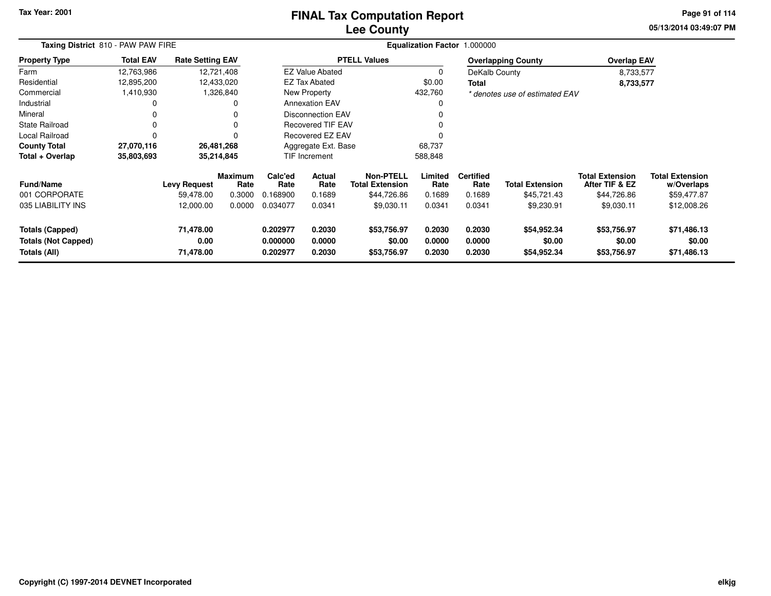## **Lee CountyFINAL Tax Computation Report**

**05/13/2014 03:49:07 PM Page 91 of 114**

| Taxing District 810 - PAW PAW FIRE                            |                  |                                |                        |                                  |                            | Equalization Factor 1.000000               |                            |                            |                                      |                                          |                                      |
|---------------------------------------------------------------|------------------|--------------------------------|------------------------|----------------------------------|----------------------------|--------------------------------------------|----------------------------|----------------------------|--------------------------------------|------------------------------------------|--------------------------------------|
| <b>Property Type</b>                                          | <b>Total EAV</b> | <b>Rate Setting EAV</b>        |                        |                                  |                            | <b>PTELL Values</b>                        |                            |                            | <b>Overlapping County</b>            | <b>Overlap EAV</b>                       |                                      |
| Farm                                                          | 12,763,986       |                                | 12,721,408             |                                  | <b>EZ Value Abated</b>     |                                            | 0                          | DeKalb County              |                                      | 8,733,577                                |                                      |
| Residential                                                   | 12,895,200       | 12,433,020                     |                        |                                  | EZ Tax Abated              |                                            | \$0.00                     | Total                      |                                      | 8,733,577                                |                                      |
| Commercial                                                    | 1,410,930        |                                | 1,326,840              |                                  | New Property               |                                            | 432,760                    |                            | * denotes use of estimated EAV       |                                          |                                      |
| Industrial                                                    | 0                |                                | 0                      |                                  | <b>Annexation EAV</b>      |                                            | 0                          |                            |                                      |                                          |                                      |
| Mineral                                                       |                  |                                |                        |                                  | <b>Disconnection EAV</b>   |                                            |                            |                            |                                      |                                          |                                      |
| <b>State Railroad</b>                                         | 0                |                                |                        | Recovered TIF EAV                |                            |                                            |                            |                            |                                      |                                          |                                      |
| Local Railroad                                                | $\Omega$         |                                |                        |                                  | Recovered EZ EAV           |                                            |                            |                            |                                      |                                          |                                      |
| <b>County Total</b>                                           | 27,070,116       | 26,481,268                     |                        |                                  | Aggregate Ext. Base        |                                            | 68,737                     |                            |                                      |                                          |                                      |
| Total + Overlap                                               | 35,803,693       | 35,214,845                     |                        |                                  | TIF Increment              |                                            | 588,848                    |                            |                                      |                                          |                                      |
| <b>Fund/Name</b>                                              |                  | <b>Levy Request</b>            | <b>Maximum</b><br>Rate | Calc'ed<br>Rate                  | Actual<br>Rate             | <b>Non-PTELL</b><br><b>Total Extension</b> | Limited<br>Rate            | <b>Certified</b><br>Rate   | <b>Total Extension</b>               | <b>Total Extension</b><br>After TIF & EZ | <b>Total Extension</b><br>w/Overlaps |
| 001 CORPORATE                                                 |                  | 59.478.00                      | 0.3000                 | 0.168900                         | 0.1689                     | \$44,726.86                                | 0.1689                     | 0.1689                     | \$45,721.43                          | \$44,726.86                              | \$59,477.87                          |
| 035 LIABILITY INS                                             |                  | 12,000.00                      | 0.0000                 | 0.034077                         | 0.0341                     | \$9,030.11                                 | 0.0341                     | 0.0341                     | \$9,230.91                           | \$9,030.11                               | \$12,008.26                          |
| Totals (Capped)<br><b>Totals (Not Capped)</b><br>Totals (All) |                  | 71,478.00<br>0.00<br>71,478.00 |                        | 0.202977<br>0.000000<br>0.202977 | 0.2030<br>0.0000<br>0.2030 | \$53,756.97<br>\$0.00<br>\$53,756.97       | 0.2030<br>0.0000<br>0.2030 | 0.2030<br>0.0000<br>0.2030 | \$54,952.34<br>\$0.00<br>\$54,952.34 | \$53,756.97<br>\$0.00<br>\$53,756.97     | \$71,486.13<br>\$0.00<br>\$71,486.13 |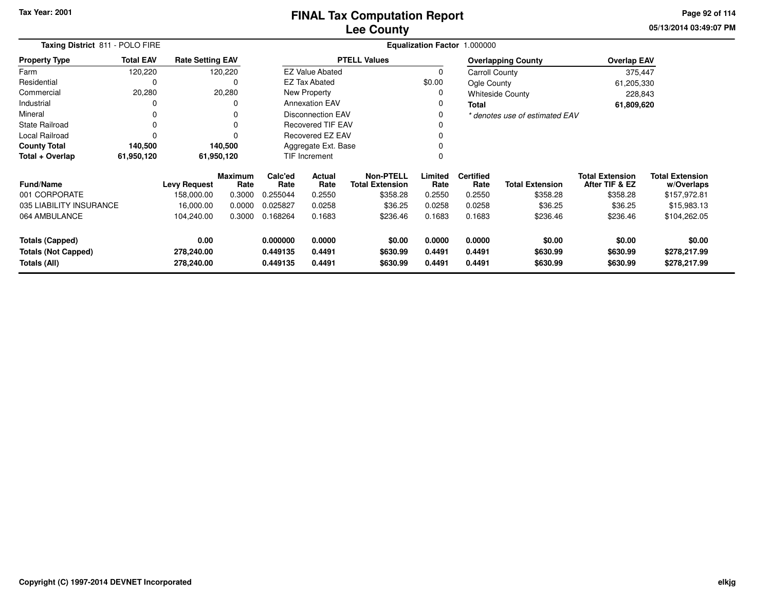# **Lee CountyFINAL Tax Computation Report**

**05/13/2014 03:49:07 PM Page 92 of 114**

| Taxing District 811 - POLO FIRE                      |                  |                         |                        |                      |                          |                                            |                  | Equalization Factor 1.000000 |                                |                                          |                                      |  |
|------------------------------------------------------|------------------|-------------------------|------------------------|----------------------|--------------------------|--------------------------------------------|------------------|------------------------------|--------------------------------|------------------------------------------|--------------------------------------|--|
| <b>Property Type</b>                                 | <b>Total EAV</b> | <b>Rate Setting EAV</b> |                        |                      |                          | <b>PTELL Values</b>                        |                  |                              | <b>Overlapping County</b>      | <b>Overlap EAV</b>                       |                                      |  |
| Farm                                                 | 120,220          |                         | 120,220                |                      | <b>EZ Value Abated</b>   |                                            | $\Omega$         | Carroll County               |                                | 375,447                                  |                                      |  |
| Residential                                          | 0                |                         | 0                      |                      | EZ Tax Abated            |                                            | \$0.00           | Ogle County                  |                                | 61,205,330                               |                                      |  |
| Commercial                                           | 20,280           |                         | 20,280                 |                      | New Property             |                                            |                  |                              | <b>Whiteside County</b>        | 228,843                                  |                                      |  |
| Industrial                                           |                  |                         | 0                      |                      | <b>Annexation EAV</b>    |                                            |                  | <b>Total</b>                 |                                | 61,809,620                               |                                      |  |
| Mineral                                              | 0                |                         | 0                      |                      | <b>Disconnection EAV</b> |                                            |                  |                              | * denotes use of estimated EAV |                                          |                                      |  |
| <b>State Railroad</b>                                |                  |                         | 0                      |                      | <b>Recovered TIF EAV</b> |                                            |                  |                              |                                |                                          |                                      |  |
| Local Railroad                                       |                  |                         | $\Omega$               |                      | Recovered EZ EAV         |                                            |                  |                              |                                |                                          |                                      |  |
| <b>County Total</b>                                  | 140,500          |                         | 140,500                | Aggregate Ext. Base  |                          |                                            |                  |                              |                                |                                          |                                      |  |
| Total + Overlap                                      | 61,950,120       | 61,950,120              |                        |                      | TIF Increment            |                                            |                  |                              |                                |                                          |                                      |  |
| Fund/Name                                            |                  | <b>Levy Request</b>     | <b>Maximum</b><br>Rate | Calc'ed<br>Rate      | <b>Actual</b><br>Rate    | <b>Non-PTELL</b><br><b>Total Extension</b> | Limited<br>Rate  | <b>Certified</b><br>Rate     | <b>Total Extension</b>         | <b>Total Extension</b><br>After TIF & EZ | <b>Total Extension</b><br>w/Overlaps |  |
| 001 CORPORATE                                        |                  | 158,000.00              | 0.3000                 | 0.255044             | 0.2550                   | \$358.28                                   | 0.2550           | 0.2550                       | \$358.28                       | \$358.28                                 | \$157,972.81                         |  |
| 035 LIABILITY INSURANCE                              |                  | 16,000.00               | 0.0000                 | 0.025827             | 0.0258                   | \$36.25                                    | 0.0258           | 0.0258                       | \$36.25                        | \$36.25                                  | \$15,983.13                          |  |
| 064 AMBULANCE                                        |                  | 104,240.00              | 0.3000                 | 0.168264             | 0.1683                   | \$236.46                                   | 0.1683           | 0.1683                       | \$236.46                       | \$236.46                                 | \$104,262.05                         |  |
| <b>Totals (Capped)</b><br><b>Totals (Not Capped)</b> |                  | 0.00<br>278,240.00      |                        | 0.000000<br>0.449135 | 0.0000<br>0.4491         | \$0.00<br>\$630.99                         | 0.0000<br>0.4491 | 0.0000<br>0.4491             | \$0.00<br>\$630.99             | \$0.00<br>\$630.99                       | \$0.00<br>\$278,217.99               |  |
| Totals (All)                                         |                  | 278,240.00              |                        | 0.449135             | 0.4491                   | \$630.99                                   | 0.4491           | 0.4491                       | \$630.99                       | \$630.99                                 | \$278,217.99                         |  |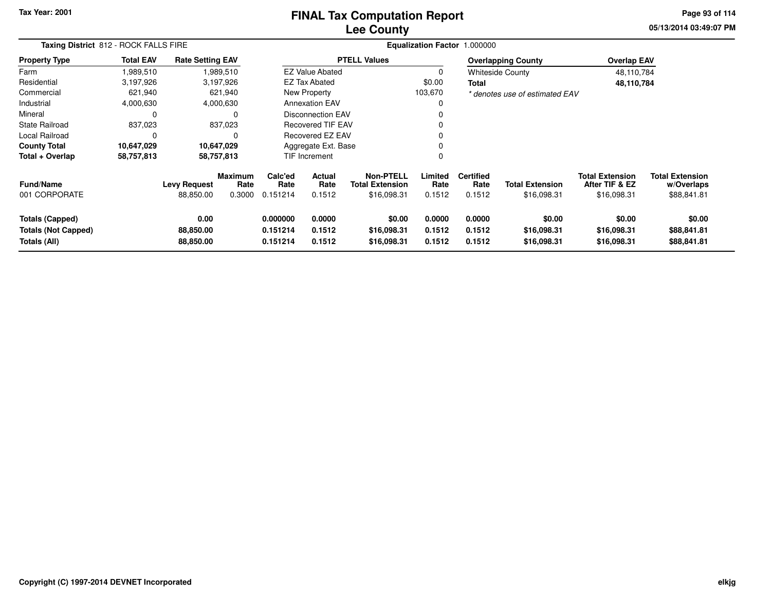# **Lee CountyFINAL Tax Computation Report**

**05/13/2014 03:49:07 PM Page 93 of 114**

|                                                               | Taxing District 812 - ROCK FALLS FIRE |                                  |                                  |                                  |                            | Equalization Factor 1.000000                              |                            |                                    |                                       |                                                         |                                                     |  |  |  |
|---------------------------------------------------------------|---------------------------------------|----------------------------------|----------------------------------|----------------------------------|----------------------------|-----------------------------------------------------------|----------------------------|------------------------------------|---------------------------------------|---------------------------------------------------------|-----------------------------------------------------|--|--|--|
| <b>Property Type</b>                                          | <b>Total EAV</b>                      | <b>Rate Setting EAV</b>          |                                  |                                  |                            | <b>PTELL Values</b>                                       |                            |                                    | <b>Overlapping County</b>             | <b>Overlap EAV</b>                                      |                                                     |  |  |  |
| Farm                                                          | 1,989,510                             |                                  | 1,989,510                        |                                  | <b>EZ Value Abated</b>     |                                                           | 0                          |                                    | <b>Whiteside County</b>               | 48,110,784                                              |                                                     |  |  |  |
| Residential                                                   | 3,197,926                             |                                  | 3,197,926                        |                                  | <b>EZ Tax Abated</b>       |                                                           |                            | Total                              |                                       | 48,110,784                                              |                                                     |  |  |  |
| Commercial                                                    | 621,940                               |                                  | 621,940                          |                                  | New Property<br>103,670    |                                                           |                            |                                    | * denotes use of estimated EAV        |                                                         |                                                     |  |  |  |
| Industrial                                                    | 4,000,630                             |                                  | 4,000,630                        |                                  | <b>Annexation EAV</b>      |                                                           | 0                          |                                    |                                       |                                                         |                                                     |  |  |  |
| Mineral                                                       | $\Omega$                              |                                  | $\Omega$                         |                                  | Disconnection EAV          |                                                           | 0                          |                                    |                                       |                                                         |                                                     |  |  |  |
| <b>State Railroad</b>                                         | 837,023                               |                                  | 837,023                          |                                  | <b>Recovered TIF EAV</b>   |                                                           | 0                          |                                    |                                       |                                                         |                                                     |  |  |  |
| Local Railroad                                                | 0                                     |                                  | $\Omega$                         |                                  | Recovered EZ EAV           |                                                           | 0                          |                                    |                                       |                                                         |                                                     |  |  |  |
| <b>County Total</b>                                           | 10,647,029                            | 10,647,029                       |                                  |                                  | Aggregate Ext. Base        |                                                           | 0                          |                                    |                                       |                                                         |                                                     |  |  |  |
| Total + Overlap                                               | 58,757,813                            | 58,757,813                       |                                  |                                  | 0<br><b>TIF Increment</b>  |                                                           |                            |                                    |                                       |                                                         |                                                     |  |  |  |
| <b>Fund/Name</b><br>001 CORPORATE                             |                                       | <b>Levy Request</b><br>88,850.00 | <b>Maximum</b><br>Rate<br>0.3000 | Calc'ed<br>Rate<br>0.151214      | Actual<br>Rate<br>0.1512   | <b>Non-PTELL</b><br><b>Total Extension</b><br>\$16,098.31 | Limited<br>Rate<br>0.1512  | <b>Certified</b><br>Rate<br>0.1512 | <b>Total Extension</b><br>\$16,098.31 | <b>Total Extension</b><br>After TIF & EZ<br>\$16,098.31 | <b>Total Extension</b><br>w/Overlaps<br>\$88,841.81 |  |  |  |
| Totals (Capped)<br><b>Totals (Not Capped)</b><br>Totals (All) |                                       | 0.00<br>88,850.00<br>88,850.00   |                                  | 0.000000<br>0.151214<br>0.151214 | 0.0000<br>0.1512<br>0.1512 | \$0.00<br>\$16,098.31<br>\$16,098.31                      | 0.0000<br>0.1512<br>0.1512 | 0.0000<br>0.1512<br>0.1512         | \$0.00<br>\$16,098.31<br>\$16,098.31  | \$0.00<br>\$16,098.31<br>\$16,098.31                    | \$0.00<br>\$88,841.81<br>\$88,841.81                |  |  |  |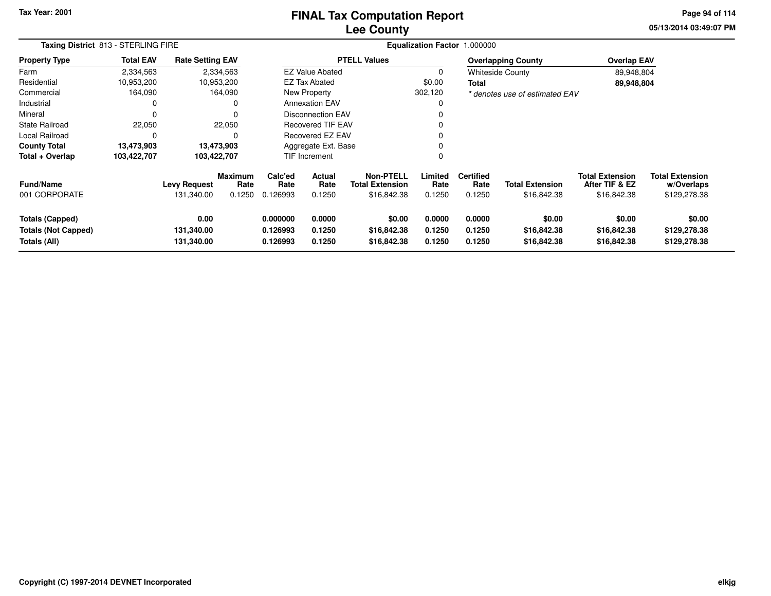# **Lee CountyFINAL Tax Computation Report**

**05/13/2014 03:49:07 PM Page 94 of 114**

|                                                                      | Taxing District 813 - STERLING FIRE |                                   |                                  |                                  |                            | Equalization Factor 1.000000                              |                            |                                    |                                       |                                                         |                                                      |  |  |  |  |
|----------------------------------------------------------------------|-------------------------------------|-----------------------------------|----------------------------------|----------------------------------|----------------------------|-----------------------------------------------------------|----------------------------|------------------------------------|---------------------------------------|---------------------------------------------------------|------------------------------------------------------|--|--|--|--|
| <b>Property Type</b>                                                 | <b>Total EAV</b>                    | <b>Rate Setting EAV</b>           |                                  |                                  |                            | <b>PTELL Values</b>                                       |                            |                                    | <b>Overlapping County</b>             | <b>Overlap EAV</b>                                      |                                                      |  |  |  |  |
| Farm                                                                 | 2,334,563                           | 2,334,563                         |                                  |                                  | <b>EZ Value Abated</b>     |                                                           | 0                          |                                    | <b>Whiteside County</b>               | 89,948,804                                              |                                                      |  |  |  |  |
| Residential                                                          | 10,953,200                          | 10,953,200                        |                                  | EZ Tax Abated<br>\$0.00          |                            |                                                           | Total                      |                                    | 89,948,804                            |                                                         |                                                      |  |  |  |  |
| Commercial                                                           | 164,090                             |                                   | 164,090                          |                                  | <b>New Property</b>        |                                                           | 302,120                    |                                    | * denotes use of estimated EAV        |                                                         |                                                      |  |  |  |  |
| Industrial                                                           | 0                                   |                                   | $\Omega$                         |                                  | <b>Annexation EAV</b>      |                                                           |                            |                                    |                                       |                                                         |                                                      |  |  |  |  |
| Mineral                                                              | $\Omega$                            |                                   | $\Omega$                         |                                  | <b>Disconnection EAV</b>   |                                                           |                            |                                    |                                       |                                                         |                                                      |  |  |  |  |
| <b>State Railroad</b>                                                | 22,050                              |                                   | 22,050                           |                                  | <b>Recovered TIF EAV</b>   |                                                           |                            |                                    |                                       |                                                         |                                                      |  |  |  |  |
| Local Railroad                                                       | $\Omega$                            |                                   | $\Omega$                         |                                  | <b>Recovered EZ EAV</b>    |                                                           |                            |                                    |                                       |                                                         |                                                      |  |  |  |  |
| <b>County Total</b>                                                  | 13,473,903                          | 13,473,903                        |                                  |                                  | Aggregate Ext. Base        |                                                           |                            |                                    |                                       |                                                         |                                                      |  |  |  |  |
| Total + Overlap                                                      | 103,422,707                         | 103,422,707                       |                                  |                                  | <b>TIF Increment</b>       |                                                           | 0                          |                                    |                                       |                                                         |                                                      |  |  |  |  |
| <b>Fund/Name</b><br>001 CORPORATE                                    |                                     | <b>Levy Request</b><br>131,340.00 | <b>Maximum</b><br>Rate<br>0.1250 | Calc'ed<br>Rate<br>0.126993      | Actual<br>Rate<br>0.1250   | <b>Non-PTELL</b><br><b>Total Extension</b><br>\$16,842.38 | Limited<br>Rate<br>0.1250  | <b>Certified</b><br>Rate<br>0.1250 | <b>Total Extension</b><br>\$16,842.38 | <b>Total Extension</b><br>After TIF & EZ<br>\$16,842.38 | <b>Total Extension</b><br>w/Overlaps<br>\$129,278.38 |  |  |  |  |
| <b>Totals (Capped)</b><br><b>Totals (Not Capped)</b><br>Totals (All) |                                     | 0.00<br>131,340.00<br>131,340.00  |                                  | 0.000000<br>0.126993<br>0.126993 | 0.0000<br>0.1250<br>0.1250 | \$0.00<br>\$16,842.38<br>\$16,842.38                      | 0.0000<br>0.1250<br>0.1250 | 0.0000<br>0.1250<br>0.1250         | \$0.00<br>\$16,842.38<br>\$16,842.38  | \$0.00<br>\$16,842.38<br>\$16,842.38                    | \$0.00<br>\$129,278.38<br>\$129,278.38               |  |  |  |  |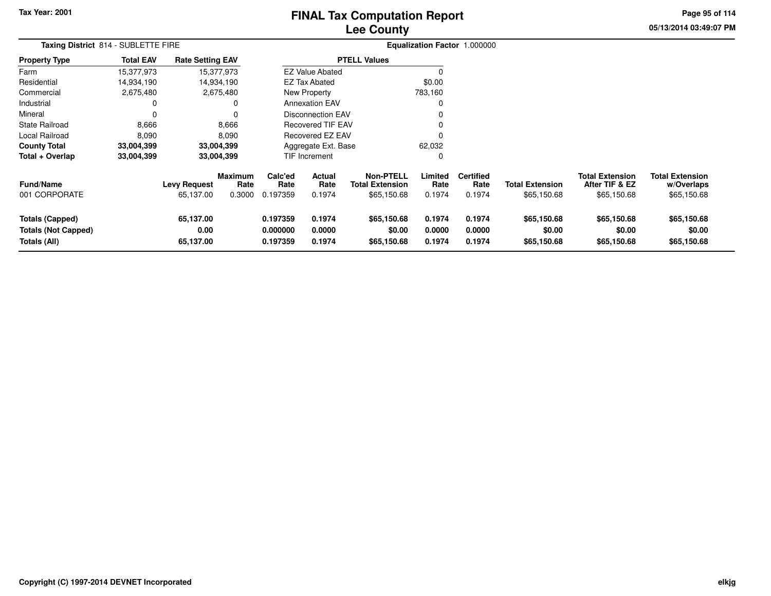## **Lee CountyFINAL Tax Computation Report**

**05/13/2014 03:49:07 PMPage 95 of 114**

| Taxing District 814 - SUBLETTE FIRE                                  |                  |                                  |                                  |                                  |                            |                                                           | Equalization Factor 1.000000 |                                    |                                       |                                                         |                                                     |
|----------------------------------------------------------------------|------------------|----------------------------------|----------------------------------|----------------------------------|----------------------------|-----------------------------------------------------------|------------------------------|------------------------------------|---------------------------------------|---------------------------------------------------------|-----------------------------------------------------|
| <b>Property Type</b>                                                 | <b>Total EAV</b> | <b>Rate Setting EAV</b>          |                                  |                                  |                            | <b>PTELL Values</b>                                       |                              |                                    |                                       |                                                         |                                                     |
| Farm                                                                 | 15,377,973       |                                  | 15,377,973                       |                                  | <b>EZ Value Abated</b>     |                                                           |                              |                                    |                                       |                                                         |                                                     |
| Residential                                                          | 14,934,190       |                                  | 14,934,190                       |                                  | <b>EZ Tax Abated</b>       |                                                           | \$0.00                       |                                    |                                       |                                                         |                                                     |
| Commercial                                                           | 2,675,480        |                                  | 2,675,480                        |                                  | New Property<br>783,160    |                                                           |                              |                                    |                                       |                                                         |                                                     |
| Industrial                                                           |                  |                                  | 0                                |                                  | <b>Annexation EAV</b>      |                                                           |                              |                                    |                                       |                                                         |                                                     |
| Mineral                                                              | 0                |                                  | 0                                | Disconnection EAV                |                            |                                                           |                              |                                    |                                       |                                                         |                                                     |
| State Railroad                                                       | 8,666            |                                  | 8,666                            |                                  | Recovered TIF EAV          |                                                           |                              |                                    |                                       |                                                         |                                                     |
| Local Railroad                                                       | 8,090            |                                  | 8,090                            |                                  | <b>Recovered EZ EAV</b>    |                                                           |                              |                                    |                                       |                                                         |                                                     |
| <b>County Total</b>                                                  | 33,004,399       |                                  | 33,004,399                       |                                  | Aggregate Ext. Base        |                                                           |                              |                                    |                                       |                                                         |                                                     |
| Total + Overlap                                                      | 33,004,399       |                                  | 33,004,399                       |                                  | TIF Increment              |                                                           | 0                            |                                    |                                       |                                                         |                                                     |
| <b>Fund/Name</b><br>001 CORPORATE                                    |                  | <b>Levy Request</b><br>65,137.00 | <b>Maximum</b><br>Rate<br>0.3000 | Calc'ed<br>Rate<br>0.197359      | Actual<br>Rate<br>0.1974   | <b>Non-PTELL</b><br><b>Total Extension</b><br>\$65,150.68 | Limited<br>Rate<br>0.1974    | <b>Certified</b><br>Rate<br>0.1974 | <b>Total Extension</b><br>\$65,150.68 | <b>Total Extension</b><br>After TIF & EZ<br>\$65,150.68 | <b>Total Extension</b><br>w/Overlaps<br>\$65,150.68 |
| <b>Totals (Capped)</b><br><b>Totals (Not Capped)</b><br>Totals (All) |                  | 65,137.00<br>0.00<br>65,137.00   |                                  | 0.197359<br>0.000000<br>0.197359 | 0.1974<br>0.0000<br>0.1974 | \$65,150.68<br>\$0.00<br>\$65,150.68                      | 0.1974<br>0.0000<br>0.1974   | 0.1974<br>0.0000<br>0.1974         | \$65,150.68<br>\$0.00<br>\$65,150.68  | \$65,150.68<br>\$0.00<br>\$65,150.68                    | \$65,150.68<br>\$0.00<br>\$65,150.68                |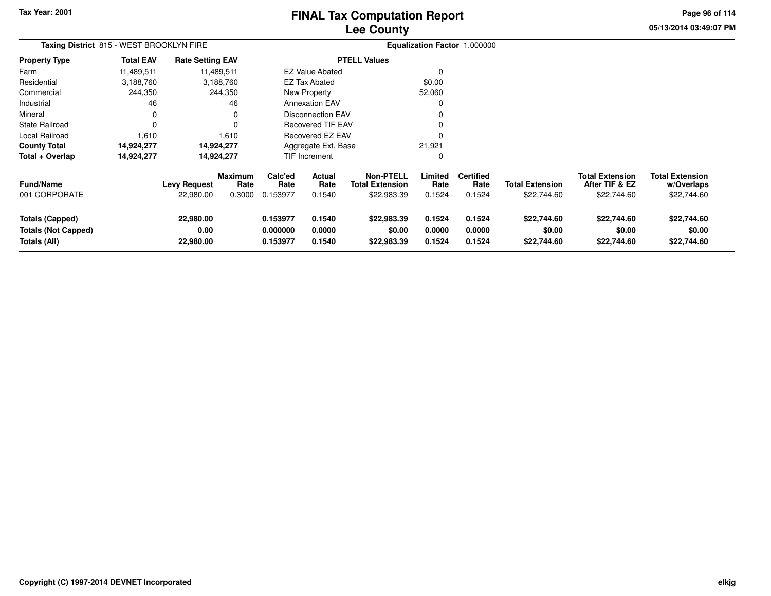# **Lee CountyFINAL Tax Computation Report**

**05/13/2014 03:49:07 PM Page 96 of 114**

| Taxing District 815 - WEST BROOKLYN FIRE                      |                  |                                  |                                  |                                  |                            |                                                           |                            | Equalization Factor 1.000000       |                                       |                                                         |                                                     |
|---------------------------------------------------------------|------------------|----------------------------------|----------------------------------|----------------------------------|----------------------------|-----------------------------------------------------------|----------------------------|------------------------------------|---------------------------------------|---------------------------------------------------------|-----------------------------------------------------|
| <b>Property Type</b>                                          | <b>Total EAV</b> | <b>Rate Setting EAV</b>          |                                  |                                  |                            | <b>PTELL Values</b>                                       |                            |                                    |                                       |                                                         |                                                     |
| Farm                                                          | 11,489,511       |                                  | 11,489,511                       |                                  | <b>EZ Value Abated</b>     |                                                           | $\Omega$                   |                                    |                                       |                                                         |                                                     |
| Residential                                                   | 3,188,760        |                                  | 3,188,760                        |                                  | EZ Tax Abated              |                                                           | \$0.00                     |                                    |                                       |                                                         |                                                     |
| Commercial                                                    | 244,350          |                                  | 244,350                          |                                  | New Property               |                                                           | 52,060                     |                                    |                                       |                                                         |                                                     |
| Industrial                                                    | 46               |                                  | 46                               |                                  | <b>Annexation EAV</b>      |                                                           | $\Omega$                   |                                    |                                       |                                                         |                                                     |
| Mineral                                                       | 0                |                                  | 0                                |                                  | <b>Disconnection EAV</b>   |                                                           | 0                          |                                    |                                       |                                                         |                                                     |
| <b>State Railroad</b>                                         | $\Omega$         |                                  | $\Omega$                         |                                  | <b>Recovered TIF EAV</b>   |                                                           | O                          |                                    |                                       |                                                         |                                                     |
| Local Railroad                                                | 1,610            |                                  | 1,610                            |                                  | <b>Recovered EZ EAV</b>    |                                                           | $\Omega$                   |                                    |                                       |                                                         |                                                     |
| <b>County Total</b>                                           | 14,924,277       |                                  | 14,924,277                       |                                  | Aggregate Ext. Base        |                                                           | 21,921                     |                                    |                                       |                                                         |                                                     |
| Total + Overlap                                               | 14,924,277       |                                  | 14,924,277                       |                                  | TIF Increment              |                                                           | 0                          |                                    |                                       |                                                         |                                                     |
| <b>Fund/Name</b><br>001 CORPORATE                             |                  | <b>Levy Request</b><br>22,980.00 | <b>Maximum</b><br>Rate<br>0.3000 | Calc'ed<br>Rate<br>0.153977      | Actual<br>Rate<br>0.1540   | <b>Non-PTELL</b><br><b>Total Extension</b><br>\$22,983.39 | Limited<br>Rate<br>0.1524  | <b>Certified</b><br>Rate<br>0.1524 | <b>Total Extension</b><br>\$22,744.60 | <b>Total Extension</b><br>After TIF & EZ<br>\$22,744.60 | <b>Total Extension</b><br>w/Overlaps<br>\$22,744.60 |
| Totals (Capped)<br><b>Totals (Not Capped)</b><br>Totals (All) |                  | 22,980.00<br>0.00<br>22,980.00   |                                  | 0.153977<br>0.000000<br>0.153977 | 0.1540<br>0.0000<br>0.1540 | \$22,983.39<br>\$0.00<br>\$22,983.39                      | 0.1524<br>0.0000<br>0.1524 | 0.1524<br>0.0000<br>0.1524         | \$22,744.60<br>\$0.00<br>\$22,744.60  | \$22,744.60<br>\$0.00<br>\$22,744.60                    | \$22,744.60<br>\$0.00<br>\$22,744.60                |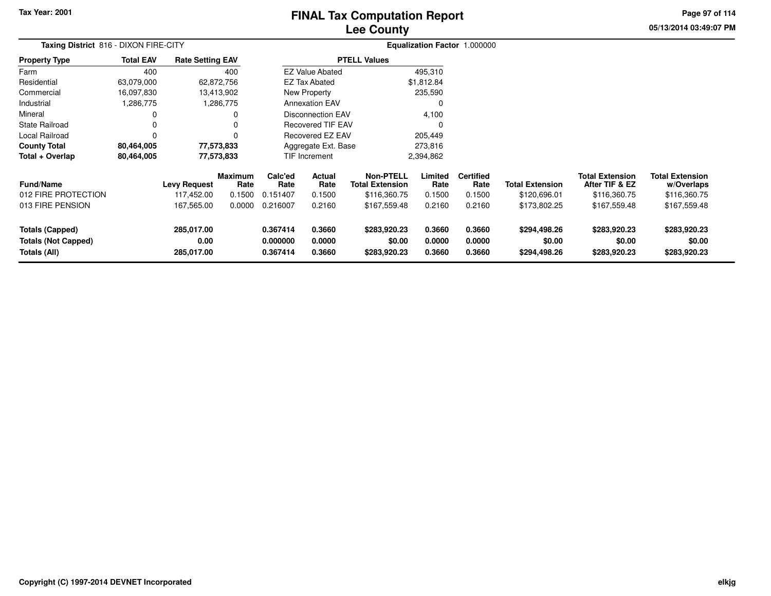## **Lee CountyFINAL Tax Computation Report**

**05/13/2014 03:49:07 PM Page 97 of 114**

| Taxing District 816 - DIXON FIRE-CITY                                |                  |                                                 |                                            |                                         |                                           |                                                                            |                                     | Equalization Factor 1.000000                 |                                                        |                                                                          |                                                                      |  |
|----------------------------------------------------------------------|------------------|-------------------------------------------------|--------------------------------------------|-----------------------------------------|-------------------------------------------|----------------------------------------------------------------------------|-------------------------------------|----------------------------------------------|--------------------------------------------------------|--------------------------------------------------------------------------|----------------------------------------------------------------------|--|
| <b>Property Type</b>                                                 | <b>Total EAV</b> | <b>Rate Setting EAV</b>                         |                                            |                                         |                                           | <b>PTELL Values</b>                                                        |                                     |                                              |                                                        |                                                                          |                                                                      |  |
| Farm                                                                 | 400              |                                                 | 400                                        |                                         | <b>EZ Value Abated</b>                    |                                                                            | 495,310                             |                                              |                                                        |                                                                          |                                                                      |  |
| Residential                                                          | 63,079,000       | 62,872,756                                      |                                            |                                         | <b>EZ Tax Abated</b>                      |                                                                            | \$1,812.84                          |                                              |                                                        |                                                                          |                                                                      |  |
| Commercial                                                           | 16,097,830       | 13,413,902                                      |                                            |                                         | New Property                              |                                                                            | 235,590                             |                                              |                                                        |                                                                          |                                                                      |  |
| Industrial                                                           | 1,286,775        | 1,286,775                                       |                                            |                                         | <b>Annexation EAV</b>                     |                                                                            | 0                                   |                                              |                                                        |                                                                          |                                                                      |  |
| Mineral                                                              |                  |                                                 | 0                                          |                                         | <b>Disconnection EAV</b>                  |                                                                            | 4,100                               |                                              |                                                        |                                                                          |                                                                      |  |
| <b>State Railroad</b>                                                |                  |                                                 |                                            |                                         | <b>Recovered TIF EAV</b>                  |                                                                            | 0                                   |                                              |                                                        |                                                                          |                                                                      |  |
| Local Railroad                                                       |                  |                                                 | $\Omega$                                   |                                         | <b>Recovered EZ EAV</b>                   |                                                                            | 205,449                             |                                              |                                                        |                                                                          |                                                                      |  |
| <b>County Total</b>                                                  | 80,464,005       | 77,573,833                                      |                                            |                                         | Aggregate Ext. Base                       |                                                                            | 273,816                             |                                              |                                                        |                                                                          |                                                                      |  |
| Total + Overlap                                                      | 80,464,005       | 77,573,833                                      |                                            |                                         | TIF Increment                             |                                                                            | 2,394,862                           |                                              |                                                        |                                                                          |                                                                      |  |
| <b>Fund/Name</b><br>012 FIRE PROTECTION<br>013 FIRE PENSION          |                  | <b>Levy Request</b><br>117,452.00<br>167,565.00 | <b>Maximum</b><br>Rate<br>0.1500<br>0.0000 | Calc'ed<br>Rate<br>0.151407<br>0.216007 | <b>Actual</b><br>Rate<br>0.1500<br>0.2160 | <b>Non-PTELL</b><br><b>Total Extension</b><br>\$116,360.75<br>\$167,559.48 | Limited<br>Rate<br>0.1500<br>0.2160 | <b>Certified</b><br>Rate<br>0.1500<br>0.2160 | <b>Total Extension</b><br>\$120,696.01<br>\$173,802.25 | <b>Total Extension</b><br>After TIF & EZ<br>\$116,360.75<br>\$167,559.48 | <b>Total Extension</b><br>w/Overlaps<br>\$116,360.75<br>\$167,559.48 |  |
|                                                                      |                  |                                                 |                                            |                                         |                                           |                                                                            |                                     |                                              |                                                        |                                                                          |                                                                      |  |
| <b>Totals (Capped)</b><br><b>Totals (Not Capped)</b><br>Totals (All) |                  | 285,017.00<br>0.00<br>285,017.00                |                                            | 0.367414<br>0.000000<br>0.367414        | 0.3660<br>0.0000<br>0.3660                | \$283,920.23<br>\$0.00<br>\$283,920.23                                     | 0.3660<br>0.0000<br>0.3660          | 0.3660<br>0.0000<br>0.3660                   | \$294,498.26<br>\$0.00<br>\$294,498.26                 | \$283,920.23<br>\$0.00<br>\$283,920.23                                   | \$283,920.23<br>\$0.00<br>\$283,920.23                               |  |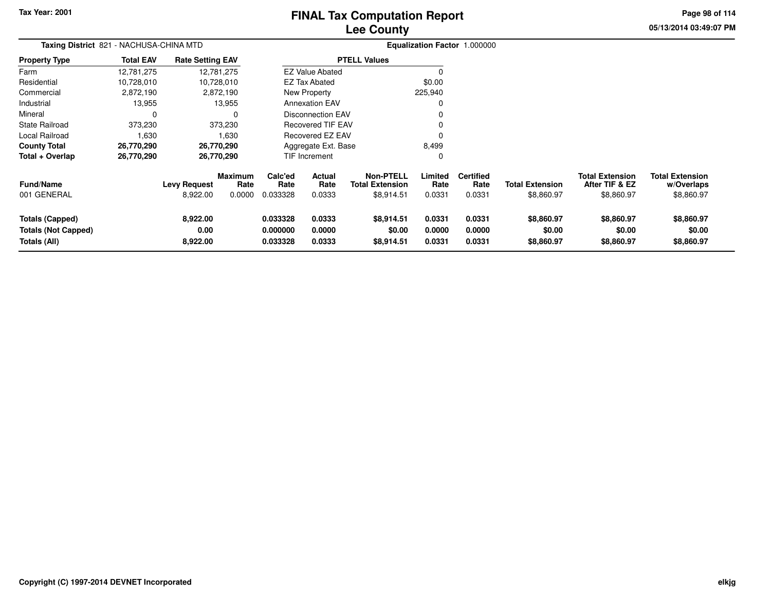# **Lee CountyFINAL Tax Computation Report**

**05/13/2014 03:49:07 PM Page 98 of 114**

| Taxing District 821 - NACHUSA-CHINA MTD                              |                  |                                 |                                  | Equalization Factor 1.000000     |                            |                                                          |                            |                                    |                                      |                                                        |                                                    |
|----------------------------------------------------------------------|------------------|---------------------------------|----------------------------------|----------------------------------|----------------------------|----------------------------------------------------------|----------------------------|------------------------------------|--------------------------------------|--------------------------------------------------------|----------------------------------------------------|
| <b>Property Type</b>                                                 | <b>Total EAV</b> | <b>Rate Setting EAV</b>         |                                  |                                  |                            | <b>PTELL Values</b>                                      |                            |                                    |                                      |                                                        |                                                    |
| Farm                                                                 | 12,781,275       |                                 | 12,781,275                       |                                  | <b>EZ Value Abated</b>     |                                                          |                            |                                    |                                      |                                                        |                                                    |
| Residential                                                          | 10,728,010       |                                 | 10,728,010                       |                                  | <b>EZ Tax Abated</b>       |                                                          | \$0.00                     |                                    |                                      |                                                        |                                                    |
| Commercial                                                           | 2,872,190        |                                 | 2,872,190                        |                                  | New Property               |                                                          | 225,940                    |                                    |                                      |                                                        |                                                    |
| Industrial                                                           | 13,955           |                                 | 13,955                           |                                  | <b>Annexation EAV</b>      |                                                          | 0                          |                                    |                                      |                                                        |                                                    |
| Mineral                                                              | $\mathbf 0$      |                                 | $\Omega$                         |                                  | <b>Disconnection EAV</b>   |                                                          |                            |                                    |                                      |                                                        |                                                    |
| <b>State Railroad</b>                                                | 373,230          |                                 | 373,230                          |                                  | <b>Recovered TIF EAV</b>   |                                                          |                            |                                    |                                      |                                                        |                                                    |
| Local Railroad                                                       | 1,630            |                                 | 1,630                            |                                  | Recovered EZ EAV           |                                                          |                            |                                    |                                      |                                                        |                                                    |
| <b>County Total</b>                                                  | 26,770,290       |                                 | 26,770,290                       | Aggregate Ext. Base<br>8,499     |                            |                                                          |                            |                                    |                                      |                                                        |                                                    |
| Total + Overlap                                                      | 26,770,290       |                                 | 26,770,290                       |                                  | <b>TIF Increment</b>       |                                                          | 0                          |                                    |                                      |                                                        |                                                    |
| <b>Fund/Name</b><br>001 GENERAL                                      |                  | <b>Levy Request</b><br>8,922.00 | <b>Maximum</b><br>Rate<br>0.0000 | Calc'ed<br>Rate<br>0.033328      | Actual<br>Rate<br>0.0333   | <b>Non-PTELL</b><br><b>Total Extension</b><br>\$8,914.51 | Limited<br>Rate<br>0.0331  | <b>Certified</b><br>Rate<br>0.0331 | <b>Total Extension</b><br>\$8,860.97 | <b>Total Extension</b><br>After TIF & EZ<br>\$8,860.97 | <b>Total Extension</b><br>w/Overlaps<br>\$8,860.97 |
| <b>Totals (Capped)</b><br><b>Totals (Not Capped)</b><br>Totals (All) |                  | 8,922.00<br>0.00<br>8,922.00    |                                  | 0.033328<br>0.000000<br>0.033328 | 0.0333<br>0.0000<br>0.0333 | \$8,914.51<br>\$0.00<br>\$8,914.51                       | 0.0331<br>0.0000<br>0.0331 | 0.0331<br>0.0000<br>0.0331         | \$8,860.97<br>\$0.00<br>\$8,860.97   | \$8,860.97<br>\$0.00<br>\$8,860.97                     | \$8,860.97<br>\$0.00<br>\$8,860.97                 |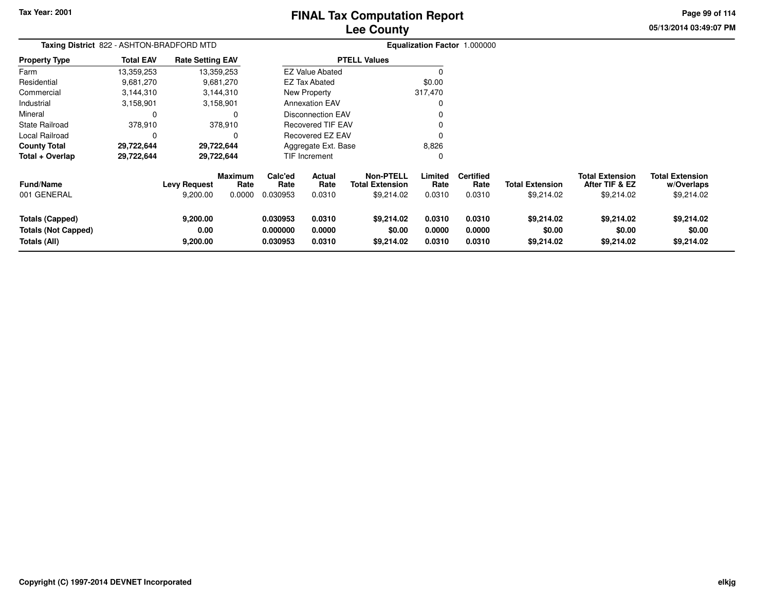# **Lee CountyFINAL Tax Computation Report**

**05/13/2014 03:49:07 PM Page 99 of 114**

| Taxing District 822 - ASHTON-BRADFORD MTD |                              |                        |                                                                                                                 | Equalization Factor 1.000000 |                                                                         |                                                                                                                     |                            |                                    |                                          |                                      |
|-------------------------------------------|------------------------------|------------------------|-----------------------------------------------------------------------------------------------------------------|------------------------------|-------------------------------------------------------------------------|---------------------------------------------------------------------------------------------------------------------|----------------------------|------------------------------------|------------------------------------------|--------------------------------------|
| <b>Total EAV</b>                          |                              |                        |                                                                                                                 |                              |                                                                         |                                                                                                                     |                            |                                    |                                          |                                      |
| 13,359,253                                |                              |                        |                                                                                                                 |                              |                                                                         |                                                                                                                     |                            |                                    |                                          |                                      |
| 9,681,270                                 |                              |                        |                                                                                                                 |                              |                                                                         | \$0.00                                                                                                              |                            |                                    |                                          |                                      |
| 3,144,310                                 |                              |                        |                                                                                                                 |                              |                                                                         | 317,470                                                                                                             |                            |                                    |                                          |                                      |
| 3,158,901                                 |                              |                        |                                                                                                                 |                              |                                                                         |                                                                                                                     |                            |                                    |                                          |                                      |
| 0                                         |                              |                        |                                                                                                                 |                              |                                                                         |                                                                                                                     |                            |                                    |                                          |                                      |
| 378,910                                   |                              |                        |                                                                                                                 |                              |                                                                         |                                                                                                                     |                            |                                    |                                          |                                      |
| 0                                         |                              |                        | Recovered EZ EAV                                                                                                |                              |                                                                         |                                                                                                                     |                            |                                    |                                          |                                      |
| 29,722,644                                |                              |                        | Aggregate Ext. Base                                                                                             |                              |                                                                         | 8,826                                                                                                               |                            |                                    |                                          |                                      |
| 29,722,644                                | 29,722,644                   |                        | TIF Increment                                                                                                   |                              |                                                                         | 0                                                                                                                   |                            |                                    |                                          |                                      |
|                                           | <b>Levy Request</b>          | <b>Maximum</b><br>Rate | Calc'ed<br>Rate                                                                                                 | <b>Actual</b><br>Rate        | <b>Non-PTELL</b><br><b>Total Extension</b>                              | Limited<br>Rate                                                                                                     | <b>Certified</b><br>Rate   | <b>Total Extension</b>             | <b>Total Extension</b><br>After TIF & EZ | <b>Total Extension</b><br>w/Overlaps |
|                                           |                              |                        |                                                                                                                 |                              |                                                                         |                                                                                                                     |                            |                                    |                                          | \$9,214.02                           |
|                                           | 9,200.00<br>0.00<br>9,200.00 |                        | 0.030953<br>0.000000<br>0.030953                                                                                | 0.0310<br>0.0000<br>0.0310   | \$9,214.02<br>\$0.00<br>\$9,214.02                                      | 0.0310<br>0.0000<br>0.0310                                                                                          | 0.0310<br>0.0000<br>0.0310 | \$9,214.02<br>\$0.00<br>\$9,214.02 | \$9,214.02<br>\$0.00<br>\$9,214.02       | \$9,214.02<br>\$0.00<br>\$9,214.02   |
|                                           |                              | 9,200.00               | <b>Rate Setting EAV</b><br>13,359,253<br>9,681,270<br>3,144,310<br>3,158,901<br>378,910<br>29,722,644<br>0.0000 | 0.030953                     | <b>EZ Tax Abated</b><br>New Property<br><b>Annexation EAV</b><br>0.0310 | <b>PTELL Values</b><br><b>EZ Value Abated</b><br><b>Disconnection EAV</b><br><b>Recovered TIF EAV</b><br>\$9,214.02 | 0.0310                     | 0.0310                             | \$9,214.02                               | \$9,214.02                           |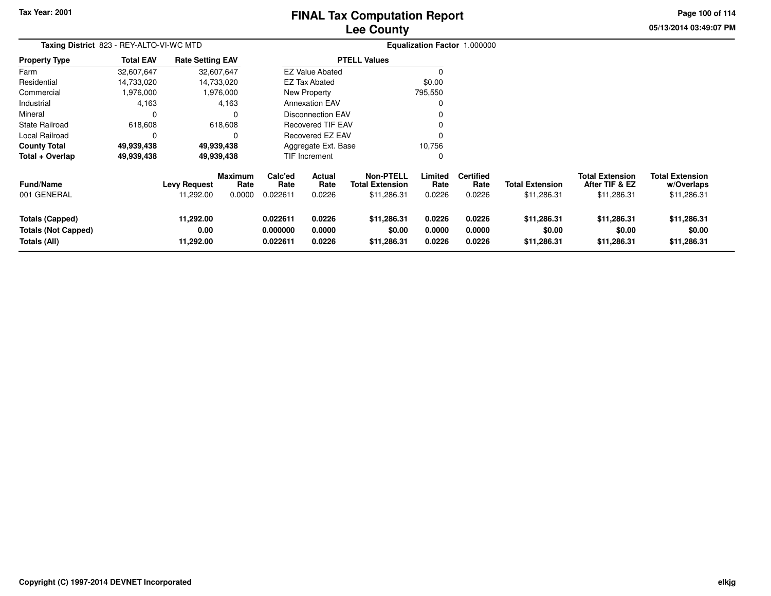# **Lee CountyFINAL Tax Computation Report**

**05/13/2014 03:49:07 PM Page 100 of 114**

| Taxing District 823 - REY-ALTO-VI-WC MTD                             |                  |                                  |                                  | Equalization Factor 1.000000     |                            |                                                           |                            |                                    |                                       |                                                         |                                                     |
|----------------------------------------------------------------------|------------------|----------------------------------|----------------------------------|----------------------------------|----------------------------|-----------------------------------------------------------|----------------------------|------------------------------------|---------------------------------------|---------------------------------------------------------|-----------------------------------------------------|
| <b>Property Type</b>                                                 | <b>Total EAV</b> | <b>Rate Setting EAV</b>          |                                  |                                  |                            | <b>PTELL Values</b>                                       |                            |                                    |                                       |                                                         |                                                     |
| Farm                                                                 | 32,607,647       | 32,607,647                       |                                  |                                  | <b>EZ Value Abated</b>     |                                                           |                            |                                    |                                       |                                                         |                                                     |
| Residential                                                          | 14,733,020       |                                  | 14,733,020                       |                                  | EZ Tax Abated              |                                                           | \$0.00                     |                                    |                                       |                                                         |                                                     |
| Commercial                                                           | 1,976,000        |                                  | 1,976,000                        |                                  | New Property               |                                                           | 795,550                    |                                    |                                       |                                                         |                                                     |
| Industrial                                                           | 4,163            |                                  | 4,163                            |                                  | <b>Annexation EAV</b>      |                                                           | 0                          |                                    |                                       |                                                         |                                                     |
| Mineral                                                              | $\Omega$         |                                  | 0                                |                                  | Disconnection EAV          |                                                           |                            |                                    |                                       |                                                         |                                                     |
| <b>State Railroad</b>                                                | 618,608          |                                  | 618,608                          |                                  | <b>Recovered TIF EAV</b>   |                                                           | 0                          |                                    |                                       |                                                         |                                                     |
| Local Railroad                                                       | $\Omega$         |                                  | 0                                |                                  | <b>Recovered EZ EAV</b>    |                                                           | $\Omega$                   |                                    |                                       |                                                         |                                                     |
| <b>County Total</b>                                                  | 49,939,438       | 49,939,438                       |                                  |                                  | Aggregate Ext. Base        |                                                           | 10,756                     |                                    |                                       |                                                         |                                                     |
| Total + Overlap                                                      | 49,939,438       | 49,939,438                       |                                  |                                  | TIF Increment              |                                                           | 0                          |                                    |                                       |                                                         |                                                     |
| <b>Fund/Name</b><br>001 GENERAL                                      |                  | <b>Levy Request</b><br>11,292.00 | <b>Maximum</b><br>Rate<br>0.0000 | Calc'ed<br>Rate<br>0.022611      | Actual<br>Rate<br>0.0226   | <b>Non-PTELL</b><br><b>Total Extension</b><br>\$11,286.31 | Limited<br>Rate<br>0.0226  | <b>Certified</b><br>Rate<br>0.0226 | <b>Total Extension</b><br>\$11,286.31 | <b>Total Extension</b><br>After TIF & EZ<br>\$11,286.31 | <b>Total Extension</b><br>w/Overlaps<br>\$11,286.31 |
| <b>Totals (Capped)</b><br><b>Totals (Not Capped)</b><br>Totals (All) |                  | 11,292.00<br>0.00<br>11,292.00   |                                  | 0.022611<br>0.000000<br>0.022611 | 0.0226<br>0.0000<br>0.0226 | \$11,286.31<br>\$0.00<br>\$11,286.31                      | 0.0226<br>0.0000<br>0.0226 | 0.0226<br>0.0000<br>0.0226         | \$11,286.31<br>\$0.00<br>\$11,286.31  | \$11,286.31<br>\$0.00<br>\$11,286.31                    | \$11,286.31<br>\$0.00<br>\$11,286.31                |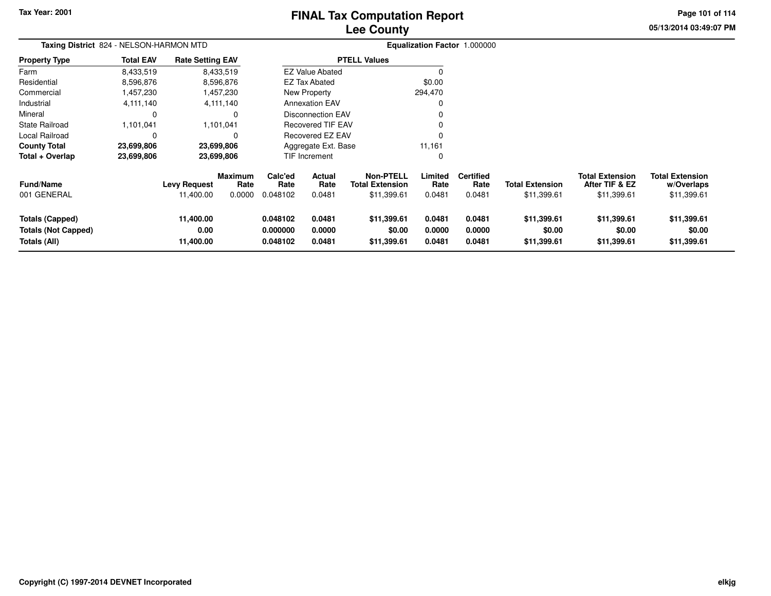# **Lee CountyFINAL Tax Computation Report**

**05/13/2014 03:49:07 PM Page 101 of 114**

| Taxing District 824 - NELSON-HARMON MTD                              |                  |                                  |                                  |                                  |                            |                                                           |                            | Equalization Factor 1.000000       |                                       |                                                         |                                                     |
|----------------------------------------------------------------------|------------------|----------------------------------|----------------------------------|----------------------------------|----------------------------|-----------------------------------------------------------|----------------------------|------------------------------------|---------------------------------------|---------------------------------------------------------|-----------------------------------------------------|
| <b>Property Type</b>                                                 | <b>Total EAV</b> | <b>Rate Setting EAV</b>          |                                  |                                  |                            | <b>PTELL Values</b>                                       |                            |                                    |                                       |                                                         |                                                     |
| Farm                                                                 | 8,433,519        |                                  | 8,433,519                        |                                  | <b>EZ Value Abated</b>     |                                                           | C                          |                                    |                                       |                                                         |                                                     |
| Residential                                                          | 8,596,876        |                                  | 8,596,876                        |                                  | <b>EZ Tax Abated</b>       |                                                           | \$0.00                     |                                    |                                       |                                                         |                                                     |
| Commercial                                                           | 1,457,230        |                                  | 1,457,230                        |                                  | New Property               |                                                           | 294,470                    |                                    |                                       |                                                         |                                                     |
| Industrial                                                           | 4,111,140        |                                  | 4,111,140                        |                                  | <b>Annexation EAV</b>      |                                                           | $\Omega$                   |                                    |                                       |                                                         |                                                     |
| Mineral                                                              |                  |                                  | 0                                |                                  | <b>Disconnection EAV</b>   |                                                           | $\Omega$                   |                                    |                                       |                                                         |                                                     |
| <b>State Railroad</b>                                                | 1,101,041        |                                  | 1,101,041                        |                                  | <b>Recovered TIF EAV</b>   |                                                           | $\Omega$                   |                                    |                                       |                                                         |                                                     |
| Local Railroad                                                       |                  |                                  | 0                                |                                  | Recovered EZ EAV           |                                                           | $\Omega$                   |                                    |                                       |                                                         |                                                     |
| <b>County Total</b>                                                  | 23,699,806       |                                  | 23,699,806                       |                                  | Aggregate Ext. Base        |                                                           | 11,161                     |                                    |                                       |                                                         |                                                     |
| Total + Overlap                                                      | 23,699,806       |                                  | 23,699,806                       |                                  | TIF Increment              |                                                           | $\mathbf 0$                |                                    |                                       |                                                         |                                                     |
| <b>Fund/Name</b><br>001 GENERAL                                      |                  | <b>Levy Request</b><br>11,400.00 | <b>Maximum</b><br>Rate<br>0.0000 | Calc'ed<br>Rate<br>0.048102      | Actual<br>Rate<br>0.0481   | <b>Non-PTELL</b><br><b>Total Extension</b><br>\$11,399.61 | Limited<br>Rate<br>0.0481  | <b>Certified</b><br>Rate<br>0.0481 | <b>Total Extension</b><br>\$11,399.61 | <b>Total Extension</b><br>After TIF & EZ<br>\$11,399.61 | <b>Total Extension</b><br>w/Overlaps<br>\$11,399.61 |
| <b>Totals (Capped)</b><br><b>Totals (Not Capped)</b><br>Totals (All) |                  | 11,400.00<br>0.00<br>11,400.00   |                                  | 0.048102<br>0.000000<br>0.048102 | 0.0481<br>0.0000<br>0.0481 | \$11,399.61<br>\$0.00<br>\$11,399.61                      | 0.0481<br>0.0000<br>0.0481 | 0.0481<br>0.0000<br>0.0481         | \$11,399.61<br>\$0.00<br>\$11,399.61  | \$11,399.61<br>\$0.00<br>\$11,399.61                    | \$11,399.61<br>\$0.00<br>\$11,399.61                |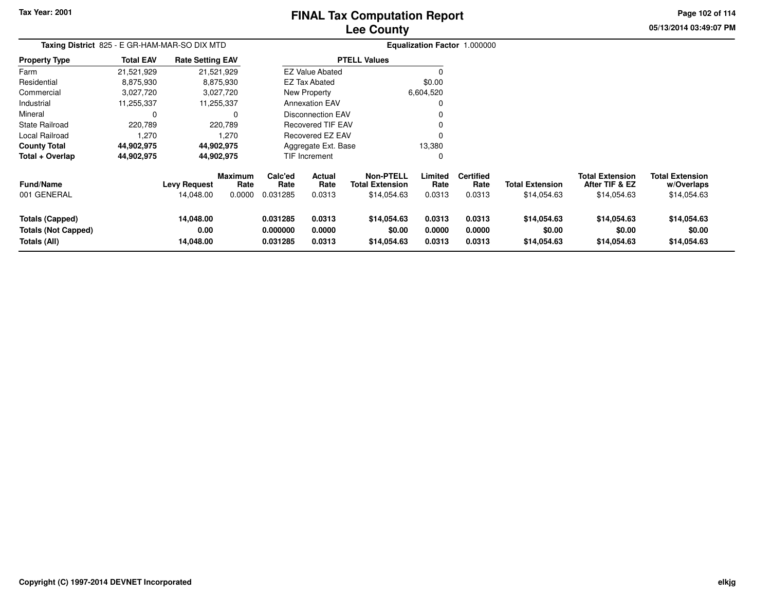# **Lee CountyFINAL Tax Computation Report**

**05/13/2014 03:49:07 PM Page 102 of 114**

| Taxing District 825 - E GR-HAM-MAR-SO DIX MTD                 |                  |                                  |                                  | Equalization Factor 1.000000     |                            |                                                           |                            |                                    |                                       |                                                         |                                                     |
|---------------------------------------------------------------|------------------|----------------------------------|----------------------------------|----------------------------------|----------------------------|-----------------------------------------------------------|----------------------------|------------------------------------|---------------------------------------|---------------------------------------------------------|-----------------------------------------------------|
| <b>Property Type</b>                                          | <b>Total EAV</b> | <b>Rate Setting EAV</b>          |                                  |                                  |                            | <b>PTELL Values</b>                                       |                            |                                    |                                       |                                                         |                                                     |
| Farm                                                          | 21,521,929       |                                  | 21,521,929                       |                                  | <b>EZ Value Abated</b>     |                                                           |                            |                                    |                                       |                                                         |                                                     |
| Residential                                                   | 8,875,930        |                                  | 8,875,930                        |                                  | <b>EZ Tax Abated</b>       |                                                           | \$0.00                     |                                    |                                       |                                                         |                                                     |
| Commercial                                                    | 3,027,720        |                                  | 3,027,720                        |                                  | New Property               |                                                           | 6,604,520                  |                                    |                                       |                                                         |                                                     |
| Industrial                                                    | 11,255,337       |                                  | 11,255,337                       |                                  | <b>Annexation EAV</b>      |                                                           |                            |                                    |                                       |                                                         |                                                     |
| Mineral                                                       | 0                |                                  | $\Omega$                         |                                  | Disconnection EAV          |                                                           |                            |                                    |                                       |                                                         |                                                     |
| State Railroad                                                | 220,789          |                                  | 220,789                          |                                  | <b>Recovered TIF EAV</b>   |                                                           |                            |                                    |                                       |                                                         |                                                     |
| Local Railroad                                                | 1,270            |                                  | 1,270                            |                                  | <b>Recovered EZ EAV</b>    |                                                           |                            |                                    |                                       |                                                         |                                                     |
| <b>County Total</b>                                           | 44,902,975       |                                  | 44,902,975                       |                                  | Aggregate Ext. Base        |                                                           | 13,380                     |                                    |                                       |                                                         |                                                     |
| Total + Overlap                                               | 44,902,975       |                                  | 44,902,975                       |                                  | TIF Increment              |                                                           | 0                          |                                    |                                       |                                                         |                                                     |
| <b>Fund/Name</b><br>001 GENERAL                               |                  | <b>Levy Request</b><br>14,048.00 | <b>Maximum</b><br>Rate<br>0.0000 | Calc'ed<br>Rate<br>0.031285      | Actual<br>Rate<br>0.0313   | <b>Non-PTELL</b><br><b>Total Extension</b><br>\$14,054.63 | Limited<br>Rate<br>0.0313  | <b>Certified</b><br>Rate<br>0.0313 | <b>Total Extension</b><br>\$14,054.63 | <b>Total Extension</b><br>After TIF & EZ<br>\$14,054.63 | <b>Total Extension</b><br>w/Overlaps<br>\$14,054.63 |
| Totals (Capped)<br><b>Totals (Not Capped)</b><br>Totals (All) |                  | 14,048.00<br>0.00<br>14,048.00   |                                  | 0.031285<br>0.000000<br>0.031285 | 0.0313<br>0.0000<br>0.0313 | \$14,054.63<br>\$0.00<br>\$14,054.63                      | 0.0313<br>0.0000<br>0.0313 | 0.0313<br>0.0000<br>0.0313         | \$14,054.63<br>\$0.00<br>\$14,054.63  | \$14,054.63<br>\$0.00<br>\$14,054.63                    | \$14,054.63<br>\$0.00<br>\$14,054.63                |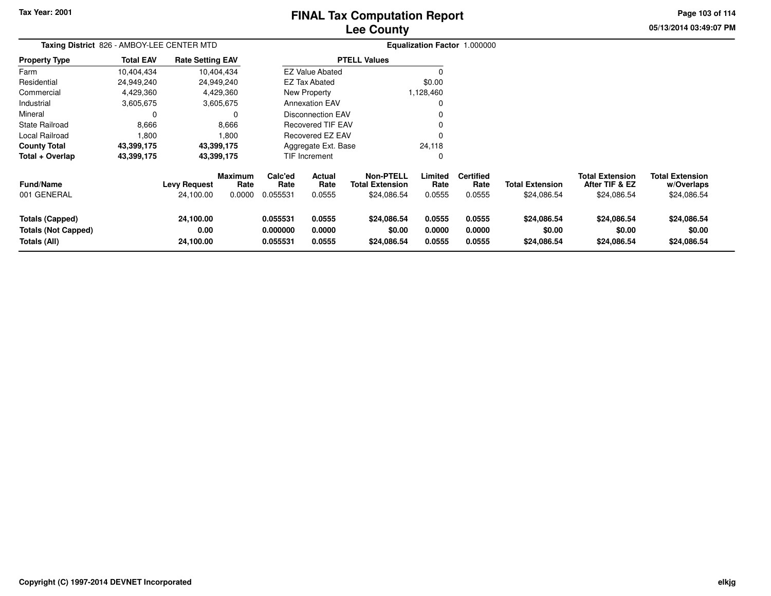# **Lee CountyFINAL Tax Computation Report**

**05/13/2014 03:49:07 PM Page 103 of 114**

| Taxing District 826 - AMBOY-LEE CENTER MTD                           |                  |                                  |                                  |                                  |                                 |                                                           |                            | Equalization Factor 1.000000       |                                       |                                                         |                                                     |
|----------------------------------------------------------------------|------------------|----------------------------------|----------------------------------|----------------------------------|---------------------------------|-----------------------------------------------------------|----------------------------|------------------------------------|---------------------------------------|---------------------------------------------------------|-----------------------------------------------------|
| <b>Property Type</b>                                                 | <b>Total EAV</b> | <b>Rate Setting EAV</b>          |                                  |                                  |                                 | <b>PTELL Values</b>                                       |                            |                                    |                                       |                                                         |                                                     |
| Farm                                                                 | 10,404,434       |                                  | 10,404,434                       |                                  | <b>EZ Value Abated</b>          |                                                           | $\Omega$                   |                                    |                                       |                                                         |                                                     |
| Residential                                                          | 24,949,240       |                                  | 24,949,240                       |                                  | <b>EZ Tax Abated</b>            |                                                           | \$0.00                     |                                    |                                       |                                                         |                                                     |
| Commercial                                                           | 4,429,360        |                                  | 4,429,360                        |                                  | New Property                    |                                                           | 1,128,460                  |                                    |                                       |                                                         |                                                     |
| Industrial                                                           | 3,605,675        |                                  | 3,605,675                        |                                  | <b>Annexation EAV</b>           |                                                           | $\Omega$                   |                                    |                                       |                                                         |                                                     |
| Mineral                                                              | 0                |                                  |                                  |                                  | <b>Disconnection EAV</b>        |                                                           | 0                          |                                    |                                       |                                                         |                                                     |
| State Railroad                                                       | 8,666            |                                  | 8,666                            |                                  | <b>Recovered TIF EAV</b>        |                                                           | 0                          |                                    |                                       |                                                         |                                                     |
| Local Railroad                                                       | 1,800            |                                  | 1.800                            |                                  | Recovered EZ EAV                |                                                           | $\Omega$                   |                                    |                                       |                                                         |                                                     |
| <b>County Total</b>                                                  | 43,399,175       |                                  | 43,399,175                       |                                  | Aggregate Ext. Base             |                                                           | 24,118                     |                                    |                                       |                                                         |                                                     |
| Total + Overlap                                                      | 43,399,175       |                                  | 43,399,175                       |                                  | <b>TIF Increment</b>            |                                                           | 0                          |                                    |                                       |                                                         |                                                     |
| <b>Fund/Name</b><br>001 GENERAL                                      |                  | <b>Levy Request</b><br>24,100.00 | <b>Maximum</b><br>Rate<br>0.0000 | Calc'ed<br>Rate<br>0.055531      | <b>Actual</b><br>Rate<br>0.0555 | <b>Non-PTELL</b><br><b>Total Extension</b><br>\$24,086.54 | Limited<br>Rate<br>0.0555  | <b>Certified</b><br>Rate<br>0.0555 | <b>Total Extension</b><br>\$24,086.54 | <b>Total Extension</b><br>After TIF & EZ<br>\$24,086.54 | <b>Total Extension</b><br>w/Overlaps<br>\$24,086.54 |
| <b>Totals (Capped)</b><br><b>Totals (Not Capped)</b><br>Totals (All) |                  | 24,100.00<br>0.00<br>24,100.00   |                                  | 0.055531<br>0.000000<br>0.055531 | 0.0555<br>0.0000<br>0.0555      | \$24,086.54<br>\$0.00<br>\$24,086.54                      | 0.0555<br>0.0000<br>0.0555 | 0.0555<br>0.0000<br>0.0555         | \$24,086.54<br>\$0.00<br>\$24,086.54  | \$24,086.54<br>\$0.00<br>\$24,086.54                    | \$24,086.54<br>\$0.00<br>\$24,086.54                |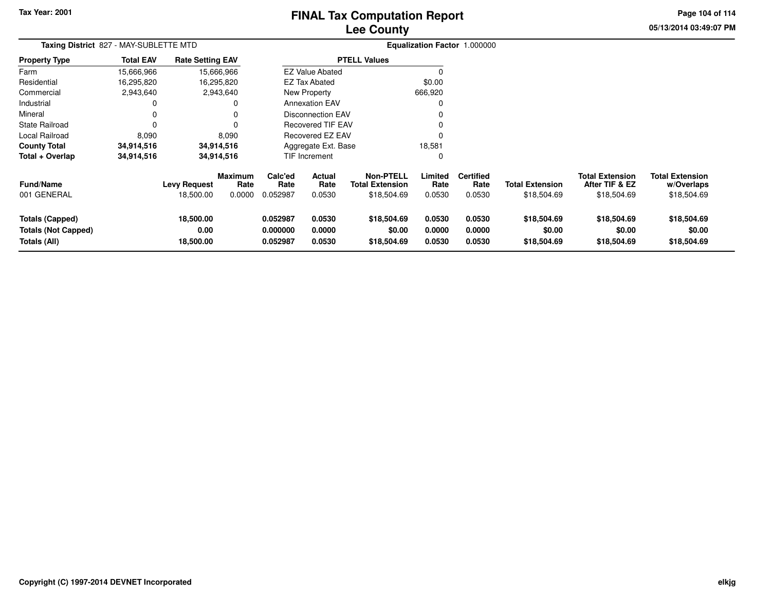# **Lee CountyFINAL Tax Computation Report**

**05/13/2014 03:49:07 PM Page 104 of 114**

| Taxing District 827 - MAY-SUBLETTE MTD                               |                  |                                  |                                  | Equalization Factor 1.000000     |                            |                                                           |                            |                                    |                                       |                                                         |                                                     |
|----------------------------------------------------------------------|------------------|----------------------------------|----------------------------------|----------------------------------|----------------------------|-----------------------------------------------------------|----------------------------|------------------------------------|---------------------------------------|---------------------------------------------------------|-----------------------------------------------------|
| <b>Property Type</b>                                                 | <b>Total EAV</b> | <b>Rate Setting EAV</b>          |                                  |                                  |                            | <b>PTELL Values</b>                                       |                            |                                    |                                       |                                                         |                                                     |
| Farm                                                                 | 15,666,966       |                                  | 15,666,966                       |                                  | <b>EZ Value Abated</b>     |                                                           |                            |                                    |                                       |                                                         |                                                     |
| Residential                                                          | 16,295,820       |                                  | 16,295,820                       |                                  | <b>EZ Tax Abated</b>       |                                                           | \$0.00                     |                                    |                                       |                                                         |                                                     |
| Commercial                                                           | 2,943,640        |                                  | 2,943,640                        |                                  | New Property               |                                                           | 666,920                    |                                    |                                       |                                                         |                                                     |
| Industrial                                                           |                  |                                  | 0                                |                                  | <b>Annexation EAV</b>      |                                                           |                            |                                    |                                       |                                                         |                                                     |
| Mineral                                                              | $\Omega$         |                                  |                                  |                                  | <b>Disconnection EAV</b>   |                                                           |                            |                                    |                                       |                                                         |                                                     |
| <b>State Railroad</b>                                                |                  |                                  | 0                                |                                  | <b>Recovered TIF EAV</b>   |                                                           |                            |                                    |                                       |                                                         |                                                     |
| Local Railroad                                                       | 8,090            |                                  | 8,090                            |                                  | <b>Recovered EZ EAV</b>    |                                                           |                            |                                    |                                       |                                                         |                                                     |
| <b>County Total</b>                                                  | 34,914,516       |                                  | 34,914,516                       | Aggregate Ext. Base              |                            | 18,581                                                    |                            |                                    |                                       |                                                         |                                                     |
| Total + Overlap                                                      | 34,914,516       |                                  | 34,914,516                       |                                  | <b>TIF Increment</b>       |                                                           | 0                          |                                    |                                       |                                                         |                                                     |
| <b>Fund/Name</b><br>001 GENERAL                                      |                  | <b>Levy Request</b><br>18,500.00 | <b>Maximum</b><br>Rate<br>0.0000 | Calc'ed<br>Rate<br>0.052987      | Actual<br>Rate<br>0.0530   | <b>Non-PTELL</b><br><b>Total Extension</b><br>\$18,504.69 | Limited<br>Rate<br>0.0530  | <b>Certified</b><br>Rate<br>0.0530 | <b>Total Extension</b><br>\$18,504.69 | <b>Total Extension</b><br>After TIF & EZ<br>\$18,504.69 | <b>Total Extension</b><br>w/Overlaps<br>\$18,504.69 |
| <b>Totals (Capped)</b><br><b>Totals (Not Capped)</b><br>Totals (All) |                  | 18,500.00<br>0.00<br>18,500.00   |                                  | 0.052987<br>0.000000<br>0.052987 | 0.0530<br>0.0000<br>0.0530 | \$18,504.69<br>\$0.00<br>\$18,504.69                      | 0.0530<br>0.0000<br>0.0530 | 0.0530<br>0.0000<br>0.0530         | \$18,504.69<br>\$0.00<br>\$18,504.69  | \$18,504.69<br>\$0.00<br>\$18,504.69                    | \$18,504.69<br>\$0.00<br>\$18,504.69                |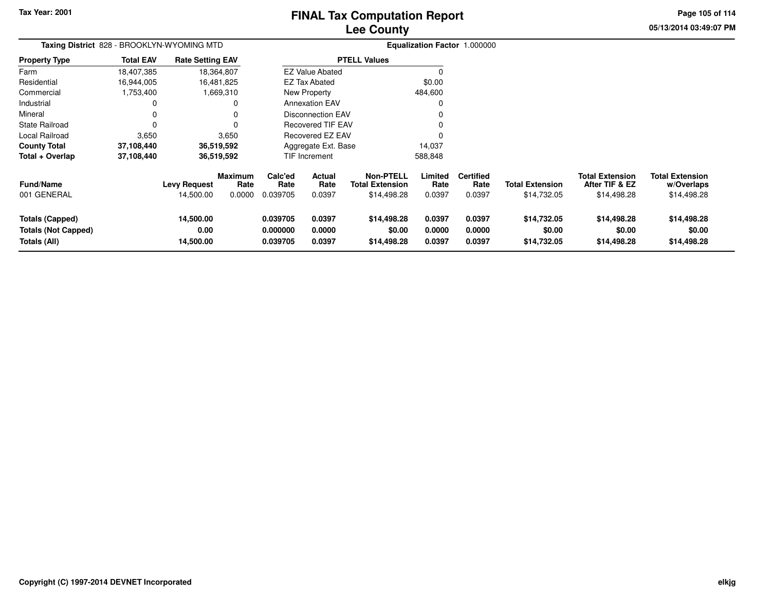# **Lee CountyFINAL Tax Computation Report**

**05/13/2014 03:49:07 PMPage 105 of 114**

|                       | Taxing District 828 - BROOKLYN-WYOMING MTD |                         |                |          |                        |                        |         | Equalization Factor 1.000000 |                        |                        |                        |
|-----------------------|--------------------------------------------|-------------------------|----------------|----------|------------------------|------------------------|---------|------------------------------|------------------------|------------------------|------------------------|
| <b>Property Type</b>  | <b>Total EAV</b>                           | <b>Rate Setting EAV</b> |                |          | <b>PTELL Values</b>    |                        |         |                              |                        |                        |                        |
| Farm                  | 18,407,385                                 | 18,364,807              |                |          | <b>EZ Value Abated</b> |                        |         |                              |                        |                        |                        |
| Residential           | 16.944.005                                 | 16.481.825              |                |          | EZ Tax Abated          |                        | \$0.00  |                              |                        |                        |                        |
| Commercial            | 1,753,400                                  |                         | 1,669,310      |          | New Property           |                        | 484,600 |                              |                        |                        |                        |
| Industrial            |                                            |                         |                |          | <b>Annexation EAV</b>  |                        |         |                              |                        |                        |                        |
| Mineral               |                                            |                         |                |          | Disconnection EAV      |                        |         |                              |                        |                        |                        |
| <b>State Railroad</b> |                                            |                         |                |          | Recovered TIF EAV      |                        |         |                              |                        |                        |                        |
| Local Railroad        | 3,650                                      |                         | 3,650          |          | Recovered EZ EAV       |                        |         |                              |                        |                        |                        |
| <b>County Total</b>   | 37,108,440                                 | 36,519,592              |                |          | Aggregate Ext. Base    |                        | 14,037  |                              |                        |                        |                        |
| Total + Overlap       | 37,108,440                                 | 36,519,592              |                |          | TIF Increment          |                        | 588,848 |                              |                        |                        |                        |
|                       |                                            |                         | <b>Maximum</b> | Calc'ed  | <b>Actual</b>          | Non-PTELL              | Limited | <b>Certified</b>             |                        | <b>Total Extension</b> | <b>Total Extension</b> |
| <b>Fund/Name</b>      |                                            | <b>Levy Request</b>     | Rate           | Rate     | Rate                   | <b>Total Extension</b> | Rate    | Rate                         | <b>Total Extension</b> | After TIF & EZ         | w/Overlaps             |
| 001 GENERAL           |                                            | 14,500.00               | 0.0000         | 0.039705 | 0.0397                 | \$14,498.28            | 0.0397  | 0.0397                       | \$14,732.05            | \$14,498.28            | \$14,498.28            |

| <b>Fund/Name</b><br><b>Levy Request</b> | Rate   | Rate     | -------<br>Rate | <b>Total Extension</b> | Rate   | Rate   | <b>Total Extension</b> | After TIF & EZ | w/Overlaps  |  |
|-----------------------------------------|--------|----------|-----------------|------------------------|--------|--------|------------------------|----------------|-------------|--|
| 001 GENERAL<br>14.500.00                | 0.0000 | 0.039705 | 0.0397          | \$14,498.28            | 0.0397 | 0.0397 | \$14.732.05            | \$14.498.28    | \$14,498.28 |  |
| 14,500.00<br>Totals (Capped)            |        | 0.039705 | 0.0397          | \$14,498.28            | 0.0397 | 0.0397 | \$14.732.05            | \$14,498,28    | \$14,498.28 |  |
|                                         |        |          |                 |                        |        |        |                        |                |             |  |
| <b>Totals (Not Capped)</b><br>0.00      |        | 0.000000 | 0.0000          | \$0.00                 | 0.0000 | 0.0000 | \$0.00                 | \$0.00         | \$0.00      |  |
| Totals (All)<br>14,500.00               |        | 0.039705 | 0.0397          | \$14,498.28            | 0.0397 | 0.0397 | \$14.732.05            | \$14,498,28    | \$14,498.28 |  |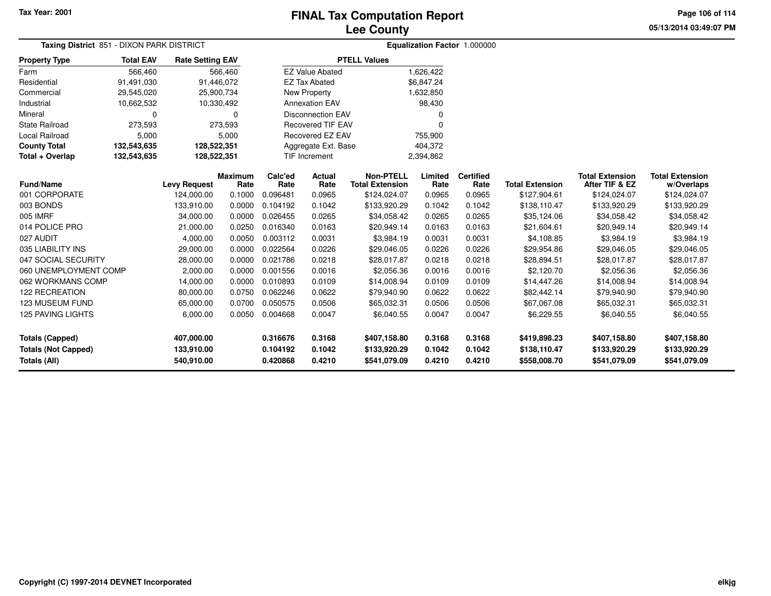**05/13/2014 03:49:07 PMPage 106 of 114**

| Taxing District 851 - DIXON PARK DISTRICT |                  |                         |                        |                 |                          |                                            |                 | Equalization Factor 1.000000 |                        |                                          |                                      |
|-------------------------------------------|------------------|-------------------------|------------------------|-----------------|--------------------------|--------------------------------------------|-----------------|------------------------------|------------------------|------------------------------------------|--------------------------------------|
| <b>Property Type</b>                      | <b>Total EAV</b> | <b>Rate Setting EAV</b> |                        |                 |                          | <b>PTELL Values</b>                        |                 |                              |                        |                                          |                                      |
| Farm                                      | 566,460          |                         | 566,460                |                 | <b>EZ Value Abated</b>   |                                            | 1,626,422       |                              |                        |                                          |                                      |
| Residential                               | 91,491,030       | 91,446,072              |                        |                 | <b>EZ Tax Abated</b>     |                                            | \$6,847.24      |                              |                        |                                          |                                      |
| Commercial                                | 29,545,020       | 25,900,734              |                        |                 | New Property             |                                            | 1,632,850       |                              |                        |                                          |                                      |
| Industrial                                | 10,662,532       | 10,330,492              |                        |                 | <b>Annexation EAV</b>    |                                            | 98,430          |                              |                        |                                          |                                      |
| Mineral                                   | 0                |                         | $\Omega$               |                 | <b>Disconnection EAV</b> |                                            |                 |                              |                        |                                          |                                      |
| <b>State Railroad</b>                     | 273,593          |                         | 273,593                |                 | <b>Recovered TIF EAV</b> |                                            | 0               |                              |                        |                                          |                                      |
| Local Railroad                            | 5,000            |                         | 5,000                  |                 | Recovered EZ EAV         |                                            | 755,900         |                              |                        |                                          |                                      |
| <b>County Total</b>                       | 132,543,635      | 128,522,351             |                        |                 | Aggregate Ext. Base      |                                            | 404,372         |                              |                        |                                          |                                      |
| Total + Overlap                           | 132,543,635      | 128,522,351             |                        |                 | <b>TIF Increment</b>     |                                            | 2,394,862       |                              |                        |                                          |                                      |
| <b>Fund/Name</b>                          |                  | <b>Levy Request</b>     | <b>Maximum</b><br>Rate | Calc'ed<br>Rate | Actual<br>Rate           | <b>Non-PTELL</b><br><b>Total Extension</b> | Limited<br>Rate | <b>Certified</b><br>Rate     | <b>Total Extension</b> | <b>Total Extension</b><br>After TIF & EZ | <b>Total Extension</b><br>w/Overlaps |
| 001 CORPORATE                             |                  | 124,000.00              | 0.1000                 | 0.096481        | 0.0965                   | \$124,024.07                               | 0.0965          | 0.0965                       | \$127,904.61           | \$124,024.07                             | \$124,024.07                         |
| 003 BONDS                                 |                  | 133,910.00              | 0.0000                 | 0.104192        | 0.1042                   | \$133,920.29                               | 0.1042          | 0.1042                       | \$138,110.47           | \$133,920.29                             | \$133,920.29                         |
| 005 IMRF                                  |                  | 34,000.00               | 0.0000                 | 0.026455        | 0.0265                   | \$34,058.42                                | 0.0265          | 0.0265                       | \$35,124.06            | \$34,058.42                              | \$34,058.42                          |
| 014 POLICE PRO                            |                  | 21,000.00               | 0.0250                 | 0.016340        | 0.0163                   | \$20,949.14                                | 0.0163          | 0.0163                       | \$21,604.61            | \$20,949.14                              | \$20,949.14                          |
| 027 AUDIT                                 |                  | 4,000.00                | 0.0050                 | 0.003112        | 0.0031                   | \$3,984.19                                 | 0.0031          | 0.0031                       | \$4,108.85             | \$3,984.19                               | \$3,984.19                           |
| 035 LIABILITY INS                         |                  | 29,000.00               | 0.0000                 | 0.022564        | 0.0226                   | \$29,046.05                                | 0.0226          | 0.0226                       | \$29,954.86            | \$29,046.05                              | \$29,046.05                          |
| 047 SOCIAL SECURITY                       |                  | 28,000.00               | 0.0000                 | 0.021786        | 0.0218                   | \$28,017.87                                | 0.0218          | 0.0218                       | \$28,894.51            | \$28,017.87                              | \$28,017.87                          |
| 060 UNEMPLOYMENT COMP                     |                  | 2,000.00                | 0.0000                 | 0.001556        | 0.0016                   | \$2,056.36                                 | 0.0016          | 0.0016                       | \$2,120.70             | \$2,056.36                               | \$2,056.36                           |
| 062 WORKMANS COMP                         |                  | 14,000.00               | 0.0000                 | 0.010893        | 0.0109                   | \$14,008.94                                | 0.0109          | 0.0109                       | \$14,447.26            | \$14,008.94                              | \$14,008.94                          |
| 122 RECREATION                            |                  | 80,000.00               | 0.0750                 | 0.062246        | 0.0622                   | \$79,940.90                                | 0.0622          | 0.0622                       | \$82,442.14            | \$79,940.90                              | \$79,940.90                          |
| 123 MUSEUM FUND                           |                  | 65,000.00               | 0.0700                 | 0.050575        | 0.0506                   | \$65,032.31                                | 0.0506          | 0.0506                       | \$67,067.08            | \$65,032.31                              | \$65,032.31                          |
| <b>125 PAVING LIGHTS</b>                  |                  | 6,000.00                | 0.0050                 | 0.004668        | 0.0047                   | \$6,040.55                                 | 0.0047          | 0.0047                       | \$6,229.55             | \$6,040.55                               | \$6,040.55                           |
| <b>Totals (Capped)</b>                    |                  | 407,000.00              |                        | 0.316676        | 0.3168                   | \$407,158.80                               | 0.3168          | 0.3168                       | \$419,898.23           | \$407,158.80                             | \$407,158.80                         |
| <b>Totals (Not Capped)</b>                |                  | 133,910.00              |                        | 0.104192        | 0.1042                   | \$133,920.29                               | 0.1042          | 0.1042                       | \$138,110.47           | \$133,920.29                             | \$133,920.29                         |
| Totals (All)                              |                  | 540,910.00              |                        | 0.420868        | 0.4210                   | \$541,079.09                               | 0.4210          | 0.4210                       | \$558,008.70           | \$541,079.09                             | \$541,079.09                         |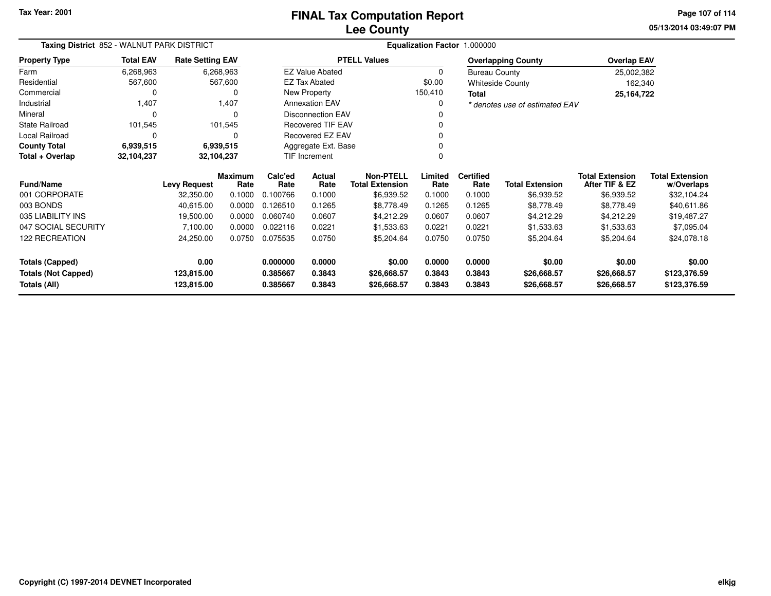**05/13/2014 03:49:07 PMPage 107 of 114**

| Taxing District 852 - WALNUT PARK DISTRICT |                                                       |                         |                 | Equalization Factor 1.000000 |                          |                                            |                 |                          |                                |                                          |                                      |
|--------------------------------------------|-------------------------------------------------------|-------------------------|-----------------|------------------------------|--------------------------|--------------------------------------------|-----------------|--------------------------|--------------------------------|------------------------------------------|--------------------------------------|
| <b>Property Type</b>                       | <b>Total EAV</b>                                      | <b>Rate Setting EAV</b> |                 |                              |                          | <b>PTELL Values</b>                        |                 |                          | <b>Overlapping County</b>      | <b>Overlap EAV</b>                       |                                      |
| Farm                                       | 6,268,963                                             |                         | 6,268,963       |                              | <b>EZ Value Abated</b>   |                                            | 0               | <b>Bureau County</b>     |                                | 25,002,382                               |                                      |
| Residential                                | 567,600                                               |                         | 567,600         |                              | <b>EZ Tax Abated</b>     |                                            | \$0.00          |                          | <b>Whiteside County</b>        | 162,340                                  |                                      |
| Commercial                                 | 0                                                     |                         |                 |                              | New Property             |                                            | 150,410         | <b>Total</b>             |                                | 25,164,722                               |                                      |
| Industrial                                 | 1,407                                                 |                         | 1,407           |                              | <b>Annexation EAV</b>    |                                            | 0               |                          | * denotes use of estimated EAV |                                          |                                      |
| Mineral                                    | 0                                                     |                         |                 |                              | <b>Disconnection EAV</b> |                                            |                 |                          |                                |                                          |                                      |
| State Railroad                             | 101,545                                               |                         | 101,545         |                              | <b>Recovered TIF EAV</b> |                                            |                 |                          |                                |                                          |                                      |
| Local Railroad                             | 0                                                     |                         |                 |                              | Recovered EZ EAV         |                                            |                 |                          |                                |                                          |                                      |
| <b>County Total</b>                        | 6,939,515                                             |                         | 6,939,515       |                              | Aggregate Ext. Base      |                                            |                 |                          |                                |                                          |                                      |
| Total + Overlap                            | 32,104,237<br>32,104,237<br><b>TIF Increment</b><br>ŋ |                         |                 |                              |                          |                                            |                 |                          |                                |                                          |                                      |
| <b>Fund/Name</b>                           |                                                       | <b>Levy Request</b>     | Maximum<br>Rate | Calc'ed<br>Rate              | Actual<br>Rate           | <b>Non-PTELL</b><br><b>Total Extension</b> | Limited<br>Rate | <b>Certified</b><br>Rate | <b>Total Extension</b>         | <b>Total Extension</b><br>After TIF & EZ | <b>Total Extension</b><br>w/Overlaps |
| 001 CORPORATE                              |                                                       | 32,350.00               | 0.1000          | 0.100766                     | 0.1000                   | \$6,939.52                                 | 0.1000          | 0.1000                   | \$6,939.52                     | \$6,939.52                               | \$32,104.24                          |
| 003 BONDS                                  |                                                       | 40,615.00               | 0.0000          | 0.126510                     | 0.1265                   | \$8,778.49                                 | 0.1265          | 0.1265                   | \$8,778.49                     | \$8,778.49                               | \$40,611.86                          |
| 035 LIABILITY INS                          |                                                       | 19,500.00               | 0.0000          | 0.060740                     | 0.0607                   | \$4,212.29                                 | 0.0607          | 0.0607                   | \$4,212.29                     | \$4,212.29                               | \$19,487.27                          |
| 047 SOCIAL SECURITY                        |                                                       | 7,100.00                | 0.0000          | 0.022116                     | 0.0221                   | \$1,533.63                                 | 0.0221          | 0.0221                   | \$1,533.63                     | \$1,533.63                               | \$7,095.04                           |
| <b>122 RECREATION</b>                      |                                                       | 24,250.00               | 0.0750          | 0.075535                     | 0.0750                   | \$5,204.64                                 | 0.0750          | 0.0750                   | \$5,204.64                     | \$5,204.64                               | \$24,078.18                          |
| <b>Totals (Capped)</b>                     |                                                       | 0.00                    |                 | 0.000000                     | 0.0000                   | \$0.00                                     | 0.0000          | 0.0000                   | \$0.00                         | \$0.00                                   | \$0.00                               |
| <b>Totals (Not Capped)</b>                 |                                                       | 123,815.00              |                 | 0.385667                     | 0.3843                   | \$26,668.57                                | 0.3843          | 0.3843                   | \$26,668.57                    | \$26,668.57                              | \$123,376.59                         |
| Totals (All)                               |                                                       | 123,815.00              |                 | 0.385667                     | 0.3843                   | \$26,668.57                                | 0.3843          | 0.3843                   | \$26,668.57                    | \$26,668.57                              | \$123,376.59                         |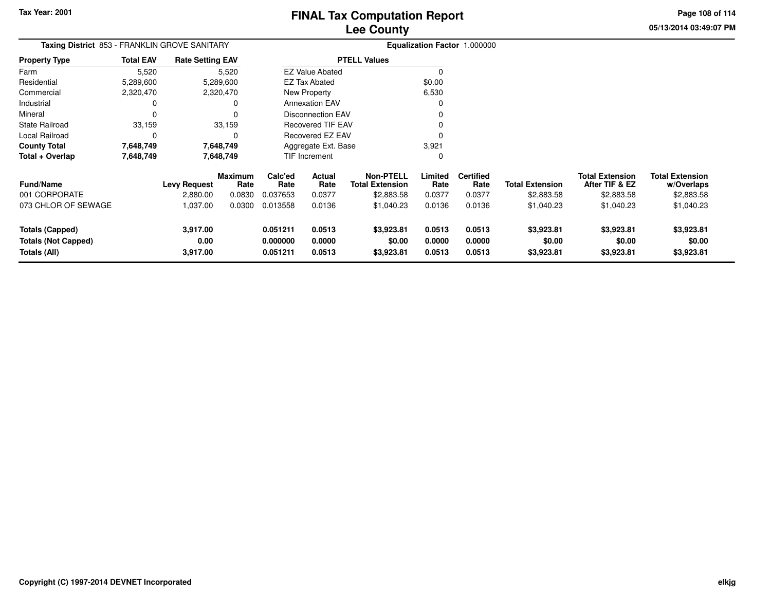**05/13/2014 03:49:07 PMPage 108 of 114**

| <b>Taxing District</b> 853 - FRANKLIN GROVE SANITARY |                  |                         |                        | <b>Equalization Factor 1.000000</b> |                        |                                            |                  |                          |                        |                                          |                                      |
|------------------------------------------------------|------------------|-------------------------|------------------------|-------------------------------------|------------------------|--------------------------------------------|------------------|--------------------------|------------------------|------------------------------------------|--------------------------------------|
| <b>Property Type</b>                                 | <b>Total EAV</b> | <b>Rate Setting EAV</b> |                        | <b>PTELL Values</b>                 |                        |                                            |                  |                          |                        |                                          |                                      |
| Farm                                                 | 5,520            | 5,520                   |                        |                                     | <b>EZ Value Abated</b> |                                            |                  |                          |                        |                                          |                                      |
| Residential                                          | 5,289,600        | 5,289,600               |                        |                                     | <b>EZ Tax Abated</b>   |                                            | \$0.00           |                          |                        |                                          |                                      |
| Commercial                                           | 2,320,470        | 2,320,470               |                        |                                     | New Property           |                                            | 6,530            |                          |                        |                                          |                                      |
| Industrial                                           |                  | 0                       |                        |                                     | <b>Annexation EAV</b>  |                                            |                  |                          |                        |                                          |                                      |
| Mineral                                              |                  | $\Omega$                |                        | <b>Disconnection EAV</b>            |                        |                                            |                  |                          |                        |                                          |                                      |
| <b>State Railroad</b>                                | 33,159           | 33,159                  |                        | Recovered TIF EAV                   |                        |                                            |                  |                          |                        |                                          |                                      |
| Local Railroad                                       | $\Omega$         | 0                       |                        | Recovered EZ EAV                    |                        |                                            |                  |                          |                        |                                          |                                      |
| <b>County Total</b>                                  | 7,648,749        | 7,648,749               |                        | Aggregate Ext. Base                 |                        | 3,921                                      |                  |                          |                        |                                          |                                      |
| Total + Overlap                                      | 7,648,749        | 7,648,749               |                        | TIF Increment                       |                        |                                            | 0                |                          |                        |                                          |                                      |
| Fund/Name                                            |                  | <b>Levy Request</b>     | <b>Maximum</b><br>Rate | Calc'ed<br>Rate                     | Actual<br>Rate         | <b>Non-PTELL</b><br><b>Total Extension</b> | Limited<br>Rate  | <b>Certified</b><br>Rate | <b>Total Extension</b> | <b>Total Extension</b><br>After TIF & EZ | <b>Total Extension</b><br>w/Overlaps |
| 001 CORPORATE                                        |                  | 2,880.00                | 0.0830                 | 0.037653                            | 0.0377                 | \$2,883.58                                 | 0.0377           | 0.0377                   | \$2,883.58             | \$2,883.58                               | \$2,883.58                           |
| 073 CHLOR OF SEWAGE                                  |                  | 1,037.00                | 0.0300                 | 0.013558                            | 0.0136                 | \$1,040.23                                 | 0.0136           | 0.0136                   | \$1,040.23             | \$1,040.23                               | \$1,040.23                           |
| <b>Totals (Capped)</b>                               |                  | 3,917.00                |                        | 0.051211                            | 0.0513                 | \$3,923.81                                 | 0.0513           | 0.0513                   | \$3,923.81             | \$3,923.81                               | \$3,923.81                           |
| <b>Totals (Not Capped)</b><br>Totals (All)           |                  | 0.00<br>3,917.00        |                        | 0.000000<br>0.051211                | 0.0000<br>0.0513       | \$0.00<br>\$3,923.81                       | 0.0000<br>0.0513 | 0.0000<br>0.0513         | \$0.00<br>\$3,923.81   | \$0.00<br>\$3,923.81                     | \$0.00<br>\$3,923.81                 |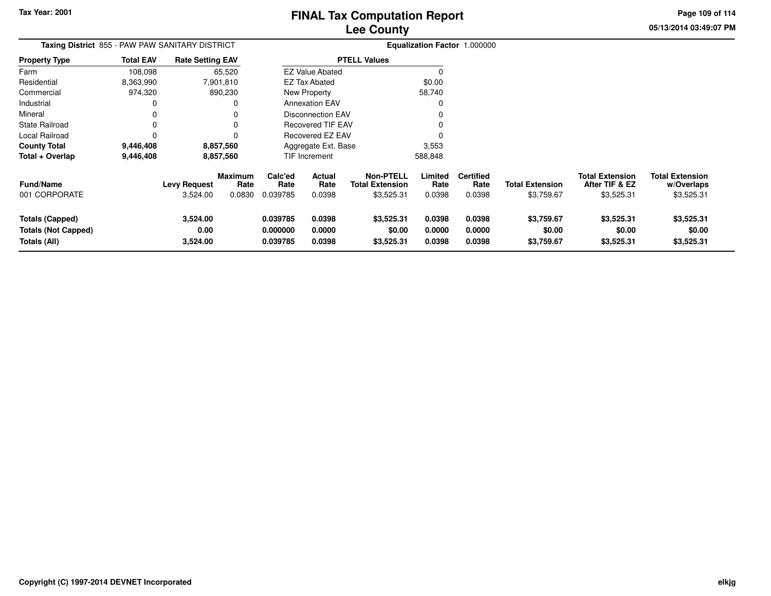# **Lee CountyFINAL Tax Computation Report**

**Page 109 of 114**

**05/13/2014 03:49:07 PM**

| <b>Taxing District</b> 855 - PAW PAW SANITARY DISTRICT               |                  |                                 |                                  |                                  |                                                                                           |                                                          |                            | <b>Equalization Factor 1.000000</b> |                                      |                                                        |                                                    |
|----------------------------------------------------------------------|------------------|---------------------------------|----------------------------------|----------------------------------|-------------------------------------------------------------------------------------------|----------------------------------------------------------|----------------------------|-------------------------------------|--------------------------------------|--------------------------------------------------------|----------------------------------------------------|
| Property Type                                                        | <b>Total EAV</b> | <b>Rate Setting EAV</b>         |                                  |                                  |                                                                                           | <b>PTELL Values</b>                                      |                            |                                     |                                      |                                                        |                                                    |
| Farm                                                                 | 108,098          |                                 | 65,520                           |                                  | <b>EZ Value Abated</b>                                                                    |                                                          |                            |                                     |                                      |                                                        |                                                    |
| Residential                                                          | 8,363,990        |                                 | 7,901,810                        |                                  | <b>EZ Tax Abated</b><br>New Property<br><b>Annexation EAV</b><br><b>Disconnection EAV</b> |                                                          | \$0.00                     |                                     |                                      |                                                        |                                                    |
| Commercial                                                           | 974,320          |                                 | 890,230                          |                                  |                                                                                           |                                                          | 58,740                     |                                     |                                      |                                                        |                                                    |
| Industrial                                                           | 0                |                                 |                                  |                                  |                                                                                           |                                                          |                            |                                     |                                      |                                                        |                                                    |
| Mineral                                                              |                  |                                 |                                  |                                  |                                                                                           |                                                          |                            |                                     |                                      |                                                        |                                                    |
| State Railroad                                                       | 0                |                                 |                                  | <b>Recovered TIF EAV</b>         |                                                                                           |                                                          |                            |                                     |                                      |                                                        |                                                    |
| Local Railroad                                                       | 0                |                                 |                                  |                                  | Recovered EZ EAV                                                                          |                                                          |                            |                                     |                                      |                                                        |                                                    |
| <b>County Total</b>                                                  | 9,446,408        |                                 | 8,857,560                        |                                  | Aggregate Ext. Base                                                                       |                                                          | 3,553                      |                                     |                                      |                                                        |                                                    |
| Total + Overlap                                                      | 9,446,408        |                                 | 8,857,560                        |                                  | <b>TIF Increment</b>                                                                      |                                                          | 588,848                    |                                     |                                      |                                                        |                                                    |
| Fund/Name<br>001 CORPORATE                                           |                  | <b>Levy Request</b><br>3,524.00 | <b>Maximum</b><br>Rate<br>0.0830 | Calc'ed<br>Rate<br>0.039785      | Actual<br>Rate<br>0.0398                                                                  | <b>Non-PTELL</b><br><b>Total Extension</b><br>\$3,525.31 | Limited<br>Rate<br>0.0398  | <b>Certified</b><br>Rate<br>0.0398  | <b>Total Extension</b><br>\$3,759.67 | <b>Total Extension</b><br>After TIF & EZ<br>\$3,525.31 | <b>Total Extension</b><br>w/Overlaps<br>\$3,525.31 |
| <b>Totals (Capped)</b><br><b>Totals (Not Capped)</b><br>Totals (All) |                  | 3,524.00<br>0.00<br>3,524.00    |                                  | 0.039785<br>0.000000<br>0.039785 | 0.0398<br>0.0000<br>0.0398                                                                | \$3,525.31<br>\$0.00<br>\$3,525.31                       | 0.0398<br>0.0000<br>0.0398 | 0.0398<br>0.0000<br>0.0398          | \$3,759.67<br>\$0.00<br>\$3,759.67   | \$3,525.31<br>\$0.00<br>\$3,525.31                     | \$3,525.31<br>\$0.00<br>\$3,525.31                 |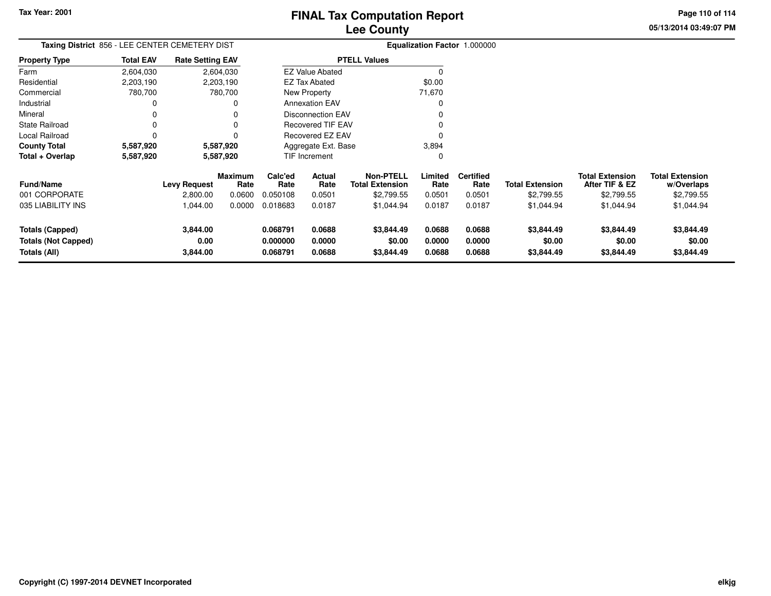$\ddot{\phantom{a}}$ 

 $\overline{a}$ 

# **Lee CountyFINAL Tax Computation Report**

**05/13/2014 03:49:07 PM Page 110 of 114**

| Taxing District 856 - LEE CENTER CEMETERY DIST                |                  |                              |                 | Equalization Factor 1.000000     |                            |                                            |                            |                            |                                    |                                          |                                      |
|---------------------------------------------------------------|------------------|------------------------------|-----------------|----------------------------------|----------------------------|--------------------------------------------|----------------------------|----------------------------|------------------------------------|------------------------------------------|--------------------------------------|
| <b>Property Type</b>                                          | <b>Total EAV</b> | <b>Rate Setting EAV</b>      |                 | <b>PTELL Values</b>              |                            |                                            |                            |                            |                                    |                                          |                                      |
| Farm                                                          | 2,604,030        |                              | 2,604,030       |                                  | <b>EZ Value Abated</b>     |                                            | $\Omega$                   |                            |                                    |                                          |                                      |
| Residential                                                   | 2,203,190        |                              | 2,203,190       |                                  | <b>EZ Tax Abated</b>       |                                            | \$0.00                     |                            |                                    |                                          |                                      |
| Commercial                                                    | 780,700          |                              | 780,700         |                                  | <b>New Property</b>        |                                            | 71,670                     |                            |                                    |                                          |                                      |
| Industrial                                                    |                  |                              |                 |                                  | <b>Annexation EAV</b>      |                                            |                            |                            |                                    |                                          |                                      |
| Mineral                                                       |                  |                              |                 |                                  | <b>Disconnection EAV</b>   |                                            |                            |                            |                                    |                                          |                                      |
| <b>State Railroad</b>                                         |                  |                              |                 |                                  | <b>Recovered TIF EAV</b>   |                                            |                            |                            |                                    |                                          |                                      |
| Local Railroad                                                |                  |                              |                 |                                  | Recovered EZ EAV           |                                            |                            |                            |                                    |                                          |                                      |
| <b>County Total</b>                                           | 5,587,920        |                              | 5,587,920       |                                  | Aggregate Ext. Base        |                                            | 3,894                      |                            |                                    |                                          |                                      |
| Total + Overlap                                               | 5,587,920        |                              | 5,587,920       |                                  | <b>TIF Increment</b>       |                                            | 0                          |                            |                                    |                                          |                                      |
| <b>Fund/Name</b>                                              |                  | <b>Levy Request</b>          | Maximum<br>Rate | Calc'ed<br>Rate                  | Actual<br>Rate             | <b>Non-PTELL</b><br><b>Total Extension</b> | Limited<br>Rate            | <b>Certified</b><br>Rate   | <b>Total Extension</b>             | <b>Total Extension</b><br>After TIF & EZ | <b>Total Extension</b><br>w/Overlaps |
| 001 CORPORATE                                                 |                  | 2,800.00                     | 0.0600          | 0.050108                         | 0.0501                     | \$2,799.55                                 | 0.0501                     | 0.0501                     | \$2,799.55                         | \$2,799.55                               | \$2,799.55                           |
| 035 LIABILITY INS                                             |                  | 1,044.00                     | 0.0000          | 0.018683                         | 0.0187                     | \$1,044.94                                 | 0.0187                     | 0.0187                     | \$1,044.94                         | \$1,044.94                               | \$1,044.94                           |
| Totals (Capped)<br><b>Totals (Not Capped)</b><br>Totals (All) |                  | 3,844.00<br>0.00<br>3,844.00 |                 | 0.068791<br>0.000000<br>0.068791 | 0.0688<br>0.0000<br>0.0688 | \$3,844.49<br>\$0.00<br>\$3,844.49         | 0.0688<br>0.0000<br>0.0688 | 0.0688<br>0.0000<br>0.0688 | \$3,844.49<br>\$0.00<br>\$3,844.49 | \$3,844.49<br>\$0.00<br>\$3,844.49       | \$3,844.49<br>\$0.00<br>\$3,844.49   |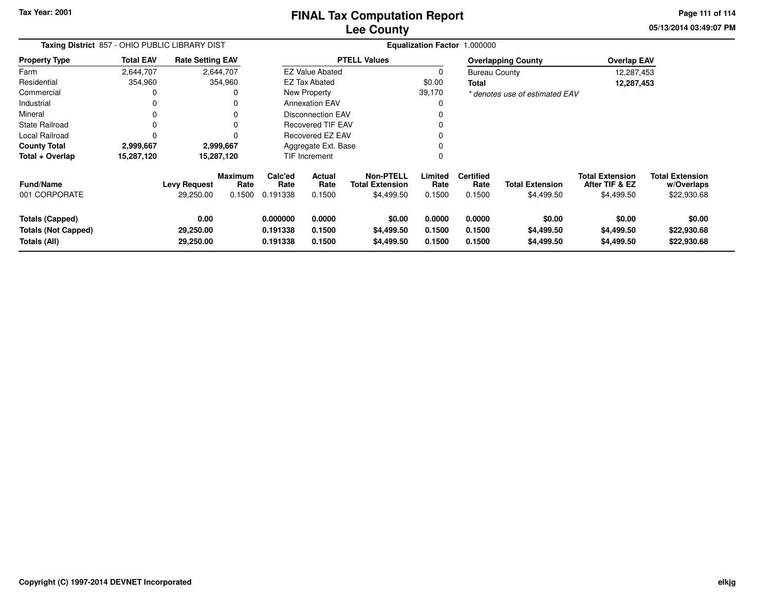**Tax Year: 2001**

# **Lee CountyFINAL Tax Computation Report**

**05/13/2014 03:49:07 PM Page 111 of 114**

| Taxing District 857 - OHIO PUBLIC LIBRARY DIST                       |                  |                                  |                                  | Equalization Factor 1.000000     |                            |                                                          |                            |                                    |                                      |                                                        |                                                     |
|----------------------------------------------------------------------|------------------|----------------------------------|----------------------------------|----------------------------------|----------------------------|----------------------------------------------------------|----------------------------|------------------------------------|--------------------------------------|--------------------------------------------------------|-----------------------------------------------------|
| <b>Property Type</b>                                                 | <b>Total EAV</b> | <b>Rate Setting EAV</b>          |                                  | <b>PTELL Values</b>              |                            |                                                          |                            |                                    | <b>Overlapping County</b>            | <b>Overlap EAV</b>                                     |                                                     |
| Farm                                                                 | 2,644,707        |                                  | 2,644,707                        |                                  | <b>EZ Value Abated</b>     |                                                          | 0                          | <b>Bureau County</b>               |                                      | 12,287,453                                             |                                                     |
| Residential                                                          | 354,960          |                                  | 354,960                          |                                  | EZ Tax Abated              |                                                          | \$0.00                     | Total                              |                                      | 12,287,453                                             |                                                     |
| Commercial                                                           | 0                |                                  | 0                                |                                  | New Property               |                                                          | 39,170                     |                                    | * denotes use of estimated EAV       |                                                        |                                                     |
| Industrial                                                           | 0                |                                  | 0                                |                                  | <b>Annexation EAV</b>      |                                                          | 0                          |                                    |                                      |                                                        |                                                     |
| Mineral                                                              | 0                |                                  | 0                                |                                  | Disconnection EAV          |                                                          | 0                          |                                    |                                      |                                                        |                                                     |
| State Railroad                                                       | 0                |                                  | $\Omega$                         |                                  | <b>Recovered TIF EAV</b>   |                                                          | $\Omega$                   |                                    |                                      |                                                        |                                                     |
| Local Railroad                                                       | 0                |                                  | $\Omega$                         | <b>Recovered EZ EAV</b>          |                            |                                                          | $\Omega$                   |                                    |                                      |                                                        |                                                     |
| <b>County Total</b>                                                  | 2,999,667        |                                  | 2,999,667                        | Aggregate Ext. Base              |                            |                                                          | 0                          |                                    |                                      |                                                        |                                                     |
| Total + Overlap                                                      | 15,287,120       |                                  | 15,287,120                       | <b>TIF Increment</b>             |                            |                                                          | $\mathbf 0$                |                                    |                                      |                                                        |                                                     |
| <b>Fund/Name</b><br>001 CORPORATE                                    |                  | <b>Levy Request</b><br>29,250.00 | <b>Maximum</b><br>Rate<br>0.1500 | Calc'ed<br>Rate<br>0.191338      | Actual<br>Rate<br>0.1500   | <b>Non-PTELL</b><br><b>Total Extension</b><br>\$4,499.50 | Limited<br>Rate<br>0.1500  | <b>Certified</b><br>Rate<br>0.1500 | <b>Total Extension</b><br>\$4,499.50 | <b>Total Extension</b><br>After TIF & EZ<br>\$4,499.50 | <b>Total Extension</b><br>w/Overlaps<br>\$22,930.68 |
| <b>Totals (Capped)</b><br><b>Totals (Not Capped)</b><br>Totals (All) |                  | 0.00<br>29,250.00<br>29,250.00   |                                  | 0.000000<br>0.191338<br>0.191338 | 0.0000<br>0.1500<br>0.1500 | \$0.00<br>\$4,499.50<br>\$4,499.50                       | 0.0000<br>0.1500<br>0.1500 | 0.0000<br>0.1500<br>0.1500         | \$0.00<br>\$4,499.50<br>\$4,499.50   | \$0.00<br>\$4,499.50<br>\$4,499.50                     | \$0.00<br>\$22,930.68<br>\$22,930.68                |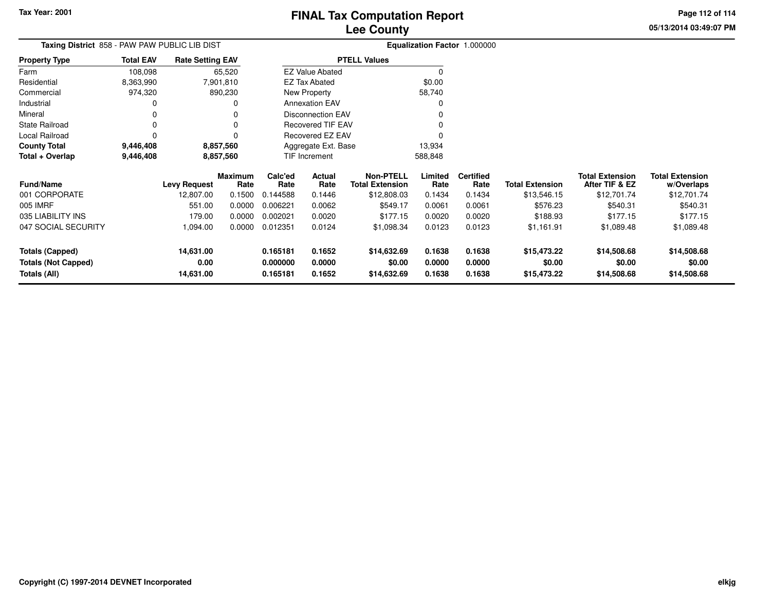# **Lee CountyFINAL Tax Computation Report**

**05/13/2014 03:49:07 PMPage 112 of 114**

| Taxing District 858 - PAW PAW PUBLIC LIB DIST |           |                         | Equalization Factor 1.000000 |         |  |  |  |  |
|-----------------------------------------------|-----------|-------------------------|------------------------------|---------|--|--|--|--|
| <b>Total EAV</b><br><b>Property Type</b>      |           | <b>Rate Setting EAV</b> | <b>PTELL Values</b>          |         |  |  |  |  |
| Farm                                          | 108.098   | 65.520                  | <b>EZ Value Abated</b>       |         |  |  |  |  |
| Residential                                   | 8,363,990 | 7,901,810               | EZ Tax Abated                | \$0.00  |  |  |  |  |
| Commercial                                    | 974.320   | 890,230                 | New Property                 | 58.740  |  |  |  |  |
| Industrial                                    | 0         | 0                       | <b>Annexation EAV</b>        | 0       |  |  |  |  |
| Mineral                                       | 0         | 0                       | Disconnection EAV            | 0       |  |  |  |  |
| State Railroad                                | 0         | 0                       | <b>Recovered TIF EAV</b>     | 0       |  |  |  |  |
| Local Railroad                                |           | 0                       | Recovered EZ EAV             |         |  |  |  |  |
| <b>County Total</b>                           | 9,446,408 | 8,857,560               | Aggregate Ext. Base          | 13.934  |  |  |  |  |
| Total + Overlap                               | 9,446,408 | 8,857,560               | <b>TIF Increment</b>         | 588,848 |  |  |  |  |

| <b>Fund/Name</b>                                       | <b>Levy Request</b>            | <b>Maximum</b><br>Rate | Calc'ed<br>Rate                  | Actual<br>Rate             | Non-PTELL<br>Total Extension         | Limited<br>Rate            | <b>Certified</b><br>Rate   | <b>Total Extension</b>               | <b>Total Extension</b><br>After TIF & EZ | <b>Total Extension</b><br>w/Overlaps |
|--------------------------------------------------------|--------------------------------|------------------------|----------------------------------|----------------------------|--------------------------------------|----------------------------|----------------------------|--------------------------------------|------------------------------------------|--------------------------------------|
| 001 CORPORATE                                          | 12,807.00                      | 0.1500                 | 0.144588                         | 0.1446                     | \$12,808.03                          | 0.1434                     | 0.1434                     | \$13,546.15                          | \$12,701.74                              | \$12,701.74                          |
| 005 IMRF                                               | 551.00                         | 0.0000                 | 0.006221                         | 0.0062                     | \$549.17                             | 0.0061                     | 0.0061                     | \$576.23                             | \$540.31                                 | \$540.31                             |
| 035 LIABILITY INS                                      | 179.00                         | 0.0000                 | 0.002021                         | 0.0020                     | \$177.15                             | 0.0020                     | 0.0020                     | \$188.93                             | \$177.15                                 | \$177.15                             |
| 047 SOCIAL SECURITY                                    | 1.094.00                       | 0.0000                 | 0.012351                         | 0.0124                     | \$1,098.34                           | 0.0123                     | 0.0123                     | \$1,161.91                           | \$1,089.48                               | \$1,089.48                           |
| Totals (Capped)<br>Totals (Not Capped)<br>Totals (All) | 14.631.00<br>0.00<br>14,631.00 |                        | 0.165181<br>0.000000<br>0.165181 | 0.1652<br>0.0000<br>0.1652 | \$14,632.69<br>\$0.00<br>\$14,632.69 | 0.1638<br>0.0000<br>0.1638 | 0.1638<br>0.0000<br>0.1638 | \$15,473.22<br>\$0.00<br>\$15,473.22 | \$14,508.68<br>\$0.00<br>\$14,508.68     | \$14,508.68<br>\$0.00<br>\$14,508.68 |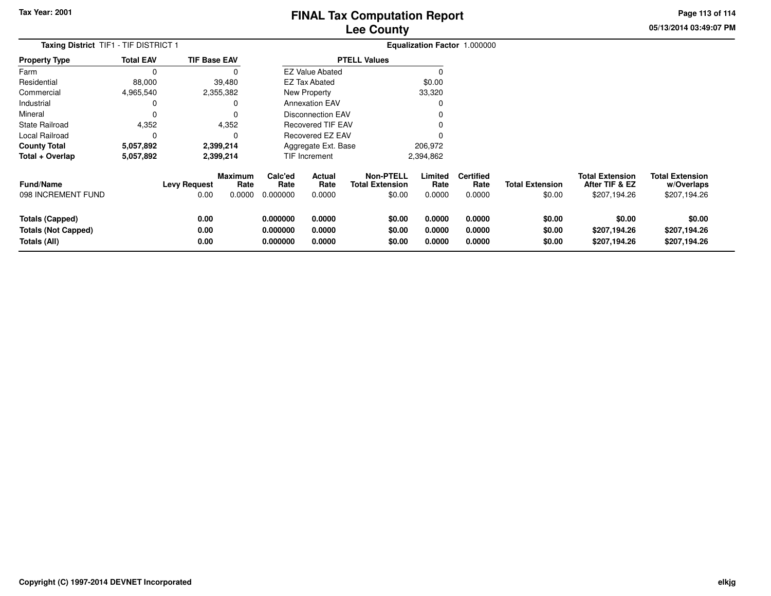# **Lee CountyFINAL Tax Computation Report**

**05/13/2014 03:49:07 PMPage 113 of 114**

| Taxing District TIF1 - TIF DISTRICT 1                                |                  |                             |                           |                                  |                                              |                                                      |                            | Equalization Factor 1.000000       |                                  |                                                          |                                                      |
|----------------------------------------------------------------------|------------------|-----------------------------|---------------------------|----------------------------------|----------------------------------------------|------------------------------------------------------|----------------------------|------------------------------------|----------------------------------|----------------------------------------------------------|------------------------------------------------------|
| <b>Property Type</b>                                                 | <b>Total EAV</b> | <b>TIF Base EAV</b>         |                           |                                  |                                              | <b>PTELL Values</b>                                  |                            |                                    |                                  |                                                          |                                                      |
| Farm                                                                 | 0                |                             |                           |                                  | <b>EZ Value Abated</b>                       |                                                      |                            |                                    |                                  |                                                          |                                                      |
| Residential                                                          | 88,000           |                             | 39,480                    |                                  | <b>EZ Tax Abated</b><br>New Property         |                                                      | \$0.00                     |                                    |                                  |                                                          |                                                      |
| Commercial                                                           | 4,965,540        |                             | 2,355,382                 |                                  |                                              |                                                      | 33,320                     |                                    |                                  |                                                          |                                                      |
| Industrial                                                           | 0                |                             |                           |                                  | <b>Annexation EAV</b>                        |                                                      |                            |                                    |                                  |                                                          |                                                      |
| Mineral                                                              | 0                |                             |                           |                                  | <b>Disconnection EAV</b>                     |                                                      |                            |                                    |                                  |                                                          |                                                      |
| <b>State Railroad</b>                                                | 4,352            |                             | 4,352                     |                                  | <b>Recovered TIF EAV</b><br>Recovered EZ EAV |                                                      |                            |                                    |                                  |                                                          |                                                      |
| Local Railroad                                                       | 0                |                             |                           |                                  |                                              |                                                      |                            |                                    |                                  |                                                          |                                                      |
| <b>County Total</b>                                                  | 5,057,892        |                             | 2,399,214                 |                                  | Aggregate Ext. Base                          |                                                      | 206,972                    |                                    |                                  |                                                          |                                                      |
| Total + Overlap                                                      | 5,057,892        |                             | 2,399,214                 |                                  | <b>TIF Increment</b>                         |                                                      | 2,394,862                  |                                    |                                  |                                                          |                                                      |
| Fund/Name<br>098 INCREMENT FUND                                      |                  | <b>Levy Request</b><br>0.00 | Maximum<br>Rate<br>0.0000 | Calc'ed<br>Rate<br>0.000000      | Actual<br>Rate<br>0.0000                     | <b>Non-PTELL</b><br><b>Total Extension</b><br>\$0.00 | Limited<br>Rate<br>0.0000  | <b>Certified</b><br>Rate<br>0.0000 | <b>Total Extension</b><br>\$0.00 | <b>Total Extension</b><br>After TIF & EZ<br>\$207,194.26 | <b>Total Extension</b><br>w/Overlaps<br>\$207,194.26 |
| <b>Totals (Capped)</b><br><b>Totals (Not Capped)</b><br>Totals (All) |                  | 0.00<br>0.00<br>0.00        |                           | 0.000000<br>0.000000<br>0.000000 | 0.0000<br>0.0000<br>0.0000                   | \$0.00<br>\$0.00<br>\$0.00                           | 0.0000<br>0.0000<br>0.0000 | 0.0000<br>0.0000<br>0.0000         | \$0.00<br>\$0.00<br>\$0.00       | \$0.00<br>\$207,194.26<br>\$207,194.26                   | \$0.00<br>\$207,194.26<br>\$207,194.26               |